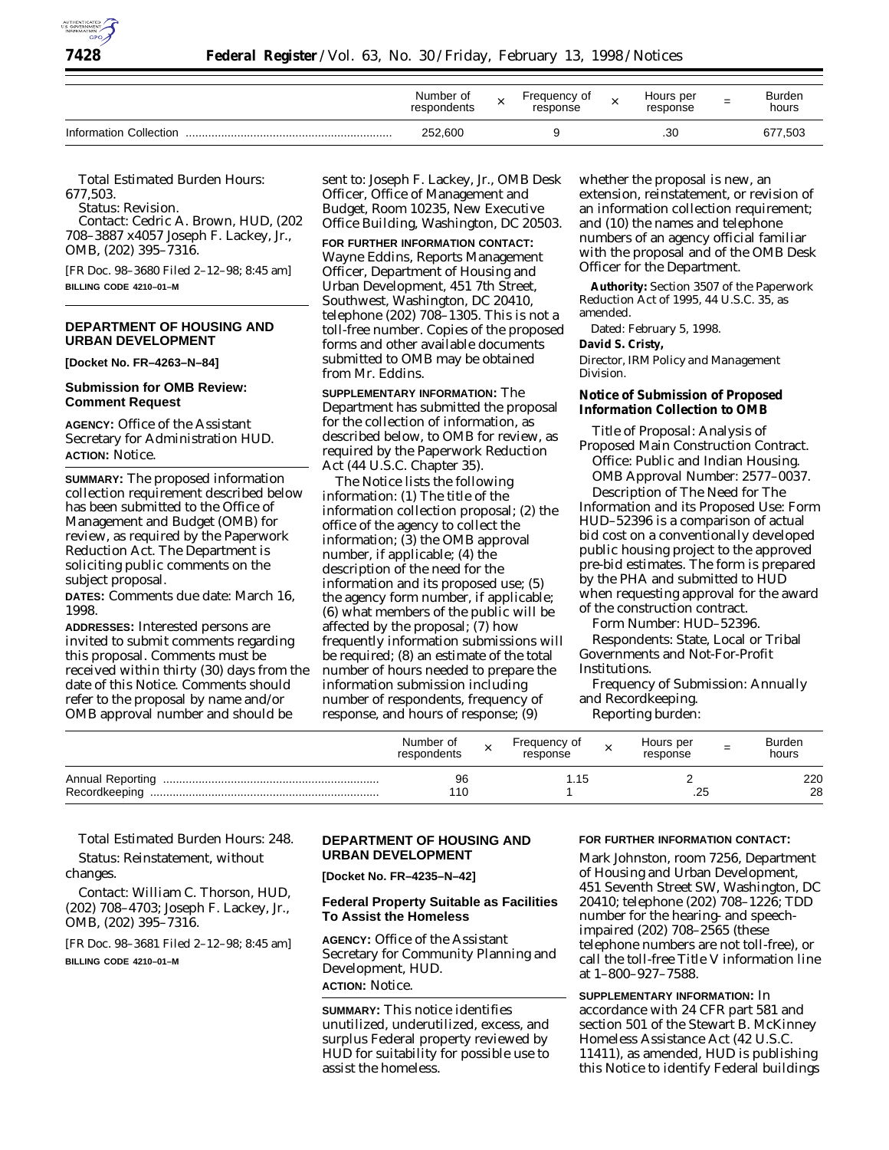

|                        | Number of<br>respondents | Freauencv of<br>response | Hours per<br>response | -<br>- | Burden<br>hours |
|------------------------|--------------------------|--------------------------|-----------------------|--------|-----------------|
| Information Collection | 252,600                  |                          | .30                   |        | 677,503         |

*Total Estimated Burden Hours:* 677,503.

*Status:* Revision.

*Contact:* Cedric A. Brown, HUD, (202 708–3887 x4057 Joseph F. Lackey, Jr., OMB, (202) 395–7316.

[FR Doc. 98–3680 Filed 2–12–98; 8:45 am] **BILLING CODE 4210–01–M**

## **DEPARTMENT OF HOUSING AND URBAN DEVELOPMENT**

**[Docket No. FR–4263–N–84]**

#### **Submission for OMB Review: Comment Request**

**AGENCY:** Office of the Assistant Secretary for Administration HUD. **ACTION:** Notice.

**SUMMARY:** The proposed information collection requirement described below has been submitted to the Office of Management and Budget (OMB) for review, as required by the Paperwork Reduction Act. The Department is soliciting public comments on the subject proposal.

**DATES:** Comments due date: March 16, 1998.

**ADDRESSES:** Interested persons are invited to submit comments regarding this proposal. Comments must be received within thirty (30) days from the date of this Notice. Comments should refer to the proposal by name and/or OMB approval number and should be

sent to: Joseph F. Lackey, Jr., OMB Desk Officer, Office of Management and Budget, Room 10235, New Executive Office Building, Washington, DC 20503.

#### **FOR FURTHER INFORMATION CONTACT:**

Wayne Eddins, Reports Management Officer, Department of Housing and Urban Development, 451 7th Street, Southwest, Washington, DC 20410, telephone (202) 708–1305. This is not a toll-free number. Copies of the proposed forms and other available documents submitted to OMB may be obtained from Mr. Eddins.

**SUPPLEMENTARY INFORMATION:** The Department has submitted the proposal for the collection of information, as described below, to OMB for review, as required by the Paperwork Reduction Act (44 U.S.C. Chapter 35).

The Notice lists the following information: (1) The title of the information collection proposal; (2) the office of the agency to collect the information; (3) the OMB approval number, if applicable; (4) the description of the need for the information and its proposed use; (5) the agency form number, if applicable; (6) what members of the public will be affected by the proposal; (7) how frequently information submissions will be required; (8) an estimate of the total number of hours needed to prepare the information submission including number of respondents, frequency of response, and hours of response; (9)

whether the proposal is new, an extension, reinstatement, or revision of an information collection requirement; and (10) the names and telephone numbers of an agency official familiar with the proposal and of the OMB Desk Officer for the Department.

**Authority:** Section 3507 of the Paperwork Reduction Act of 1995, 44 U.S.C. 35, as amended.

Dated: February 5, 1998.

#### **David S. Cristy,**

*Director, IRM Policy and Management Division.*

### **Notice of Submission of Proposed Information Collection to OMB**

*Title of Proposal:* Analysis of Proposed Main Construction Contract. *Office:* Public and Indian Housing. *OMB Approval Number:* 2577–0037.

*Description of The Need for The Information and its Proposed Use:* Form HUD–52396 is a comparison of actual bid cost on a conventionally developed public housing project to the approved pre-bid estimates. The form is prepared by the PHA and submitted to HUD when requesting approval for the award of the construction contract.

*Form Number:* HUD–52396.

*Respondents:* State, Local or Tribal Governments and Not-For-Profit Institutions.

*Frequency of Submission:* Annually and Recordkeeping.

*Reporting burden:*

|               | Number of<br>respondents | Frequency of<br>response | Hours per<br>response | = | <b>Burden</b><br>hours |
|---------------|--------------------------|--------------------------|-----------------------|---|------------------------|
| Recordkeeping | 96<br>110                | 51. ا                    | .25                   |   | 220<br>28              |

## *Total Estimated Burden Hours:* 248.

*Status:* Reinstatement, without changes.

*Contact:* William C. Thorson, HUD, (202) 708–4703; Joseph F. Lackey, Jr., OMB, (202) 395–7316.

[FR Doc. 98–3681 Filed 2–12–98; 8:45 am] **BILLING CODE 4210–01–M**

## **DEPARTMENT OF HOUSING AND URBAN DEVELOPMENT**

**[Docket No. FR–4235–N–42]**

## **Federal Property Suitable as Facilities To Assist the Homeless**

**AGENCY:** Office of the Assistant Secretary for Community Planning and Development, HUD. **ACTION:** Notice.

**SUMMARY:** This notice identifies unutilized, underutilized, excess, and surplus Federal property reviewed by HUD for suitability for possible use to assist the homeless.

#### **FOR FURTHER INFORMATION CONTACT:**

Mark Johnston, room 7256, Department of Housing and Urban Development, 451 Seventh Street SW, Washington, DC 20410; telephone (202) 708–1226; TDD number for the hearing- and speechimpaired (202) 708–2565 (these telephone numbers are not toll-free), or call the toll-free Title V information line at 1–800–927–7588.

**SUPPLEMENTARY INFORMATION:** In accordance with 24 CFR part 581 and section 501 of the Stewart B. McKinney Homeless Assistance Act (42 U.S.C. 11411), as amended, HUD is publishing this Notice to identify Federal buildings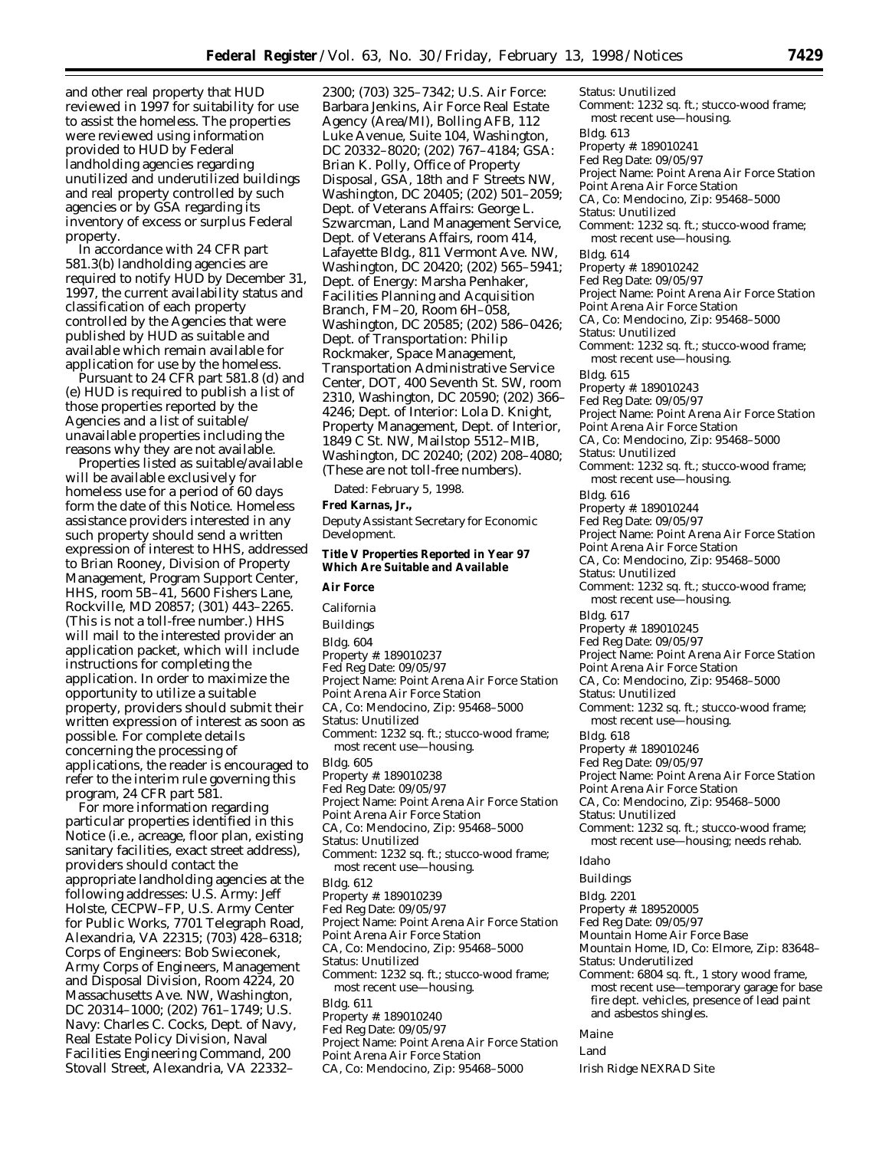and other real property that HUD reviewed in 1997 for suitability for use to assist the homeless. The properties were reviewed using information provided to HUD by Federal landholding agencies regarding unutilized and underutilized buildings and real property controlled by such agencies or by GSA regarding its inventory of excess or surplus Federal property.

In accordance with 24 CFR part 581.3(b) landholding agencies are required to notify HUD by December 31, 1997, the current availability status and classification of each property controlled by the Agencies that were published by HUD as suitable and available which remain available for application for use by the homeless.

Pursuant to 24 CFR part 581.8 (d) and (e) HUD is required to publish a list of those properties reported by the Agencies and a list of suitable/ unavailable properties including the reasons why they are not available.

Properties listed as suitable/available will be available exclusively for homeless use for a period of 60 days form the date of this Notice. Homeless assistance providers interested in any such property should send a written expression of interest to HHS, addressed to Brian Rooney, Division of Property Management, Program Support Center, HHS, room 5B–41, 5600 Fishers Lane, Rockville, MD 20857; (301) 443–2265. (This is not a toll-free number.) HHS will mail to the interested provider an application packet, which will include instructions for completing the application. In order to maximize the opportunity to utilize a suitable property, providers should submit their written expression of interest as soon as possible. For complete details concerning the processing of applications, the reader is encouraged to refer to the interim rule governing this program, 24 CFR part 581.

For more information regarding particular properties identified in this Notice (i.e., acreage, floor plan, existing sanitary facilities, exact street address), providers should contact the appropriate landholding agencies at the following addresses: *U.S. Army:* Jeff Holste, CECPW–FP, U.S. Army Center for Public Works, 7701 Telegraph Road, Alexandria, VA 22315; (703) 428–6318; *Corps of Engineers:* Bob Swieconek, Army Corps of Engineers, Management and Disposal Division, Room 4224, 20 Massachusetts Ave. NW, Washington, DC 20314–1000; (202) 761–1749; *U.S. Navy:* Charles C. Cocks, Dept. of Navy, Real Estate Policy Division, Naval Facilities Engineering Command, 200 Stovall Street, Alexandria, VA 22332–

2300; (703) 325–7342; *U.S. Air Force:* Barbara Jenkins, Air Force Real Estate Agency (Area/MI), Bolling AFB, 112 Luke Avenue, Suite 104, Washington, DC 20332–8020; (202) 767–4184; *GSA:* Brian K. Polly, Office of Property Disposal, GSA, 18th and F Streets NW, Washington, DC 20405; (202) 501–2059; *Dept. of Veterans Affairs:* George L. Szwarcman, Land Management Service, Dept. of Veterans Affairs, room 414, Lafayette Bldg., 811 Vermont Ave. NW, Washington, DC 20420; (202) 565–5941; *Dept. of Energy:* Marsha Penhaker, Facilities Planning and Acquisition Branch, FM–20, Room 6H–058, Washington, DC 20585; (202) 586–0426; *Dept. of Transportation:* Philip Rockmaker, Space Management, Transportation Administrative Service Center, DOT, 400 Seventh St. SW, room 2310, Washington, DC 20590; (202) 366– 4246; *Dept. of Interior:* Lola D. Knight, Property Management, Dept. of Interior, 1849 C St. NW, Mailstop 5512–MIB, Washington, DC 20240; (202) 208–4080; (These are not toll-free numbers).

Dated: February 5, 1998.

#### **Fred Karnas, Jr.,**

*Deputy Assistant Secretary for Economic Development.*

#### **Title V Properties Reported in Year 97 Which Are Suitable and Available**

## **Air Force**

*California* Buildings Bldg. 604 Property #: 189010237 Fed Reg Date: 09/05/97 Project Name: Point Arena Air Force Station Point Arena Air Force Station CA, Co: Mendocino, Zip: 95468–5000 Status: Unutilized Comment: 1232 sq. ft.; stucco-wood frame; most recent use—housing. Bldg. 605 Property #: 189010238 Fed Reg Date: 09/05/97 Project Name: Point Arena Air Force Station Point Arena Air Force Station CA, Co: Mendocino, Zip: 95468–5000 Status: Unutilized Comment: 1232 sq. ft.; stucco-wood frame; most recent use—housing. Bldg. 612 Property #: 189010239 Fed Reg Date: 09/05/97 Project Name: Point Arena Air Force Station Point Arena Air Force Station CA, Co: Mendocino, Zip: 95468–5000 Status: Unutilized Comment: 1232 sq. ft.; stucco-wood frame; most recent use—housing. Bldg. 611 Property #: 189010240 Fed Reg Date: 09/05/97 Project Name: Point Arena Air Force Station Point Arena Air Force Station

CA, Co: Mendocino, Zip: 95468–5000

Status: Unutilized Comment: 1232 sq. ft.; stucco-wood frame; most recent use—housing. Bldg. 613 Property #: 189010241 Fed Reg Date: 09/05/97 Project Name: Point Arena Air Force Station Point Arena Air Force Station CA, Co: Mendocino, Zip: 95468–5000 Status: Unutilized Comment: 1232 sq. ft.; stucco-wood frame; most recent use—housing. Bldg. 614 Property #: 189010242 Fed Reg Date: 09/05/97 Project Name: Point Arena Air Force Station Point Arena Air Force Station CA, Co: Mendocino, Zip: 95468–5000 Status: Unutilized Comment: 1232 sq. ft.; stucco-wood frame; most recent use—housing. Bldg. 615 Property #: 189010243 Fed Reg Date: 09/05/97 Project Name: Point Arena Air Force Station Point Arena Air Force Station CA, Co: Mendocino, Zip: 95468–5000 Status: Unutilized Comment: 1232 sq. ft.; stucco-wood frame; most recent use—housing. Bldg. 616 Property #: 189010244 Fed Reg Date: 09/05/97 Project Name: Point Arena Air Force Station Point Arena Air Force Station CA, Co: Mendocino, Zip: 95468–5000 Status: Unutilized Comment: 1232 sq. ft.; stucco-wood frame; most recent use—housing. Bldg. 617 Property #: 189010245 Fed Reg Date: 09/05/97 Project Name: Point Arena Air Force Station Point Arena Air Force Station CA, Co: Mendocino, Zip: 95468–5000 Status: Unutilized Comment: 1232 sq. ft.; stucco-wood frame; most recent use—housing. Bldg. 618 Property #: 189010246 Fed Reg Date: 09/05/97 Project Name: Point Arena Air Force Station Point Arena Air Force Station CA, Co: Mendocino, Zip: 95468–5000 Status: Unutilized Comment: 1232 sq. ft.; stucco-wood frame; most recent use—housing; needs rehab. *Idaho* Buildings Bldg. 2201 Property #: 189520005 Fed Reg Date: 09/05/97 Mountain Home Air Force Base Mountain Home, ID, Co: Elmore, Zip: 83648–

Status: Underutilized

Comment: 6804 sq. ft., 1 story wood frame, most recent use—temporary garage for base fire dept. vehicles, presence of lead paint and asbestos shingles.

## *Maine*

Land

Irish Ridge NEXRAD Site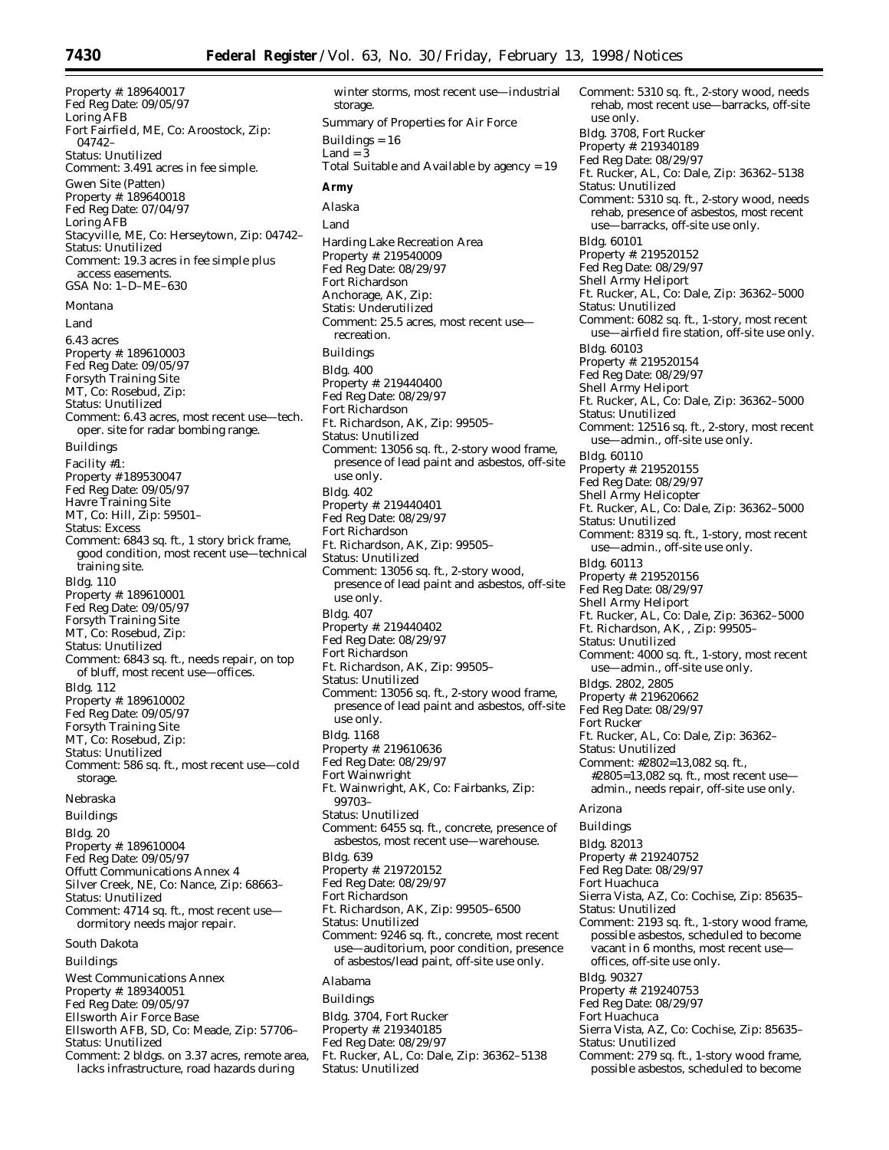Property #: 189640017 Fed Reg Date: 09/05/97 Loring AFB Fort Fairfield, ME, Co: Aroostock, Zip: 04742– Status: Unutilized Comment: 3.491 acres in fee simple. Gwen Site (Patten) Property #: 189640018 Fed Reg Date: 07/04/97 Loring AFB Stacyville, ME, Co: Herseytown, Zip: 04742– Status: Unutilized Comment: 19.3 acres in fee simple plus access easements. GSA No: 1–D–ME–630 *Montana* Land 6.43 acres Property #: 189610003 Fed Reg Date: 09/05/97 Forsyth Training Site MT, Co: Rosebud, Zip: Status: Unutilized Comment: 6.43 acres, most recent use—tech. oper. site for radar bombing range. Buildings Facility #1: Property # 189530047 Fed Reg Date: 09/05/97 Havre Training Site MT, Co: Hill, Zip: 59501– Status: Excess Comment: 6843 sq. ft., 1 story brick frame, good condition, most recent use—technical training site. Bldg. 110 Property #: 189610001 Fed Reg Date: 09/05/97 Forsyth Training Site MT, Co: Rosebud, Zip: Status: Unutilized Comment: 6843 sq. ft., needs repair, on top of bluff, most recent use—offices. Bldg. 112 Property #: 189610002 Fed Reg Date: 09/05/97 Forsyth Training Site MT, Co: Rosebud, Zip: Status: Unutilized Comment: 586 sq. ft., most recent use—cold storage. *Nebraska* Buildings Bldg. 20 Property #: 189610004 Fed Reg Date: 09/05/97 Offutt Communications Annex 4 Silver Creek, NE, Co: Nance, Zip: 68663– Status: Unutilized Comment: 4714 sq. ft., most recent use dormitory needs major repair. *South Dakota* Buildings West Communications Annex Property #: 189340051 Fed Reg Date: 09/05/97 Ellsworth Air Force Base Ellsworth AFB, SD, Co: Meade, Zip: 57706– Status: Unutilized Comment: 2 bldgs. on 3.37 acres, remote area,

lacks infrastructure, road hazards during

winter storms, most recent use—industrial storage. Summary of Properties for Air Force Buildings = 16 Land  $=$   $\overline{3}$ Total Suitable and Available by agency = 19 **Army** *Alaska* Land Harding Lake Recreation Area Property #: 219540009 Fed Reg Date: 08/29/97 Fort Richardson Anchorage, AK, Zip: Statis: Underutilized Comment: 25.5 acres, most recent use recreation. Buildings Bldg. 400 Property #: 219440400 Fed Reg Date: 08/29/97 Fort Richardson Ft. Richardson, AK, Zip: 99505– Status: Unutilized Comment: 13056 sq. ft., 2-story wood frame, presence of lead paint and asbestos, off-site use only. Bldg. 402 Property #: 219440401 Fed Reg Date: 08/29/97 Fort Richardson Ft. Richardson, AK, Zip: 99505– Status: Unutilized Comment: 13056 sq. ft., 2-story wood, presence of lead paint and asbestos, off-site use only. Bldg. 407 Property #: 219440402 Fed Reg Date: 08/29/97 Fort Richardson Ft. Richardson, AK, Zip: 99505– Status: Unutilized Comment: 13056 sq. ft., 2-story wood frame, presence of lead paint and asbestos, off-site use only. Bldg. 1168 Property #: 219610636 Fed Reg Date: 08/29/97 Fort Wainwright Ft. Wainwright, AK, Co: Fairbanks, Zip: 99703– Status: Unutilized Comment: 6455 sq. ft., concrete, presence of asbestos, most recent use—warehouse. Bldg. 639 Property #: 219720152 Fed Reg Date: 08/29/97 Fort Richardson Ft. Richardson, AK, Zip: 99505–6500 Status: Unutilized Comment: 9246 sq. ft., concrete, most recent use—auditorium, poor condition, presence of asbestos/lead paint, off-site use only. *Alabama* Buildings Bldg. 3704, Fort Rucker Property #: 219340185 Fed Reg Date: 08/29/97 Ft. Rucker, AL, Co: Dale, Zip: 36362–5138

Status: Unutilized

Comment: 5310 sq. ft., 2-story wood, needs rehab, most recent use—barracks, off-site use only. Bldg. 3708, Fort Rucker Property #: 219340189 Fed Reg Date: 08/29/97 Ft. Rucker, AL, Co: Dale, Zip: 36362–5138 Status: Unutilized Comment: 5310 sq. ft., 2-story wood, needs rehab, presence of asbestos, most recent use—barracks, off-site use only. Bldg. 60101 Property #: 219520152 Fed Reg Date: 08/29/97 Shell Army Heliport Ft. Rucker, AL, Co: Dale, Zip: 36362–5000 Status: Unutilized Comment: 6082 sq. ft., 1-story, most recent use—airfield fire station, off-site use only. Bldg. 60103 Property #: 219520154 Fed Reg Date: 08/29/97 Shell Army Heliport Ft. Rucker, AL, Co: Dale, Zip: 36362–5000 Status: Unutilized Comment: 12516 sq. ft., 2-story, most recent use—admin., off-site use only. Bldg. 60110 Property #: 219520155 Fed Reg Date: 08/29/97 Shell Army Helicopter Ft. Rucker, AL, Co: Dale, Zip: 36362–5000 Status: Unutilized Comment: 8319 sq. ft., 1-story, most recent use—admin., off-site use only. Bldg. 60113 Property #: 219520156 Fed Reg Date: 08/29/97 Shell Army Heliport Ft. Rucker, AL, Co: Dale, Zip: 36362–5000 Ft. Richardson, AK, , Zip: 99505-Status: Unutilized Comment: 4000 sq. ft., 1-story, most recent use—admin., off-site use only. Bldgs. 2802, 2805 Property #: 219620662 Fed Reg Date: 08/29/97 Fort Rucker Ft. Rucker, AL, Co: Dale, Zip: 36362– Status: Unutilized Comment: #2802=13,082 sq. ft., #2805=13,082 sq. ft., most recent use admin., needs repair, off-site use only. *Arizona* Buildings Bldg. 82013 Property #: 219240752 Fed Reg Date: 08/29/97 Fort Huachuca Sierra Vista, AZ, Co: Cochise, Zip: 85635– Status: Unutilized Comment: 2193 sq. ft., 1-story wood frame, possible asbestos, scheduled to become vacant in 6 months, most recent use offices, off-site use only. Bldg. 90327 Property #: 219240753 Fed Reg Date: 08/29/97 Fort Huachuca Sierra Vista, AZ, Co: Cochise, Zip: 85635– Status: Unutilized Comment: 279 sq. ft., 1-story wood frame, possible asbestos, scheduled to become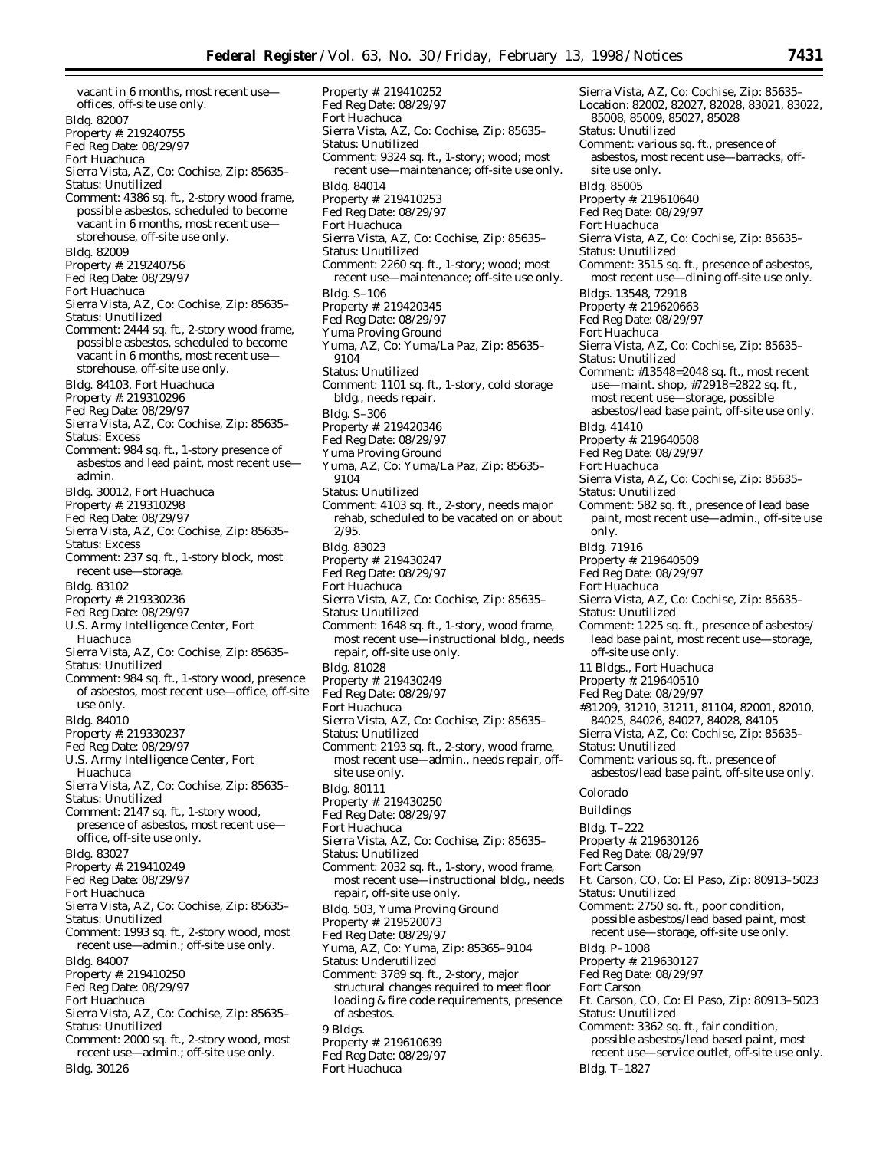Property #: 219410252

Bldg. 82007 Property #: 219240755 Fed Reg Date: 08/29/97 Fort Huachuca Sierra Vista, AZ, Co: Cochise, Zip: 85635– Status: Unutilized Comment: 4386 sq. ft., 2-story wood frame, possible asbestos, scheduled to become vacant in 6 months, most recent use storehouse, off-site use only. Bldg. 82009 Property #: 219240756 Fed Reg Date: 08/29/97 Fort Huachuca Sierra Vista, AZ, Co: Cochise, Zip: 85635– Status: Unutilized Comment: 2444 sq. ft., 2-story wood frame, possible asbestos, scheduled to become vacant in 6 months, most recent use storehouse, off-site use only. Bldg. 84103, Fort Huachuca Property #: 219310296 Fed Reg Date: 08/29/97 Sierra Vista, AZ, Co: Cochise, Zip: 85635– Status: Excess Comment: 984 sq. ft., 1-story presence of asbestos and lead paint, most recent use admin. Bldg. 30012, Fort Huachuca Property #: 219310298 Fed Reg Date: 08/29/97 Sierra Vista, AZ, Co: Cochise, Zip: 85635– Status: Excess Comment: 237 sq. ft., 1-story block, most recent use—storage. Bldg. 83102 Property #: 219330236 Fed Reg Date: 08/29/97 U.S. Army Intelligence Center, Fort Huachuca Sierra Vista, AZ, Co: Cochise, Zip: 85635– Status: Unutilized Comment: 984 sq. ft., 1-story wood, presence of asbestos, most recent use—office, off-site use only. Bldg. 84010 Property #: 219330237 Fed Reg Date: 08/29/97 U.S. Army Intelligence Center, Fort Huachuca Sierra Vista, AZ, Co: Cochise, Zip: 85635– Status: Unutilized Comment: 2147 sq. ft., 1-story wood, presence of asbestos, most recent use office, off-site use only. Bldg. 83027 Property #: 219410249 Fed Reg Date: 08/29/97 Fort Huachuca Sierra Vista, AZ, Co: Cochise, Zip: 85635– Status: Unutilized Comment: 1993 sq. ft., 2-story wood, most recent use—admin.; off-site use only. Bldg. 84007 Property #: 219410250 Fed Reg Date: 08/29/97 Fort Huachuca Sierra Vista, AZ, Co: Cochise, Zip: 85635– Status: Unutilized Comment: 2000 sq. ft., 2-story wood, most recent use—admin.; off-site use only. Bldg. 30126

vacant in 6 months, most recent use—

offices, off-site use only.

Fed Reg Date: 08/29/97 Fort Huachuca Sierra Vista, AZ, Co: Cochise, Zip: 85635– Status: Unutilized Comment: 9324 sq. ft., 1-story; wood; most recent use—maintenance; off-site use only. Bldg. 84014 Property #: 219410253 Fed Reg Date: 08/29/97 Fort Huachuca Sierra Vista, AZ, Co: Cochise, Zip: 85635– Status: Unutilized Comment: 2260 sq. ft., 1-story; wood; most recent use—maintenance; off-site use only. Bldg. S–106 Property #: 219420345 Fed Reg Date: 08/29/97 Yuma Proving Ground Yuma, AZ, Co: Yuma/La Paz, Zip: 85635– 9104 Status: Unutilized Comment: 1101 sq. ft., 1-story, cold storage bldg., needs repair. Bldg. S–306 Property #: 219420346 Fed Reg Date: 08/29/97 Yuma Proving Ground Yuma, AZ, Co: Yuma/La Paz, Zip: 85635– 9104 Status: Unutilized Comment: 4103 sq. ft., 2-story, needs major rehab, scheduled to be vacated on or about 2/95. Bldg. 83023 Property #: 219430247 Fed Reg Date: 08/29/97 Fort Huachuca Sierra Vista, AZ, Co: Cochise, Zip: 85635– Status: Unutilized Comment: 1648 sq. ft., 1-story, wood frame, most recent use—instructional bldg., needs repair, off-site use only. Bldg. 81028 Property #: 219430249 Fed Reg Date: 08/29/97 Fort Huachuca Sierra Vista, AZ, Co: Cochise, Zip: 85635– Status: Unutilized Comment: 2193 sq. ft., 2-story, wood frame, most recent use—admin., needs repair, offsite use only. Bldg. 80111 Property #: 219430250 Fed Reg Date: 08/29/97 Fort Huachuca Sierra Vista, AZ, Co: Cochise, Zip: 85635– Status: Unutilized Comment: 2032 sq. ft., 1-story, wood frame, most recent use—instructional bldg., needs repair, off-site use only. Bldg. 503, Yuma Proving Ground Property #: 219520073 Fed Reg Date: 08/29/97 Yuma, AZ, Co: Yuma, Zip: 85365–9104 Status: Underutilized Comment: 3789 sq. ft., 2-story, major structural changes required to meet floor loading & fire code requirements, presence of asbestos. 9 Bldgs. Property #: 219610639 Fed Reg Date: 08/29/97 Fort Huachuca

Sierra Vista, AZ, Co: Cochise, Zip: 85635– Location: 82002, 82027, 82028, 83021, 83022, 85008, 85009, 85027, 85028 Status: Unutilized Comment: various sq. ft., presence of asbestos, most recent use—barracks, offsite use only. Bldg. 85005 Property #: 219610640 Fed Reg Date: 08/29/97 Fort Huachuca Sierra Vista, AZ, Co: Cochise, Zip: 85635– Status: Unutilized Comment: 3515 sq. ft., presence of asbestos, most recent use—dining off-site use only. Bldgs. 13548, 72918 Property #: 219620663 Fed Reg Date: 08/29/97 Fort Huachuca Sierra Vista, AZ, Co: Cochise, Zip: 85635– Status: Unutilized Comment: #13548=2048 sq. ft., most recent use—maint. shop, #72918=2822 sq. ft., most recent use—storage, possible asbestos/lead base paint, off-site use only. Bldg. 41410 Property #: 219640508 Fed Reg Date: 08/29/97 Fort Huachuca Sierra Vista, AZ, Co: Cochise, Zip: 85635– Status: Unutilized Comment: 582 sq. ft., presence of lead base paint, most recent use—admin., off-site use only. Bldg. 71916 Property #: 219640509 Fed Reg Date: 08/29/97 Fort Huachuca Sierra Vista, AZ, Co: Cochise, Zip: 85635– Status: Unutilized Comment: 1225 sq. ft., presence of asbestos/ lead base paint, most recent use—storage, off-site use only. 11 Bldgs., Fort Huachuca Property #: 219640510 Fed Reg Date: 08/29/97 #31209, 31210, 31211, 81104, 82001, 82010, 84025, 84026, 84027, 84028, 84105 Sierra Vista, AZ, Co: Cochise, Zip: 85635– Status: Unutilized Comment: various sq. ft., presence of asbestos/lead base paint, off-site use only. *Colorado* Buildings Bldg. T–222 Property #: 219630126 Fed Reg Date: 08/29/97 Fort Carson Ft. Carson, CO, Co: El Paso, Zip: 80913–5023 Status: Unutilized Comment: 2750 sq. ft., poor condition, possible asbestos/lead based paint, most recent use—storage, off-site use only. Bldg. P–1008 Property #: 219630127 Fed Reg Date: 08/29/97 Fort Carson Ft. Carson, CO, Co: El Paso, Zip: 80913–5023 Status: Unutilized Comment: 3362 sq. ft., fair condition, possible asbestos/lead based paint, most recent use—service outlet, off-site use only. Bldg. T–1827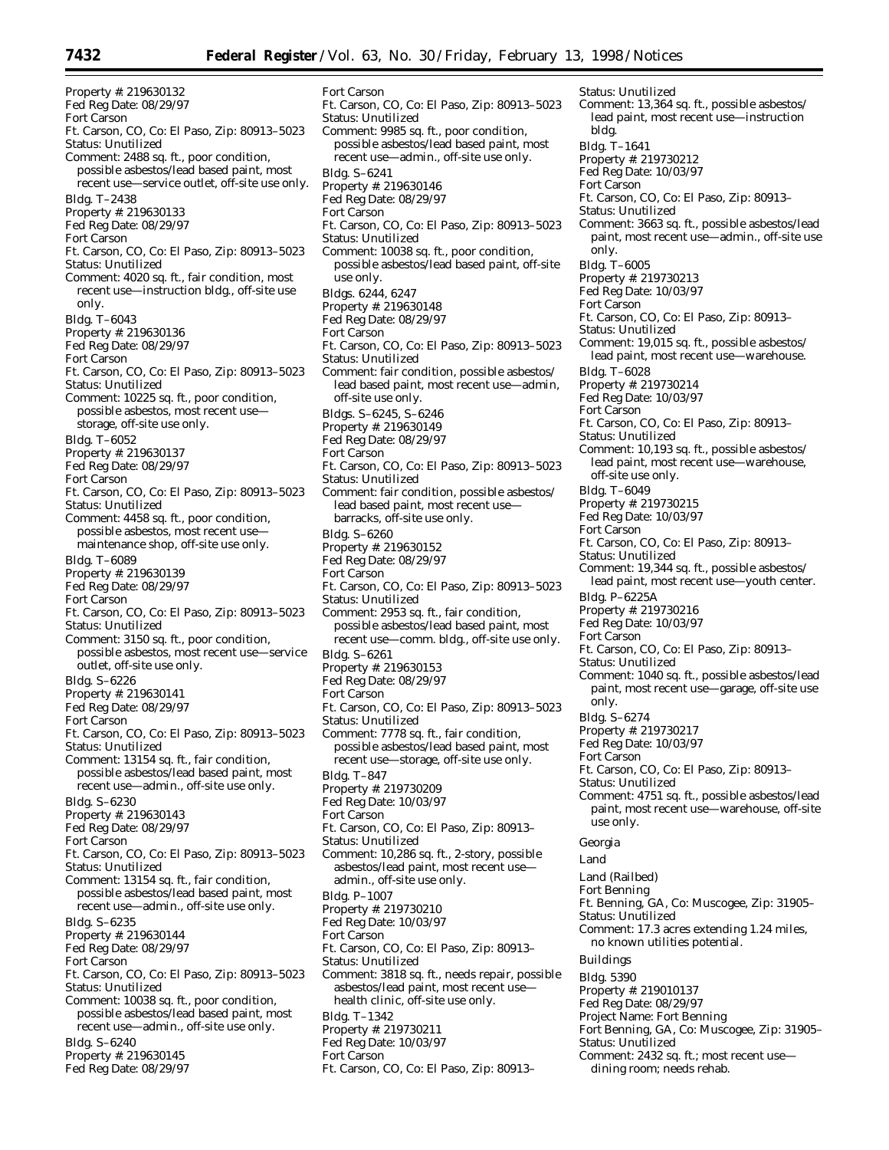Ft. Carson, CO, Co: El Paso, Zip: 80913–5023

Ft. Carson, CO, Co: El Paso, Zip: 80913–5023

Ft. Carson, CO, Co: El Paso, Zip: 80913–5023

Comment: 10038 sq. ft., poor condition, possible asbestos/lead based paint, off-site

Comment: 9985 sq. ft., poor condition, possible asbestos/lead based paint, most recent use—admin., off-site use only.

Fort Carson

Bldg. S–6241

Fort Carson

use only. Bldgs. 6244, 6247 Property #: 219630148 Fed Reg Date: 08/29/97

Fort Carson

Status: Unutilized

Status: Unutilized

Property #: 219630146 Fed Reg Date: 08/29/97

Status: Unutilized

Property #: 219630132 Fed Reg Date: 08/29/97 Fort Carson Ft. Carson, CO, Co: El Paso, Zip: 80913–5023 Status: Unutilized Comment: 2488 sq. ft., poor condition, possible asbestos/lead based paint, most recent use—service outlet, off-site use only. Bldg. T–2438 Property #: 219630133 Fed Reg Date: 08/29/97 Fort Carson Ft. Carson, CO, Co: El Paso, Zip: 80913–5023 Status: Unutilized Comment: 4020 sq. ft., fair condition, most recent use—instruction bldg., off-site use only. Bldg. T–6043 Property #: 219630136 Fed Reg Date: 08/29/97 Fort Carson Ft. Carson, CO, Co: El Paso, Zip: 80913–5023 Status: Unutilized Comment: 10225 sq. ft., poor condition, possible asbestos, most recent use storage, off-site use only. Bldg. T–6052 Property #: 219630137 Fed Reg Date: 08/29/97 Fort Carson Ft. Carson, CO, Co: El Paso, Zip: 80913–5023 Status: Unutilized Comment: 4458 sq. ft., poor condition, possible asbestos, most recent use maintenance shop, off-site use only. Bldg. T–6089 Property #: 219630139 Fed Reg Date: 08/29/97 Fort Carson Ft. Carson, CO, Co: El Paso, Zip: 80913–5023 Status: Unutilized Comment: 3150 sq. ft., poor condition, possible asbestos, most recent use—service outlet, off-site use only. Bldg. S–6226 Property #: 219630141 Fed Reg Date: 08/29/97 Fort Carson Ft. Carson, CO, Co: El Paso, Zip: 80913–5023 Status: Unutilized Comment: 13154 sq. ft., fair condition, possible asbestos/lead based paint, most recent use—admin., off-site use only. Bldg. S–6230 Property #: 219630143 Fed Reg Date: 08/29/97 Fort Carson Ft. Carson, CO, Co: El Paso, Zip: 80913–5023 Status: Unutilized Comment: 13154 sq. ft., fair condition, possible asbestos/lead based paint, most recent use—admin., off-site use only. Bldg. S–6235 Property #: 219630144 Fed Reg Date: 08/29/97 Fort Carson Ft. Carson, CO, Co: El Paso, Zip: 80913–5023 Status: Unutilized Comment: 10038 sq. ft., poor condition, possible asbestos/lead based paint, most recent use—admin., off-site use only. Bldg. S–6240 Property #: 219630145

Fed Reg Date: 08/29/97

Comment: fair condition, possible asbestos/ lead based paint, most recent use—admin, off-site use only. Bldgs. S–6245, S–6246 Property #: 219630149 Fed Reg Date: 08/29/97 Fort Carson Ft. Carson, CO, Co: El Paso, Zip: 80913–5023 Status: Unutilized Comment: fair condition, possible asbestos/ lead based paint, most recent use barracks, off-site use only. Bldg. S–6260 Property #: 219630152 Fed Reg Date: 08/29/97 Fort Carson Ft. Carson, CO, Co: El Paso, Zip: 80913–5023 Status: Unutilized Comment: 2953 sq. ft., fair condition, possible asbestos/lead based paint, most recent use—comm. bldg., off-site use only. Bldg. S–6261 Property #: 219630153 Fed Reg Date: 08/29/97 Fort Carson Ft. Carson, CO, Co: El Paso, Zip: 80913–5023 Status: Unutilized Comment: 7778 sq. ft., fair condition, possible asbestos/lead based paint, most recent use—storage, off-site use only. Bldg. T–847 Property #: 219730209 Fed Reg Date: 10/03/97 Fort Carson Ft. Carson, CO, Co: El Paso, Zip: 80913– Status: Unutilized Comment: 10,286 sq. ft., 2-story, possible asbestos/lead paint, most recent use admin., off-site use only. Bldg. P–1007 Property #: 219730210 Fed Reg Date: 10/03/97 Fort Carson Ft. Carson, CO, Co: El Paso, Zip: 80913– Status: Unutilized Comment: 3818 sq. ft., needs repair, possible asbestos/lead paint, most recent use health clinic, off-site use only. Bldg. T–1342 Property #: 219730211 Fed Reg Date: 10/03/97

Ft. Carson, CO, Co: El Paso, Zip: 80913–

Status: Unutilized Comment: 13,364 sq. ft., possible asbestos/ lead paint, most recent use—instruction bldg. Bldg. T–1641 Property #: 219730212 Fed Reg Date: 10/03/97 Fort Carson Ft. Carson, CO, Co: El Paso, Zip: 80913– Status: Unutilized Comment: 3663 sq. ft., possible asbestos/lead paint, most recent use—admin., off-site use only. Bldg. T–6005 Property #: 219730213 Fed Reg Date: 10/03/97 Fort Carson Ft. Carson, CO, Co: El Paso, Zip: 80913– Status: Unutilized Comment: 19,015 sq. ft., possible asbestos/ lead paint, most recent use—warehouse. Bldg. T–6028 Property #: 219730214 Fed Reg Date: 10/03/97 Fort Carson Ft. Carson, CO, Co: El Paso, Zip: 80913– Status: Unutilized Comment: 10,193 sq. ft., possible asbestos/ lead paint, most recent use—warehouse, off-site use only. Bldg. T–6049 Property #: 219730215 Fed Reg Date: 10/03/97 Fort Carson Ft. Carson, CO, Co: El Paso, Zip: 80913– Status: Unutilized Comment: 19,344 sq. ft., possible asbestos/ lead paint, most recent use—youth center. Bldg. P–6225A Property #: 219730216 Fed Reg Date: 10/03/97 Fort Carson Ft. Carson, CO, Co: El Paso, Zip: 80913– Status: Unutilized Comment: 1040 sq. ft., possible asbestos/lead paint, most recent use—garage, off-site use only. Bldg. S–6274 Property #: 219730217 Fed Reg Date: 10/03/97 Fort Carson Ft. Carson, CO, Co: El Paso, Zip: 80913– Status: Unutilized Comment: 4751 sq. ft., possible asbestos/lead paint, most recent use—warehouse, off-site use only. *Georgia* Land Land (Railbed) Fort Benning Ft. Benning, GA, Co: Muscogee, Zip: 31905– Status: Unutilized Comment: 17.3 acres extending 1.24 miles, no known utilities potential. Buildings Bldg. 5390 Property #: 219010137 Fed Reg Date: 08/29/97 Project Name: Fort Benning Fort Benning, GA, Co: Muscogee, Zip: 31905– Status: Unutilized

Comment: 2432 sq. ft.; most recent use dining room; needs rehab.

Fort Carson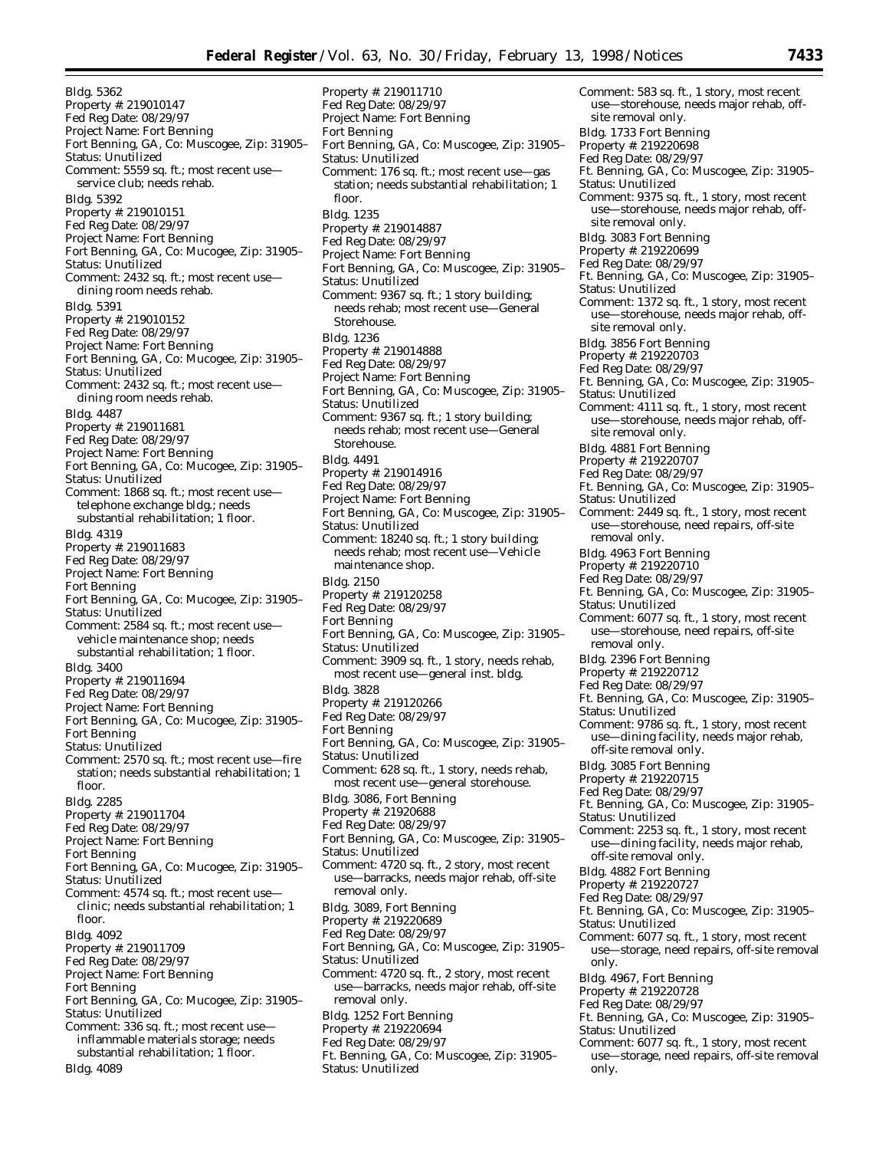Property #: 219011710

Bldg. 5362 Property #: 219010147 Fed Reg Date: 08/29/97 Project Name: Fort Benning Fort Benning, GA, Co: Muscogee, Zip: 31905– Status: Unutilized Comment: 5559 sq. ft.; most recent use service club; needs rehab. Bldg. 5392 Property #: 219010151 Fed Reg Date: 08/29/97 Project Name: Fort Benning Fort Benning, GA, Co: Mucogee, Zip: 31905– Status: Unutilized Comment: 2432 sq. ft.; most recent use dining room needs rehab. Bldg. 5391 Property #: 219010152 Fed Reg Date: 08/29/97 Project Name: Fort Benning Fort Benning, GA, Co: Mucogee, Zip: 31905– Status: Unutilized Comment: 2432 sq. ft.; most recent use dining room needs rehab. Bldg. 4487 Property #: 219011681 Fed Reg Date: 08/29/97 Project Name: Fort Benning Fort Benning, GA, Co: Mucogee, Zip: 31905– Status: Unutilized Comment: 1868 sq. ft.; most recent use telephone exchange bldg.; needs substantial rehabilitation; 1 floor. Bldg. 4319 Property #: 219011683 Fed Reg Date: 08/29/97 Project Name: Fort Benning Fort Benning Fort Benning, GA, Co: Mucogee, Zip: 31905– Status: Unutilized Comment: 2584 sq. ft.; most recent use vehicle maintenance shop; needs substantial rehabilitation; 1 floor. Bldg. 3400 Property #: 219011694 Fed Reg Date: 08/29/97 Project Name: Fort Benning Fort Benning, GA, Co: Mucogee, Zip: 31905– Fort Benning Status: Unutilized Comment: 2570 sq. ft.; most recent use—fire station; needs substantial rehabilitation; 1 floor. Bldg. 2285 Property #: 219011704 Fed Reg Date: 08/29/97 Project Name: Fort Benning Fort Benning Fort Benning, GA, Co: Mucogee, Zip: 31905– Status: Unutilized Comment: 4574 sq. ft.; most recent use clinic; needs substantial rehabilitation; 1 floor. Bldg. 4092 Property #: 219011709 Fed Reg Date: 08/29/97 Project Name: Fort Benning Fort Benning Fort Benning, GA, Co: Mucogee, Zip: 31905– Status: Unutilized Comment: 336 sq. ft.; most recent use inflammable materials storage; needs substantial rehabilitation; 1 floor. Bldg. 4089

Fed Reg Date: 08/29/97 Project Name: Fort Benning Fort Benning Fort Benning, GA, Co: Muscogee, Zip: 31905– Status: Unutilized Comment: 176 sq. ft.; most recent use—gas station; needs substantial rehabilitation; 1 floor. Bldg. 1235 Property #: 219014887 Fed Reg Date: 08/29/97 Project Name: Fort Benning Fort Benning, GA, Co: Muscogee, Zip: 31905– Status: Unutilized Comment: 9367 sq. ft.; 1 story building; needs rehab; most recent use—General Storehouse. Bldg. 1236 Property #: 219014888 Fed Reg Date: 08/29/97 Project Name: Fort Benning Fort Benning, GA, Co: Muscogee, Zip: 31905– Status: Unutilized Comment: 9367 sq. ft.; 1 story building; needs rehab; most recent use—General Storehouse. Bldg. 4491 Property #: 219014916 Fed Reg Date: 08/29/97 Project Name: Fort Benning Fort Benning, GA, Co: Muscogee, Zip: 31905– Status: Unutilized Comment: 18240 sq. ft.; 1 story building; needs rehab; most recent use—Vehicle maintenance shop. Bldg. 2150 Property #: 219120258 Fed Reg Date: 08/29/97 Fort Benning Fort Benning, GA, Co: Muscogee, Zip: 31905– Status: Unutilized Comment: 3909 sq. ft., 1 story, needs rehab, most recent use—general inst. bldg. Bldg. 3828 Property #: 219120266 Fed Reg Date: 08/29/97 Fort Benning Fort Benning, GA, Co: Muscogee, Zip: 31905– Status: Unutilized Comment: 628 sq. ft., 1 story, needs rehab, most recent use—general storehouse. Bldg. 3086, Fort Benning Property #: 21920688 Fed Reg Date: 08/29/97 Fort Benning, GA, Co: Muscogee, Zip: 31905– Status: Unutilized Comment: 4720 sq. ft., 2 story, most recent use—barracks, needs major rehab, off-site removal only. Bldg. 3089, Fort Benning Property #: 219220689 Fed Reg Date: 08/29/97 Fort Benning, GA, Co: Muscogee, Zip: 31905– Status: Unutilized Comment: 4720 sq. ft., 2 story, most recent use—barracks, needs major rehab, off-site removal only. Bldg. 1252 Fort Benning Property #: 219220694 Fed Reg Date: 08/29/97 Ft. Benning, GA, Co: Muscogee, Zip: 31905–

Status: Unutilized

site removal only. Bldg. 1733 Fort Benning Property #: 219220698 Fed Reg Date: 08/29/97 Ft. Benning, GA, Co: Muscogee, Zip: 31905– Status: Unutilized Comment: 9375 sq. ft., 1 story, most recent use—storehouse, needs major rehab, offsite removal only. Bldg. 3083 Fort Benning Property #: 219220699 Fed Reg Date: 08/29/97 Ft. Benning, GA, Co: Muscogee, Zip: 31905– Status: Unutilized Comment: 1372 sq. ft., 1 story, most recent use—storehouse, needs major rehab, offsite removal only. Bldg. 3856 Fort Benning Property #: 219220703 Fed Reg Date: 08/29/97 Ft. Benning, GA, Co: Muscogee, Zip: 31905– Status: Unutilized Comment: 4111 sq. ft., 1 story, most recent use—storehouse, needs major rehab, offsite removal only. Bldg. 4881 Fort Benning Property #: 219220707 Fed Reg Date: 08/29/97 Ft. Benning, GA, Co: Muscogee, Zip: 31905– Status: Unutilized Comment: 2449 sq. ft., 1 story, most recent use—storehouse, need repairs, off-site removal only. Bldg. 4963 Fort Benning Property #: 219220710 Fed Reg Date: 08/29/97 Ft. Benning, GA, Co: Muscogee, Zip: 31905– Status: Unutilized Comment: 6077 sq. ft., 1 story, most recent use—storehouse, need repairs, off-site removal only. Bldg. 2396 Fort Benning Property #: 219220712 Fed Reg Date: 08/29/97 Ft. Benning, GA, Co: Muscogee, Zip: 31905– Status: Unutilized Comment: 9786 sq. ft., 1 story, most recent use—dining facility, needs major rehab, off-site removal only. Bldg. 3085 Fort Benning Property #: 219220715 Fed Reg Date: 08/29/97 Ft. Benning, GA, Co: Muscogee, Zip: 31905– Status: Unutilized Comment: 2253 sq. ft., 1 story, most recent use—dining facility, needs major rehab, off-site removal only. Bldg. 4882 Fort Benning Property #: 219220727 Fed Reg Date: 08/29/97 Ft. Benning, GA, Co: Muscogee, Zip: 31905– Status: Unutilized Comment: 6077 sq. ft., 1 story, most recent use—storage, need repairs, off-site removal only. Bldg. 4967, Fort Benning Property #: 219220728 Fed Reg Date: 08/29/97 Ft. Benning, GA, Co: Muscogee, Zip: 31905– Status: Unutilized Comment: 6077 sq. ft., 1 story, most recent use—storage, need repairs, off-site removal only.

Comment: 583 sq. ft., 1 story, most recent use—storehouse, needs major rehab, off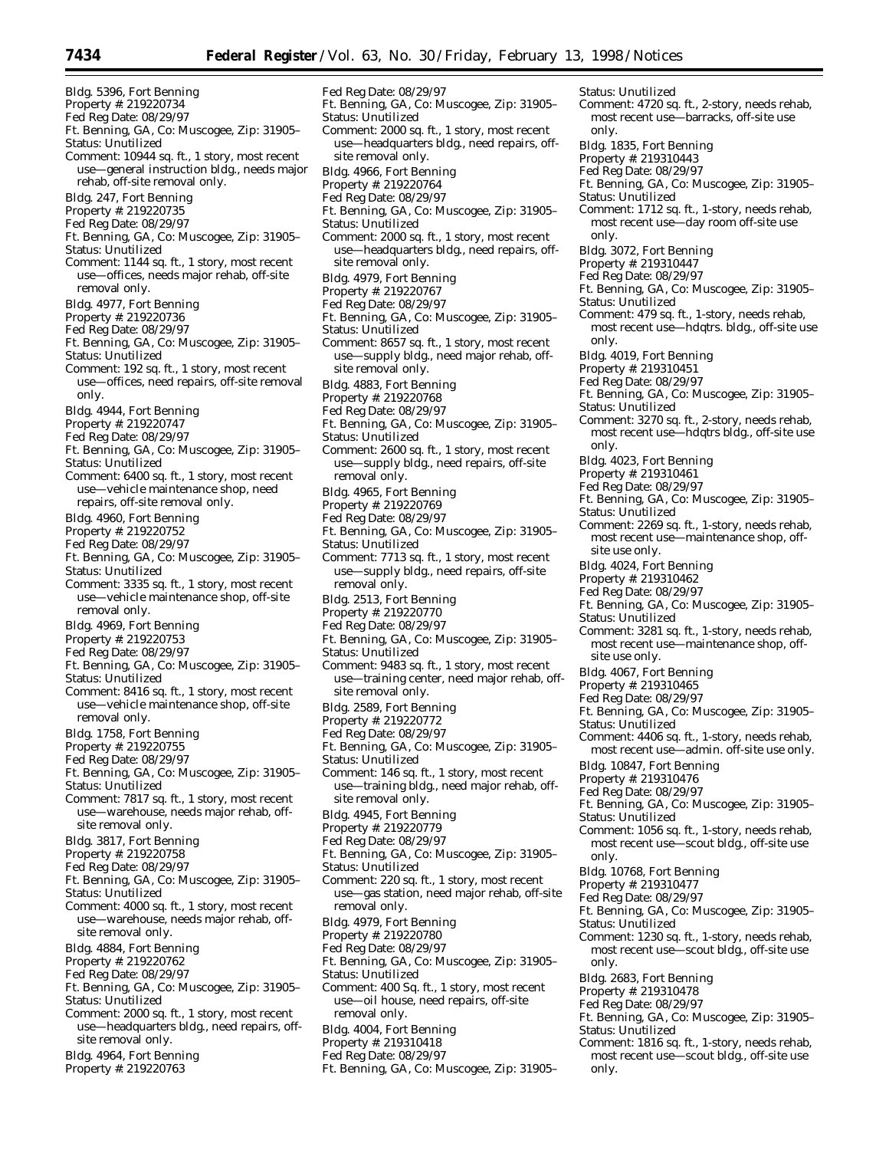Bldg. 5396, Fort Benning Property #: 219220734 Fed Reg Date: 08/29/97 Ft. Benning, GA, Co: Muscogee, Zip: 31905– Status: Unutilized Comment: 10944 sq. ft., 1 story, most recent use—general instruction bldg., needs major rehab, off-site removal only. Bldg. 247, Fort Benning Property #: 219220735 Fed Reg Date: 08/29/97 Ft. Benning, GA, Co: Muscogee, Zip: 31905– Status: Unutilized Comment: 1144 sq. ft., 1 story, most recent use—offices, needs major rehab, off-site removal only. Bldg. 4977, Fort Benning Property #: 219220736 Fed Reg Date: 08/29/97 Ft. Benning, GA, Co: Muscogee, Zip: 31905– Status: Unutilized Comment: 192 sq. ft., 1 story, most recent use—offices, need repairs, off-site removal only. Bldg. 4944, Fort Benning Property #: 219220747 Fed Reg Date: 08/29/97 Ft. Benning, GA, Co: Muscogee, Zip: 31905– Status: Unutilized Comment: 6400 sq. ft., 1 story, most recent use—vehicle maintenance shop, need repairs, off-site removal only. Bldg. 4960, Fort Benning Property #: 219220752 Fed Reg Date: 08/29/97 Ft. Benning, GA, Co: Muscogee, Zip: 31905– Status: Unutilized Comment: 3335 sq. ft., 1 story, most recent use—vehicle maintenance shop, off-site removal only. Bldg. 4969, Fort Benning Property #: 219220753 Fed Reg Date: 08/29/97 Ft. Benning, GA, Co: Muscogee, Zip: 31905– Status: Unutilized Comment: 8416 sq. ft., 1 story, most recent use—vehicle maintenance shop, off-site removal only. Bldg. 1758, Fort Benning Property #: 219220755 Fed Reg Date: 08/29/97 Ft. Benning, GA, Co: Muscogee, Zip: 31905– Status: Unutilized Comment: 7817 sq. ft., 1 story, most recent use—warehouse, needs major rehab, offsite removal only. Bldg. 3817, Fort Benning Property #: 219220758 Fed Reg Date: 08/29/97 Ft. Benning, GA, Co: Muscogee, Zip: 31905– Status: Unutilized Comment: 4000 sq. ft., 1 story, most recent use—warehouse, needs major rehab, offsite removal only. Bldg. 4884, Fort Benning Property #: 219220762 Fed Reg Date: 08/29/97 Ft. Benning, GA, Co: Muscogee, Zip: 31905– Status: Unutilized Comment: 2000 sq. ft., 1 story, most recent use—headquarters bldg., need repairs, off-

- site removal only.
- Bldg. 4964, Fort Benning
- Property #: 219220763

Fed Reg Date: 08/29/97 Ft. Benning, GA, Co: Muscogee, Zip: 31905– Status: Unutilized Comment: 2000 sq. ft., 1 story, most recent use—headquarters bldg., need repairs, offsite removal only. Bldg. 4966, Fort Benning Property #: 219220764 Fed Reg Date: 08/29/97 Ft. Benning, GA, Co: Muscogee, Zip: 31905– Status: Unutilized Comment: 2000 sq. ft., 1 story, most recent use—headquarters bldg., need repairs, offsite removal only. Bldg. 4979, Fort Benning Property #: 219220767 Fed Reg Date: 08/29/97 Ft. Benning, GA, Co: Muscogee, Zip: 31905– Status: Unutilized Comment: 8657 sq. ft., 1 story, most recent use—supply bldg., need major rehab, offsite removal only. Bldg. 4883, Fort Benning Property #: 219220768 Fed Reg Date: 08/29/97 Ft. Benning, GA, Co: Muscogee, Zip: 31905– Status: Unutilized Comment: 2600 sq. ft., 1 story, most recent use—supply bldg., need repairs, off-site removal only. Bldg. 4965, Fort Benning Property #: 219220769 Fed Reg Date: 08/29/97 Ft. Benning, GA, Co: Muscogee, Zip: 31905– Status: Unutilized Comment: 7713 sq. ft., 1 story, most recent use—supply bldg., need repairs, off-site removal only. Bldg. 2513, Fort Benning Property #: 219220770 Fed Reg Date: 08/29/97 Ft. Benning, GA, Co: Muscogee, Zip: 31905– Status: Unutilized Comment: 9483 sq. ft., 1 story, most recent use—training center, need major rehab, offsite removal only. Bldg. 2589, Fort Benning Property #: 219220772 Fed Reg Date: 08/29/97 Ft. Benning, GA, Co: Muscogee, Zip: 31905– Status: Unutilized Comment: 146 sq. ft., 1 story, most recent use—training bldg., need major rehab, offsite removal only. Bldg. 4945, Fort Benning Property #: 219220779 Fed Reg Date: 08/29/97 Ft. Benning, GA, Co: Muscogee, Zip: 31905– Status: Unutilized Comment: 220 sq. ft., 1 story, most recent use—gas station, need major rehab, off-site removal only. Bldg. 4979, Fort Benning Property #: 219220780 Fed Reg Date: 08/29/97 Ft. Benning, GA, Co: Muscogee, Zip: 31905– Status: Unutilized Comment: 400 Sq. ft., 1 story, most recent use—oil house, need repairs, off-site removal only. Bldg. 4004, Fort Benning Property #: 219310418

- Fed Reg Date: 08/29/97
- Ft. Benning, GA, Co: Muscogee, Zip: 31905–

only.

Status: Unutilized Comment: 4720 sq. ft., 2-story, needs rehab, most recent use—barracks, off-site use only. Bldg. 1835, Fort Benning Property #: 219310443 Fed Reg Date: 08/29/97 Ft. Benning, GA, Co: Muscogee, Zip: 31905– Status: Unutilized Comment: 1712 sq. ft., 1-story, needs rehab, most recent use—day room off-site use only. Bldg. 3072, Fort Benning Property #: 219310447 Fed Reg Date: 08/29/97 Ft. Benning, GA, Co: Muscogee, Zip: 31905– Status: Unutilized Comment: 479 sq. ft., 1-story, needs rehab, most recent use—hdqtrs. bldg., off-site use only. Bldg. 4019, Fort Benning Property #: 219310451 Fed Reg Date: 08/29/97 Ft. Benning, GA, Co: Muscogee, Zip: 31905– Status: Unutilized Comment: 3270 sq. ft., 2-story, needs rehab, most recent use—hdqtrs bldg., off-site use only. Bldg. 4023, Fort Benning Property #: 219310461 Fed Reg Date: 08/29/97 Ft. Benning, GA, Co: Muscogee, Zip: 31905– Status: Unutilized Comment: 2269 sq. ft., 1-story, needs rehab, most recent use—maintenance shop, offsite use only. Bldg. 4024, Fort Benning Property #: 219310462 Fed Reg Date: 08/29/97 Ft. Benning, GA, Co: Muscogee, Zip: 31905– Status: Unutilized Comment: 3281 sq. ft., 1-story, needs rehab, most recent use—maintenance shop, offsite use only. Bldg. 4067, Fort Benning Property #: 219310465 Fed Reg Date: 08/29/97 Ft. Benning, GA, Co: Muscogee, Zip: 31905– Status: Unutilized Comment: 4406 sq. ft., 1-story, needs rehab, most recent use—admin. off-site use only. Bldg. 10847, Fort Benning Property #: 219310476 Fed Reg Date: 08/29/97 Ft. Benning, GA, Co: Muscogee, Zip: 31905– Status: Unutilized Comment: 1056 sq. ft., 1-story, needs rehab, most recent use—scout bldg., off-site use only. Bldg. 10768, Fort Benning Property #: 219310477 Fed Reg Date: 08/29/97 Ft. Benning, GA, Co: Muscogee, Zip: 31905– Status: Unutilized Comment: 1230 sq. ft., 1-story, needs rehab, most recent use—scout bldg., off-site use only. Bldg. 2683, Fort Benning Property #: 219310478 Fed Reg Date: 08/29/97 Ft. Benning, GA, Co: Muscogee, Zip: 31905– Status: Unutilized Comment: 1816 sq. ft., 1-story, needs rehab, most recent use—scout bldg., off-site use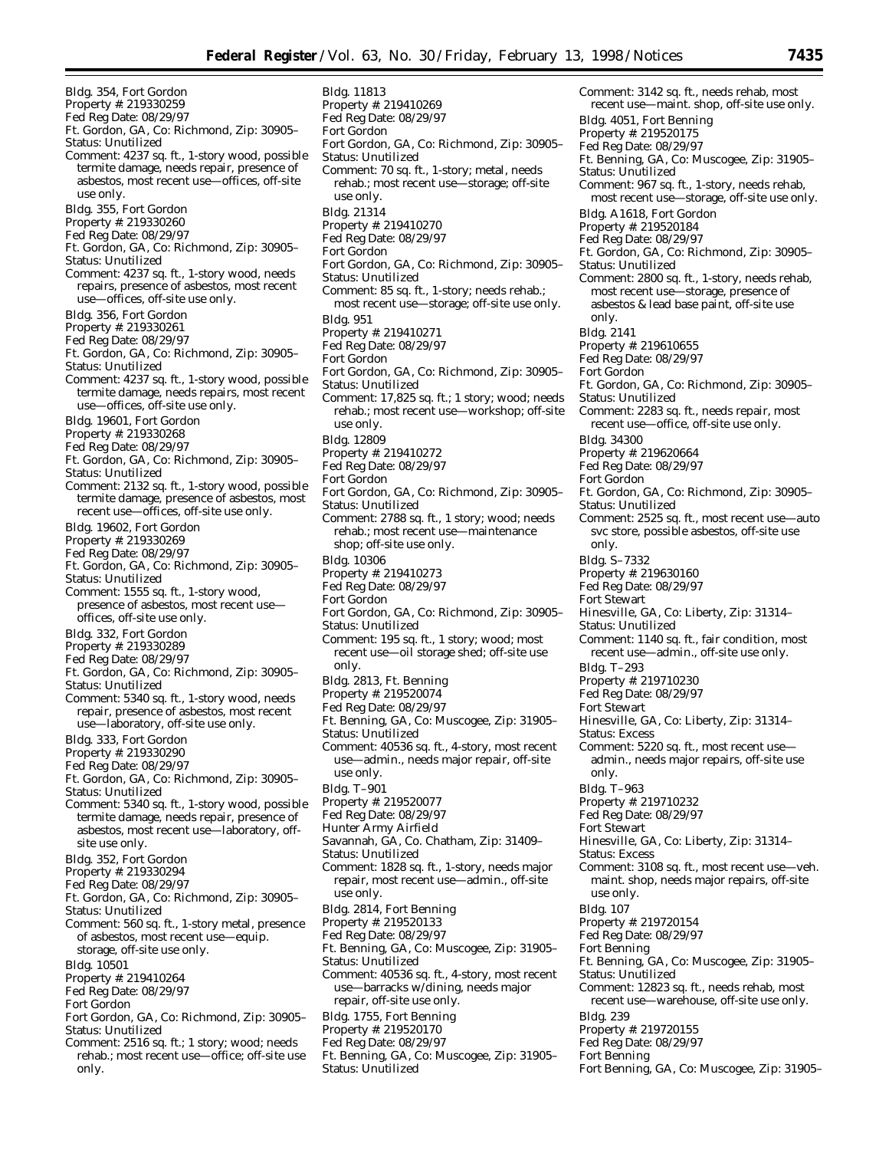Bldg. 354, Fort Gordon Property #: 219330259 Fed Reg Date: 08/29/97 Ft. Gordon, GA, Co: Richmond, Zip: 30905– Status: Unutilized Comment: 4237 sq. ft., 1-story wood, possible termite damage, needs repair, presence of asbestos, most recent use—offices, off-site use only. Bldg. 355, Fort Gordon Property #: 219330260 Fed Reg Date: 08/29/97 Ft. Gordon, GA, Co: Richmond, Zip: 30905– Status: Unutilized Comment: 4237 sq. ft., 1-story wood, needs repairs, presence of asbestos, most recent use—offices, off-site use only. Bldg. 356, Fort Gordon Property #: 219330261 Fed Reg Date: 08/29/97 Ft. Gordon, GA, Co: Richmond, Zip: 30905– Status: Unutilized Comment: 4237 sq. ft., 1-story wood, possible termite damage, needs repairs, most recent use—offices, off-site use only. Bldg. 19601, Fort Gordon Property #: 219330268 Fed Reg Date: 08/29/97 Ft. Gordon, GA, Co: Richmond, Zip: 30905– Status: Unutilized Comment: 2132 sq. ft., 1-story wood, possible termite damage, presence of asbestos, most recent use—offices, off-site use only. Bldg. 19602, Fort Gordon Property #: 219330269 Fed Reg Date: 08/29/97 Ft. Gordon, GA, Co: Richmond, Zip: 30905– Status: Unutilized Comment: 1555 sq. ft., 1-story wood, presence of asbestos, most recent use offices, off-site use only. Bldg. 332, Fort Gordon Property #: 219330289 Fed Reg Date: 08/29/97 Ft. Gordon, GA, Co: Richmond, Zip: 30905– Status: Unutilized Comment: 5340 sq. ft., 1-story wood, needs repair, presence of asbestos, most recent use—laboratory, off-site use only. Bldg. 333, Fort Gordon Property #: 219330290 Fed Reg Date: 08/29/97 Ft. Gordon, GA, Co: Richmond, Zip: 30905– Status: Unutilized Comment: 5340 sq. ft., 1-story wood, possible termite damage, needs repair, presence of asbestos, most recent use—laboratory, offsite use only. Bldg. 352, Fort Gordon Property #: 219330294 Fed Reg Date: 08/29/97 Ft. Gordon, GA, Co: Richmond, Zip: 30905– Status: Unutilized Comment: 560 sq. ft., 1-story metal, presence of asbestos, most recent use—equip. storage, off-site use only. Bldg. 10501 Property #: 219410264 Fed Reg Date: 08/29/97 Fort Gordon Fort Gordon, GA, Co: Richmond, Zip: 30905– Status: Unutilized Comment: 2516 sq. ft.; 1 story; wood; needs

rehab.; most recent use—office; off-site use only.

Bldg. 11813 Property #: 219410269 Fed Reg Date: 08/29/97 Fort Gordon Fort Gordon, GA, Co: Richmond, Zip: 30905– Status: Unutilized Comment: 70 sq. ft., 1-story; metal, needs rehab.; most recent use—storage; off-site use only. Bldg. 21314 Property #: 219410270 Fed Reg Date: 08/29/97 Fort Gordon Fort Gordon, GA, Co: Richmond, Zip: 30905– Status: Unutilized Comment: 85 sq. ft., 1-story; needs rehab.; most recent use—storage; off-site use only. Bldg. 951 Property #: 219410271 Fed Reg Date: 08/29/97 Fort Gordon Fort Gordon, GA, Co: Richmond, Zip: 30905– Status: Unutilized Comment: 17,825 sq. ft.; 1 story; wood; needs rehab.; most recent use—workshop; off-site use only. Bldg. 12809 Property #: 219410272 Fed Reg Date: 08/29/97 Fort Gordon Fort Gordon, GA, Co: Richmond, Zip: 30905– Status: Unutilized Comment: 2788 sq. ft., 1 story; wood; needs rehab.; most recent use—maintenance shop; off-site use only. Bldg. 10306 Property #: 219410273 Fed Reg Date: 08/29/97 Fort Gordon Fort Gordon, GA, Co: Richmond, Zip: 30905– Status: Unutilized Comment: 195 sq. ft., 1 story; wood; most recent use—oil storage shed; off-site use only. Bldg. 2813, Ft. Benning Property #: 219520074 Fed Reg Date: 08/29/97 Ft. Benning, GA, Co: Muscogee, Zip: 31905– Status: Unutilized Comment: 40536 sq. ft., 4-story, most recent use—admin., needs major repair, off-site use only. Bldg. T–901 Property #: 219520077 Fed Reg Date: 08/29/97 Hunter Army Airfield Savannah, GA, Co. Chatham, Zip: 31409– Status: Unutilized Comment: 1828 sq. ft., 1-story, needs major repair, most recent use—admin., off-site use only. Bldg. 2814, Fort Benning Property #: 219520133 Fed Reg Date: 08/29/97 Ft. Benning, GA, Co: Muscogee, Zip: 31905– Status: Unutilized Comment: 40536 sq. ft., 4-story, most recent use—barracks w/dining, needs major repair, off-site use only. Bldg. 1755, Fort Benning Property #: 219520170 Fed Reg Date: 08/29/97 Ft. Benning, GA, Co: Muscogee, Zip: 31905– Status: Unutilized

Comment: 3142 sq. ft., needs rehab, most recent use—maint. shop, off-site use only. Bldg. 4051, Fort Benning Property #: 219520175 Fed Reg Date: 08/29/97 Ft. Benning, GA, Co: Muscogee, Zip: 31905– Status: Unutilized Comment: 967 sq. ft., 1-story, needs rehab, most recent use—storage, off-site use only. Bldg. A1618, Fort Gordon Property #: 219520184 Fed Reg Date: 08/29/97 Ft. Gordon, GA, Co: Richmond, Zip: 30905– Status: Unutilized Comment: 2800 sq. ft., 1-story, needs rehab, most recent use—storage, presence of asbestos & lead base paint, off-site use only. Bldg. 2141 Property #: 219610655 Fed Reg Date: 08/29/97 Fort Gordon Ft. Gordon, GA, Co: Richmond, Zip: 30905– Status: Unutilized Comment: 2283 sq. ft., needs repair, most recent use—office, off-site use only. Bldg. 34300 Property #: 219620664 Fed Reg Date: 08/29/97 Fort Gordon Ft. Gordon, GA, Co: Richmond, Zip: 30905– Status: Unutilized Comment: 2525 sq. ft., most recent use—auto svc store, possible asbestos, off-site use only. Bldg. S–7332 Property #: 219630160 Fed Reg Date: 08/29/97 Fort Stewart Hinesville, GA, Co: Liberty, Zip: 31314– Status: Unutilized Comment: 1140 sq. ft., fair condition, most recent use—admin., off-site use only. Bldg. T–293 Property #: 219710230 Fed Reg Date: 08/29/97 Fort Stewart Hinesville, GA, Co: Liberty, Zip: 31314– Status: Excess Comment: 5220 sq. ft., most recent use admin., needs major repairs, off-site use only. Bldg. T–963 Property #: 219710232 Fed Reg Date: 08/29/97 Fort Stewart Hinesville, GA, Co: Liberty, Zip: 31314– Status: Excess Comment: 3108 sq. ft., most recent use—veh. maint. shop, needs major repairs, off-site use only. Bldg. 107 Property #: 219720154 Fed Reg Date: 08/29/97 Fort Benning Ft. Benning, GA, Co: Muscogee, Zip: 31905– Status: Unutilized Comment: 12823 sq. ft., needs rehab, most recent use—warehouse, off-site use only. Bldg. 239 Property #: 219720155 Fed Reg Date: 08/29/97 Fort Benning Fort Benning, GA, Co: Muscogee, Zip: 31905–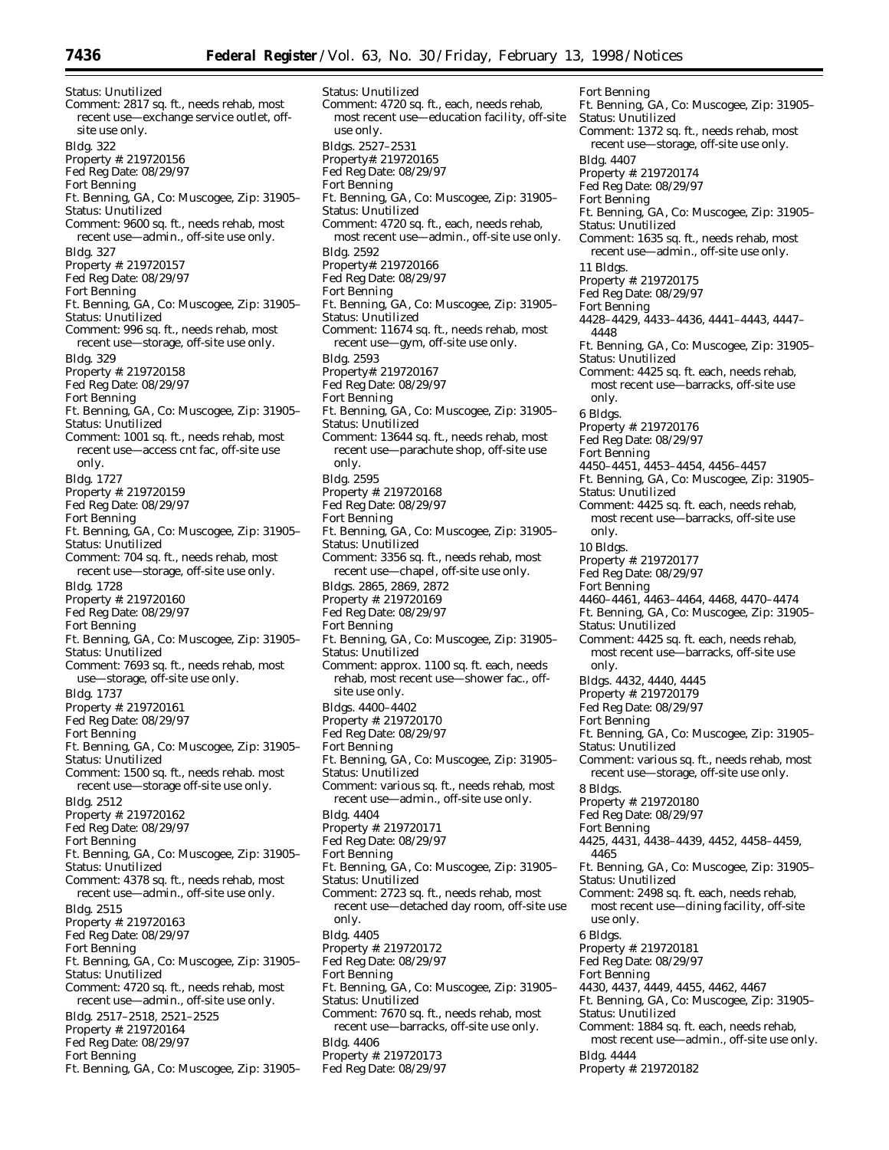Status: Unutilized Comment: 2817 sq. ft., needs rehab, most recent use—exchange service outlet, offsite use only. Bldg. 322 Property #: 219720156 Fed Reg Date: 08/29/97 Fort Benning Ft. Benning, GA, Co: Muscogee, Zip: 31905– Status: Unutilized Comment: 9600 sq. ft., needs rehab, most recent use—admin., off-site use only. Bldg. 327 Property #: 219720157 Fed Reg Date: 08/29/97 Fort Benning Ft. Benning, GA, Co: Muscogee, Zip: 31905– Status: Unutilized Comment: 996 sq. ft., needs rehab, most recent use—storage, off-site use only. Bldg. 329 Property #: 219720158 Fed Reg Date: 08/29/97 Fort Benning Ft. Benning, GA, Co: Muscogee, Zip: 31905– Status: Unutilized Comment: 1001 sq. ft., needs rehab, most recent use—access cnt fac, off-site use only. Bldg. 1727 Property #: 219720159 Fed Reg Date: 08/29/97 Fort Benning Ft. Benning, GA, Co: Muscogee, Zip: 31905– Status: Unutilized Comment: 704 sq. ft., needs rehab, most recent use—storage, off-site use only. Bldg. 1728 Property #: 219720160 Fed Reg Date: 08/29/97 Fort Benning Ft. Benning, GA, Co: Muscogee, Zip: 31905– Status: Unutilized Comment: 7693 sq. ft., needs rehab, most use—storage, off-site use only. Bldg. 1737 Property #: 219720161 Fed Reg Date: 08/29/97 Fort Benning Ft. Benning, GA, Co: Muscogee, Zip: 31905– Status: Unutilized Comment: 1500 sq. ft., needs rehab. most recent use—storage off-site use only. Bldg. 2512 Property #: 219720162 Fed Reg Date: 08/29/97 Fort Benning Ft. Benning, GA, Co: Muscogee, Zip: 31905– Status: Unutilized Comment: 4378 sq. ft., needs rehab, most recent use—admin., off-site use only. Bldg. 2515 Property #: 219720163 Fed Reg Date: 08/29/97 Fort Benning Ft. Benning, GA, Co: Muscogee, Zip: 31905– Status: Unutilized Comment: 4720 sq. ft., needs rehab, most recent use—admin., off-site use only. Bldg. 2517–2518, 2521–2525 Property #: 219720164 Fed Reg Date: 08/29/97 Fort Benning Ft. Benning, GA, Co: Muscogee, Zip: 31905– Status: Unutilized Comment: 4720 sq. ft., each, needs rehab, most recent use—education facility, off-site use only. Bldgs. 2527–2531 Property#: 219720165 Fed Reg Date: 08/29/97 Fort Benning Ft. Benning, GA, Co: Muscogee, Zip: 31905– Status: Unutilized Comment: 4720 sq. ft., each, needs rehab, most recent use—admin., off-site use only. Bldg. 2592 Property#: 219720166 Fed Reg Date: 08/29/97 Fort Benning Ft. Benning, GA, Co: Muscogee, Zip: 31905– Status: Unutilized Comment: 11674 sq. ft., needs rehab, most recent use—gym, off-site use only. Bldg. 2593 Property#: 219720167 Fed Reg Date: 08/29/97 Fort Benning Ft. Benning, GA, Co: Muscogee, Zip: 31905– Status: Unutilized Comment: 13644 sq. ft., needs rehab, most recent use—parachute shop, off-site use only. Bldg. 2595 Property #: 219720168 Fed Reg Date: 08/29/97 Fort Benning Ft. Benning, GA, Co: Muscogee, Zip: 31905– Status: Unutilized Comment: 3356 sq. ft., needs rehab, most recent use—chapel, off-site use only. Bldgs. 2865, 2869, 2872 Property #: 219720169 Fed Reg Date: 08/29/97 Fort Benning Ft. Benning, GA, Co: Muscogee, Zip: 31905– Status: Unutilized Comment: approx. 1100 sq. ft. each, needs rehab, most recent use—shower fac., offsite use only. Bldgs. 4400–4402 Property #: 219720170 Fed Reg Date: 08/29/97 Fort Benning Ft. Benning, GA, Co: Muscogee, Zip: 31905– Status: Unutilized Comment: various sq. ft., needs rehab, most recent use—admin., off-site use only. Bldg. 4404 Property #: 219720171 Fed Reg Date: 08/29/97 Fort Benning Ft. Benning, GA, Co: Muscogee, Zip: 31905– Status: Unutilized Comment: 2723 sq. ft., needs rehab, most recent use—detached day room, off-site use only. Bldg. 4405 Property #: 219720172 Fed Reg Date: 08/29/97 Fort Benning Ft. Benning, GA, Co: Muscogee, Zip: 31905– Status: Unutilized Comment: 7670 sq. ft., needs rehab, most recent use—barracks, off-site use only. Bldg. 4406 Property #: 219720173 Fed Reg Date: 08/29/97

Fort Benning Ft. Benning, GA, Co: Muscogee, Zip: 31905– Status: Unutilized Comment: 1372 sq. ft., needs rehab, most recent use—storage, off-site use only. Bldg. 4407 Property #: 219720174 Fed Reg Date: 08/29/97 Fort Benning Ft. Benning, GA, Co: Muscogee, Zip: 31905– Status: Unutilized Comment: 1635 sq. ft., needs rehab, most recent use—admin., off-site use only. 11 Bldgs. Property #: 219720175 Fed Reg Date: 08/29/97 Fort Benning 4428–4429, 4433–4436, 4441–4443, 4447– 4448 Ft. Benning, GA, Co: Muscogee, Zip: 31905– Status: Unutilized Comment: 4425 sq. ft. each, needs rehab, most recent use—barracks, off-site use only. 6 Bldgs. Property #: 219720176 Fed Reg Date: 08/29/97 Fort Benning 4450–4451, 4453–4454, 4456–4457 Ft. Benning, GA, Co: Muscogee, Zip: 31905– Status: Unutilized Comment: 4425 sq. ft. each, needs rehab, most recent use—barracks, off-site use only. 10 Bldgs. Property #: 219720177 Fed Reg Date: 08/29/97 Fort Benning 4460–4461, 4463–4464, 4468, 4470–4474 Ft. Benning, GA, Co: Muscogee, Zip: 31905– Status: Unutilized Comment: 4425 sq. ft. each, needs rehab, most recent use—barracks, off-site use only. Bldgs. 4432, 4440, 4445 Property #: 219720179 Fed Reg Date: 08/29/97 Fort Benning Ft. Benning, GA, Co: Muscogee, Zip: 31905– Status: Unutilized Comment: various sq. ft., needs rehab, most recent use—storage, off-site use only. 8 Bldgs. Property #: 219720180 Fed Reg Date: 08/29/97 Fort Benning 4425, 4431, 4438–4439, 4452, 4458–4459, 4465 Ft. Benning, GA, Co: Muscogee, Zip: 31905– Status: Unutilized Comment: 2498 sq. ft. each, needs rehab, most recent use—dining facility, off-site use only. 6 Bldgs. Property #: 219720181 Fed Reg Date: 08/29/97 Fort Benning 4430, 4437, 4449, 4455, 4462, 4467 Ft. Benning, GA, Co: Muscogee, Zip: 31905– Status: Unutilized Comment: 1884 sq. ft. each, needs rehab, most recent use—admin., off-site use only. Bldg. 4444 Property #: 219720182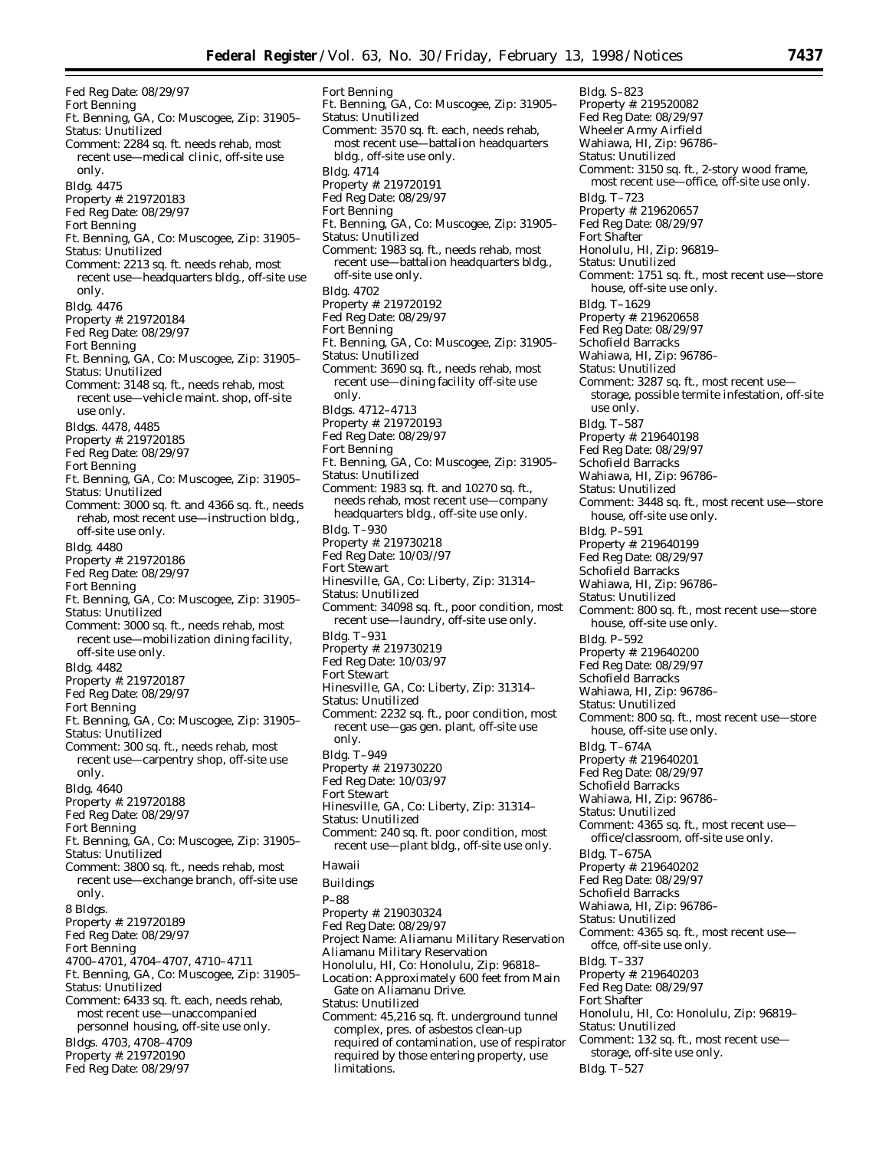Fed Reg Date: 08/29/97 Fort Benning Ft. Benning, GA, Co: Muscogee, Zip: 31905– Status: Unutilized Comment: 2284 sq. ft. needs rehab, most recent use—medical clinic, off-site use only. Bldg. 4475 Property #: 219720183 Fed Reg Date: 08/29/97 Fort Benning Ft. Benning, GA, Co: Muscogee, Zip: 31905– Status: Unutilized Comment: 2213 sq. ft. needs rehab, most recent use—headquarters bldg., off-site use only. Bldg. 4476 Property #: 219720184 Fed Reg Date: 08/29/97 Fort Benning Ft. Benning, GA, Co: Muscogee, Zip: 31905– Status: Unutilized Comment: 3148 sq. ft., needs rehab, most recent use—vehicle maint. shop, off-site use only. Bldgs. 4478, 4485 Property #: 219720185 Fed Reg Date: 08/29/97 Fort Benning Ft. Benning, GA, Co: Muscogee, Zip: 31905– Status: Unutilized Comment: 3000 sq. ft. and 4366 sq. ft., needs rehab, most recent use—instruction bldg., off-site use only. Bldg. 4480 Property #: 219720186 Fed Reg Date: 08/29/97 Fort Benning Ft. Benning, GA, Co: Muscogee, Zip: 31905– Status: Unutilized Comment: 3000 sq. ft., needs rehab, most recent use—mobilization dining facility, off-site use only. Bldg. 4482 Property #: 219720187 Fed Reg Date: 08/29/97 Fort Benning Ft. Benning, GA, Co: Muscogee, Zip: 31905– Status: Unutilized Comment: 300 sq. ft., needs rehab, most recent use—carpentry shop, off-site use only. Bldg. 4640 Property #: 219720188 Fed Reg Date: 08/29/97 Fort Benning Ft. Benning, GA, Co: Muscogee, Zip: 31905– Status: Unutilized Comment: 3800 sq. ft., needs rehab, most recent use—exchange branch, off-site use only. 8 Bldgs. Property #: 219720189 Fed Reg Date: 08/29/97 Fort Benning 4700–4701, 4704–4707, 4710–4711 Ft. Benning, GA, Co: Muscogee, Zip: 31905– Status: Unutilized Comment: 6433 sq. ft. each, needs rehab, most recent use—unaccompanied personnel housing, off-site use only. Bldgs. 4703, 4708–4709

- Property #: 219720190
- Fed Reg Date: 08/29/97

Fort Benning Ft. Benning, GA, Co: Muscogee, Zip: 31905– Status: Unutilized Comment: 3570 sq. ft. each, needs rehab, most recent use—battalion headquarters bldg., off-site use only. Bldg. 4714 Property #: 219720191 Fed Reg Date: 08/29/97 Fort Benning Ft. Benning, GA, Co: Muscogee, Zip: 31905– Status: Unutilized Comment: 1983 sq. ft., needs rehab, most recent use—battalion headquarters bldg., off-site use only. Bldg. 4702 Property #: 219720192 Fed Reg Date: 08/29/97 Fort Benning Ft. Benning, GA, Co: Muscogee, Zip: 31905– Status: Unutilized Comment: 3690 sq. ft., needs rehab, most recent use—dining facility off-site use only. Bldgs. 4712–4713 Property #: 219720193 Fed Reg Date: 08/29/97 Fort Benning Ft. Benning, GA, Co: Muscogee, Zip: 31905– Status: Unutilized Comment: 1983 sq. ft. and 10270 sq. ft., needs rehab, most recent use—company headquarters bldg., off-site use only. Bldg. T–930 Property #: 219730218 Fed Reg Date: 10/03//97 Fort Stewart Hinesville, GA, Co: Liberty, Zip: 31314– Status: Unutilized Comment: 34098 sq. ft., poor condition, most recent use—laundry, off-site use only. Bldg. T–931 Property #: 219730219 Fed Reg Date: 10/03/97 Fort Stewart Hinesville, GA, Co: Liberty, Zip: 31314– Status: Unutilized Comment: 2232 sq. ft., poor condition, most recent use—gas gen. plant, off-site use only. Bldg. T–949 Property #: 219730220 Fed Reg Date: 10/03/97 Fort Stewart Hinesville, GA, Co: Liberty, Zip: 31314– Status: Unutilized Comment: 240 sq. ft. poor condition, most recent use—plant bldg., off-site use only. *Hawaii* Buildings P–88 Property #: 219030324 Fed Reg Date: 08/29/97 Project Name: Aliamanu Military Reservation Aliamanu Military Reservation Honolulu, HI, Co: Honolulu, Zip: 96818– Location: Approximately 600 feet from Main Gate on Aliamanu Drive. Status: Unutilized Comment: 45,216 sq. ft. underground tunnel complex, pres. of asbestos clean-up required of contamination, use of respirator required by those entering property, use

limitations.

Bldg. S–823 Property #: 219520082 Fed Reg Date: 08/29/97 Wheeler Army Airfield Wahiawa, HI, Zip: 96786– Status: Unutilized Comment: 3150 sq. ft., 2-story wood frame, most recent use—office, off-site use only. Bldg. T–723 Property #: 219620657 Fed Reg Date: 08/29/97 Fort Shafter Honolulu, HI, Zip: 96819– Status: Unutilized Comment: 1751 sq. ft., most recent use—store house, off-site use only. Bldg. T–1629 Property #: 219620658 Fed Reg Date: 08/29/97 Schofield Barracks Wahiawa, HI, Zip: 96786– Status: Unutilized Comment: 3287 sq. ft., most recent use storage, possible termite infestation, off-site use only. Bldg. T–587 Property #: 219640198 Fed Reg Date: 08/29/97 Schofield Barracks Wahiawa, HI, Zip: 96786– Status: Unutilized Comment: 3448 sq. ft., most recent use—store house, off-site use only. Bldg. P–591 Property #: 219640199 Fed Reg Date: 08/29/97 Schofield Barracks Wahiawa, HI, Zip: 96786– Status: Unutilized Comment: 800 sq. ft., most recent use—store house, off-site use only. Bldg. P–592 Property #: 219640200 Fed Reg Date: 08/29/97 Schofield Barracks Wahiawa, HI, Zip: 96786– Status: Unutilized Comment: 800 sq. ft., most recent use—store house, off-site use only. Bldg. T–674A Property #: 219640201 Fed Reg Date: 08/29/97 Schofield Barracks Wahiawa, HI, Zip: 96786– Status: Unutilized Comment: 4365 sq. ft., most recent use office/classroom, off-site use only. Bldg. T–675A Property #: 219640202 Fed Reg Date: 08/29/97 Schofield Barracks Wahiawa, HI, Zip: 96786– Status: Unutilized Comment: 4365 sq. ft., most recent use offce, off-site use only. Bldg. T–337 Property #: 219640203 Fed Reg Date: 08/29/97 Fort Shafter Honolulu, HI, Co: Honolulu, Zip: 96819– Status: Unutilized Comment: 132 sq. ft., most recent use storage, off-site use only. Bldg. T–527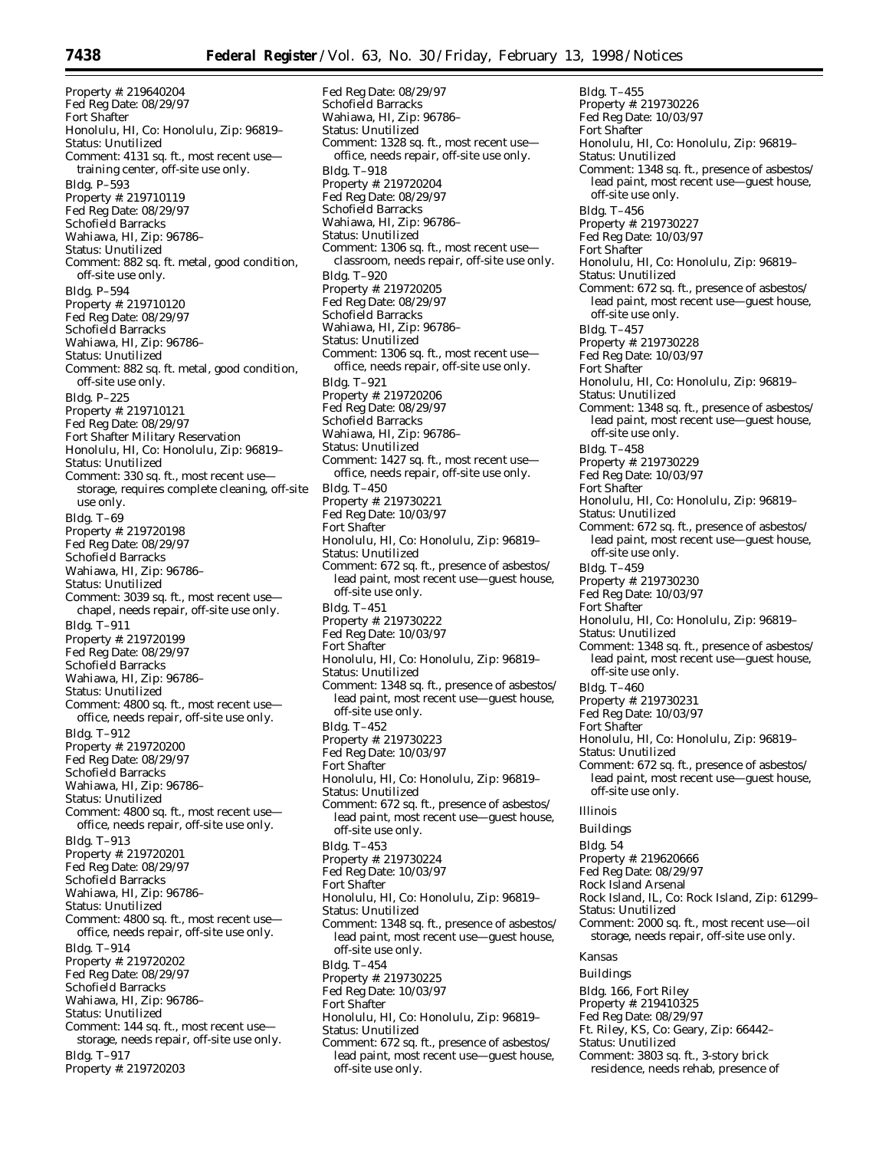Property #: 219640204 Fed Reg Date: 08/29/97 Fort Shafter Honolulu, HI, Co: Honolulu, Zip: 96819– Status: Unutilized Comment: 4131 sq. ft., most recent use training center, off-site use only. Bldg. P–593 Property #: 219710119 Fed Reg Date: 08/29/97 Schofield Barracks Wahiawa, HI, Zip: 96786– Status: Unutilized Comment: 882 sq. ft. metal, good condition, off-site use only. Bldg. P–594 Property #: 219710120 Fed Reg Date: 08/29/97 Schofield Barracks Wahiawa, HI, Zip: 96786– Status: Unutilized Comment: 882 sq. ft. metal, good condition, off-site use only. Bldg. P–225 Property #: 219710121 Fed Reg Date: 08/29/97 Fort Shafter Military Reservation Honolulu, HI, Co: Honolulu, Zip: 96819– Status: Unutilized Comment: 330 sq. ft., most recent use storage, requires complete cleaning, off-site use only. Bldg. T–69 Property #: 219720198 Fed Reg Date: 08/29/97 Schofield Barracks Wahiawa, HI, Zip: 96786– Status: Unutilized Comment: 3039 sq. ft., most recent use chapel, needs repair, off-site use only. Bldg. T–911 Property #: 219720199 Fed Reg Date: 08/29/97 Schofield Barracks Wahiawa, HI, Zip: 96786– Status: Unutilized Comment: 4800 sq. ft., most recent use office, needs repair, off-site use only. Bldg. T–912 Property #: 219720200 Fed Reg Date: 08/29/97 Schofield Barracks Wahiawa, HI, Zip: 96786– Status: Unutilized Comment: 4800 sq. ft., most recent use office, needs repair, off-site use only. Bldg. T–913 Property #: 219720201 Fed Reg Date: 08/29/97 Schofield Barracks Wahiawa, HI, Zip: 96786– Status: Unutilized Comment: 4800 sq. ft., most recent use office, needs repair, off-site use only. Bldg. T–914 Property #: 219720202 Fed Reg Date: 08/29/97 Schofield Barracks Wahiawa, HI, Zip: 96786– Status: Unutilized Comment: 144 sq. ft., most recent use storage, needs repair, off-site use only. Bldg. T–917 Property #: 219720203

Fed Reg Date: 08/29/97 Schofield Barracks Wahiawa, HI, Zip: 96786– Status: Unutilized Comment: 1328 sq. ft., most recent use office, needs repair, off-site use only. Bldg. T–918 Property #: 219720204 Fed Reg Date: 08/29/97 Schofield Barracks Wahiawa, HI, Zip: 96786– Status: Unutilized Comment: 1306 sq. ft., most recent use classroom, needs repair, off-site use only. Bldg. T–920 Property #: 219720205 Fed Reg Date: 08/29/97 Schofield Barracks Wahiawa, HI, Zip: 96786– Status: Unutilized Comment: 1306 sq. ft., most recent use office, needs repair, off-site use only. Bldg. T–921 Property #: 219720206 Fed Reg Date: 08/29/97 Schofield Barracks Wahiawa, HI, Zip: 96786– Status: Unutilized Comment: 1427 sq. ft., most recent use office, needs repair, off-site use only. Bldg. T–450 Property #: 219730221 Fed Reg Date: 10/03/97 Fort Shafter Honolulu, HI, Co: Honolulu, Zip: 96819– Status: Unutilized Comment: 672 sq. ft., presence of asbestos/ lead paint, most recent use—guest house, off-site use only. Bldg. T–451 Property #: 219730222 Fed Reg Date: 10/03/97 Fort Shafter Honolulu, HI, Co: Honolulu, Zip: 96819– Status: Unutilized Comment: 1348 sq. ft., presence of asbestos/ lead paint, most recent use—guest house, off-site use only. Bldg. T–452 Property #: 219730223 Fed Reg Date: 10/03/97 Fort Shafter Honolulu, HI, Co: Honolulu, Zip: 96819– Status: Unutilized Comment: 672 sq. ft., presence of asbestos/ lead paint, most recent use—guest house, off-site use only. Bldg. T–453 Property #: 219730224 Fed Reg Date: 10/03/97 Fort Shafter Honolulu, HI, Co: Honolulu, Zip: 96819– Status: Unutilized Comment: 1348 sq. ft., presence of asbestos/ lead paint, most recent use—guest house, off-site use only. Bldg. T–454 Property #: 219730225 Fed Reg Date: 10/03/97 Fort Shafter Honolulu, HI, Co: Honolulu, Zip: 96819– Status: Unutilized Comment: 672 sq. ft., presence of asbestos/ lead paint, most recent use—guest house, off-site use only.

Bldg. T–455 Property #: 219730226 Fed Reg Date: 10/03/97 Fort Shafter Honolulu, HI, Co: Honolulu, Zip: 96819– Status: Unutilized Comment: 1348 sq. ft., presence of asbestos/ lead paint, most recent use—guest house, off-site use only. Bldg. T–456 Property #: 219730227 Fed Reg Date: 10/03/97 Fort Shafter Honolulu, HI, Co: Honolulu, Zip: 96819– Status: Unutilized Comment: 672 sq. ft., presence of asbestos/ lead paint, most recent use—guest house, off-site use only. Bldg. T–457 Property #: 219730228 Fed Reg Date: 10/03/97 Fort Shafter Honolulu, HI, Co: Honolulu, Zip: 96819– Status: Unutilized Comment: 1348 sq. ft., presence of asbestos/ lead paint, most recent use—guest house, off-site use only. Bldg. T–458 Property #: 219730229 Fed Reg Date: 10/03/97 Fort Shafter Honolulu, HI, Co: Honolulu, Zip: 96819– Status: Unutilized Comment: 672 sq. ft., presence of asbestos/ lead paint, most recent use—guest house, off-site use only. Bldg. T–459 Property #: 219730230 Fed Reg Date: 10/03/97 Fort Shafter Honolulu, HI, Co: Honolulu, Zip: 96819– Status: Unutilized Comment: 1348 sq. ft., presence of asbestos/ lead paint, most recent use—guest house, off-site use only. Bldg. T–460 Property #: 219730231 Fed Reg Date: 10/03/97 Fort Shafter Honolulu, HI, Co: Honolulu, Zip: 96819– Status: Unutilized Comment: 672 sq. ft., presence of asbestos/ lead paint, most recent use—guest house, off-site use only. *Illinois* Buildings Bldg. 54 Property #: 219620666 Fed Reg Date: 08/29/97 Rock Island Arsenal Rock Island, IL, Co: Rock Island, Zip: 61299– Status: Unutilized Comment: 2000 sq. ft., most recent use—oil storage, needs repair, off-site use only. *Kansas* Buildings Bldg. 166, Fort Riley Property #: 219410325 Fed Reg Date: 08/29/97 Ft. Riley, KS, Co: Geary, Zip: 66442– Status: Unutilized Comment: 3803 sq. ft., 3-story brick

residence, needs rehab, presence of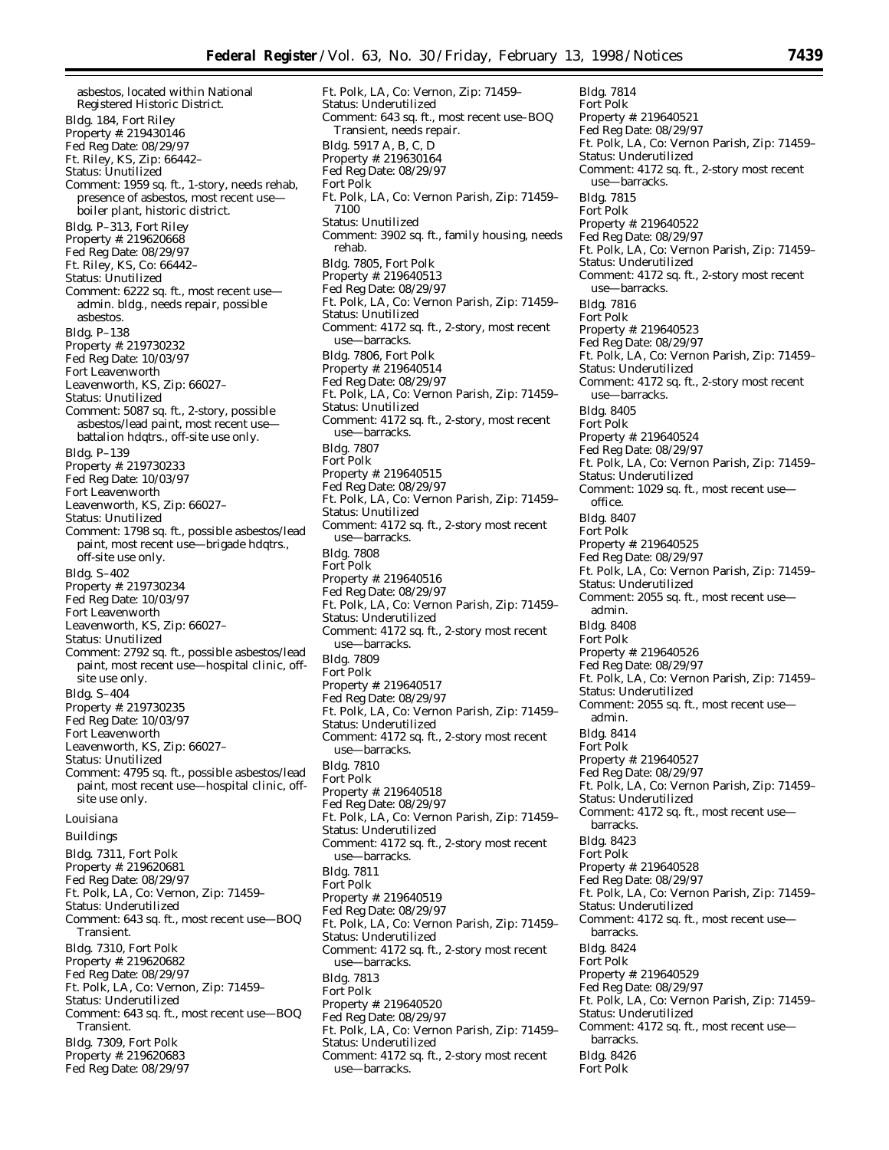asbestos, located within National Registered Historic District. Bldg. 184, Fort Riley Property #: 219430146 Fed Reg Date: 08/29/97 Ft. Riley, KS, Zip: 66442– Status: Unutilized Comment: 1959 sq. ft., 1-story, needs rehab, presence of asbestos, most recent use boiler plant, historic district. Bldg. P–313, Fort Riley Property #: 219620668 Fed Reg Date: 08/29/97 Ft. Riley, KS, Co: 66442– Status: Unutilized Comment: 6222 sq. ft., most recent use admin. bldg., needs repair, possible asbestos. Bldg. P–138 Property #: 219730232 Fed Reg Date: 10/03/97 Fort Leavenworth Leavenworth, KS, Zip: 66027– Status: Unutilized Comment: 5087 sq. ft., 2-story, possible asbestos/lead paint, most recent use battalion hdqtrs., off-site use only. Bldg. P–139 Property #: 219730233 Fed Reg Date: 10/03/97 Fort Leavenworth Leavenworth, KS, Zip: 66027– Status: Unutilized Comment: 1798 sq. ft., possible asbestos/lead paint, most recent use—brigade hdqtrs., off-site use only. Bldg. S–402 Property #: 219730234 Fed Reg Date: 10/03/97 Fort Leavenworth Leavenworth, KS, Zip: 66027– Status: Unutilized Comment: 2792 sq. ft., possible asbestos/lead paint, most recent use—hospital clinic, offsite use only. Bldg. S–404 Property #: 219730235 Fed Reg Date: 10/03/97 Fort Leavenworth Leavenworth, KS, Zip: 66027– Status: Unutilized Comment: 4795 sq. ft., possible asbestos/lead paint, most recent use—hospital clinic, offsite use only. *Louisiana* Buildings Bldg. 7311, Fort Polk Property #: 219620681 Fed Reg Date: 08/29/97 Ft. Polk, LA, Co: Vernon, Zip: 71459– Status: Underutilized Comment: 643 sq. ft., most recent use—BOQ Transient. Bldg. 7310, Fort Polk Property #: 219620682 Fed Reg Date: 08/29/97 Ft. Polk, LA, Co: Vernon, Zip: 71459– Status: Underutilized Comment: 643 sq. ft., most recent use—BOQ Transient. Bldg. 7309, Fort Polk Property #: 219620683 Fed Reg Date: 08/29/97

Ft. Polk, LA, Co: Vernon, Zip: 71459– Status: Underutilized Comment: 643 sq. ft., most recent use–BOQ Transient, needs repair. Bldg. 5917 A, B, C, D Property #: 219630164 Fed Reg Date: 08/29/97 Fort Polk Ft. Polk, LA, Co: Vernon Parish, Zip: 71459– 7100 Status: Unutilized Comment: 3902 sq. ft., family housing, needs rehab. Bldg. 7805, Fort Polk Property #: 219640513 Fed Reg Date: 08/29/97 Ft. Polk, LA, Co: Vernon Parish, Zip: 71459– Status: Unutilized Comment: 4172 sq. ft., 2-story, most recent use—barracks. Bldg. 7806, Fort Polk Property #: 219640514 Fed Reg Date: 08/29/97 Ft. Polk, LA, Co: Vernon Parish, Zip: 71459– Status: Unutilized Comment: 4172 sq. ft., 2-story, most recent use—barracks. Bldg. 7807 Fort Polk Property #: 219640515 Fed Reg Date: 08/29/97 Ft. Polk, LA, Co: Vernon Parish, Zip: 71459– Status: Unutilized Comment: 4172 sq. ft., 2-story most recent use—barracks. Bldg. 7808 Fort Polk Property #: 219640516 Fed Reg Date: 08/29/97 Ft. Polk, LA, Co: Vernon Parish, Zip: 71459– Status: Underutilized Comment: 4172 sq. ft., 2-story most recent use—barracks. Bldg. 7809 Fort Polk Property #: 219640517 Fed Reg Date: 08/29/97 Ft. Polk, LA, Co: Vernon Parish, Zip: 71459– Status: Underutilized Comment: 4172 sq. ft., 2-story most recent use—barracks. Bldg. 7810 Fort Polk Property #: 219640518 Fed Reg Date: 08/29/97 Ft. Polk, LA, Co: Vernon Parish, Zip: 71459– Status: Underutilized Comment: 4172 sq. ft., 2-story most recent use—barracks. Bldg. 7811 Fort Polk Property #: 219640519 Fed Reg Date: 08/29/97 Ft. Polk, LA, Co: Vernon Parish, Zip: 71459– Status: Underutilized Comment: 4172 sq. ft., 2-story most recent use—barracks. Bldg. 7813 Fort Polk Property #: 219640520 Fed Reg Date: 08/29/97 Ft. Polk, LA, Co: Vernon Parish, Zip: 71459– Status: Underutilized Comment: 4172 sq. ft., 2-story most recent use—barracks.

Bldg. 7814 Fort Polk Property #: 219640521 Fed Reg Date: 08/29/97 Ft. Polk, LA, Co: Vernon Parish, Zip: 71459– Status: Underutilized Comment: 4172 sq. ft., 2-story most recent use—barracks. Bldg. 7815 Fort Polk Property #: 219640522 Fed Reg Date: 08/29/97 Ft. Polk, LA, Co: Vernon Parish, Zip: 71459– Status: Underutilized Comment: 4172 sq. ft., 2-story most recent use—barracks. Bldg. 7816 Fort Polk Property #: 219640523 Fed Reg Date: 08/29/97 Ft. Polk, LA, Co: Vernon Parish, Zip: 71459– Status: Underutilized Comment: 4172 sq. ft., 2-story most recent use—barracks. Bldg. 8405 Fort Polk Property #: 219640524 Fed Reg Date: 08/29/97 Ft. Polk, LA, Co: Vernon Parish, Zip: 71459– Status: Underutilized Comment: 1029 sq. ft., most recent use office. Bldg. 8407 Fort Polk Property #: 219640525 Fed Reg Date: 08/29/97 Ft. Polk, LA, Co: Vernon Parish, Zip: 71459– Status: Underutilized Comment: 2055 sq. ft., most recent use admin. Bldg. 8408 Fort Polk Property #: 219640526 Fed Reg Date: 08/29/97 Ft. Polk, LA, Co: Vernon Parish, Zip: 71459– Status: Underutilized Comment: 2055 sq. ft., most recent use admin. Bldg. 8414 Fort Polk Property #: 219640527 Fed Reg Date: 08/29/97 Ft. Polk, LA, Co: Vernon Parish, Zip: 71459– Status: Underutilized Comment: 4172 sq. ft., most recent use barracks. Bldg. 8423 Fort Polk Property #: 219640528 Fed Reg Date: 08/29/97 Ft. Polk, LA, Co: Vernon Parish, Zip: 71459– Status: Underutilized Comment: 4172 sq. ft., most recent use barracks. Bldg. 8424 Fort Polk Property #: 219640529 Fed Reg Date: 08/29/97 Ft. Polk, LA, Co: Vernon Parish, Zip: 71459– Status: Underutilized Comment: 4172 sq. ft., most recent use barracks. Bldg. 8426 Fort Polk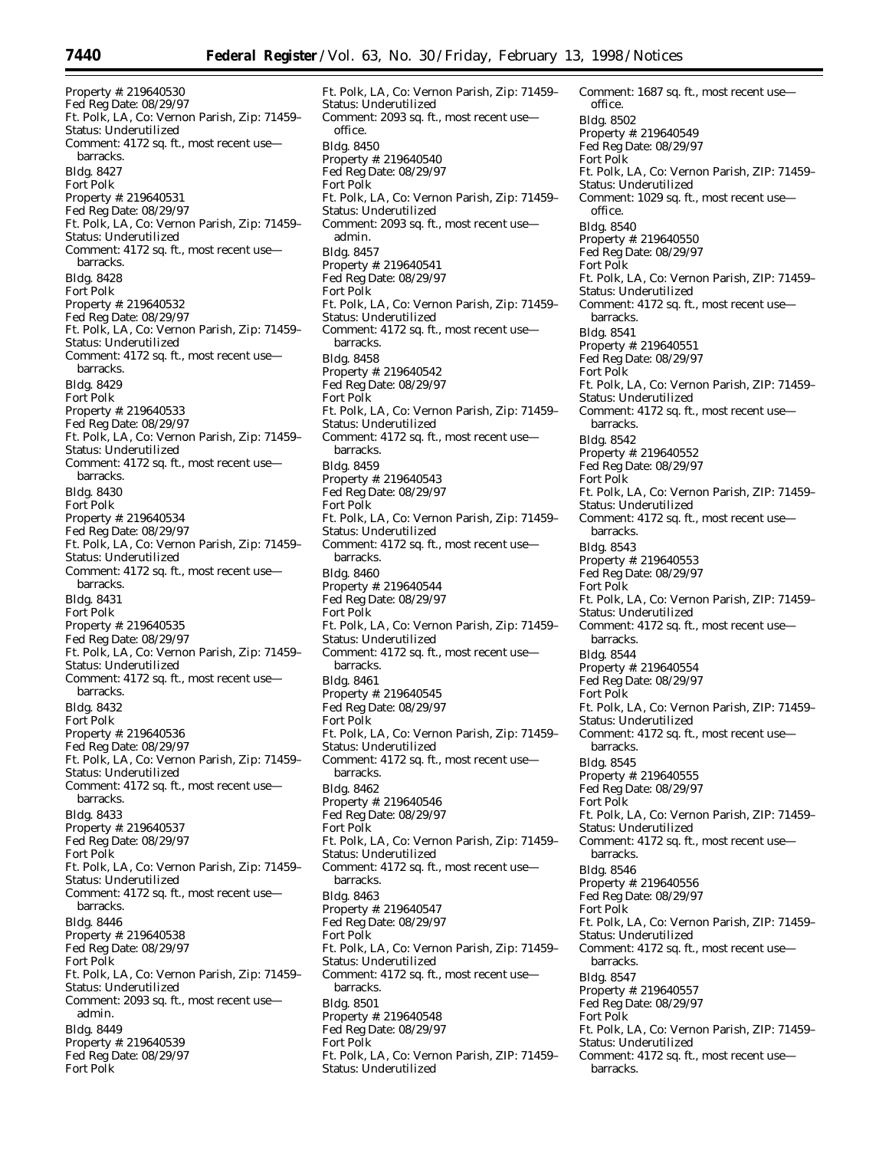Property #: 219640530 Fed Reg Date: 08/29/97 Ft. Polk, LA, Co: Vernon Parish, Zip: 71459– Status: Underutilized Comment: 4172 sq. ft., most recent use barracks. Bldg. 8427 Fort Polk Property #: 219640531 Fed Reg Date: 08/29/97 Ft. Polk, LA, Co: Vernon Parish, Zip: 71459– Status: Underutilized Comment: 4172 sq. ft., most recent use barracks. Bldg. 8428 Fort Polk Property #: 219640532 Fed Reg Date: 08/29/97 Ft. Polk, LA, Co: Vernon Parish, Zip: 71459– Status: Underutilized Comment: 4172 sq. ft., most recent use barracks. Bldg. 8429 Fort Polk Property #: 219640533 Fed Reg Date: 08/29/97 Ft. Polk, LA, Co: Vernon Parish, Zip: 71459– Status: Underutilized Comment: 4172 sq. ft., most recent use barracks. Bldg. 8430 Fort Polk Property #: 219640534 Fed Reg Date: 08/29/97 Ft. Polk, LA, Co: Vernon Parish, Zip: 71459– Status: Underutilized Comment: 4172 sq. ft., most recent use barracks. Bldg. 8431 Fort Polk Property #: 219640535 Fed Reg Date: 08/29/97 Ft. Polk, LA, Co: Vernon Parish, Zip: 71459– Status: Underutilized Comment: 4172 sq. ft., most recent use barracks. Bldg. 8432 Fort Polk Property #: 219640536 Fed Reg Date: 08/29/97 Ft. Polk, LA, Co: Vernon Parish, Zip: 71459– Status: Underutilized Comment: 4172 sq. ft., most recent use barracks. Bldg. 8433 Property #: 219640537 Fed Reg Date: 08/29/97 Fort Polk Ft. Polk, LA, Co: Vernon Parish, Zip: 71459– Status: Underutilized Comment: 4172 sq. ft., most recent use barracks. Bldg. 8446 Property #: 219640538 Fed Reg Date: 08/29/97 Fort Polk Ft. Polk, LA, Co: Vernon Parish, Zip: 71459– Status: Underutilized Comment: 2093 sq. ft., most recent use admin. Bldg. 8449 Property #: 219640539

Fed Reg Date: 08/29/97 Fort Polk

Ft. Polk, LA, Co: Vernon Parish, Zip: 71459– Status: Underutilized Comment: 2093 sq. ft., most recent use office. Bldg. 8450 Property #: 219640540 Fed Reg Date: 08/29/97 Fort Polk Ft. Polk, LA, Co: Vernon Parish, Zip: 71459– Status: Underutilized Comment: 2093 sq. ft., most recent use admin. Bldg. 8457 Property #: 219640541 Fed Reg Date: 08/29/97 Fort Polk Ft. Polk, LA, Co: Vernon Parish, Zip: 71459– Status: Underutilized Comment: 4172 sq. ft., most recent use barracks. Bldg. 8458 Property #: 219640542 Fed Reg Date: 08/29/97 Fort Polk Ft. Polk, LA, Co: Vernon Parish, Zip: 71459– Status: Underutilized Comment: 4172 sq. ft., most recent use barracks. Bldg. 8459 Property #: 219640543 Fed Reg Date: 08/29/97 Fort Polk Ft. Polk, LA, Co: Vernon Parish, Zip: 71459– Status: Underutilized Comment: 4172 sq. ft., most recent use barracks. Bldg. 8460 Property #: 219640544 Fed Reg Date: 08/29/97 Fort Polk Ft. Polk, LA, Co: Vernon Parish, Zip: 71459– Status: Underutilized Comment: 4172 sq. ft., most recent use barracks. Bldg. 8461 Property #: 219640545 Fed Reg Date: 08/29/97 Fort Polk Ft. Polk, LA, Co: Vernon Parish, Zip: 71459– Status: Underutilized Comment: 4172 sq. ft., most recent use barracks. Bldg. 8462 Property #: 219640546 Fed Reg Date: 08/29/97 Fort Polk Ft. Polk, LA, Co: Vernon Parish, Zip: 71459– Status: Underutilized Comment: 4172 sq. ft., most recent use barracks. Bldg. 8463 Property #: 219640547 Fed Reg Date: 08/29/97 Fort Polk Ft. Polk, LA, Co: Vernon Parish, Zip: 71459– Status: Underutilized Comment: 4172 sq. ft., most recent use barracks. Bldg. 8501 Property #: 219640548 Fed Reg Date: 08/29/97 Fort Polk Ft. Polk, LA, Co: Vernon Parish, ZIP: 71459–

Status: Underutilized

Comment: 1687 sq. ft., most recent use office. Bldg. 8502 Property #: 219640549 Fed Reg Date: 08/29/97 Fort Polk Ft. Polk, LA, Co: Vernon Parish, ZIP: 71459– Status: Underutilized Comment: 1029 sq. ft., most recent use office. Bldg. 8540 Property #: 219640550 Fed Reg Date: 08/29/97 Fort Polk Ft. Polk, LA, Co: Vernon Parish, ZIP: 71459– Status: Underutilized Comment: 4172 sq. ft., most recent use barracks. Bldg. 8541 Property #: 219640551 Fed Reg Date: 08/29/97 Fort Polk Ft. Polk, LA, Co: Vernon Parish, ZIP: 71459– Status: Underutilized Comment: 4172 sq. ft., most recent use barracks. Bldg. 8542 Property #: 219640552 Fed Reg Date: 08/29/97 Fort Polk Ft. Polk, LA, Co: Vernon Parish, ZIP: 71459– Status: Underutilized Comment: 4172 sq. ft., most recent use barracks. Bldg. 8543 Property #: 219640553 Fed Reg Date: 08/29/97 Fort Polk Ft. Polk, LA, Co: Vernon Parish, ZIP: 71459– Status: Underutilized Comment: 4172 sq. ft., most recent use barracks. Bldg. 8544 Property #: 219640554 Fed Reg Date: 08/29/97 Fort Polk Ft. Polk, LA, Co: Vernon Parish, ZIP: 71459– Status: Underutilized Comment: 4172 sq. ft., most recent use barracks. Bldg. 8545 Property #: 219640555 Fed Reg Date: 08/29/97 Fort Polk Ft. Polk, LA, Co: Vernon Parish, ZIP: 71459– Status: Underutilized Comment: 4172 sq. ft., most recent use barracks. Bldg. 8546 Property #: 219640556 Fed Reg Date: 08/29/97 Fort Polk Ft. Polk, LA, Co: Vernon Parish, ZIP: 71459– Status: Underutilized Comment: 4172 sq. ft., most recent use barracks. Bldg. 8547 Property #: 219640557 Fed Reg Date: 08/29/97 Fort Polk Ft. Polk, LA, Co: Vernon Parish, ZIP: 71459– Status: Underutilized Comment: 4172 sq. ft., most recent use barracks.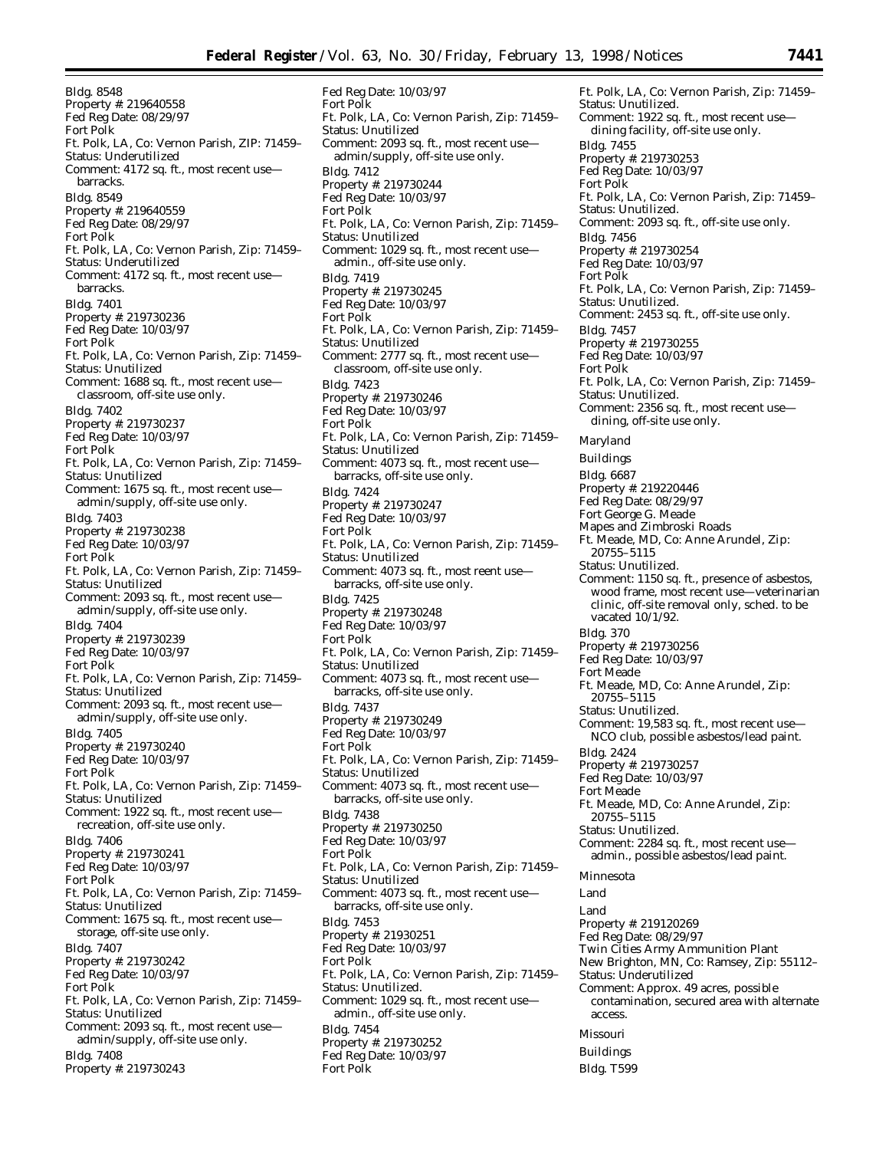Bldg. 8548 Property #: 219640558 Fed Reg Date: 08/29/97 Fort Polk Ft. Polk, LA, Co: Vernon Parish, ZIP: 71459– Status: Underutilized Comment: 4172 sq. ft., most recent use barracks. Bldg. 8549 Property #: 219640559 Fed Reg Date: 08/29/97 Fort Polk Ft. Polk, LA, Co: Vernon Parish, Zip: 71459– Status: Underutilized Comment: 4172 sq. ft., most recent use barracks. Bldg. 7401 Property #: 219730236 Fed Reg Date: 10/03/97 Fort Polk Ft. Polk, LA, Co: Vernon Parish, Zip: 71459– Status: Unutilized Comment: 1688 sq. ft., most recent use classroom, off-site use only. Bldg. 7402 Property #: 219730237 Fed Reg Date: 10/03/97 Fort Polk Ft. Polk, LA, Co: Vernon Parish, Zip: 71459– Status: Unutilized Comment: 1675 sq. ft., most recent use admin/supply, off-site use only. Bldg. 7403 Property #: 219730238 Fed Reg Date: 10/03/97 Fort Polk Ft. Polk, LA, Co: Vernon Parish, Zip: 71459– Status: Unutilized Comment: 2093 sq. ft., most recent use admin/supply, off-site use only. Bldg. 7404 Property #: 219730239 Fed Reg Date: 10/03/97 Fort Polk Ft. Polk, LA, Co: Vernon Parish, Zip: 71459– Status: Unutilized Comment: 2093 sq. ft., most recent use admin/supply, off-site use only. Bldg. 7405 Property #: 219730240 Fed Reg Date: 10/03/97 Fort Polk Ft. Polk, LA, Co: Vernon Parish, Zip: 71459– Status: Unutilized Comment: 1922 sq. ft., most recent use recreation, off-site use only. Bldg. 7406 Property #: 219730241 Fed Reg Date: 10/03/97 Fort Polk Ft. Polk, LA, Co: Vernon Parish, Zip: 71459– Status: Unutilized Comment: 1675 sq. ft., most recent use storage, off-site use only. Bldg. 7407 Property #: 219730242 Fed Reg Date: 10/03/97 Fort Polk Ft. Polk, LA, Co: Vernon Parish, Zip: 71459– Status: Unutilized Comment: 2093 sq. ft., most recent use admin/supply, off-site use only. Bldg. 7408

Property #: 219730243

Fed Reg Date: 10/03/97 Fort Polk Ft. Polk, LA, Co: Vernon Parish, Zip: 71459– Status: Unutilized Comment: 2093 sq. ft., most recent use admin/supply, off-site use only. Bldg. 7412 Property #: 219730244 Fed Reg Date: 10/03/97 Fort Polk Ft. Polk, LA, Co: Vernon Parish, Zip: 71459– Status: Unutilized Comment: 1029 sq. ft., most recent use admin., off-site use only. Bldg. 7419 Property #: 219730245 Fed Reg Date: 10/03/97 Fort Polk Ft. Polk, LA, Co: Vernon Parish, Zip: 71459– Status: Unutilized Comment: 2777 sq. ft., most recent use classroom, off-site use only. Bldg. 7423 Property #: 219730246 Fed Reg Date: 10/03/97 Fort Polk Ft. Polk, LA, Co: Vernon Parish, Zip: 71459– Status: Unutilized Comment: 4073 sq. ft., most recent use barracks, off-site use only. Bldg. 7424 Property #: 219730247 Fed Reg Date: 10/03/97 Fort Polk Ft. Polk, LA, Co: Vernon Parish, Zip: 71459– Status: Unutilized Comment: 4073 sq. ft., most reent use barracks, off-site use only. Bldg. 7425 Property #: 219730248 Fed Reg Date: 10/03/97 Fort Polk Ft. Polk, LA, Co: Vernon Parish, Zip: 71459– Status: Unutilized Comment: 4073 sq. ft., most recent use barracks, off-site use only. Bldg. 7437 Property #: 219730249 Fed Reg Date: 10/03/97 Fort Polk Ft. Polk, LA, Co: Vernon Parish, Zip: 71459– Status: Unutilized Comment: 4073 sq. ft., most recent use barracks, off-site use only. Bldg. 7438 Property #: 219730250 Fed Reg Date: 10/03/97 Fort Polk Ft. Polk, LA, Co: Vernon Parish, Zip: 71459– Status: Unutilized Comment: 4073 sq. ft., most recent use barracks, off-site use only. Bldg. 7453 Property #: 21930251 Fed Reg Date: 10/03/97 Fort Polk Ft. Polk, LA, Co: Vernon Parish, Zip: 71459– Status: Unutilized. Comment: 1029 sq. ft., most recent use admin., off-site use only. Bldg. 7454 Property #: 219730252 Fed Reg Date: 10/03/97 Fort Polk

Ft. Polk, LA, Co: Vernon Parish, Zip: 71459– Status: Unutilized. Comment: 1922 sq. ft., most recent use dining facility, off-site use only. Bldg. 7455 Property #: 219730253 Fed Reg Date: 10/03/97 Fort Polk Ft. Polk, LA, Co: Vernon Parish, Zip: 71459– Status: Unutilized. Comment: 2093 sq. ft., off-site use only. Bldg. 7456 Property #: 219730254 Fed Reg Date: 10/03/97 Fort Polk Ft. Polk, LA, Co: Vernon Parish, Zip: 71459– Status: Unutilized. Comment: 2453 sq. ft., off-site use only. Bldg. 7457 Property #: 219730255 Fed Reg Date: 10/03/97 Fort Polk Ft. Polk, LA, Co: Vernon Parish, Zip: 71459– Status: Unutilized. Comment: 2356 sq. ft., most recent use dining, off-site use only. *Maryland* Buildings Bldg. 6687 Property #: 219220446 Fed Reg Date: 08/29/97 Fort George G. Meade Mapes and Zimbroski Roads Ft. Meade, MD, Co: Anne Arundel, Zip: 20755–5115 Status: Unutilized. Comment: 1150 sq. ft., presence of asbestos, wood frame, most recent use—veterinarian clinic, off-site removal only, sched. to be vacated 10/1/92. Bldg. 370 Property #: 219730256 Fed Reg Date: 10/03/97 Fort Meade Ft. Meade, MD, Co: Anne Arundel, Zip: 20755–5115 Status: Unutilized. Comment: 19,583 sq. ft., most recent use— NCO club, possible asbestos/lead paint. Bldg. 2424 Property #: 219730257 Fed Reg Date: 10/03/97 Fort Meade Ft. Meade, MD, Co: Anne Arundel, Zip: 20755–5115 Status: Unutilized. Comment: 2284 sq. ft., most recent use admin., possible asbestos/lead paint. *Minnesota* Land Land Property #: 219120269 Fed Reg Date: 08/29/97 Twin Cities Army Ammunition Plant New Brighton, MN, Co: Ramsey, Zip: 55112– Status: Underutilized Comment: Approx. 49 acres, possible contamination, secured area with alternate access. *Missouri* Buildings Bldg. T599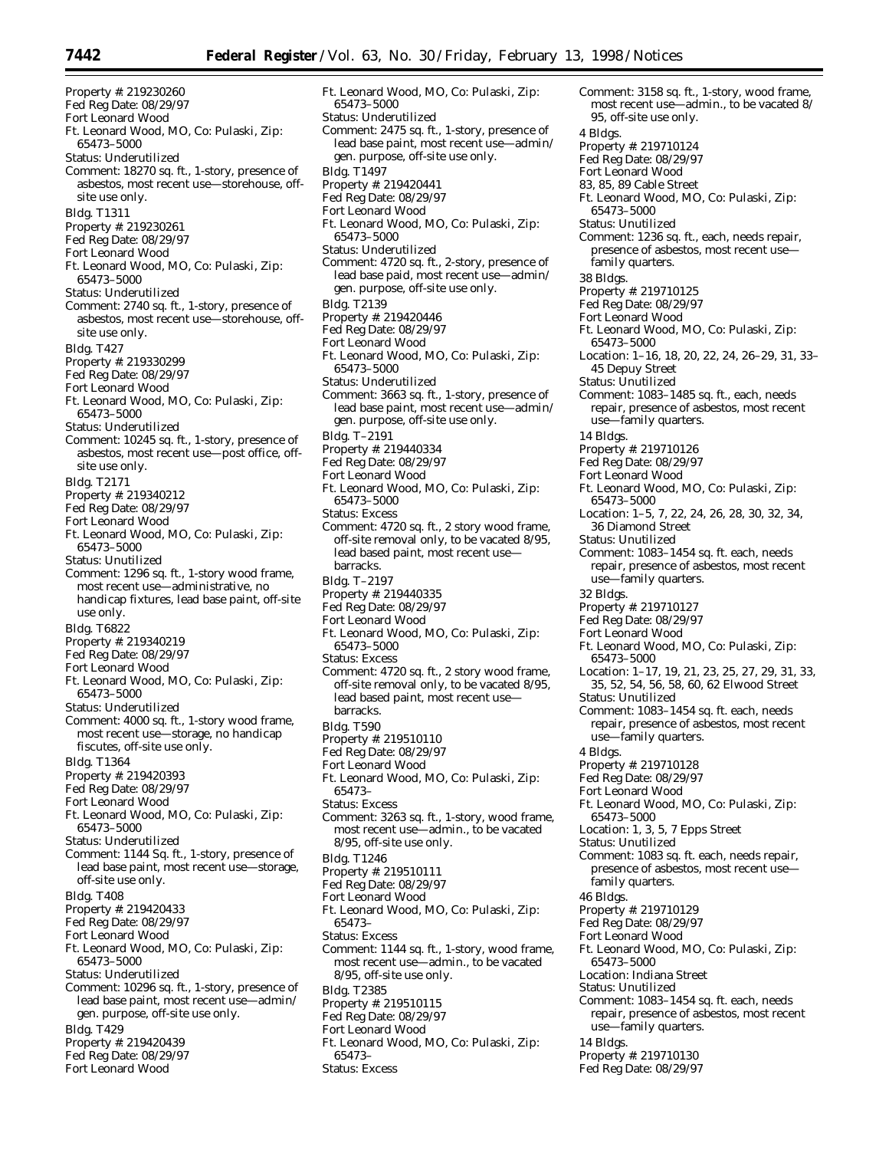Property #: 219230260 Fed Reg Date: 08/29/97 Fort Leonard Wood Ft. Leonard Wood, MO, Co: Pulaski, Zip: 65473–5000 Status: Underutilized Comment: 18270 sq. ft., 1-story, presence of asbestos, most recent use—storehouse, offsite use only. Bldg. T1311 Property #: 219230261 Fed Reg Date: 08/29/97 Fort Leonard Wood Ft. Leonard Wood, MO, Co: Pulaski, Zip: 65473–5000 Status: Underutilized Comment: 2740 sq. ft., 1-story, presence of asbestos, most recent use—storehouse, offsite use only. Bldg. T427 Property #: 219330299 Fed Reg Date: 08/29/97 Fort Leonard Wood Ft. Leonard Wood, MO, Co: Pulaski, Zip: 65473–5000 Status: Underutilized Comment: 10245 sq. ft., 1-story, presence of asbestos, most recent use—post office, offsite use only. Bldg. T2171 Property #: 219340212 Fed Reg Date: 08/29/97 Fort Leonard Wood Ft. Leonard Wood, MO, Co: Pulaski, Zip: 65473–5000 Status: Unutilized Comment: 1296 sq. ft., 1-story wood frame, most recent use—administrative, no handicap fixtures, lead base paint, off-site use only. Bldg. T6822 Property #: 219340219 Fed Reg Date: 08/29/97 Fort Leonard Wood Ft. Leonard Wood, MO, Co: Pulaski, Zip: 65473–5000 Status: Underutilized Comment: 4000 sq. ft., 1-story wood frame, most recent use—storage, no handicap fiscutes, off-site use only. Bldg. T1364 Property #: 219420393 Fed Reg Date: 08/29/97 Fort Leonard Wood Ft. Leonard Wood, MO, Co: Pulaski, Zip: 65473–5000 Status: Underutilized Comment: 1144 Sq. ft., 1-story, presence of lead base paint, most recent use—storage, off-site use only. Bldg. T408 Property #: 219420433 Fed Reg Date: 08/29/97 Fort Leonard Wood Ft. Leonard Wood, MO, Co: Pulaski, Zip: 65473–5000 Status: Underutilized Comment: 10296 sq. ft., 1-story, presence of lead base paint, most recent use—admin/ gen. purpose, off-site use only. Bldg. T429 Property #: 219420439 Fed Reg Date: 08/29/97 Fort Leonard Wood

Ft. Leonard Wood, MO, Co: Pulaski, Zip: 65473–5000 Status: Underutilized Comment: 2475 sq. ft., 1-story, presence of lead base paint, most recent use—admin/ gen. purpose, off-site use only. Bldg. T1497 Property #: 219420441 Fed Reg Date: 08/29/97 Fort Leonard Wood Ft. Leonard Wood, MO, Co: Pulaski, Zip: 65473–5000 Status: Underutilized Comment: 4720 sq. ft., 2-story, presence of lead base paid, most recent use—admin/ gen. purpose, off-site use only. Bldg. T2139 Property #: 219420446 Fed Reg Date: 08/29/97 Fort Leonard Wood Ft. Leonard Wood, MO, Co: Pulaski, Zip: 65473–5000 Status: Underutilized Comment: 3663 sq. ft., 1-story, presence of lead base paint, most recent use—admin/ gen. purpose, off-site use only. Bldg. T–2191 Property #: 219440334 Fed Reg Date: 08/29/97 Fort Leonard Wood Ft. Leonard Wood, MO, Co: Pulaski, Zip: 65473–5000 Status: Excess Comment: 4720 sq. ft., 2 story wood frame, off-site removal only, to be vacated 8/95, lead based paint, most recent use barracks. Bldg. T–2197 Property #: 219440335 Fed Reg Date: 08/29/97 Fort Leonard Wood Ft. Leonard Wood, MO, Co: Pulaski, Zip: 65473–5000 Status: Excess Comment: 4720 sq. ft., 2 story wood frame, off-site removal only, to be vacated 8/95, lead based paint, most recent use barracks. Bldg. T590 Property #: 219510110 Fed Reg Date: 08/29/97 Fort Leonard Wood Ft. Leonard Wood, MO, Co: Pulaski, Zip: 65473– Status: Excess Comment: 3263 sq. ft., 1-story, wood frame, most recent use—admin., to be vacated 8/95, off-site use only. Bldg. T1246 Property #: 219510111 Fed Reg Date: 08/29/97 Fort Leonard Wood Ft. Leonard Wood, MO, Co: Pulaski, Zip: 65473– Status: Excess Comment: 1144 sq. ft., 1-story, wood frame, most recent use—admin., to be vacated 8/95, off-site use only. Bldg. T2385 Property #: 219510115 Fed Reg Date: 08/29/97 Fort Leonard Wood Ft. Leonard Wood, MO, Co: Pulaski, Zip: 65473–

Status: Excess

```
4 Bldgs.
Property #: 219710124
Fed Reg Date: 08/29/97
Fort Leonard Wood
83, 85, 89 Cable Street
Ft. Leonard Wood, MO, Co: Pulaski, Zip:
  65473–5000
Status: Unutilized
Comment: 1236 sq. ft., each, needs repair,
  presence of asbestos, most recent use—
  family quarters.
38 Bldgs.
Property #: 219710125
Fed Reg Date: 08/29/97
Fort Leonard Wood
Ft. Leonard Wood, MO, Co: Pulaski, Zip:
  65473–5000
Location: 1–16, 18, 20, 22, 24, 26–29, 31, 33–
  45 Depuy Street
Status: Unutilized
Comment: 1083–1485 sq. ft., each, needs
  repair, presence of asbestos, most recent
  use—family quarters.
14 Bldgs.
Property #: 219710126
Fed Reg Date: 08/29/97
Fort Leonard Wood
Ft. Leonard Wood, MO, Co: Pulaski, Zip:
  65473–5000
Location: 1–5, 7, 22, 24, 26, 28, 30, 32, 34,
  36 Diamond Street
Status: Unutilized
Comment: 1083–1454 sq. ft. each, needs
  repair, presence of asbestos, most recent
  use—family quarters.
32 Bldgs.
Property #: 219710127
Fed Reg Date: 08/29/97
Fort Leonard Wood
Ft. Leonard Wood, MO, Co: Pulaski, Zip:
  65473–5000
Location: 1–17, 19, 21, 23, 25, 27, 29, 31, 33,
  35, 52, 54, 56, 58, 60, 62 Elwood Street
Status: Unutilized
Comment: 1083–1454 sq. ft. each, needs
  repair, presence of asbestos, most recent
  use—family quarters.
4 Bldgs.
Property #: 219710128
Fed Reg Date: 08/29/97
Fort Leonard Wood
Ft. Leonard Wood, MO, Co: Pulaski, Zip:
  65473–5000
Location: 1, 3, 5, 7 Epps Street
Status: Unutilized
Comment: 1083 sq. ft. each, needs repair,
  presence of asbestos, most recent use—
  family quarters.
46 Bldgs.
Property #: 219710129
Fed Reg Date: 08/29/97
Fort Leonard Wood
Ft. Leonard Wood, MO, Co: Pulaski, Zip:
  65473–5000
Location: Indiana Street
Status: Unutilized
Comment: 1083–1454 sq. ft. each, needs
  repair, presence of asbestos, most recent
  use—family quarters.
14 Bldgs.
Property #: 219710130
Fed Reg Date: 08/29/97
```
Comment: 3158 sq. ft., 1-story, wood frame, most recent use—admin., to be vacated 8/

95, off-site use only.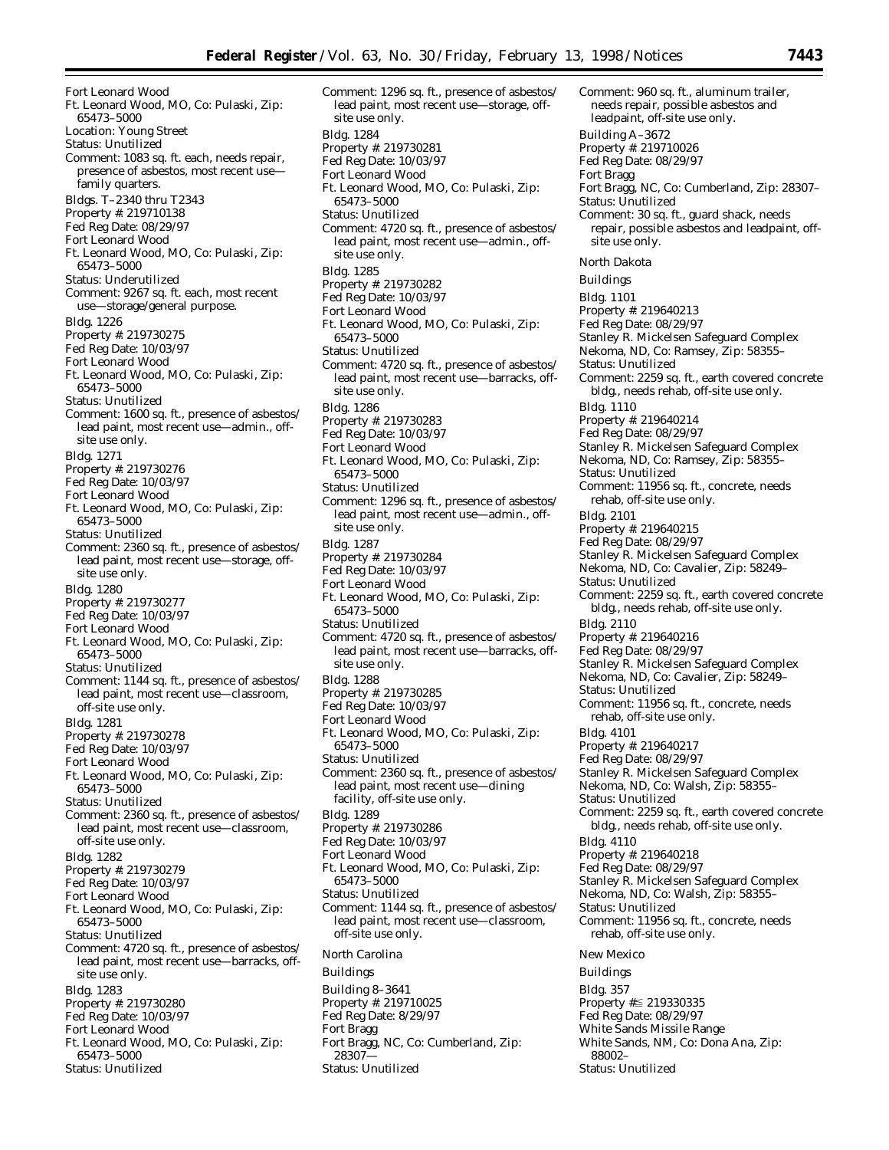Fort Leonard Wood Ft. Leonard Wood, MO, Co: Pulaski, Zip: 65473–5000 Location: Young Street Status: Unutilized Comment: 1083 sq. ft. each, needs repair, presence of asbestos, most recent use family quarters. Bldgs. T–2340 thru T2343 Property #: 219710138 Fed Reg Date: 08/29/97 Fort Leonard Wood Ft. Leonard Wood, MO, Co: Pulaski, Zip: 65473–5000 Status: Underutilized Comment: 9267 sq. ft. each, most recent use—storage/general purpose. Bldg. 1226 Property #: 219730275 Fed Reg Date: 10/03/97 Fort Leonard Wood Ft. Leonard Wood, MO, Co: Pulaski, Zip: 65473–5000 Status: Unutilized Comment: 1600 sq. ft., presence of asbestos/ lead paint, most recent use—admin., offsite use only. Bldg. 1271 Property #: 219730276 Fed Reg Date: 10/03/97 Fort Leonard Wood Ft. Leonard Wood, MO, Co: Pulaski, Zip: 65473–5000 Status: Unutilized Comment: 2360 sq. ft., presence of asbestos/ lead paint, most recent use—storage, offsite use only. Bldg. 1280 Property #: 219730277 Fed Reg Date: 10/03/97 Fort Leonard Wood Ft. Leonard Wood, MO, Co: Pulaski, Zip: 65473–5000 Status: Unutilized Comment: 1144 sq. ft., presence of asbestos/ lead paint, most recent use—classroom, off-site use only. Bldg. 1281 Property #: 219730278 Fed Reg Date: 10/03/97 Fort Leonard Wood Ft. Leonard Wood, MO, Co: Pulaski, Zip: 65473–5000 Status: Unutilized Comment: 2360 sq. ft., presence of asbestos/ lead paint, most recent use—classroom, off-site use only. Bldg. 1282 Property #: 219730279 Fed Reg Date: 10/03/97 Fort Leonard Wood Ft. Leonard Wood, MO, Co: Pulaski, Zip: 65473–5000 Status: Unutilized Comment: 4720 sq. ft., presence of asbestos/ lead paint, most recent use—barracks, offsite use only. Bldg. 1283 Property #: 219730280 Fed Reg Date: 10/03/97 Fort Leonard Wood Ft. Leonard Wood, MO, Co: Pulaski, Zip: 65473–5000 Status: Unutilized

Comment: 1296 sq. ft., presence of asbestos/ lead paint, most recent use—storage, offsite use only. Bldg. 1284 Property #: 219730281 Fed Reg Date: 10/03/97 Fort Leonard Wood Ft. Leonard Wood, MO, Co: Pulaski, Zip: 65473–5000 Status: Unutilized Comment: 4720 sq. ft., presence of asbestos/ lead paint, most recent use—admin., offsite use only. Bldg. 1285 Property #: 219730282 Fed Reg Date: 10/03/97 Fort Leonard Wood Ft. Leonard Wood, MO, Co: Pulaski, Zip: 65473–5000 Status: Unutilized Comment: 4720 sq. ft., presence of asbestos/ lead paint, most recent use—barracks, offsite use only. Bldg. 1286 Property #: 219730283 Fed Reg Date: 10/03/97 Fort Leonard Wood Ft. Leonard Wood, MO, Co: Pulaski, Zip: 65473–5000 Status: Unutilized Comment: 1296 sq. ft., presence of asbestos/ lead paint, most recent use—admin., offsite use only. Bldg. 1287 Property #: 219730284 Fed Reg Date: 10/03/97 Fort Leonard Wood Ft. Leonard Wood, MO, Co: Pulaski, Zip: 65473–5000 Status: Unutilized Comment: 4720 sq. ft., presence of asbestos/ lead paint, most recent use—barracks, offsite use only. Bldg. 1288 Property #: 219730285 Fed Reg Date: 10/03/97 Fort Leonard Wood Ft. Leonard Wood, MO, Co: Pulaski, Zip: 65473–5000 Status: Unutilized Comment: 2360 sq. ft., presence of asbestos/ lead paint, most recent use—dining facility, off-site use only. Bldg. 1289 Property #: 219730286 Fed Reg Date: 10/03/97 Fort Leonard Wood Ft. Leonard Wood, MO, Co: Pulaski, Zip: 65473–5000 Status: Unutilized Comment: 1144 sq. ft., presence of asbestos/ lead paint, most recent use—classroom, off-site use only. *North Carolina* Buildings Building 8–3641 Property #: 219710025 Fed Reg Date: 8/29/97 Fort Bragg Fort Bragg, NC, Co: Cumberland, Zip: 28307—

Status: Unutilized

needs repair, possible asbestos and leadpaint, off-site use only. Building A–3672 Property #: 219710026 Fed Reg Date: 08/29/97 Fort Bragg Fort Bragg, NC, Co: Cumberland, Zip: 28307– Status: Unutilized Comment: 30 sq. ft., guard shack, needs repair, possible asbestos and leadpaint, offsite use only. *North Dakota* Buildings Bldg. 1101 Property #: 219640213 Fed Reg Date: 08/29/97 Stanley R. Mickelsen Safeguard Complex Nekoma, ND, Co: Ramsey, Zip: 58355– Status: Unutilized Comment: 2259 sq. ft., earth covered concrete bldg., needs rehab, off-site use only. Bldg. 1110 Property #: 219640214 Fed Reg Date: 08/29/97 Stanley R. Mickelsen Safeguard Complex Nekoma, ND, Co: Ramsey, Zip: 58355– Status: Unutilized Comment: 11956 sq. ft., concrete, needs rehab, off-site use only. Bldg. 2101 Property #: 219640215 Fed Reg Date: 08/29/97 Stanley R. Mickelsen Safeguard Complex Nekoma, ND, Co: Cavalier, Zip: 58249– Status: Unutilized Comment: 2259 sq. ft., earth covered concrete bldg., needs rehab, off-site use only. Bldg. 2110 Property #: 219640216 Fed Reg Date: 08/29/97 Stanley R. Mickelsen Safeguard Complex Nekoma, ND, Co: Cavalier, Zip: 58249– Status: Unutilized Comment: 11956 sq. ft., concrete, needs rehab, off-site use only. Bldg. 4101 Property #: 219640217 Fed Reg Date: 08/29/97 Stanley R. Mickelsen Safeguard Complex Nekoma, ND, Co: Walsh, Zip: 58355– Status: Unutilized Comment: 2259 sq. ft., earth covered concrete bldg., needs rehab, off-site use only. Bldg. 4110 Property #: 219640218 Fed Reg Date: 08/29/97 Stanley R. Mickelsen Safeguard Complex Nekoma, ND, Co: Walsh, Zip: 58355– Status: Unutilized Comment: 11956 sq. ft., concrete, needs rehab, off-site use only. *New Mexico* Buildings Bldg. 357 Property #≦ 219330335 Fed Reg Date: 08/29/97 White Sands Missile Range

White Sands, NM, Co: Dona Ana, Zip:

88002– Status: Unutilized

Comment: 960 sq. ft., aluminum trailer,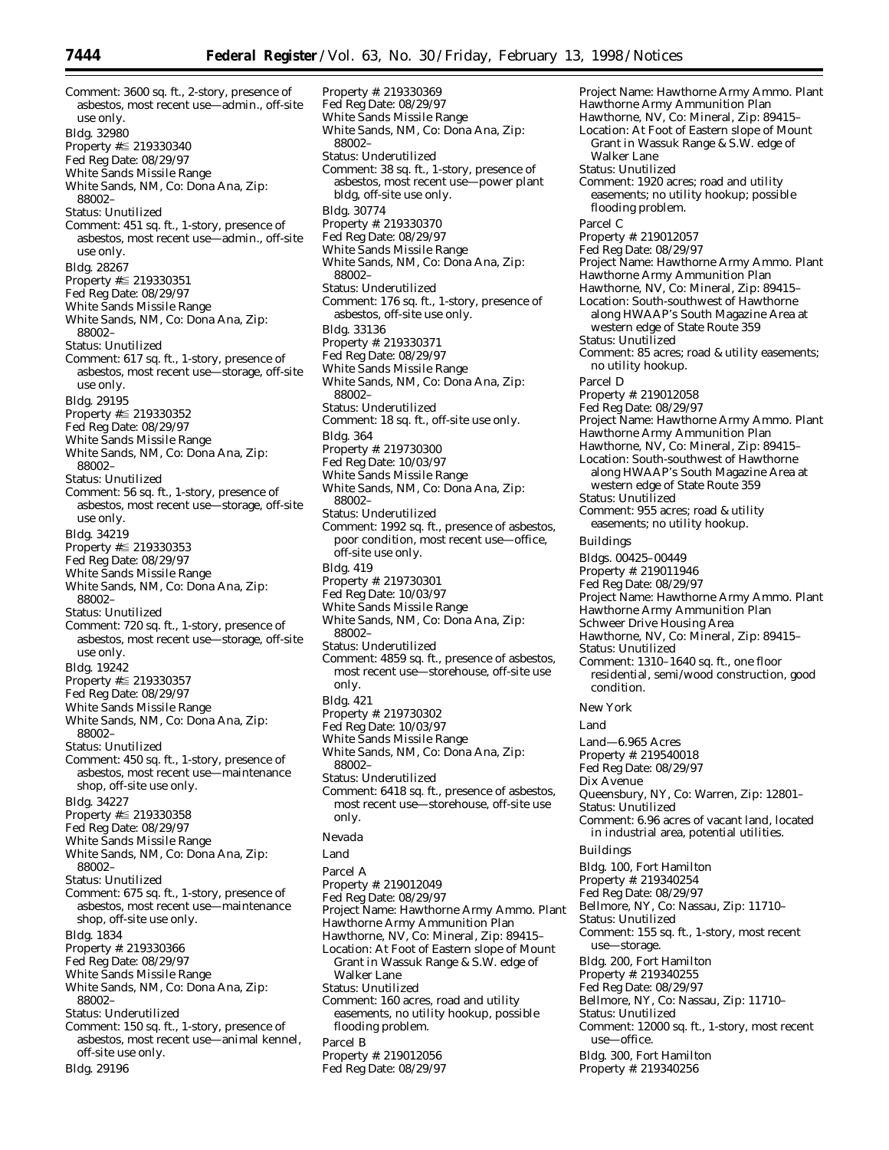Comment: 3600 sq. ft., 2-story, presence of asbestos, most recent use—admin., off-site use only. Bldg. 32980 Property #≦ 219330340 Fed Reg Date: 08/29/97 White Sands Missile Range White Sands, NM, Co: Dona Ana, Zip: 88002– Status: Unutilized Comment: 451 sq. ft., 1-story, presence of asbestos, most recent use—admin., off-site use only. Bldg. 28267 Property  $\sharp \leq 219330351$ Fed Reg Date: 08/29/97 White Sands Missile Range White Sands, NM, Co: Dona Ana, Zip: 88002– Status: Unutilized Comment: 617 sq. ft., 1-story, presence of asbestos, most recent use—storage, off-site use only. Bldg. 29195 Property  $\sharp \leq 219330352$ Fed Reg Date: 08/29/97 White Sands Missile Range White Sands, NM, Co: Dona Ana, Zip: 88002– Status: Unutilized Comment: 56 sq. ft., 1-story, presence of asbestos, most recent use—storage, off-site use only. Bldg. 34219 Property  $\sharp \leq 219330353$ Fed Reg Date: 08/29/97 White Sands Missile Range White Sands, NM, Co: Dona Ana, Zip: 88002– Status: Unutilized Comment: 720 sq. ft., 1-story, presence of asbestos, most recent use—storage, off-site use only. Bldg. 19242 Property  $\sharp \leq 219330357$ Fed Reg Date: 08/29/97 White Sands Missile Range White Sands, NM, Co: Dona Ana, Zip: 88002– Status: Unutilized Comment: 450 sq. ft., 1-story, presence of asbestos, most recent use—maintenance shop, off-site use only. Bldg. 34227 Property #≦ 219330358 Fed Reg Date: 08/29/97 White Sands Missile Range White Sands, NM, Co: Dona Ana, Zip: 88002– Status: Unutilized Comment: 675 sq. ft., 1-story, presence of asbestos, most recent use—maintenance shop, off-site use only. Bldg. 1834 Property #: 219330366 Fed Reg Date: 08/29/97 White Sands Missile Range White Sands, NM, Co: Dona Ana, Zip: 88002– Status: Underutilized Comment: 150 sq. ft., 1-story, presence of asbestos, most recent use—animal kennel, off-site use only. Bldg. 29196

Property #: 219330369 Fed Reg Date: 08/29/97 White Sands Missile Range White Sands, NM, Co: Dona Ana, Zip: 88002– Status: Underutilized Comment: 38 sq. ft., 1-story, presence of asbestos, most recent use—power plant bldg, off-site use only. Bldg. 30774 Property #: 219330370 Fed Reg Date: 08/29/97 White Sands Missile Range White Sands, NM, Co: Dona Ana, Zip: 88002– Status: Underutilized Comment: 176 sq. ft., 1-story, presence of asbestos, off-site use only. Bldg. 33136 Property #: 219330371 Fed Reg Date: 08/29/97 White Sands Missile Range White Sands, NM, Co: Dona Ana, Zip: 88002– Status: Underutilized Comment: 18 sq. ft., off-site use only. Bldg. 364 Property #: 219730300 Fed Reg Date: 10/03/97 White Sands Missile Range White Sands, NM, Co: Dona Ana, Zip: 88002– Status: Underutilized Comment: 1992 sq. ft., presence of asbestos, poor condition, most recent use—office, off-site use only. Bldg. 419 Property #: 219730301 Fed Reg Date: 10/03/97 White Sands Missile Range White Sands, NM, Co: Dona Ana, Zip: 88002– Status: Underutilized Comment: 4859 sq. ft., presence of asbestos, most recent use—storehouse, off-site use only. Bldg. 421 Property #: 219730302 Fed Reg Date: 10/03/97 White Sands Missile Range White Sands, NM, Co: Dona Ana, Zip: 88002– Status: Underutilized Comment: 6418 sq. ft., presence of asbestos, most recent use—storehouse, off-site use only. *Nevada* Land Parcel A Property #: 219012049 Fed Reg Date: 08/29/97 Project Name: Hawthorne Army Ammo. Plant Hawthorne Army Ammunition Plan Hawthorne, NV, Co: Mineral, Zip: 89415– Location: At Foot of Eastern slope of Mount Grant in Wassuk Range & S.W. edge of Walker Lane Status: Unutilized Comment: 160 acres, road and utility easements, no utility hookup, possible flooding problem. Parcel B Property #: 219012056 Fed Reg Date: 08/29/97

Project Name: Hawthorne Army Ammo. Plant Hawthorne Army Ammunition Plan Hawthorne, NV, Co: Mineral, Zip: 89415– Location: At Foot of Eastern slope of Mount Grant in Wassuk Range & S.W. edge of Walker Lane Status: Unutilized Comment: 1920 acres; road and utility easements; no utility hookup; possible flooding problem. Parcel C Property #: 219012057 Fed Reg Date: 08/29/97 Project Name: Hawthorne Army Ammo. Plant Hawthorne Army Ammunition Plan Hawthorne, NV, Co: Mineral, Zip: 89415– Location: South-southwest of Hawthorne along HWAAP's South Magazine Area at western edge of State Route 359 Status: Unutilized Comment: 85 acres; road & utility easements; no utility hookup. Parcel D Property #: 219012058 Fed Reg Date: 08/29/97 Project Name: Hawthorne Army Ammo. Plant Hawthorne Army Ammunition Plan Hawthorne, NV, Co: Mineral, Zip: 89415– Location: South-southwest of Hawthorne along HWAAP's South Magazine Area at western edge of State Route 359 Status: Unutilized Comment: 955 acres; road & utility easements; no utility hookup. Buildings Bldgs. 00425–00449 Property #: 219011946 Fed Reg Date: 08/29/97 Project Name: Hawthorne Army Ammo. Plant Hawthorne Army Ammunition Plan Schweer Drive Housing Area Hawthorne, NV, Co: Mineral, Zip: 89415– Status: Unutilized Comment: 1310–1640 sq. ft., one floor residential, semi/wood construction, good condition. *New York* Land Land—6.965 Acres Property #: 219540018 Fed Reg Date: 08/29/97 Dix Avenue Queensbury, NY, Co: Warren, Zip: 12801– Status: Unutilized Comment: 6.96 acres of vacant land, located in industrial area, potential utilities. Buildings Bldg. 100, Fort Hamilton Property #: 219340254 Fed Reg Date: 08/29/97 Bellmore, NY, Co: Nassau, Zip: 11710– Status: Unutilized Comment: 155 sq. ft., 1-story, most recent use—storage. Bldg. 200, Fort Hamilton Property #: 219340255 Fed Reg Date: 08/29/97 Bellmore, NY, Co: Nassau, Zip: 11710– Status: Unutilized Comment: 12000 sq. ft., 1-story, most recent use—office. Bldg. 300, Fort Hamilton Property #: 219340256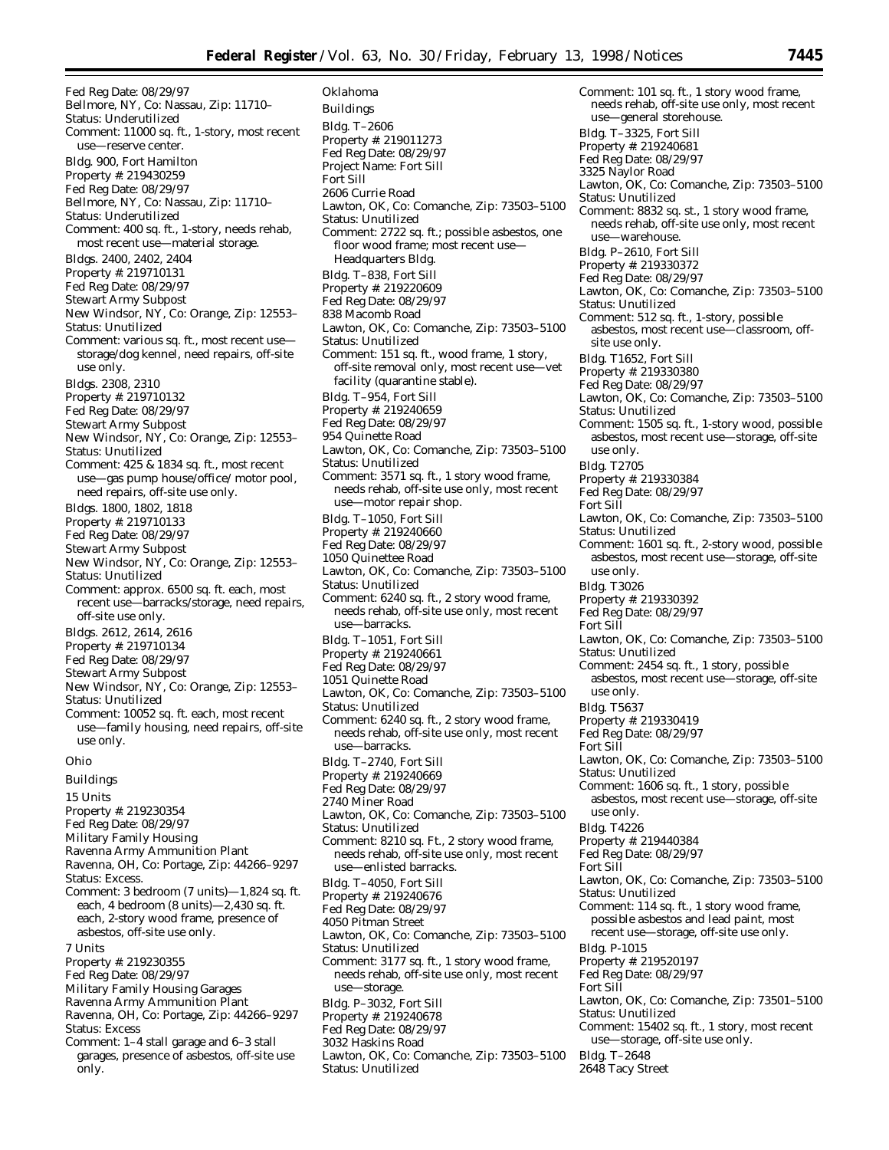Fed Reg Date: 08/29/97 Bellmore, NY, Co: Nassau, Zip: 11710– Status: Underutilized Comment: 11000 sq. ft., 1-story, most recent use—reserve center. Bldg. 900, Fort Hamilton Property #: 219430259 Fed Reg Date: 08/29/97 Bellmore, NY, Co: Nassau, Zip: 11710– Status: Underutilized Comment: 400 sq. ft., 1-story, needs rehab, most recent use—material storage. Bldgs. 2400, 2402, 2404 Property #: 219710131 Fed Reg Date: 08/29/97 Stewart Army Subpost New Windsor, NY, Co: Orange, Zip: 12553– Status: Unutilized Comment: various sq. ft., most recent use storage/dog kennel, need repairs, off-site use only. Bldgs. 2308, 2310 Property #: 219710132 Fed Reg Date: 08/29/97 Stewart Army Subpost New Windsor, NY, Co: Orange, Zip: 12553– Status: Unutilized Comment: 425 & 1834 sq. ft., most recent use—gas pump house/office/ motor pool, need repairs, off-site use only. Bldgs. 1800, 1802, 1818 Property #: 219710133 Fed Reg Date: 08/29/97 Stewart Army Subpost New Windsor, NY, Co: Orange, Zip: 12553– Status: Unutilized Comment: approx. 6500 sq. ft. each, most recent use—barracks/storage, need repairs, off-site use only. Bldgs. 2612, 2614, 2616 Property #: 219710134 Fed Reg Date: 08/29/97 Stewart Army Subpost New Windsor, NY, Co: Orange, Zip: 12553– Status: Unutilized Comment: 10052 sq. ft. each, most recent use—family housing, need repairs, off-site use only. *Ohio* Buildings 15 Units Property #: 219230354

- Fed Reg Date: 08/29/97
- Military Family Housing
- Ravenna Army Ammunition Plant
- Ravenna, OH, Co: Portage, Zip: 44266–9297

Status: Excess. Comment: 3 bedroom (7 units)—1,824 sq. ft. each, 4 bedroom (8 units)—2,430 sq. ft. each, 2-story wood frame, presence of asbestos, off-site use only.

- 7 Units
- Property #: 219230355
- Fed Reg Date: 08/29/97
- Military Family Housing Garages
- Ravenna Army Ammunition Plant
- Ravenna, OH, Co: Portage, Zip: 44266–9297 Status: Excess
- Comment: 1–4 stall garage and 6–3 stall garages, presence of asbestos, off-site use only.

*Oklahoma* Buildings Bldg. T–2606 Property #: 219011273 Fed Reg Date: 08/29/97 Project Name: Fort Sill Fort Sill 2606 Currie Road Lawton, OK, Co: Comanche, Zip: 73503–5100 Status: Unutilized Comment: 2722 sq. ft.; possible asbestos, one floor wood frame; most recent use— Headquarters Bldg. Bldg. T–838, Fort Sill Property #: 219220609 Fed Reg Date: 08/29/97 838 Macomb Road Lawton, OK, Co: Comanche, Zip: 73503–5100 Status: Unutilized Comment: 151 sq. ft., wood frame, 1 story, off-site removal only, most recent use—vet facility (quarantine stable). Bldg. T–954, Fort Sill Property #: 219240659 Fed Reg Date: 08/29/97 954 Quinette Road Lawton, OK, Co: Comanche, Zip: 73503–5100 Status: Unutilized Comment: 3571 sq. ft., 1 story wood frame, needs rehab, off-site use only, most recent use—motor repair shop. Bldg. T–1050, Fort Sill Property #: 219240660 Fed Reg Date: 08/29/97 1050 Quinettee Road Lawton, OK, Co: Comanche, Zip: 73503–5100 Status: Unutilized Comment: 6240 sq. ft., 2 story wood frame, needs rehab, off-site use only, most recent use—barracks. Bldg. T–1051, Fort Sill Property #: 219240661 Fed Reg Date: 08/29/97 1051 Quinette Road Lawton, OK, Co: Comanche, Zip: 73503–5100 Status: Unutilized Comment: 6240 sq. ft., 2 story wood frame, needs rehab, off-site use only, most recent use—barracks. Bldg. T–2740, Fort Sill Property #: 219240669 Fed Reg Date: 08/29/97 2740 Miner Road Lawton, OK, Co: Comanche, Zip: 73503–5100 Status: Unutilized Comment: 8210 sq. Ft., 2 story wood frame, needs rehab, off-site use only, most recent use—enlisted barracks. Bldg. T–4050, Fort Sill Property #: 219240676 Fed Reg Date: 08/29/97 4050 Pitman Street Lawton, OK, Co: Comanche, Zip: 73503–5100 Status: Unutilized Comment: 3177 sq. ft., 1 story wood frame, needs rehab, off-site use only, most recent use—storage. Bldg. P–3032, Fort Sill Property #: 219240678 Fed Reg Date: 08/29/97 3032 Haskins Road Lawton, OK, Co: Comanche, Zip: 73503–5100 Status: Unutilized

Comment: 101 sq. ft., 1 story wood frame, needs rehab, off-site use only, most recent use—general storehouse. Bldg. T–3325, Fort Sill Property #: 219240681 Fed Reg Date: 08/29/97 3325 Naylor Road Lawton, OK, Co: Comanche, Zip: 73503–5100 Status: Unutilized Comment: 8832 sq. st., 1 story wood frame, needs rehab, off-site use only, most recent use—warehouse. Bldg. P–2610, Fort Sill Property #: 219330372 Fed Reg Date: 08/29/97 Lawton, OK, Co: Comanche, Zip: 73503–5100 Status: Unutilized Comment: 512 sq. ft., 1-story, possible asbestos, most recent use—classroom, offsite use only. Bldg. T1652, Fort Sill Property #: 219330380 Fed Reg Date: 08/29/97 Lawton, OK, Co: Comanche, Zip: 73503–5100 Status: Unutilized Comment: 1505 sq. ft., 1-story wood, possible asbestos, most recent use—storage, off-site use only. Bldg. T2705 Property #: 219330384 Fed Reg Date: 08/29/97 Fort Sill Lawton, OK, Co: Comanche, Zip: 73503–5100 Status: Unutilized Comment: 1601 sq. ft., 2-story wood, possible asbestos, most recent use—storage, off-site use only. Bldg. T3026 Property #: 219330392 Fed Reg Date: 08/29/97 Fort Sill Lawton, OK, Co: Comanche, Zip: 73503–5100 Status: Unutilized Comment: 2454 sq. ft., 1 story, possible asbestos, most recent use—storage, off-site use only. Bldg. T5637 Property #: 219330419 Fed Reg Date: 08/29/97 Fort Sill Lawton, OK, Co: Comanche, Zip: 73503–5100 Status: Unutilized Comment: 1606 sq. ft., 1 story, possible asbestos, most recent use—storage, off-site use only. Bldg. T4226 Property #: 219440384 Fed Reg Date: 08/29/97 Fort Sill Lawton, OK, Co: Comanche, Zip: 73503–5100 Status: Unutilized Comment: 114 sq. ft., 1 story wood frame, possible asbestos and lead paint, most recent use—storage, off-site use only. Bldg. P-1015 Property #: 219520197 Fed Reg Date: 08/29/97 Fort Sill Lawton, OK, Co: Comanche, Zip: 73501–5100 Status: Unutilized Comment: 15402 sq. ft., 1 story, most recent use—storage, off-site use only. Bldg. T–2648 2648 Tacy Street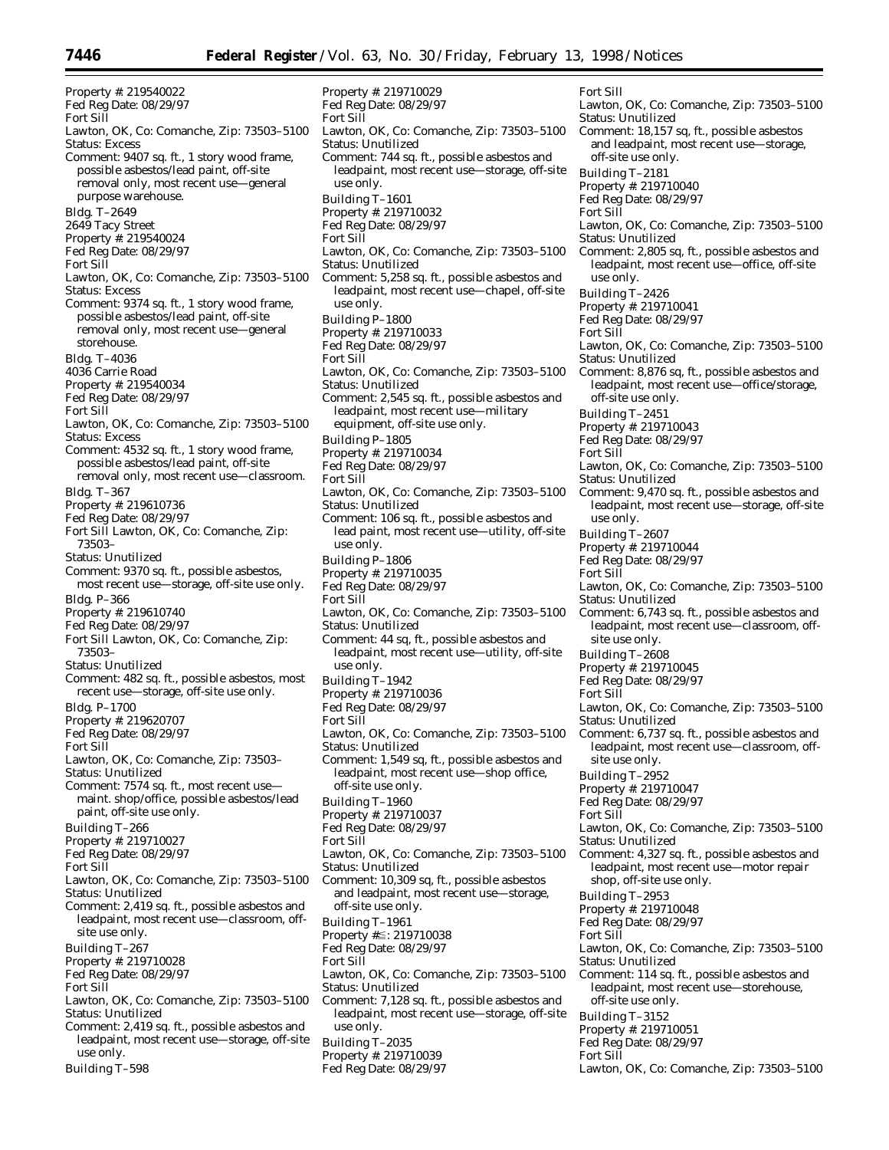Property #: 219710029 Fed Reg Date: 08/29/97

Fort Sill

Property #: 219540022 Fed Reg Date: 08/29/97 Fort Sill Lawton, OK, Co: Comanche, Zip: 73503–5100 Status: Excess Comment: 9407 sq. ft., 1 story wood frame, possible asbestos/lead paint, off-site removal only, most recent use—general purpose warehouse. Bldg. T–2649 2649 Tacy Street Property #: 219540024 Fed Reg Date: 08/29/97 Fort Sill Lawton, OK, Co: Comanche, Zip: 73503–5100 Status: Excess Comment: 9374 sq. ft., 1 story wood frame, possible asbestos/lead paint, off-site removal only, most recent use—general storehouse. Bldg. T–4036 4036 Carrie Road Property #: 219540034 Fed Reg Date: 08/29/97 Fort Sill Lawton, OK, Co: Comanche, Zip: 73503–5100 Status: Excess Comment: 4532 sq. ft., 1 story wood frame, possible asbestos/lead paint, off-site removal only, most recent use—classroom. Bldg. T–367 Property #: 219610736 Fed Reg Date: 08/29/97 Fort Sill Lawton, OK, Co: Comanche, Zip: 73503– Status: Unutilized Comment: 9370 sq. ft., possible asbestos, most recent use—storage, off-site use only. Bldg. P–366 Property #: 219610740 Fed Reg Date: 08/29/97 Fort Sill Lawton, OK, Co: Comanche, Zip: 73503– Status: Unutilized Comment: 482 sq. ft., possible asbestos, most recent use—storage, off-site use only. Bldg. P–1700 Property #: 219620707 Fed Reg Date: 08/29/97 Fort Sill Lawton, OK, Co: Comanche, Zip: 73503– Status: Unutilized Comment: 7574 sq. ft., most recent use maint. shop/office, possible asbestos/lead paint, off-site use only. Building T–266 Property #: 219710027 Fed Reg Date: 08/29/97 Fort Sill Lawton, OK, Co: Comanche, Zip: 73503–5100 Status: Unutilized Comment: 2,419 sq. ft., possible asbestos and leadpaint, most recent use—classroom, offsite use only. Building T–267 Property #: 219710028 Fed Reg Date: 08/29/97 Fort Sill Lawton, OK, Co: Comanche, Zip: 73503–5100 Status: Unutilized Comment: 2,419 sq. ft., possible asbestos and leadpaint, most recent use—storage, off-site use only. Building T–598

Status: Unutilized Comment: 744 sq. ft., possible asbestos and leadpaint, most recent use—storage, off-site use only. Building T–1601 Property #: 219710032 Fed Reg Date: 08/29/97 Fort Sill Lawton, OK, Co: Comanche, Zip: 73503–5100 Status: Unutilized Comment: 5,258 sq. ft., possible asbestos and leadpaint, most recent use—chapel, off-site use only. Building P–1800 Property #: 219710033 Fed Reg Date: 08/29/97 Fort Sill Lawton, OK, Co: Comanche, Zip: 73503–5100 Status: Unutilized Comment: 2,545 sq. ft., possible asbestos and leadpaint, most recent use—military equipment, off-site use only. Building P–1805 Property #: 219710034 Fed Reg Date: 08/29/97 Fort Sill Lawton, OK, Co: Comanche, Zip: 73503–5100 Status: Unutilized Comment: 106 sq. ft., possible asbestos and lead paint, most recent use—utility, off-site use only. Building P–1806 Property #: 219710035 Fed Reg Date: 08/29/97 Fort Sill Lawton, OK, Co: Comanche, Zip: 73503–5100 Status: Unutilized Comment: 44 sq, ft., possible asbestos and leadpaint, most recent use—utility, off-site use only. Building T–1942 Property #: 219710036 Fed Reg Date: 08/29/97 Fort Sill Lawton, OK, Co: Comanche, Zip: 73503–5100 Status: Unutilized Comment: 1,549 sq, ft., possible asbestos and leadpaint, most recent use—shop office, off-site use only. Building T–1960 Property #: 219710037 Fed Reg Date: 08/29/97 Fort Sill Lawton, OK, Co: Comanche, Zip: 73503–5100 Status: Unutilized Comment: 10,309 sq, ft., possible asbestos and leadpaint, most recent use—storage, off-site use only. Building T–1961 Property #≦: 219710038 Fed Reg Date: 08/29/97 Fort Sill Lawton, OK, Co: Comanche, Zip: 73503–5100 Status: Unutilized Comment: 7,128 sq. ft., possible asbestos and leadpaint, most recent use—storage, off-site use only.

Lawton, OK, Co: Comanche, Zip: 73503–5100 Fort Sill Lawton, OK, Co: Comanche, Zip: 73503–5100 Status: Unutilized Comment: 18,157 sq, ft., possible asbestos and leadpaint, most recent use—storage, off-site use only. Building T–2181 Property #: 219710040 Fed Reg Date: 08/29/97 Fort Sill Lawton, OK, Co: Comanche, Zip: 73503–5100 Status: Unutilized Comment: 2,805 sq, ft., possible asbestos and leadpaint, most recent use—office, off-site use only. Building T–2426 Property #: 219710041 Fed Reg Date: 08/29/97 Fort Sill Lawton, OK, Co: Comanche, Zip: 73503–5100 Status: Unutilized Comment: 8,876 sq, ft., possible asbestos and leadpaint, most recent use—office/storage, off-site use only. Building T–2451 Property #: 219710043 Fed Reg Date: 08/29/97 Fort Sill Lawton, OK, Co: Comanche, Zip: 73503–5100 Status: Unutilized Comment: 9,470 sq. ft., possible asbestos and leadpaint, most recent use—storage, off-site use only. Building T–2607 Property #: 219710044 Fed Reg Date: 08/29/97 Fort Sill Lawton, OK, Co: Comanche, Zip: 73503–5100 Status: Unutilized Comment: 6,743 sq. ft., possible asbestos and leadpaint, most recent use—classroom, offsite use only. Building T–2608 Property #: 219710045 Fed Reg Date: 08/29/97 Fort Sill Lawton, OK, Co: Comanche, Zip: 73503–5100 Status: Unutilized Comment: 6,737 sq. ft., possible asbestos and leadpaint, most recent use—classroom, offsite use only. Building T–2952 Property #: 219710047 Fed Reg Date: 08/29/97 Fort Sill Lawton, OK, Co: Comanche, Zip: 73503–5100 Status: Unutilized Comment: 4,327 sq. ft., possible asbestos and leadpaint, most recent use—motor repair shop, off-site use only. Building T–2953 Property #: 219710048 Fed Reg Date: 08/29/97 Fort Sill Lawton, OK, Co: Comanche, Zip: 73503–5100 Status: Unutilized Comment: 114 sq. ft., possible asbestos and leadpaint, most recent use—storehouse, off-site use only.

Building T–3152 Property #: 219710051

Building T–2035

Property #: 219710039

Fed Reg Date: 08/29/97

Fed Reg Date: 08/29/97

Fort Sill

Lawton, OK, Co: Comanche, Zip: 73503–5100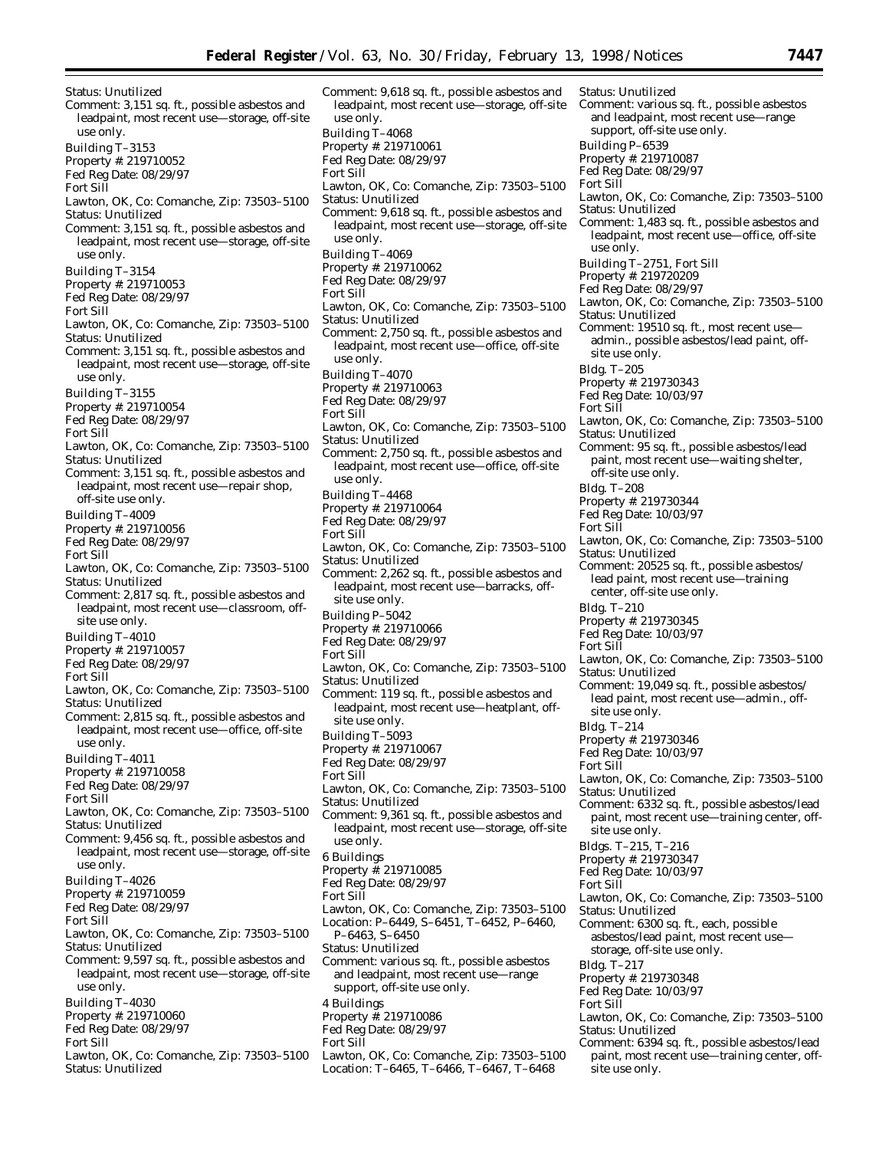Status: Unutilized Comment: 3,151 sq. ft., possible asbestos and leadpaint, most recent use—storage, off-site use only. Building T–3153 Property #: 219710052 Fed Reg Date: 08/29/97 Fort Sill Lawton, OK, Co: Comanche, Zip: 73503–5100 Status: Unutilized Comment: 3,151 sq. ft., possible asbestos and leadpaint, most recent use—storage, off-site use only. Building T–3154 Property #: 219710053 Fed Reg Date: 08/29/97 Fort Sill Lawton, OK, Co: Comanche, Zip: 73503–5100 Status: Unutilized Comment: 3,151 sq. ft., possible asbestos and leadpaint, most recent use—storage, off-site use only. Building T–3155 Property #: 219710054 Fed Reg Date: 08/29/97 Fort Sill Lawton, OK, Co: Comanche, Zip: 73503–5100 Status: Unutilized Comment: 3,151 sq. ft., possible asbestos and leadpaint, most recent use—repair shop, off-site use only. Building T–4009 Property #: 219710056 Fed Reg Date: 08/29/97 Fort Sill Lawton, OK, Co: Comanche, Zip: 73503–5100 Status: Unutilized Comment: 2,817 sq. ft., possible asbestos and leadpaint, most recent use—classroom, offsite use only. Building T–4010 Property #: 219710057 Fed Reg Date: 08/29/97 Fort Sill Lawton, OK, Co: Comanche, Zip: 73503–5100 Status: Unutilized Comment: 2,815 sq. ft., possible asbestos and leadpaint, most recent use—office, off-site use only. Building T–4011 Property #: 219710058 Fed Reg Date: 08/29/97 Fort Sill Lawton, OK, Co: Comanche, Zip: 73503–5100 Status: Unutilized Comment: 9,456 sq. ft., possible asbestos and leadpaint, most recent use—storage, off-site use only. Building T–4026 Property #: 219710059 Fed Reg Date: 08/29/97 Fort Sill Lawton, OK, Co: Comanche, Zip: 73503–5100 Status: Unutilized Comment: 9,597 sq. ft., possible asbestos and leadpaint, most recent use—storage, off-site use only. Building T–4030

- Property #: 219710060
- Fed Reg Date: 08/29/97
- Fort Sill
- Lawton, OK, Co: Comanche, Zip: 73503–5100 Status: Unutilized

Comment: 9,618 sq. ft., possible asbestos and leadpaint, most recent use—storage, off-site use only. Building T–4068 Property #: 219710061 Fed Reg Date: 08/29/97 Fort Sill Lawton, OK, Co: Comanche, Zip: 73503–5100 Status: Unutilized Comment: 9,618 sq. ft., possible asbestos and leadpaint, most recent use—storage, off-site use only. Building T–4069 Property #: 219710062 Fed Reg Date: 08/29/97 Fort Sill Lawton, OK, Co: Comanche, Zip: 73503–5100 Status: Unutilized Comment: 2,750 sq. ft., possible asbestos and leadpaint, most recent use—office, off-site use only. Building T–4070 Property #: 219710063 Fed Reg Date: 08/29/97 Fort Sill Lawton, OK, Co: Comanche, Zip: 73503–5100 Status: Unutilized Comment: 2,750 sq. ft., possible asbestos and leadpaint, most recent use—office, off-site use only. Building T–4468 Property #: 219710064 Fed Reg Date: 08/29/97 Fort Sill Lawton, OK, Co: Comanche, Zip: 73503–5100 Status: Unutilized Comment: 2,262 sq. ft., possible asbestos and leadpaint, most recent use—barracks, offsite use only. Building P–5042 Property #: 219710066 Fed Reg Date: 08/29/97 Fort Sill Lawton, OK, Co: Comanche, Zip: 73503–5100 Status: Unutilized Comment: 119 sq. ft., possible asbestos and leadpaint, most recent use—heatplant, offsite use only. Building T–5093 Property #: 219710067 Fed Reg Date: 08/29/97 Fort Sill Lawton, OK, Co: Comanche, Zip: 73503–5100 Status: Unutilized Comment: 9,361 sq. ft., possible asbestos and leadpaint, most recent use—storage, off-site use only. 6 Buildings Property #: 219710085 Fed Reg Date: 08/29/97 Fort Sill Lawton, OK, Co: Comanche, Zip: 73503–5100 Location: P–6449, S–6451, T–6452, P–6460, P–6463, S–6450 Status: Unutilized Comment: various sq. ft., possible asbestos and leadpaint, most recent use—range support, off-site use only. 4 Buildings Property #: 219710086 Fed Reg Date: 08/29/97 Fort Sill Lawton, OK, Co: Comanche, Zip: 73503–5100

Location: T–6465, T–6466, T–6467, T–6468

Status: Unutilized Comment: various sq. ft., possible asbestos and leadpaint, most recent use—range support, off-site use only. Building P–6539 Property #: 219710087 Fed Reg Date: 08/29/97 Fort Sill Lawton, OK, Co: Comanche, Zip: 73503–5100 Status: Unutilized Comment: 1,483 sq. ft., possible asbestos and leadpaint, most recent use—office, off-site use only. Building T–2751, Fort Sill Property #: 219720209 Fed Reg Date: 08/29/97 Lawton, OK, Co: Comanche, Zip: 73503–5100 Status: Unutilized Comment: 19510 sq. ft., most recent use admin., possible asbestos/lead paint, offsite use only. Bldg. T–205 Property #: 219730343 Fed Reg Date: 10/03/97 Fort Sill Lawton, OK, Co: Comanche, Zip: 73503–5100 Status: Unutilized Comment: 95 sq. ft., possible asbestos/lead paint, most recent use—waiting shelter, off-site use only. Bldg. T–208 Property #: 219730344 Fed Reg Date: 10/03/97 Fort Sill Lawton, OK, Co: Comanche, Zip: 73503–5100 Status: Unutilized Comment: 20525 sq. ft., possible asbestos/ lead paint, most recent use—training center, off-site use only. Bldg. T–210 Property #: 219730345 Fed Reg Date: 10/03/97 Fort Sill Lawton, OK, Co: Comanche, Zip: 73503–5100 Status: Unutilized Comment: 19,049 sq. ft., possible asbestos/ lead paint, most recent use—admin., offsite use only. Bldg. T–214 Property #: 219730346 Fed Reg Date: 10/03/97 Fort Sill Lawton, OK, Co: Comanche, Zip: 73503–5100 Status: Unutilized Comment: 6332 sq. ft., possible asbestos/lead paint, most recent use—training center, offsite use only. Bldgs. T–215, T–216 Property #: 219730347 Fed Reg Date: 10/03/97 Fort Sill Lawton, OK, Co: Comanche, Zip: 73503–5100 Status: Unutilized Comment: 6300 sq. ft., each, possible asbestos/lead paint, most recent use storage, off-site use only. Bldg. T–217 Property #: 219730348 Fed Reg Date: 10/03/97 Fort Sill Lawton, OK, Co: Comanche, Zip: 73503–5100 Status: Unutilized Comment: 6394 sq. ft., possible asbestos/lead paint, most recent use—training center, offsite use only.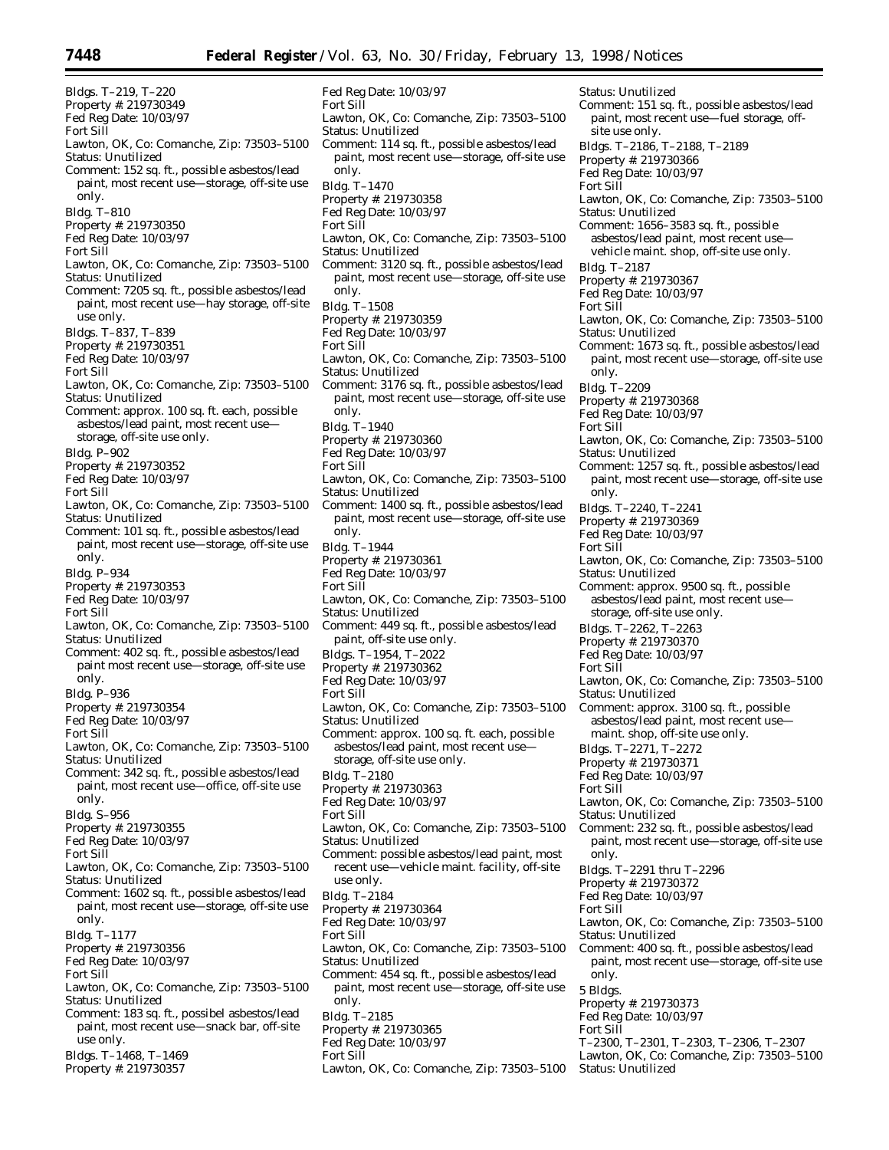Bldgs. T–219, T–220 Property #: 219730349 Fed Reg Date: 10/03/97 Fort Sill Lawton, OK, Co: Comanche, Zip: 73503–5100 Status: Unutilized Comment: 152 sq. ft., possible asbestos/lead paint, most recent use—storage, off-site use only. Bldg. T–810 Property #: 219730350 Fed Reg Date: 10/03/97 Fort Sill Lawton, OK, Co: Comanche, Zip: 73503–5100 Status: Unutilized Comment: 7205 sq. ft., possible asbestos/lead paint, most recent use—hay storage, off-site use only. Bldgs. T–837, T–839 Property #: 219730351 Fed Reg Date: 10/03/97 Fort Sill Lawton, OK, Co: Comanche, Zip: 73503–5100 Status: Unutilized Comment: approx. 100 sq. ft. each, possible asbestos/lead paint, most recent use storage, off-site use only. Bldg. P–902 Property #: 219730352 Fed Reg Date: 10/03/97 Fort Sill Lawton, OK, Co: Comanche, Zip: 73503–5100 Status: Unutilized Comment: 101 sq. ft., possible asbestos/lead paint, most recent use—storage, off-site use only. Bldg. P–934 Property #: 219730353 Fed Reg Date: 10/03/97 Fort Sill Lawton, OK, Co: Comanche, Zip: 73503–5100 Status: Unutilized Comment: 402 sq. ft., possible asbestos/lead paint most recent use—storage, off-site use only. Bldg. P–936 Property #: 219730354 Fed Reg Date: 10/03/97 Fort Sill Lawton, OK, Co: Comanche, Zip: 73503–5100 Status: Unutilized Comment: 342 sq. ft., possible asbestos/lead paint, most recent use—office, off-site use only. Bldg. S–956 Property #: 219730355 Fed Reg Date: 10/03/97 Fort Sill Lawton, OK, Co: Comanche, Zip: 73503–5100 Status: Unutilized Comment: 1602 sq. ft., possible asbestos/lead paint, most recent use—storage, off-site use only. Bldg. T–1177 Property #: 219730356 Fed Reg Date: 10/03/97 Fort Sill Lawton, OK, Co: Comanche, Zip: 73503–5100 Status: Unutilized Comment: 183 sq. ft., possibel asbestos/lead paint, most recent use—snack bar, off-site use only. Bldgs. T–1468, T–1469

Property #: 219730357

Fed Reg Date: 10/03/97 Fort Sill Lawton, OK, Co: Comanche, Zip: 73503–5100 Status: Unutilized Comment: 114 sq. ft., possible asbestos/lead paint, most recent use—storage, off-site use only. Bldg. T–1470 Property #: 219730358 Fed Reg Date: 10/03/97 Fort Sill Lawton, OK, Co: Comanche, Zip: 73503–5100 Status: Unutilized Comment: 3120 sq. ft., possible asbestos/lead paint, most recent use—storage, off-site use only. Bldg. T–1508 Property #: 219730359 Fed Reg Date: 10/03/97 Fort Sill Lawton, OK, Co: Comanche, Zip: 73503–5100 Status: Unutilized Comment: 3176 sq. ft., possible asbestos/lead paint, most recent use—storage, off-site use only. Bldg. T–1940 Property #: 219730360 Fed Reg Date: 10/03/97 Fort Sill Lawton, OK, Co: Comanche, Zip: 73503–5100 Status: Unutilized Comment: 1400 sq. ft., possible asbestos/lead paint, most recent use—storage, off-site use only. Bldg. T–1944 Property #: 219730361 Fed Reg Date: 10/03/97 Fort Sill Lawton, OK, Co: Comanche, Zip: 73503–5100 Status: Unutilized Comment: 449 sq. ft., possible asbestos/lead paint, off-site use only. Bldgs. T–1954, T–2022 Property #: 219730362 Fed Reg Date: 10/03/97 Fort Sill Lawton, OK, Co: Comanche, Zip: 73503–5100 Status: Unutilized Comment: approx. 100 sq. ft. each, possible asbestos/lead paint, most recent use storage, off-site use only. Bldg. T–2180 Property #: 219730363 Fed Reg Date: 10/03/97 Fort Sill Lawton, OK, Co: Comanche, Zip: 73503–5100 Status: Unutilized Comment: possible asbestos/lead paint, most recent use—vehicle maint. facility, off-site use only. Bldg. T–2184 Property #: 219730364 Fed Reg Date: 10/03/97 Fort Sill Lawton, OK, Co: Comanche, Zip: 73503–5100 Status: Unutilized Comment: 454 sq. ft., possible asbestos/lead paint, most recent use—storage, off-site use only. Bldg. T–2185 Property #: 219730365 Fed Reg Date: 10/03/97 Fort Sill Lawton, OK, Co: Comanche, Zip: 73503–5100

Status: Unutilized Comment: 151 sq. ft., possible asbestos/lead paint, most recent use—fuel storage, offsite use only. Bldgs. T–2186, T–2188, T–2189 Property #: 219730366 Fed Reg Date: 10/03/97 Fort Sill Lawton, OK, Co: Comanche, Zip: 73503–5100 Status: Unutilized Comment: 1656–3583 sq. ft., possible asbestos/lead paint, most recent use vehicle maint. shop, off-site use only. Bldg. T–2187 Property #: 219730367 Fed Reg Date: 10/03/97 Fort Sill Lawton, OK, Co: Comanche, Zip: 73503–5100 Status: Unutilized Comment: 1673 sq. ft., possible asbestos/lead paint, most recent use—storage, off-site use only. Bldg. T–2209 Property #: 219730368 Fed Reg Date: 10/03/97 Fort Sill Lawton, OK, Co: Comanche, Zip: 73503–5100 Status: Unutilized Comment: 1257 sq. ft., possible asbestos/lead paint, most recent use—storage, off-site use only. Bldgs. T–2240, T–2241 Property #: 219730369 Fed Reg Date: 10/03/97 Fort Sill Lawton, OK, Co: Comanche, Zip: 73503–5100 Status: Unutilized Comment: approx. 9500 sq. ft., possible asbestos/lead paint, most recent use storage, off-site use only. Bldgs. T–2262, T–2263 Property #: 219730370 Fed Reg Date: 10/03/97 Fort Sill Lawton, OK, Co: Comanche, Zip: 73503–5100 Status: Unutilized Comment: approx. 3100 sq. ft., possible asbestos/lead paint, most recent use maint. shop, off-site use only. Bldgs. T–2271, T–2272 Property #: 219730371 Fed Reg Date: 10/03/97 Fort Sill Lawton, OK, Co: Comanche, Zip: 73503–5100 Status: Unutilized Comment: 232 sq. ft., possible asbestos/lead paint, most recent use—storage, off-site use only. Bldgs. T–2291 thru T–2296 Property #: 219730372 Fed Reg Date: 10/03/97 Fort Sill Lawton, OK, Co: Comanche, Zip: 73503–5100 Status: Unutilized Comment: 400 sq. ft., possible asbestos/lead paint, most recent use—storage, off-site use only. 5 Bldgs. Property #: 219730373 Fed Reg Date: 10/03/97 Fort Sill T–2300, T–2301, T–2303, T–2306, T–2307 Lawton, OK, Co: Comanche, Zip: 73503–5100 Status: Unutilized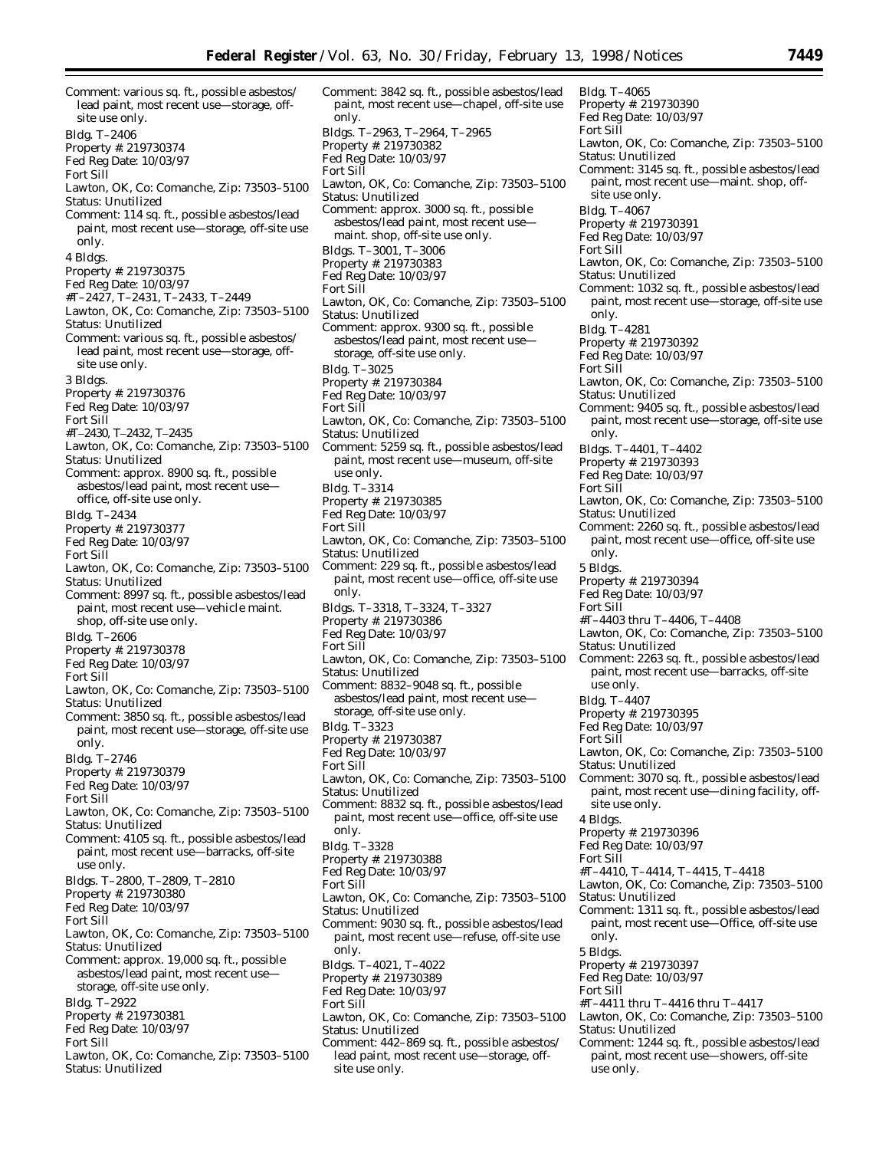Comment: various sq. ft., possible asbestos/ lead paint, most recent use—storage, offsite use only. Bldg. T–2406 Property #: 219730374 Fed Reg Date: 10/03/97 Fort Sill Lawton, OK, Co: Comanche, Zip: 73503–5100 Status: Unutilized Comment: 114 sq. ft., possible asbestos/lead paint, most recent use—storage, off-site use only. 4 Bldgs. Property #: 219730375 Fed Reg Date: 10/03/97 #T–2427, T–2431, T–2433, T–2449 Lawton, OK, Co: Comanche, Zip: 73503–5100 Status: Unutilized Comment: various sq. ft., possible asbestos/ lead paint, most recent use—storage, offsite use only. 3 Bldgs. Property #: 219730376 Fed Reg Date: 10/03/97 Fort Sill #Τ–2430, Τ–2432, Τ–2435 Lawton, OK, Co: Comanche, Zip: 73503–5100 Status: Unutilized Comment: approx. 8900 sq. ft., possible asbestos/lead paint, most recent use office, off-site use only. Bldg. T–2434 Property #: 219730377 Fed Reg Date: 10/03/97 Fort Sill Lawton, OK, Co: Comanche, Zip: 73503–5100 Status: Unutilized Comment: 8997 sq. ft., possible asbestos/lead paint, most recent use—vehicle maint. shop, off-site use only. Bldg. T–2606 Property #: 219730378 Fed Reg Date: 10/03/97 Fort Sill Lawton, OK, Co: Comanche, Zip: 73503–5100 Status: Unutilized Comment: 3850 sq. ft., possible asbestos/lead paint, most recent use—storage, off-site use only. Bldg. T–2746 Property #: 219730379 Fed Reg Date: 10/03/97 Fort Sill Lawton, OK, Co: Comanche, Zip: 73503–5100 Status: Unutilized Comment: 4105 sq. ft., possible asbestos/lead paint, most recent use—barracks, off-site use only. Bldgs. T–2800, T–2809, T–2810 Property #: 219730380 Fed Reg Date: 10/03/97 Fort Sill Lawton, OK, Co: Comanche, Zip: 73503–5100 Status: Unutilized Comment: approx. 19,000 sq. ft., possible asbestos/lead paint, most recent use storage, off-site use only. Bldg. T–2922 Property #: 219730381 Fed Reg Date: 10/03/97 Fort Sill Lawton, OK, Co: Comanche, Zip: 73503–5100

Status: Unutilized

Comment: 3842 sq. ft., possible asbestos/lead paint, most recent use—chapel, off-site use only. Bldgs. T–2963, T–2964, T–2965 Property #: 219730382 Fed Reg Date: 10/03/97 Fort Sill Lawton, OK, Co: Comanche, Zip: 73503–5100 Status: Unutilized Comment: approx. 3000 sq. ft., possible asbestos/lead paint, most recent use maint. shop, off-site use only. Bldgs. T–3001, T–3006 Property #: 219730383 Fed Reg Date: 10/03/97 Fort Sill Lawton, OK, Co: Comanche, Zip: 73503–5100 Status: Unutilized Comment: approx. 9300 sq. ft., possible asbestos/lead paint, most recent use storage, off-site use only. Bldg. T–3025 Property #: 219730384 Fed Reg Date: 10/03/97 Fort Sill Lawton, OK, Co: Comanche, Zip: 73503–5100 Status: Unutilized Comment: 5259 sq. ft., possible asbestos/lead paint, most recent use—museum, off-site use only. Bldg. T–3314 Property #: 219730385 Fed Reg Date: 10/03/97 Fort Sill Lawton, OK, Co: Comanche, Zip: 73503–5100 Status: Unutilized Comment: 229 sq. ft., possible asbestos/lead paint, most recent use—office, off-site use only. Bldgs. T–3318, T–3324, T–3327 Property #: 219730386 Fed Reg Date: 10/03/97 Fort Sill Lawton, OK, Co: Comanche, Zip: 73503–5100 Status: Unutilized Comment: 8832–9048 sq. ft., possible asbestos/lead paint, most recent use storage, off-site use only. Bldg. T–3323 Property #: 219730387 Fed Reg Date: 10/03/97 Fort Sill Lawton, OK, Co: Comanche, Zip: 73503–5100 Status: Unutilized Comment: 8832 sq. ft., possible asbestos/lead paint, most recent use—office, off-site use only. Bldg. T–3328 Property #: 219730388 Fed Reg Date: 10/03/97 Fort Sill Lawton, OK, Co: Comanche, Zip: 73503–5100 Status: Unutilized Comment: 9030 sq. ft., possible asbestos/lead paint, most recent use—refuse, off-site use only. Bldgs. T–4021, T–4022 Property #: 219730389 Fed Reg Date: 10/03/97 Fort Sill Lawton, OK, Co: Comanche, Zip: 73503–5100 Status: Unutilized Comment: 442–869 sq. ft., possible asbestos/

lead paint, most recent use—storage, offsite use only.

Bldg. T–4065 Property #: 219730390 Fed Reg Date: 10/03/97 Fort Sill Lawton, OK, Co: Comanche, Zip: 73503–5100 Status: Unutilized Comment: 3145 sq. ft., possible asbestos/lead paint, most recent use—maint. shop, offsite use only. Bldg. T–4067 Property #: 219730391 Fed Reg Date: 10/03/97 Fort Sill Lawton, OK, Co: Comanche, Zip: 73503–5100 Status: Unutilized Comment: 1032 sq. ft., possible asbestos/lead paint, most recent use—storage, off-site use only. Bldg. T–4281 Property #: 219730392 Fed Reg Date: 10/03/97 Fort Sill Lawton, OK, Co: Comanche, Zip: 73503–5100 Status: Unutilized Comment: 9405 sq. ft., possible asbestos/lead paint, most recent use—storage, off-site use only. Bldgs. T–4401, T–4402 Property #: 219730393 Fed Reg Date: 10/03/97 Fort Sill Lawton, OK, Co: Comanche, Zip: 73503–5100 Status: Unutilized Comment: 2260 sq. ft., possible asbestos/lead paint, most recent use—office, off-site use only. 5 Bldgs. Property #: 219730394 Fed Reg Date: 10/03/97 Fort Sill #T–4403 thru T–4406, T–4408 Lawton, OK, Co: Comanche, Zip: 73503–5100 Status: Unutilized Comment: 2263 sq. ft., possible asbestos/lead paint, most recent use—barracks, off-site use only. Bldg. T–4407 Property #: 219730395 Fed Reg Date: 10/03/97 Fort Sill Lawton, OK, Co: Comanche, Zip: 73503–5100 Status: Unutilized Comment: 3070 sq. ft., possible asbestos/lead paint, most recent use—dining facility, offsite use only. 4 Bldgs. Property #: 219730396 Fed Reg Date: 10/03/97 Fort Sill #T–4410, T–4414, T–4415, T–4418 Lawton, OK, Co: Comanche, Zip: 73503–5100 Status: Unutilized Comment: 1311 sq. ft., possible asbestos/lead paint, most recent use—Office, off-site use only. 5 Bldgs. Property #: 219730397 Fed Reg Date: 10/03/97 Fort Sill #T–4411 thru T–4416 thru T–4417 Lawton, OK, Co: Comanche, Zip: 73503–5100 Status: Unutilized Comment: 1244 sq. ft., possible asbestos/lead paint, most recent use—showers, off-site use only.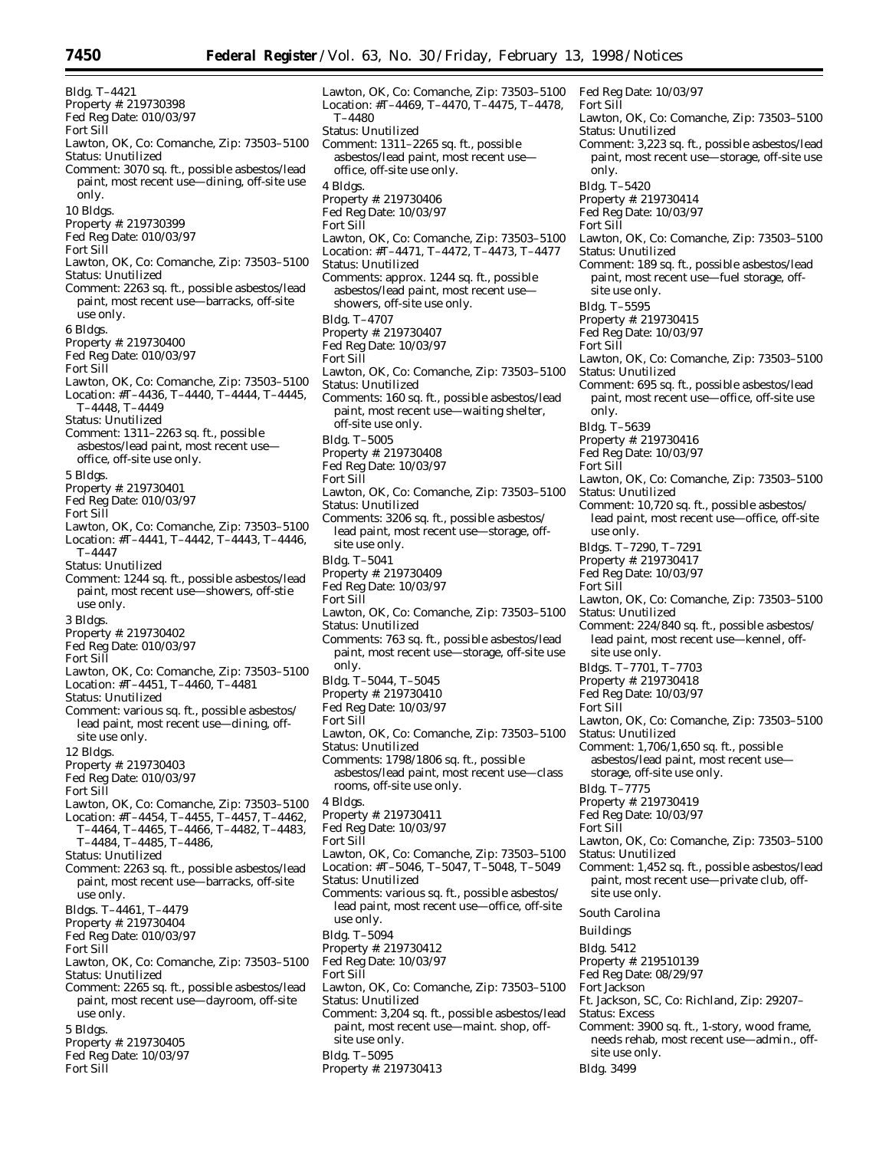Bldg. T–4421 Property #: 219730398 Fed Reg Date: 010/03/97 Fort Sill Lawton, OK, Co: Comanche, Zip: 73503–5100 Status: Unutilized Comment: 3070 sq. ft., possible asbestos/lead paint, most recent use—dining, off-site use only. 10 Bldgs. Property #: 219730399 Fed Reg Date: 010/03/97 Fort Sill Lawton, OK, Co: Comanche, Zip: 73503–5100 Status: Unutilized Comment: 2263 sq. ft., possible asbestos/lead paint, most recent use—barracks, off-site use only. 6 Bldgs. Property #: 219730400 Fed Reg Date: 010/03/97 Fort Sill Lawton, OK, Co: Comanche, Zip: 73503–5100 Location: #T–4436, T–4440, T–4444, T–4445, T–4448, T–4449 Status: Unutilized Comment: 1311–2263 sq. ft., possible asbestos/lead paint, most recent use office, off-site use only. 5 Bldgs. Property #: 219730401 Fed Reg Date: 010/03/97 Fort Sill Lawton, OK, Co: Comanche, Zip: 73503–5100 Location: #T–4441, T–4442, T–4443, T–4446, T–4447 Status: Unutilized Comment: 1244 sq. ft., possible asbestos/lead paint, most recent use—showers, off-stie use only. 3 Bldgs. Property #: 219730402 Fed Reg Date: 010/03/97 Fort Sill Lawton, OK, Co: Comanche, Zip: 73503–5100 Location: #T–4451, T–4460, T–4481 Status: Unutilized Comment: various sq. ft., possible asbestos/ lead paint, most recent use—dining, offsite use only. 12 Bldgs. Property #: 219730403 Fed Reg Date: 010/03/97 Fort Sill Lawton, OK, Co: Comanche, Zip: 73503–5100 Location: #T–4454, T–4455, T–4457, T–4462, T–4464, T–4465, T–4466, T–4482, T–4483, T–4484, T–4485, T–4486, Status: Unutilized Comment: 2263 sq. ft., possible asbestos/lead paint, most recent use—barracks, off-site use only. Bldgs. T–4461, T–4479 Property #: 219730404 Fed Reg Date: 010/03/97 Fort Sill Lawton, OK, Co: Comanche, Zip: 73503–5100 Status: Unutilized Comment: 2265 sq. ft., possible asbestos/lead paint, most recent use—dayroom, off-site use only. 5 Bldgs. Property #: 219730405 Fed Reg Date: 10/03/97

Fort Sill

Lawton, OK, Co: Comanche, Zip: 73503–5100 Location: #T–4469, T–4470, T–4475, T–4478, T–4480 Status: Unutilized Comment: 1311–2265 sq. ft., possible asbestos/lead paint, most recent use office, off-site use only. 4 Bldgs. Property #: 219730406 Fed Reg Date: 10/03/97 Fort Sill Lawton, OK, Co: Comanche, Zip: 73503–5100 Location: #T–4471, T–4472, T–4473, T–4477 Status: Unutilized Comments: approx. 1244 sq. ft., possible asbestos/lead paint, most recent use showers, off-site use only. Bldg. T–4707 Property #: 219730407 Fed Reg Date: 10/03/97 Fort Sill Lawton, OK, Co: Comanche, Zip: 73503–5100 Status: Unutilized Comments: 160 sq. ft., possible asbestos/lead paint, most recent use—waiting shelter, off-site use only. Bldg. T–5005 Property #: 219730408 Fed Reg Date: 10/03/97 Fort Sill Lawton, OK, Co: Comanche, Zip: 73503–5100 Status: Unutilized Comments: 3206 sq. ft., possible asbestos/ lead paint, most recent use—storage, offsite use only. Bldg. T–5041 Property #: 219730409 Fed Reg Date: 10/03/97 Fort Sill Lawton, OK, Co: Comanche, Zip: 73503–5100 Status: Unutilized Comments: 763 sq. ft., possible asbestos/lead paint, most recent use—storage, off-site use only. Bldg. T–5044, T–5045 Property #: 219730410 Fed Reg Date: 10/03/97 Fort Sill Lawton, OK, Co: Comanche, Zip: 73503–5100 Status: Unutilized Comments: 1798/1806 sq. ft., possible asbestos/lead paint, most recent use—class rooms, off-site use only. 4 Bldgs. Property #: 219730411 Fed Reg Date: 10/03/97 Fort Sill Lawton, OK, Co: Comanche, Zip: 73503–5100 Location: #T–5046, T–5047, T–5048, T–5049 Status: Unutilized Comments: various sq. ft., possible asbestos/ lead paint, most recent use—office, off-site use only. Bldg. T–5094 Property #: 219730412 Fed Reg Date: 10/03/97 Fort Sill Lawton, OK, Co: Comanche, Zip: 73503–5100 Status: Unutilized Comment: 3,204 sq. ft., possible asbestos/lead paint, most recent use—maint. shop, offsite use only.

Bldg. T–5095 Property #: 219730413 Fed Reg Date: 10/03/97 Fort Sill Lawton, OK, Co: Comanche, Zip: 73503–5100 Status: Unutilized Comment: 3,223 sq. ft., possible asbestos/lead paint, most recent use—storage, off-site use only. Bldg. T–5420 Property #: 219730414 Fed Reg Date: 10/03/97 Fort Sill Lawton, OK, Co: Comanche, Zip: 73503–5100 Status: Unutilized Comment: 189 sq. ft., possible asbestos/lead paint, most recent use—fuel storage, offsite use only. Bldg. T–5595 Property #: 219730415 Fed Reg Date: 10/03/97 Fort Sill Lawton, OK, Co: Comanche, Zip: 73503–5100 Status: Unutilized Comment: 695 sq. ft., possible asbestos/lead paint, most recent use—office, off-site use only. Bldg. T–5639 Property #: 219730416 Fed Reg Date: 10/03/97 Fort Sill Lawton, OK, Co: Comanche, Zip: 73503–5100 Status: Unutilized Comment: 10,720 sq. ft., possible asbestos/ lead paint, most recent use—office, off-site use only. Bldgs. T–7290, T–7291 Property #: 219730417 Fed Reg Date: 10/03/97 Fort Sill Lawton, OK, Co: Comanche, Zip: 73503–5100 Status: Unutilized Comment: 224/840 sq. ft., possible asbestos/ lead paint, most recent use—kennel, offsite use only. Bldgs. T–7701, T–7703 Property #: 219730418 Fed Reg Date: 10/03/97 Fort Sill Lawton, OK, Co: Comanche, Zip: 73503–5100 Status: Unutilized Comment: 1,706/1,650 sq. ft., possible asbestos/lead paint, most recent use storage, off-site use only. Bldg. T–7775 Property #: 219730419 Fed Reg Date: 10/03/97 Fort Sill Lawton, OK, Co: Comanche, Zip: 73503–5100 Status: Unutilized Comment: 1,452 sq. ft., possible asbestos/lead paint, most recent use—private club, offsite use only. *South Carolina* Buildings Bldg. 5412 Property #: 219510139 Fed Reg Date: 08/29/97 Fort Jackson Ft. Jackson, SC, Co: Richland, Zip: 29207– Status: Excess Comment: 3900 sq. ft., 1-story, wood frame, needs rehab, most recent use—admin., off-

site use only. Bldg. 3499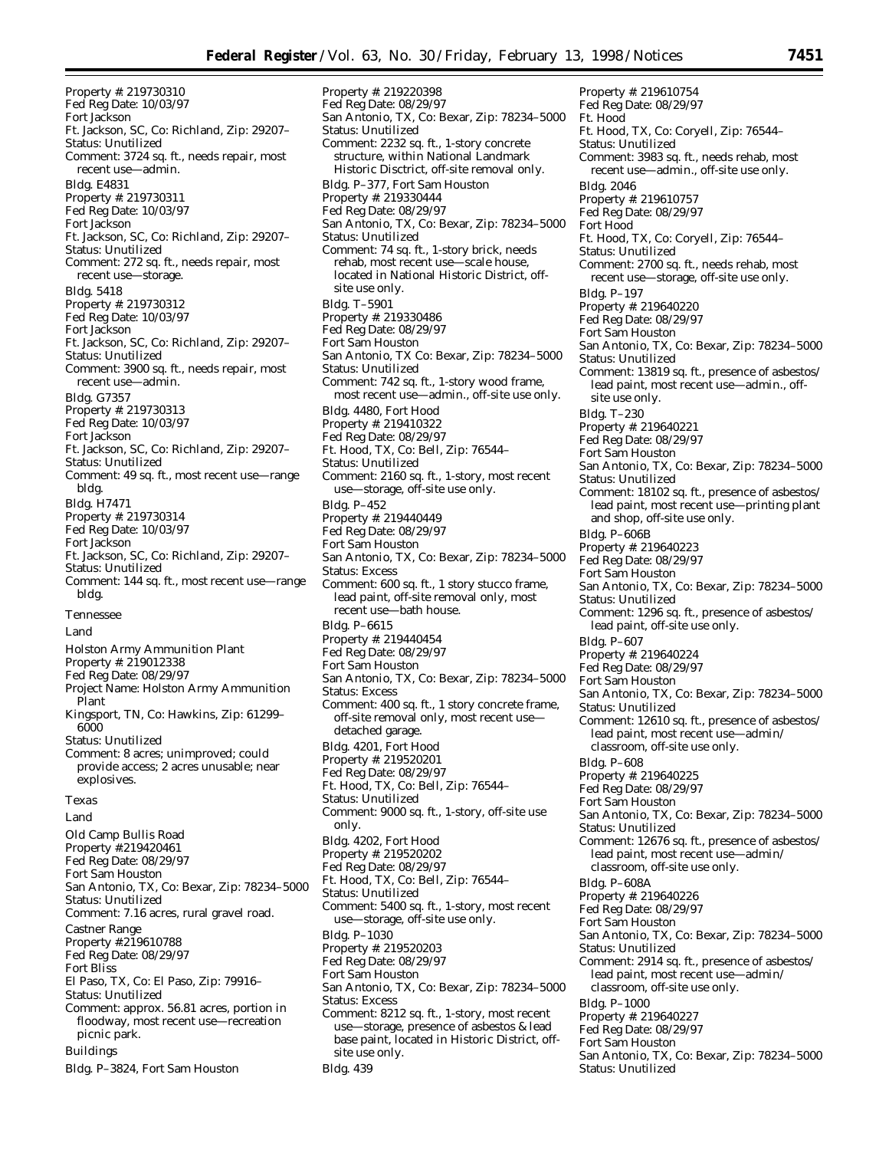Property #: 219730310 Fed Reg Date: 10/03/97 Fort Jackson Ft. Jackson, SC, Co: Richland, Zip: 29207– Status: Unutilized Comment: 3724 sq. ft., needs repair, most recent use—admin. Bldg. E4831 Property #: 219730311 Fed Reg Date: 10/03/97 Fort Jackson Ft. Jackson, SC, Co: Richland, Zip: 29207– Status: Unutilized Comment: 272 sq. ft., needs repair, most recent use—storage. Bldg. 5418 Property #: 219730312 Fed Reg Date: 10/03/97 Fort Jackson Ft. Jackson, SC, Co: Richland, Zip: 29207– Status: Unutilized Comment: 3900 sq. ft., needs repair, most recent use—admin. Bldg. G7357 Property #: 219730313 Fed Reg Date: 10/03/97 Fort Jackson Ft. Jackson, SC, Co: Richland, Zip: 29207– Status: Unutilized Comment: 49 sq. ft., most recent use—range bldg. Bldg. H7471 Property #: 219730314 Fed Reg Date: 10/03/97 Fort Jackson Ft. Jackson, SC, Co: Richland, Zip: 29207– Status: Unutilized Comment: 144 sq. ft., most recent use—range bldg. *Tennessee* Land Holston Army Ammunition Plant Property #: 219012338 Fed Reg Date: 08/29/97 Project Name: Holston Army Ammunition Plant Kingsport, TN, Co: Hawkins, Zip: 61299– 6000 Status: Unutilized Comment: 8 acres; unimproved; could provide access; 2 acres unusable; near explosives. *Texas* Land Old Camp Bullis Road Property #:219420461 Fed Reg Date: 08/29/97 Fort Sam Houston San Antonio, TX, Co: Bexar, Zip: 78234–5000 Status: Unutilized Comment: 7.16 acres, rural gravel road. Castner Range Property #:219610788 Fed Reg Date: 08/29/97 Fort Bliss El Paso, TX, Co: El Paso, Zip: 79916– Status: Unutilized Comment: approx. 56.81 acres, portion in floodway, most recent use—recreation picnic park. Buildings Bldg. P–3824, Fort Sam Houston

Property #: 219220398 Fed Reg Date: 08/29/97 San Antonio, TX, Co: Bexar, Zip: 78234–5000 Status: Unutilized Comment: 2232 sq. ft., 1-story concrete structure, within National Landmark Historic Disctrict, off-site removal only. Bldg. P–377, Fort Sam Houston Property #: 219330444 Fed Reg Date: 08/29/97 San Antonio, TX, Co: Bexar, Zip: 78234–5000 Status: Unutilized Comment: 74 sq. ft., 1-story brick, needs rehab, most recent use—scale house, located in National Historic District, offsite use only. Bldg. T–5901 Property #: 219330486 Fed Reg Date: 08/29/97 Fort Sam Houston San Antonio, TX Co: Bexar, Zip: 78234–5000 Status: Unutilized Comment: 742 sq. ft., 1-story wood frame, most recent use—admin., off-site use only. Bldg. 4480, Fort Hood Property #: 219410322 Fed Reg Date: 08/29/97 Ft. Hood, TX, Co: Bell, Zip: 76544– Status: Unutilized Comment: 2160 sq. ft., 1-story, most recent use—storage, off-site use only. Bldg. P–452 Property #: 219440449 Fed Reg Date: 08/29/97 Fort Sam Houston San Antonio, TX, Co: Bexar, Zip: 78234–5000 Status: Excess Comment: 600 sq. ft., 1 story stucco frame, lead paint, off-site removal only, most recent use—bath house. Bldg. P–6615 Property #: 219440454 Fed Reg Date: 08/29/97 Fort Sam Houston San Antonio, TX, Co: Bexar, Zip: 78234–5000 Status: Excess Comment: 400 sq. ft., 1 story concrete frame, off-site removal only, most recent use detached garage. Bldg. 4201, Fort Hood Property #: 219520201 Fed Reg Date: 08/29/97 Ft. Hood, TX, Co: Bell, Zip: 76544– Status: Unutilized Comment: 9000 sq. ft., 1-story, off-site use only. Bldg. 4202, Fort Hood Property #: 219520202 Fed Reg Date: 08/29/97 Ft. Hood, TX, Co: Bell, Zip: 76544– Status: Unutilized Comment: 5400 sq. ft., 1-story, most recent use—storage, off-site use only. Bldg. P–1030 Property #: 219520203 Fed Reg Date: 08/29/97 Fort Sam Houston San Antonio, TX, Co: Bexar, Zip: 78234–5000 Status: Excess Comment: 8212 sq. ft., 1-story, most recent use—storage, presence of asbestos & lead base paint, located in Historic District, offsite use only. Bldg. 439

Property #: 219610754 Fed Reg Date: 08/29/97 Ft. Hood Ft. Hood, TX, Co: Coryell, Zip: 76544– Status: Unutilized Comment: 3983 sq. ft., needs rehab, most recent use—admin., off-site use only. Bldg. 2046 Property #: 219610757 Fed Reg Date: 08/29/97 Fort Hood Ft. Hood, TX, Co: Coryell, Zip: 76544– Status: Unutilized Comment: 2700 sq. ft., needs rehab, most recent use—storage, off-site use only. Bldg. P–197 Property #: 219640220 Fed Reg Date: 08/29/97 Fort Sam Houston San Antonio, TX, Co: Bexar, Zip: 78234–5000 Status: Unutilized Comment: 13819 sq. ft., presence of asbestos/ lead paint, most recent use—admin., offsite use only. Bldg. T–230 Property #: 219640221 Fed Reg Date: 08/29/97 Fort Sam Houston San Antonio, TX, Co: Bexar, Zip: 78234–5000 Status: Unutilized Comment: 18102 sq. ft., presence of asbestos/ lead paint, most recent use—printing plant and shop, off-site use only. Bldg. P–606B Property #: 219640223 Fed Reg Date: 08/29/97 Fort Sam Houston San Antonio, TX, Co: Bexar, Zip: 78234–5000 Status: Unutilized Comment: 1296 sq. ft., presence of asbestos/ lead paint, off-site use only. Bldg. P–607 Property #: 219640224 Fed Reg Date: 08/29/97 Fort Sam Houston San Antonio, TX, Co: Bexar, Zip: 78234–5000 Status: Unutilized Comment: 12610 sq. ft., presence of asbestos/ lead paint, most recent use—admin/ classroom, off-site use only. Bldg. P–608 Property #: 219640225 Fed Reg Date: 08/29/97 Fort Sam Houston San Antonio, TX, Co: Bexar, Zip: 78234–5000 Status: Unutilized Comment: 12676 sq. ft., presence of asbestos/ lead paint, most recent use—admin/ classroom, off-site use only. Bldg. P–608A Property #: 219640226 Fed Reg Date: 08/29/97 Fort Sam Houston San Antonio, TX, Co: Bexar, Zip: 78234–5000 Status: Unutilized Comment: 2914 sq. ft., presence of asbestos/ lead paint, most recent use—admin/ classroom, off-site use only. Bldg. P–1000 Property #: 219640227 Fed Reg Date: 08/29/97 Fort Sam Houston San Antonio, TX, Co: Bexar, Zip: 78234–5000 Status: Unutilized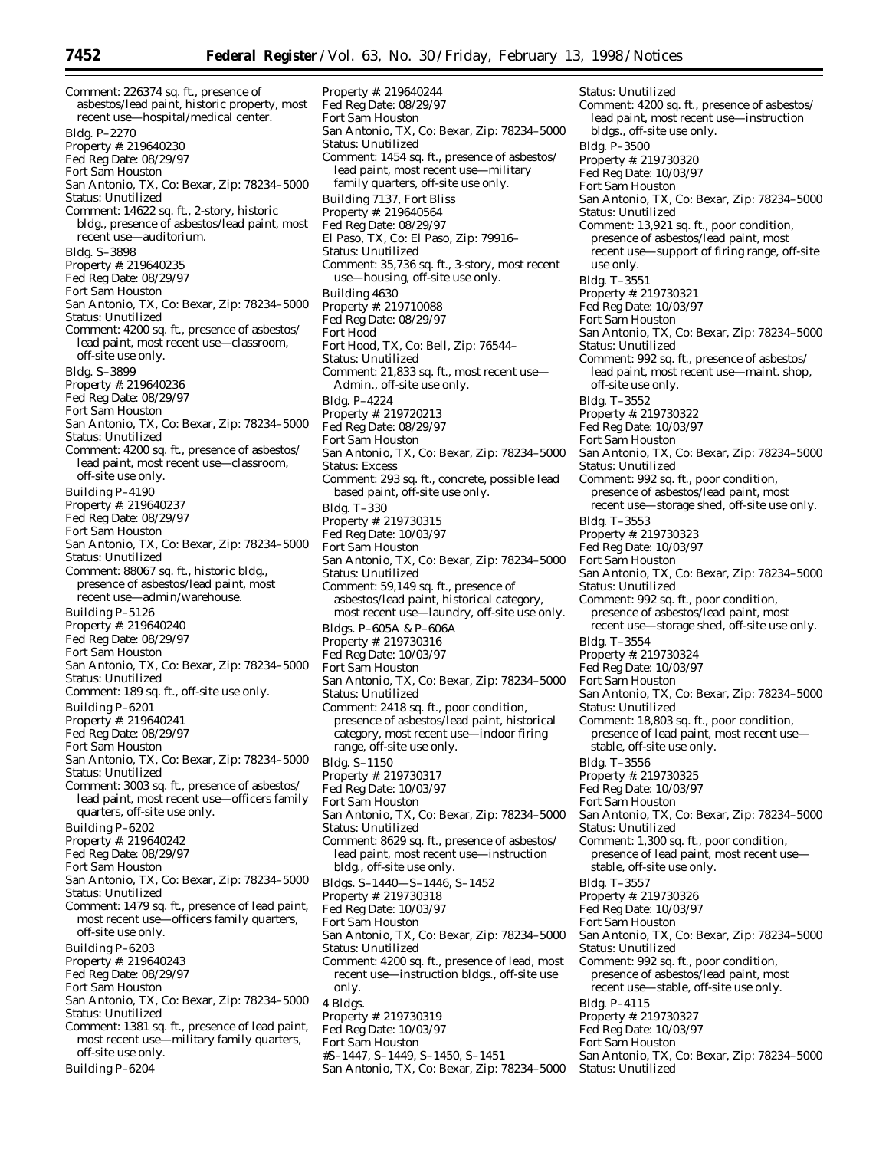Comment: 226374 sq. ft., presence of asbestos/lead paint, historic property, most recent use—hospital/medical center. Bldg. P–2270 Property #: 219640230 Fed Reg Date: 08/29/97 Fort Sam Houston San Antonio, TX, Co: Bexar, Zip: 78234–5000 Status: Unutilized Comment: 14622 sq. ft., 2-story, historic bldg., presence of asbestos/lead paint, most recent use—auditorium. Bldg. S–3898 Property #: 219640235 Fed Reg Date: 08/29/97 Fort Sam Houston San Antonio, TX, Co: Bexar, Zip: 78234–5000 Status: Unutilized Comment: 4200 sq. ft., presence of asbestos/ lead paint, most recent use—classroom, off-site use only. Bldg. S–3899 Property #: 219640236 Fed Reg Date: 08/29/97 Fort Sam Houston San Antonio, TX, Co: Bexar, Zip: 78234–5000 Status: Unutilized Comment: 4200 sq. ft., presence of asbestos/ lead paint, most recent use—classroom, off-site use only. Building P–4190 Property #: 219640237 Fed Reg Date: 08/29/97 Fort Sam Houston San Antonio, TX, Co: Bexar, Zip: 78234–5000 Status: Unutilized Comment: 88067 sq. ft., historic bldg., presence of asbestos/lead paint, most recent use—admin/warehouse. Building P–5126 Property #: 219640240 Fed Reg Date: 08/29/97 Fort Sam Houston San Antonio, TX, Co: Bexar, Zip: 78234–5000 Status: Unutilized Comment: 189 sq. ft., off-site use only. Building P–6201 Property #: 219640241 Fed Reg Date: 08/29/97 Fort Sam Houston San Antonio, TX, Co: Bexar, Zip: 78234–5000 Status: Unutilized Comment: 3003 sq. ft., presence of asbestos/ lead paint, most recent use—officers family quarters, off-site use only. Building P–6202 Property #: 219640242 Fed Reg Date: 08/29/97 Fort Sam Houston San Antonio, TX, Co: Bexar, Zip: 78234–5000 Status: Unutilized Comment: 1479 sq. ft., presence of lead paint, most recent use—officers family quarters, off-site use only. Building P–6203 Property #: 219640243 Fed Reg Date: 08/29/97 Fort Sam Houston San Antonio, TX, Co: Bexar, Zip: 78234–5000 Status: Unutilized Comment: 1381 sq. ft., presence of lead paint, most recent use—military family quarters, off-site use only.

Building P–6204

Property #: 219640244 Fed Reg Date: 08/29/97 Fort Sam Houston San Antonio, TX, Co: Bexar, Zip: 78234–5000 Status: Unutilized Comment: 1454 sq. ft., presence of asbestos/ lead paint, most recent use—military family quarters, off-site use only. Building 7137, Fort Bliss Property #: 219640564 Fed Reg Date: 08/29/97 El Paso, TX, Co: El Paso, Zip: 79916– Status: Unutilized Comment: 35,736 sq. ft., 3-story, most recent use—housing, off-site use only. Building 4630 Property #: 219710088 Fed Reg Date: 08/29/97 Fort Hood Fort Hood, TX, Co: Bell, Zip: 76544– Status: Unutilized Comment: 21,833 sq. ft., most recent use— Admin., off-site use only. Bldg. P–4224 Property #: 219720213 Fed Reg Date: 08/29/97 Fort Sam Houston San Antonio, TX, Co: Bexar, Zip: 78234–5000 Status: Excess Comment: 293 sq. ft., concrete, possible lead based paint, off-site use only. Bldg. T–330 Property #: 219730315 Fed Reg Date: 10/03/97 Fort Sam Houston San Antonio, TX, Co: Bexar, Zip: 78234–5000 Status: Unutilized Comment: 59,149 sq. ft., presence of asbestos/lead paint, historical category, most recent use—laundry, off-site use only. Bldgs. P–605A & P–606A Property #: 219730316 Fed Reg Date: 10/03/97 Fort Sam Houston San Antonio, TX, Co: Bexar, Zip: 78234–5000 Status: Unutilized Comment: 2418 sq. ft., poor condition, presence of asbestos/lead paint, historical category, most recent use—indoor firing range, off-site use only. Bldg. S–1150 Property #: 219730317 Fed Reg Date: 10/03/97 Fort Sam Houston San Antonio, TX, Co: Bexar, Zip: 78234–5000 Status: Unutilized Comment: 8629 sq. ft., presence of asbestos/ lead paint, most recent use—instruction bldg., off-site use only. Bldgs. S–1440—S–1446, S–1452 Property #: 219730318 Fed Reg Date: 10/03/97 Fort Sam Houston San Antonio, TX, Co: Bexar, Zip: 78234–5000 Status: Unutilized Comment: 4200 sq. ft., presence of lead, most recent use—instruction bldgs., off-site use only. 4 Bldgs. Property #: 219730319 Fed Reg Date: 10/03/97 Fort Sam Houston #S–1447, S–1449, S–1450, S–1451

San Antonio, TX, Co: Bexar, Zip: 78234–5000

Status: Unutilized Comment: 4200 sq. ft., presence of asbestos/ lead paint, most recent use—instruction bldgs., off-site use only. Bldg. P–3500 Property #: 219730320 Fed Reg Date: 10/03/97 Fort Sam Houston San Antonio, TX, Co: Bexar, Zip: 78234–5000 Status: Unutilized Comment: 13,921 sq. ft., poor condition, presence of asbestos/lead paint, most recent use—support of firing range, off-site use only. Bldg. T–3551 Property #: 219730321 Fed Reg Date: 10/03/97 Fort Sam Houston San Antonio, TX, Co: Bexar, Zip: 78234–5000 Status: Unutilized Comment: 992 sq. ft., presence of asbestos/ lead paint, most recent use—maint. shop, off-site use only. Bldg. T–3552 Property #: 219730322 Fed Reg Date: 10/03/97 Fort Sam Houston San Antonio, TX, Co: Bexar, Zip: 78234–5000 Status: Unutilized Comment: 992 sq. ft., poor condition, presence of asbestos/lead paint, most recent use—storage shed, off-site use only. Bldg. T–3553 Property #: 219730323 Fed Reg Date: 10/03/97 Fort Sam Houston San Antonio, TX, Co: Bexar, Zip: 78234–5000 Status: Unutilized Comment: 992 sq. ft., poor condition, presence of asbestos/lead paint, most recent use—storage shed, off-site use only. Bldg. T–3554 Property #: 219730324 Fed Reg Date: 10/03/97 Fort Sam Houston San Antonio, TX, Co: Bexar, Zip: 78234–5000 Status: Unutilized Comment: 18,803 sq. ft., poor condition, presence of lead paint, most recent usestable, off-site use only. Bldg. T–3556 Property #: 219730325 Fed Reg Date: 10/03/97 Fort Sam Houston San Antonio, TX, Co: Bexar, Zip: 78234–5000 Status: Unutilized Comment: 1,300 sq. ft., poor condition, presence of lead paint, most recent use stable, off-site use only. Bldg. T–3557 Property #: 219730326 Fed Reg Date: 10/03/97 Fort Sam Houston San Antonio, TX, Co: Bexar, Zip: 78234–5000 Status: Unutilized Comment: 992 sq. ft., poor condition, presence of asbestos/lead paint, most recent use—stable, off-site use only. Bldg. P–4115 Property #: 219730327 Fed Reg Date: 10/03/97 Fort Sam Houston San Antonio, TX, Co: Bexar, Zip: 78234–5000 Status: Unutilized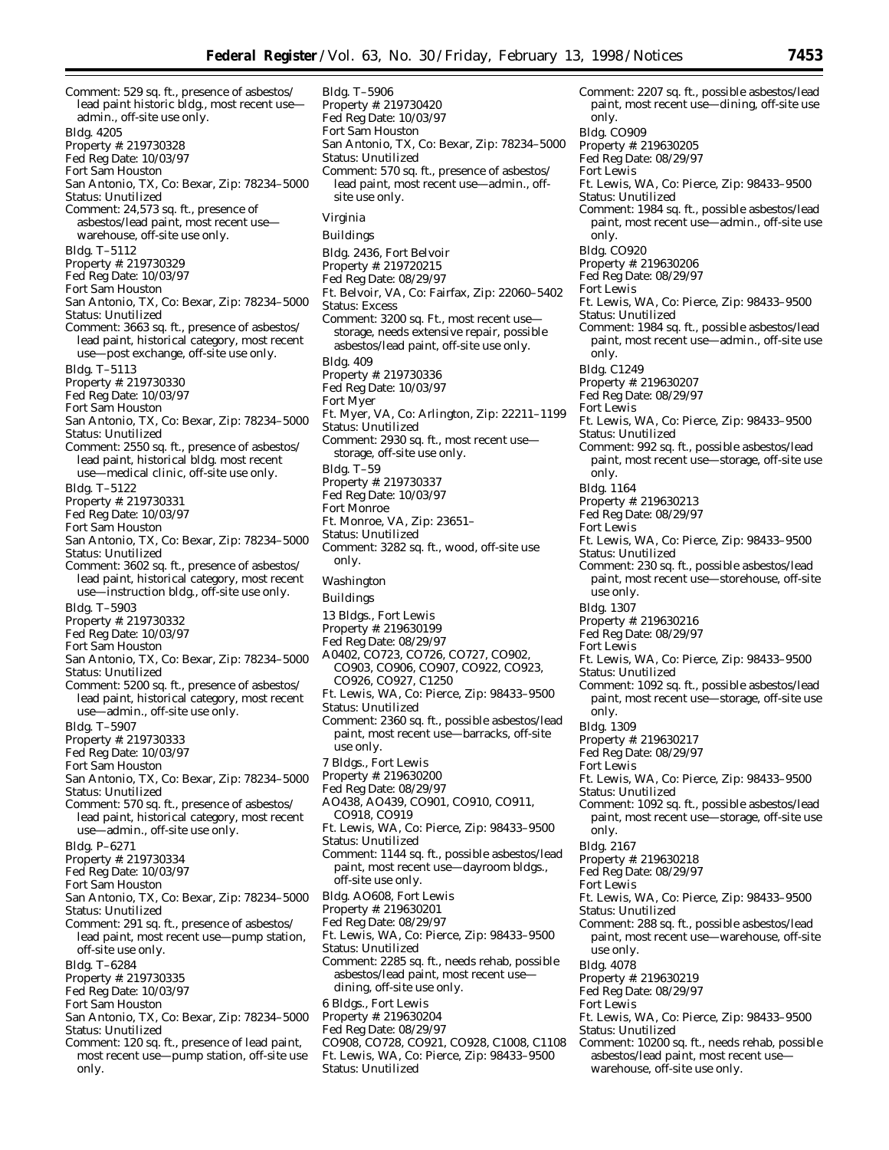Comment: 529 sq. ft., presence of asbestos/ lead paint historic bldg., most recent use admin., off-site use only. Bldg. 4205 Property #: 219730328 Fed Reg Date: 10/03/97 Fort Sam Houston San Antonio, TX, Co: Bexar, Zip: 78234–5000 Status: Unutilized Comment: 24,573 sq. ft., presence of asbestos/lead paint, most recent use warehouse, off-site use only. Bldg. T–5112 Property #: 219730329 Fed Reg Date: 10/03/97 Fort Sam Houston San Antonio, TX, Co: Bexar, Zip: 78234–5000 Status: Unutilized Comment: 3663 sq. ft., presence of asbestos/ lead paint, historical category, most recent use—post exchange, off-site use only. Bldg. T–5113 Property #: 219730330 Fed Reg Date: 10/03/97 Fort Sam Houston San Antonio, TX, Co: Bexar, Zip: 78234–5000 Status: Unutilized Comment: 2550 sq. ft., presence of asbestos/ lead paint, historical bldg. most recent use—medical clinic, off-site use only. Bldg. T–5122 Property #: 219730331 Fed Reg Date: 10/03/97 Fort Sam Houston San Antonio, TX, Co: Bexar, Zip: 78234–5000 Status: Unutilized Comment: 3602 sq. ft., presence of asbestos/ lead paint, historical category, most recent use—instruction bldg., off-site use only. Bldg. T–5903 Property #: 219730332 Fed Reg Date: 10/03/97 Fort Sam Houston San Antonio, TX, Co: Bexar, Zip: 78234–5000 Status: Unutilized Comment: 5200 sq. ft., presence of asbestos/ lead paint, historical category, most recent use—admin., off-site use only. Bldg. T–5907 Property #: 219730333 Fed Reg Date: 10/03/97 Fort Sam Houston San Antonio, TX, Co: Bexar, Zip: 78234–5000 Status: Unutilized Comment: 570 sq. ft., presence of asbestos/ lead paint, historical category, most recent use—admin., off-site use only. Bldg. P–6271 Property #: 219730334 Fed Reg Date: 10/03/97 Fort Sam Houston San Antonio, TX, Co: Bexar, Zip: 78234–5000 Status: Unutilized Comment: 291 sq. ft., presence of asbestos/ lead paint, most recent use—pump station, off-site use only. Bldg. T–6284 Property #: 219730335 Fed Reg Date: 10/03/97 Fort Sam Houston San Antonio, TX, Co: Bexar, Zip: 78234–5000 Status: Unutilized Comment: 120 sq. ft., presence of lead paint, most recent use—pump station, off-site use

only.

Bldg. T–5906 Property #: 219730420 Fed Reg Date: 10/03/97 Fort Sam Houston San Antonio, TX, Co: Bexar, Zip: 78234–5000 Status: Unutilized Comment: 570 sq. ft., presence of asbestos/ lead paint, most recent use—admin., offsite use only. *Virginia* Buildings Bldg. 2436, Fort Belvoir Property #: 219720215 Fed Reg Date: 08/29/97 Ft. Belvoir, VA, Co: Fairfax, Zip: 22060–5402 Status: Excess Comment: 3200 sq. Ft., most recent use storage, needs extensive repair, possible asbestos/lead paint, off-site use only. Bldg. 409 Property #: 219730336 Fed Reg Date: 10/03/97 Fort Myer Ft. Myer, VA, Co: Arlington, Zip: 22211–1199 Status: Unutilized Comment: 2930 sq. ft., most recent use storage, off-site use only. Bldg. T–59 Property #: 219730337 Fed Reg Date: 10/03/97 Fort Monroe Ft. Monroe, VA, Zip: 23651– Status: Unutilized Comment: 3282 sq. ft., wood, off-site use only. *Washington* Buildings 13 Bldgs., Fort Lewis Property #: 219630199 Fed Reg Date: 08/29/97 A0402, CO723, CO726, CO727, CO902, CO903, CO906, CO907, CO922, CO923, CO926, CO927, C1250 Ft. Lewis, WA, Co: Pierce, Zip: 98433–9500 Status: Unutilized Comment: 2360 sq. ft., possible asbestos/lead paint, most recent use—barracks, off-site use only. 7 Bldgs., Fort Lewis Property #: 219630200 Fed Reg Date: 08/29/97 AO438, AO439, CO901, CO910, CO911, CO918, CO919 Ft. Lewis, WA, Co: Pierce, Zip: 98433–9500 Status: Unutilized Comment: 1144 sq. ft., possible asbestos/lead paint, most recent use—dayroom bldgs., off-site use only. Bldg. AO608, Fort Lewis Property #: 219630201 Fed Reg Date: 08/29/97 Ft. Lewis, WA, Co: Pierce, Zip: 98433–9500 Status: Unutilized Comment: 2285 sq. ft., needs rehab, possible asbestos/lead paint, most recent use dining, off-site use only. 6 Bldgs., Fort Lewis Property #: 219630204 Fed Reg Date: 08/29/97 CO908, CO728, CO921, CO928, C1008, C1108 Ft. Lewis, WA, Co: Pierce, Zip: 98433–9500 Status: Unutilized

Comment: 2207 sq. ft., possible asbestos/lead paint, most recent use—dining, off-site use only. Bldg. CO909 Property #: 219630205 Fed Reg Date: 08/29/97 Fort Lewis Ft. Lewis, WA, Co: Pierce, Zip: 98433–9500 Status: Unutilized Comment: 1984 sq. ft., possible asbestos/lead paint, most recent use—admin., off-site use only. Bldg. CO920 Property #: 219630206 Fed Reg Date: 08/29/97 Fort Lewis Ft. Lewis, WA, Co: Pierce, Zip: 98433–9500 Status: Unutilized Comment: 1984 sq. ft., possible asbestos/lead paint, most recent use—admin., off-site use only. Bldg. C1249 Property #: 219630207 Fed Reg Date: 08/29/97 Fort Lewis Ft. Lewis, WA, Co: Pierce, Zip: 98433–9500 Status: Unutilized Comment: 992 sq. ft., possible asbestos/lead paint, most recent use—storage, off-site use only. Bldg. 1164 Property #: 219630213 Fed Reg Date: 08/29/97 Fort Lewis Ft. Lewis, WA, Co: Pierce, Zip: 98433–9500 Status: Unutilized Comment: 230 sq. ft., possible asbestos/lead paint, most recent use—storehouse, off-site use only. Bldg. 1307 Property #: 219630216 Fed Reg Date: 08/29/97 Fort Lewis Ft. Lewis, WA, Co: Pierce, Zip: 98433–9500 Status: Unutilized Comment: 1092 sq. ft., possible asbestos/lead paint, most recent use—storage, off-site use only. Bldg. 1309 Property #: 219630217 Fed Reg Date: 08/29/97 Fort Lewis Ft. Lewis, WA, Co: Pierce, Zip: 98433–9500 Status: Unutilized Comment: 1092 sq. ft., possible asbestos/lead paint, most recent use—storage, off-site use only. Bldg. 2167 Property #: 219630218 Fed Reg Date: 08/29/97 Fort Lewis Ft. Lewis, WA, Co: Pierce, Zip: 98433–9500 Status: Unutilized Comment: 288 sq. ft., possible asbestos/lead paint, most recent use—warehouse, off-site use only. Bldg. 4078 Property #: 219630219 Fed Reg Date: 08/29/97 Fort Lewis Ft. Lewis, WA, Co: Pierce, Zip: 98433–9500 Status: Unutilized Comment: 10200 sq. ft., needs rehab, possible asbestos/lead paint, most recent use warehouse, off-site use only.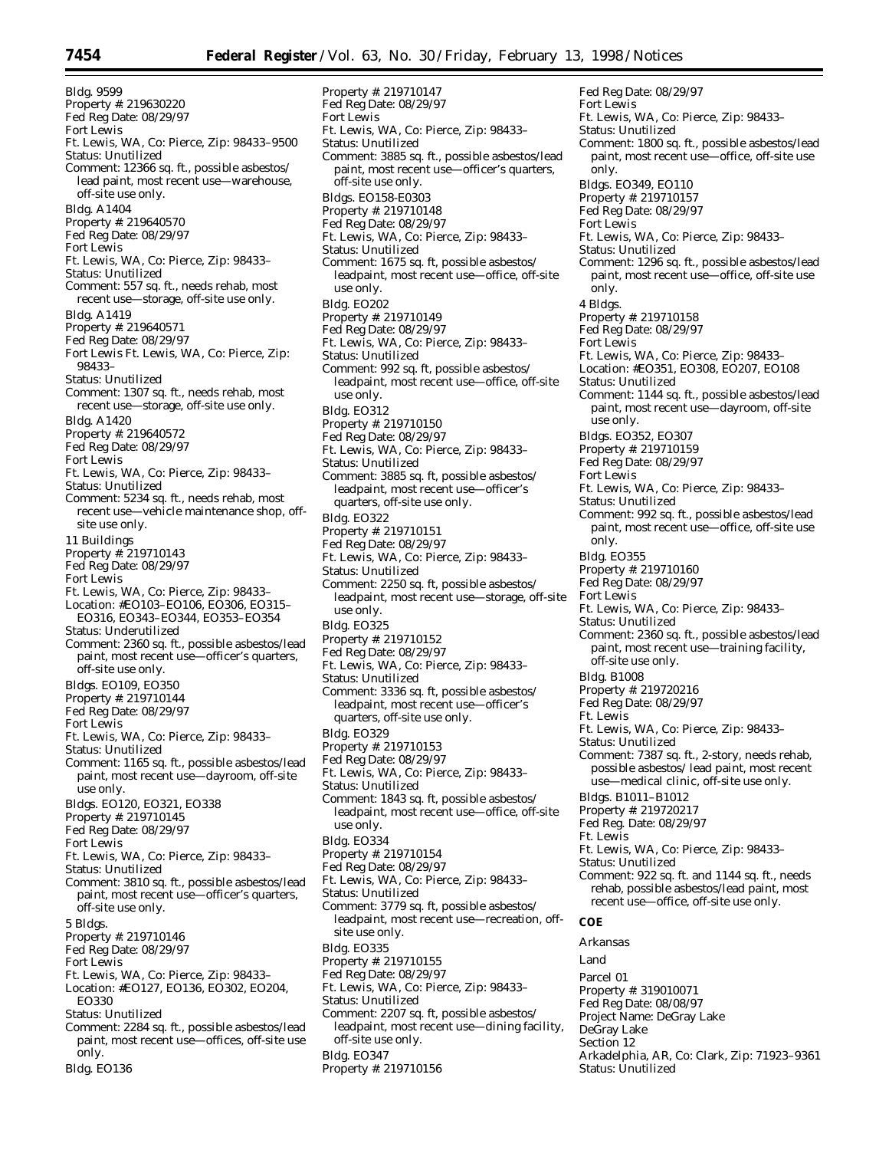Bldg. 9599 Property #: 219630220 Fed Reg Date: 08/29/97 Fort Lewis Ft. Lewis, WA, Co: Pierce, Zip: 98433–9500 Status: Unutilized Comment: 12366 sq. ft., possible asbestos/ lead paint, most recent use—warehouse, off-site use only. Bldg. A1404 Property #: 219640570 Fed Reg Date: 08/29/97 Fort Lewis Ft. Lewis, WA, Co: Pierce, Zip: 98433– Status: Unutilized Comment: 557 sq. ft., needs rehab, most recent use—storage, off-site use only. Bldg. A1419 Property #: 219640571 Fed Reg Date: 08/29/97 Fort Lewis Ft. Lewis, WA, Co: Pierce, Zip: 98433– Status: Unutilized Comment: 1307 sq. ft., needs rehab, most recent use—storage, off-site use only. Bldg. A1420 Property #: 219640572 Fed Reg Date: 08/29/97 Fort Lewis Ft. Lewis, WA, Co: Pierce, Zip: 98433– Status: Unutilized Comment: 5234 sq. ft., needs rehab, most recent use—vehicle maintenance shop, offsite use only. 11 Buildings Property #: 219710143 Fed Reg Date: 08/29/97 Fort Lewis Ft. Lewis, WA, Co: Pierce, Zip: 98433– Location: #EO103–EO106, EO306, EO315– EO316, EO343–EO344, EO353–EO354 Status: Underutilized Comment: 2360 sq. ft., possible asbestos/lead paint, most recent use—officer's quarters, off-site use only. Bldgs. EO109, EO350 Property #: 219710144 Fed Reg Date: 08/29/97 Fort Lewis Ft. Lewis, WA, Co: Pierce, Zip: 98433– Status: Unutilized Comment: 1165 sq. ft., possible asbestos/lead paint, most recent use—dayroom, off-site use only. Bldgs. EO120, EO321, EO338 Property #: 219710145 Fed Reg Date: 08/29/97 Fort Lewis Ft. Lewis, WA, Co: Pierce, Zip: 98433– Status: Unutilized Comment: 3810 sq. ft., possible asbestos/lead paint, most recent use—officer's quarters, off-site use only. 5 Bldgs. Property #: 219710146 Fed Reg Date: 08/29/97 Fort Lewis Ft. Lewis, WA, Co: Pierce, Zip: 98433– Location: #EO127, EO136, EO302, EO204, EO330 Status: Unutilized Comment: 2284 sq. ft., possible asbestos/lead paint, most recent use—offices, off-site use only.

Bldg. EO136

Property #: 219710147 Fed Reg Date: 08/29/97 Fort Lewis Ft. Lewis, WA, Co: Pierce, Zip: 98433– Status: Unutilized Comment: 3885 sq. ft., possible asbestos/lead paint, most recent use—officer's quarters, off-site use only. Bldgs. EO158-E0303 Property #: 219710148 Fed Reg Date: 08/29/97 Ft. Lewis, WA, Co: Pierce, Zip: 98433– Status: Unutilized Comment: 1675 sq. ft, possible asbestos/ leadpaint, most recent use—office, off-site use only. Bldg. EO202 Property #: 219710149 Fed Reg Date: 08/29/97 Ft. Lewis, WA, Co: Pierce, Zip: 98433– Status: Unutilized Comment: 992 sq. ft, possible asbestos/ leadpaint, most recent use—office, off-site use only. Bldg. EO312 Property #: 219710150 Fed Reg Date: 08/29/97 Ft. Lewis, WA, Co: Pierce, Zip: 98433– Status: Unutilized Comment: 3885 sq. ft, possible asbestos/ leadpaint, most recent use—officer's quarters, off-site use only. Bldg. EO322 Property #: 219710151 Fed Reg Date: 08/29/97 Ft. Lewis, WA, Co: Pierce, Zip: 98433– Status: Unutilized Comment: 2250 sq. ft, possible asbestos/ leadpaint, most recent use—storage, off-site use only. Bldg. EO325 Property #: 219710152 Fed Reg Date: 08/29/97 Ft. Lewis, WA, Co: Pierce, Zip: 98433– Status: Unutilized Comment: 3336 sq. ft, possible asbestos/ leadpaint, most recent use—officer's quarters, off-site use only. Bldg. EO329 Property #: 219710153 Fed Reg Date: 08/29/97 Ft. Lewis, WA, Co: Pierce, Zip: 98433– Status: Unutilized Comment: 1843 sq. ft, possible asbestos/ leadpaint, most recent use—office, off-site use only. Bldg. EO334 Property #: 219710154 Fed Reg Date: 08/29/97 Ft. Lewis, WA, Co: Pierce, Zip: 98433– Status: Unutilized Comment: 3779 sq. ft, possible asbestos/ leadpaint, most recent use—recreation, offsite use only. Bldg. EO335 Property #: 219710155 Fed Reg Date: 08/29/97 Ft. Lewis, WA, Co: Pierce, Zip: 98433– Status: Unutilized Comment: 2207 sq. ft, possible asbestos/ leadpaint, most recent use—dining facility, off-site use only. Bldg. EO347

Property #: 219710156

Ft. Lewis, WA, Co: Pierce, Zip: 98433– Status: Unutilized Comment: 1296 sq. ft., possible asbestos/lead paint, most recent use—office, off-site use only. 4 Bldgs. Property #: 219710158 Fed Reg Date: 08/29/97 Fort Lewis Ft. Lewis, WA, Co: Pierce, Zip: 98433– Location: #EO351, EO308, EO207, EO108 Status: Unutilized Comment: 1144 sq. ft., possible asbestos/lead paint, most recent use—dayroom, off-site use only. Bldgs. EO352, EO307 Property #: 219710159 Fed Reg Date: 08/29/97 Fort Lewis Ft. Lewis, WA, Co: Pierce, Zip: 98433– Status: Unutilized Comment: 992 sq. ft., possible asbestos/lead paint, most recent use—office, off-site use only. Bldg. EO355 Property #: 219710160 Fed Reg Date: 08/29/97 Fort Lewis Ft. Lewis, WA, Co: Pierce, Zip: 98433– Status: Unutilized Comment: 2360 sq. ft., possible asbestos/lead paint, most recent use—training facility, off-site use only. Bldg. B1008 Property #: 219720216 Fed Reg Date: 08/29/97 Ft. Lewis Ft. Lewis, WA, Co: Pierce, Zip: 98433– Status: Unutilized Comment: 7387 sq. ft., 2-story, needs rehab, possible asbestos/ lead paint, most recent use—medical clinic, off-site use only. Bldgs. B1011–B1012 Property #: 219720217 Fed Reg. Date: 08/29/97 Ft. Lewis Ft. Lewis, WA, Co: Pierce, Zip: 98433– Status: Unutilized Comment: 922 sq. ft. and 1144 sq. ft., needs rehab, possible asbestos/lead paint, most recent use—office, off-site use only. **COE** *Arkansas* Land Parcel 01 Property #: 319010071 Fed Reg Date: 08/08/97 Project Name: DeGray Lake DeGray Lake Section 12 Arkadelphia, AR, Co: Clark, Zip: 71923–9361 Status: Unutilized

Fed Reg Date: 08/29/97

Status: Unutilized

Bldgs. EO349, EO110 Property #: 219710157 Fed Reg Date: 08/29/97

Ft. Lewis, WA, Co: Pierce, Zip: 98433–

Comment: 1800 sq. ft., possible asbestos/lead paint, most recent use—office, off-site use

Fort Lewis

only.

Fort Lewis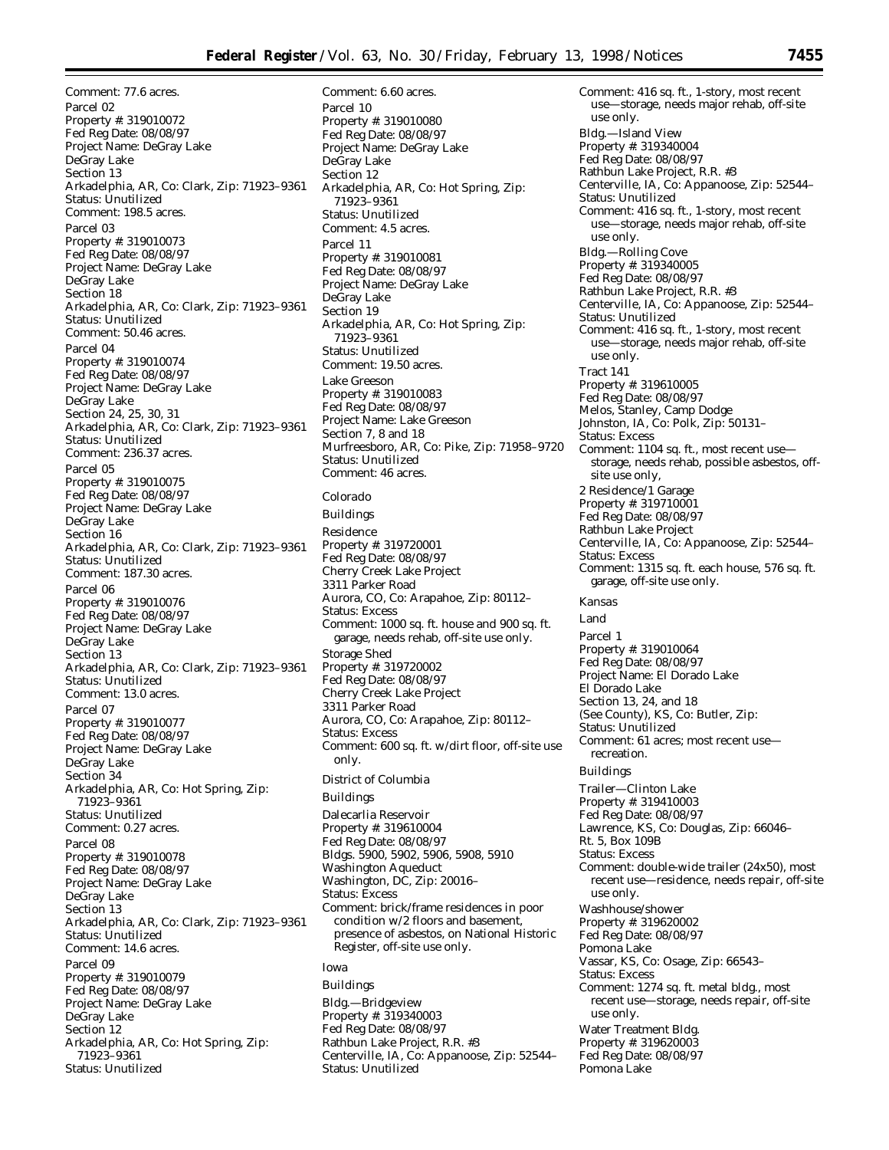Comment: 6.60 acres.

Comment: 77.6 acres. Parcel 02 Property #: 319010072 Fed Reg Date: 08/08/97 Project Name: DeGray Lake DeGray Lake Section 13 Arkadelphia, AR, Co: Clark, Zip: 71923–9361 Status: Unutilized Comment: 198.5 acres. Parcel 03 Property #: 319010073 Fed Reg Date: 08/08/97 Project Name: DeGray Lake DeGray Lake Section 18 Arkadelphia, AR, Co: Clark, Zip: 71923–9361 Status: Unutilized Comment: 50.46 acres. Parcel 04 Property #: 319010074 Fed Reg Date: 08/08/97 Project Name: DeGray Lake DeGray Lake Section 24, 25, 30, 31 Arkadelphia, AR, Co: Clark, Zip: 71923–9361 Status: Unutilized Comment: 236.37 acres. Parcel 05 Property #: 319010075 Fed Reg Date: 08/08/97 Project Name: DeGray Lake DeGray Lake Section 16 Arkadelphia, AR, Co: Clark, Zip: 71923–9361 Status: Unutilized Comment: 187.30 acres. Parcel 06 Property #: 319010076 Fed Reg Date: 08/08/97 Project Name: DeGray Lake DeGray Lake Section 13 Arkadelphia, AR, Co: Clark, Zip: 71923–9361 Status: Unutilized Comment: 13.0 acres. Parcel 07 Property #: 319010077 Fed Reg Date: 08/08/97 Project Name: DeGray Lake DeGray Lake Section 34 Arkadelphia, AR, Co: Hot Spring, Zip: 71923–9361 Status: Unutilized Comment: 0.27 acres. Parcel 08 Property #: 319010078 Fed Reg Date: 08/08/97 Project Name: DeGray Lake DeGray Lake Section 13 Arkadelphia, AR, Co: Clark, Zip: 71923–9361 Status: Unutilized Comment: 14.6 acres. Parcel 09 Property #: 319010079 Fed Reg Date: 08/08/97 Project Name: DeGray Lake DeGray Lake Section 12 Arkadelphia, AR, Co: Hot Spring, Zip: 71923–9361 Status: Unutilized

Parcel 10 Property #: 319010080 Fed Reg Date: 08/08/97 Project Name: DeGray Lake DeGray Lake Section 12 Arkadelphia, AR, Co: Hot Spring, Zip: 71923–9361 Status: Unutilized Comment: 4.5 acres. Parcel 11 Property #: 319010081 Fed Reg Date: 08/08/97 Project Name: DeGray Lake DeGray Lake Section 19 Arkadelphia, AR, Co: Hot Spring, Zip: 71923–9361 Status: Unutilized Comment: 19.50 acres. Lake Greeson Property #: 319010083 Fed Reg Date: 08/08/97 Project Name: Lake Greeson Section 7, 8 and 18 Murfreesboro, AR, Co: Pike, Zip: 71958–9720 Status: Unutilized Comment: 46 acres. *Colorado* Buildings Residence Property #: 319720001 Fed Reg Date: 08/08/97 Cherry Creek Lake Project 3311 Parker Road Aurora, CO, Co: Arapahoe, Zip: 80112– Status: Excess Comment: 1000 sq. ft. house and 900 sq. ft. garage, needs rehab, off-site use only. Storage Shed Property #: 319720002 Fed Reg Date: 08/08/97 Cherry Creek Lake Project 3311 Parker Road Aurora, CO, Co: Arapahoe, Zip: 80112– Status: Excess Comment: 600 sq. ft. w/dirt floor, off-site use only. *District of Columbia* Buildings Dalecarlia Reservoir Property #: 319610004 Fed Reg Date: 08/08/97 Bldgs. 5900, 5902, 5906, 5908, 5910 Washington Aqueduct Washington, DC, Zip: 20016– Status: Excess Comment: brick/frame residences in poor condition w/2 floors and basement, presence of asbestos, on National Historic Register, off-site use only. *Iowa* Buildings

## Bldg.—Bridgeview Property #: 319340003 Fed Reg Date: 08/08/97 Rathbun Lake Project, R.R. #3 Centerville, IA, Co: Appanoose, Zip: 52544– Status: Unutilized

Comment: 416 sq. ft., 1-story, most recent use—storage, needs major rehab, off-site use only. Bldg.—Island View Property #: 319340004 Fed Reg Date: 08/08/97 Rathbun Lake Project, R.R. #3 Centerville, IA, Co: Appanoose, Zip: 52544– Status: Unutilized Comment: 416 sq. ft., 1-story, most recent use—storage, needs major rehab, off-site use only. Bldg.—Rolling Cove Property #: 319340005 Fed Reg Date: 08/08/97 Rathbun Lake Project, R.R. #3 Centerville, IA, Co: Appanoose, Zip: 52544– Status: Unutilized Comment: 416 sq. ft., 1-story, most recent use—storage, needs major rehab, off-site use only. Tract 141 Property #: 319610005 Fed Reg Date: 08/08/97 Melos, Stanley, Camp Dodge Johnston, IA, Co: Polk, Zip: 50131– Status: Excess Comment: 1104 sq. ft., most recent use storage, needs rehab, possible asbestos, offsite use only, 2 Residence/1 Garage Property #: 319710001 Fed Reg Date: 08/08/97 Rathbun Lake Project Centerville, IA, Co: Appanoose, Zip: 52544– Status: Excess Comment: 1315 sq. ft. each house, 576 sq. ft. garage, off-site use only. *Kansas* Land Parcel 1 Property #: 319010064 Fed Reg Date: 08/08/97 Project Name: El Dorado Lake El Dorado Lake Section 13, 24, and 18 (See County), KS, Co: Butler, Zip: Status: Unutilized Comment: 61 acres; most recent use recreation. Buildings Trailer—Clinton Lake Property #: 319410003 Fed Reg Date: 08/08/97 Lawrence, KS, Co: Douglas, Zip: 66046– Rt. 5, Box 109B Status: Excess Comment: double-wide trailer (24x50), most recent use—residence, needs repair, off-site use only. Washhouse/shower Property #: 319620002 Fed Reg Date: 08/08/97 Pomona Lake Vassar, KS, Co: Osage, Zip: 66543– Status: Excess Comment: 1274 sq. ft. metal bldg., most recent use—storage, needs repair, off-site use only. Water Treatment Bldg. Property #: 319620003 Fed Reg Date: 08/08/97 Pomona Lake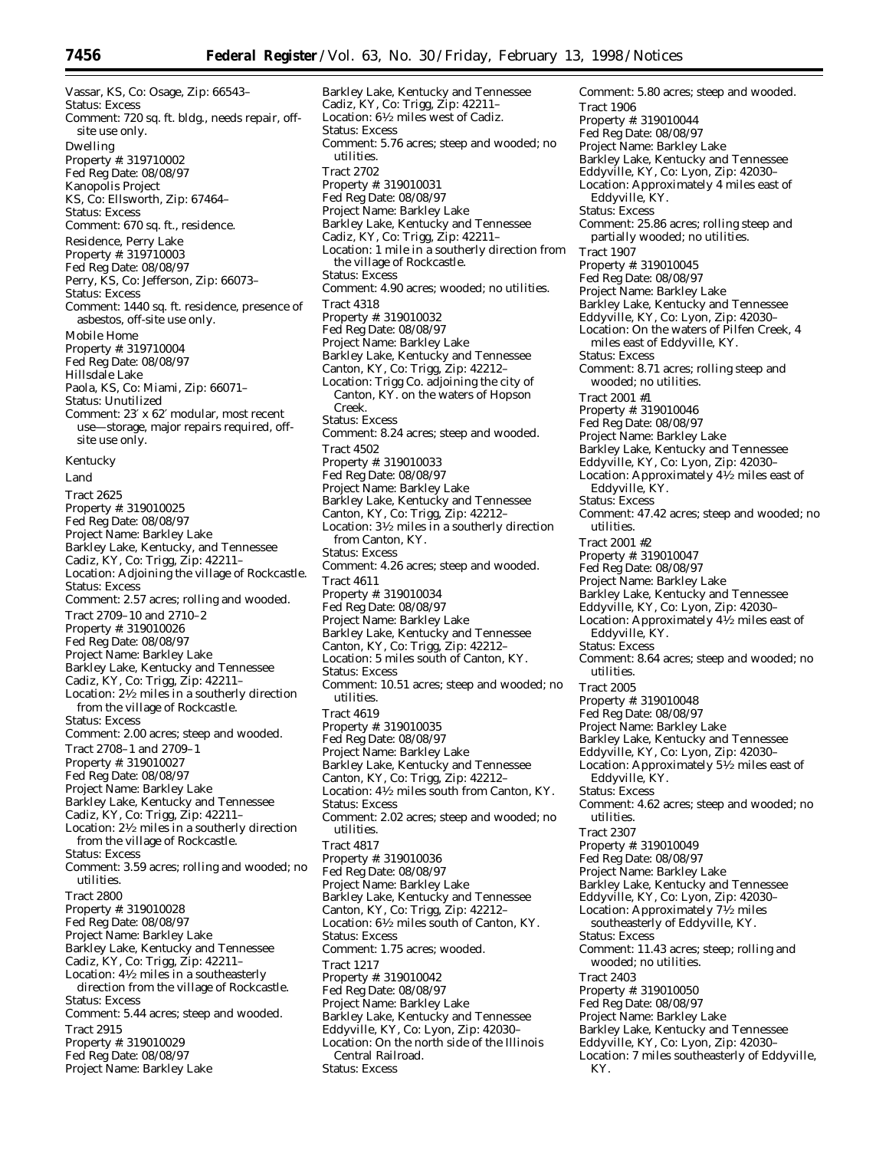Vassar, KS, Co: Osage, Zip: 66543– Status: Excess Comment: 720 sq. ft. bldg., needs repair, offsite use only. Dwelling Property #: 319710002 Fed Reg Date: 08/08/97 Kanopolis Project KS, Co: Ellsworth, Zip: 67464– Status: Excess Comment: 670 sq. ft., residence. Residence, Perry Lake Property #: 319710003 Fed Reg Date: 08/08/97 Perry, KS, Co: Jefferson, Zip: 66073-Status: Excess Comment: 1440 sq. ft. residence, presence of asbestos, off-site use only. Mobile Home Property #: 319710004 Fed Reg Date: 08/08/97 Hillsdale Lake Paola, KS, Co: Miami, Zip: 66071– Status: Unutilized Comment: 23′ x 62′ modular, most recent use—storage, major repairs required, offsite use only. *Kentucky* Land Tract 2625 Property #: 319010025 Fed Reg Date: 08/08/97 Project Name: Barkley Lake Barkley Lake, Kentucky, and Tennessee Cadiz, KY, Co: Trigg, Zip: 42211– Location: Adjoining the village of Rockcastle. Status: Excess Comment: 2.57 acres; rolling and wooded. Tract 2709–10 and 2710–2 Property #: 319010026 Fed Reg Date: 08/08/97 Project Name: Barkley Lake Barkley Lake, Kentucky and Tennessee Cadiz, KY, Co: Trigg, Zip: 42211– Location:  $2\frac{1}{2}$  miles in a southerly direction from the village of Rockcastle. Status: Excess Comment: 2.00 acres; steep and wooded. Tract 2708–1 and 2709–1 Property #: 319010027 Fed Reg Date: 08/08/97 Project Name: Barkley Lake Barkley Lake, Kentucky and Tennessee Cadiz, KY, Co: Trigg, Zip: 42211– Location: 21⁄2 miles in a southerly direction from the village of Rockcastle. Status: Excess Comment: 3.59 acres; rolling and wooded; no utilities. Tract 2800 Property #: 319010028 Fed Reg Date: 08/08/97 Project Name: Barkley Lake Barkley Lake, Kentucky and Tennessee Cadiz, KY, Co: Trigg, Zip: 42211– Location: 41⁄2 miles in a southeasterly direction from the village of Rockcastle. Status: Excess Comment: 5.44 acres; steep and wooded. Tract 2915 Property #: 319010029 Fed Reg Date: 08/08/97 Project Name: Barkley Lake

Barkley Lake, Kentucky and Tennessee Cadiz, KY, Co: Trigg, Zip: 42211– Location: 61⁄2 miles west of Cadiz. Status: Excess Comment: 5.76 acres; steep and wooded; no utilities. Tract 2702 Property #: 319010031 Fed Reg Date: 08/08/97 Project Name: Barkley Lake Barkley Lake, Kentucky and Tennessee Cadiz, KY, Co: Trigg, Zip: 42211– Location: 1 mile in a southerly direction from the village of Rockcastle. Status: Excess Comment: 4.90 acres; wooded; no utilities. Tract 4318 Property #: 319010032 Fed Reg Date: 08/08/97 Project Name: Barkley Lake Barkley Lake, Kentucky and Tennessee Canton, KY, Co: Trigg, Zip: 42212– Location: Trigg Co. adjoining the city of Canton, KY. on the waters of Hopson Creek. Status: Excess Comment: 8.24 acres; steep and wooded. Tract 4502 Property #: 319010033 Fed Reg Date: 08/08/97 Project Name: Barkley Lake Barkley Lake, Kentucky and Tennessee Canton, KY, Co: Trigg, Zip: 42212– Location: 31⁄2 miles in a southerly direction from Canton, KY. Status: Excess Comment: 4.26 acres; steep and wooded. Tract 4611 Property #: 319010034 Fed Reg Date: 08/08/97 Project Name: Barkley Lake Barkley Lake, Kentucky and Tennessee Canton, KY, Co: Trigg, Zip: 42212– Location: 5 miles south of Canton, KY. Status: Excess Comment: 10.51 acres; steep and wooded; no utilities. Tract 4619 Property #: 319010035 Fed Reg Date: 08/08/97 Project Name: Barkley Lake Barkley Lake, Kentucky and Tennessee Canton, KY, Co: Trigg, Zip: 42212– Location: 41⁄2 miles south from Canton, KY. Status: Excess Comment: 2.02 acres; steep and wooded; no utilities. Tract 4817 Property #: 319010036 Fed Reg Date: 08/08/97 Project Name: Barkley Lake Barkley Lake, Kentucky and Tennessee Canton, KY, Co: Trigg, Zip: 42212– Location: 61⁄2 miles south of Canton, KY. Status: Excess Comment: 1.75 acres; wooded. Tract 1217 Property #: 319010042 Fed Reg Date: 08/08/97 Project Name: Barkley Lake Barkley Lake, Kentucky and Tennessee Eddyville, KY, Co: Lyon, Zip: 42030– Location: On the north side of the Illinois Central Railroad. Status: Excess

Comment: 5.80 acres; steep and wooded. Tract 1906 Property #: 319010044 Fed Reg Date: 08/08/97 Project Name: Barkley Lake Barkley Lake, Kentucky and Tennessee Eddyville, KY, Co: Lyon, Zip: 42030– Location: Approximately 4 miles east of Eddyville, KY. Status: Excess Comment: 25.86 acres; rolling steep and partially wooded; no utilities. Tract 1907 Property #: 319010045 Fed Reg Date: 08/08/97 Project Name: Barkley Lake Barkley Lake, Kentucky and Tennessee Eddyville, KY, Co: Lyon, Zip: 42030– Location: On the waters of Pilfen Creek, 4 miles east of Eddyville, KY. Status: Excess Comment: 8.71 acres; rolling steep and wooded; no utilities. Tract 2001 #1 Property #: 319010046 Fed Reg Date: 08/08/97 Project Name: Barkley Lake Barkley Lake, Kentucky and Tennessee Eddyville, KY, Co: Lyon, Zip: 42030– Location: Approximately  $4\frac{1}{2}$  miles east of Eddyville, KY. Status: Excess Comment: 47.42 acres; steep and wooded; no utilities. Tract 2001 #2 Property #: 319010047 Fed Reg Date: 08/08/97 Project Name: Barkley Lake Barkley Lake, Kentucky and Tennessee Eddyville, KY, Co: Lyon, Zip: 42030– Location: Approximately  $4\overline{1}/2$  miles east of Eddyville, KY. Status: Excess Comment: 8.64 acres; steep and wooded; no utilities. Tract 2005 Property #: 319010048 Fed Reg Date: 08/08/97 Project Name: Barkley Lake Barkley Lake, Kentucky and Tennessee Eddyville, KY, Co: Lyon, Zip: 42030– Location: Approximately 51⁄2 miles east of Eddyville, KY. Status: Excess Comment: 4.62 acres; steep and wooded; no utilities. Tract 2307 Property #: 319010049 Fed Reg Date: 08/08/97 Project Name: Barkley Lake Barkley Lake, Kentucky and Tennessee Eddyville, KY, Co: Lyon, Zip: 42030– Location: Approximately 71⁄2 miles southeasterly of Eddyville, KY. Status: Excess Comment: 11.43 acres; steep; rolling and wooded; no utilities. Tract 2403 Property #: 319010050 Fed Reg Date: 08/08/97 Project Name: Barkley Lake Barkley Lake, Kentucky and Tennessee Eddyville, KY, Co: Lyon, Zip: 42030– Location: 7 miles southeasterly of Eddyville, KY.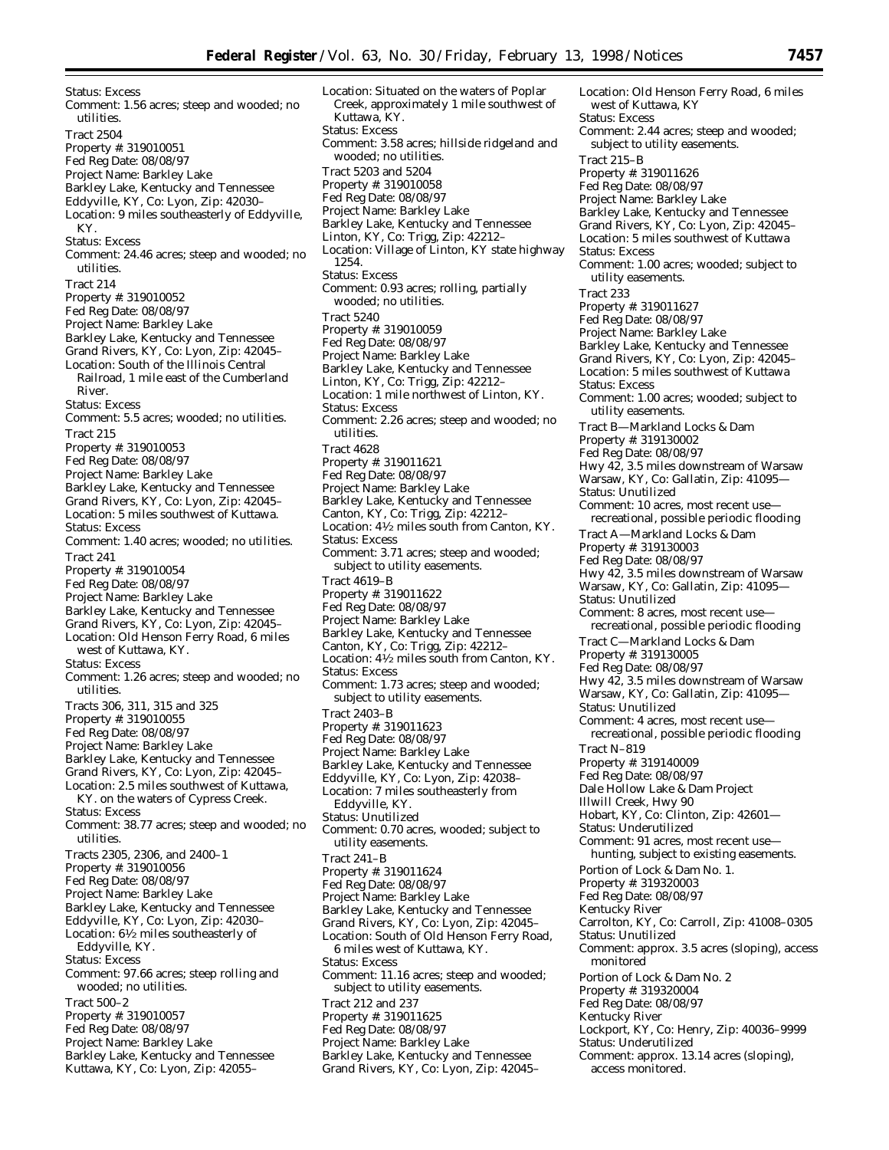Status: Excess Comment: 1.56 acres; steep and wooded; no utilities. Tract 2504 Property #: 319010051 Fed Reg Date: 08/08/97 Project Name: Barkley Lake Barkley Lake, Kentucky and Tennessee Eddyville, KY, Co: Lyon, Zip: 42030– Location: 9 miles southeasterly of Eddyville, KY. Status: Excess Comment: 24.46 acres; steep and wooded; no utilities. Tract 214 Property #: 319010052 Fed Reg Date: 08/08/97 Project Name: Barkley Lake Barkley Lake, Kentucky and Tennessee Grand Rivers, KY, Co: Lyon, Zip: 42045– Location: South of the Illinois Central Railroad, 1 mile east of the Cumberland River. Status: Excess Comment: 5.5 acres; wooded; no utilities. Tract 215 Property #: 319010053 Fed Reg Date: 08/08/97 Project Name: Barkley Lake Barkley Lake, Kentucky and Tennessee Grand Rivers, KY, Co: Lyon, Zip: 42045– Location: 5 miles southwest of Kuttawa. Status: Excess Comment: 1.40 acres; wooded; no utilities. Tract 241 Property #: 319010054 Fed Reg Date: 08/08/97 Project Name: Barkley Lake Barkley Lake, Kentucky and Tennessee Grand Rivers, KY, Co: Lyon, Zip: 42045– Location: Old Henson Ferry Road, 6 miles west of Kuttawa, KY. Status: Excess Comment: 1.26 acres; steep and wooded; no utilities. Tracts 306, 311, 315 and 325 Property #: 319010055 Fed Reg Date: 08/08/97 Project Name: Barkley Lake Barkley Lake, Kentucky and Tennessee Grand Rivers, KY, Co: Lyon, Zip: 42045– Location: 2.5 miles southwest of Kuttawa, KY. on the waters of Cypress Creek. Status: Excess Comment: 38.77 acres; steep and wooded; no utilities. Tracts 2305, 2306, and 2400–1 Property #: 319010056 Fed Reg Date: 08/08/97 Project Name: Barkley Lake Barkley Lake, Kentucky and Tennessee Eddyville, KY, Co: Lyon, Zip: 42030– Location: 61⁄2 miles southeasterly of Eddyville, KY. Status: Excess Comment: 97.66 acres; steep rolling and wooded; no utilities. Tract 500–2 Property #: 319010057 Fed Reg Date: 08/08/97 Project Name: Barkley Lake Barkley Lake, Kentucky and Tennessee

Kuttawa, KY, Co: Lyon, Zip: 42055–

Location: Situated on the waters of Poplar Creek, approximately 1 mile southwest of Kuttawa, KY. Status: Excess Comment: 3.58 acres; hillside ridgeland and wooded; no utilities. Tract 5203 and 5204 Property #: 319010058 Fed Reg Date: 08/08/97 Project Name: Barkley Lake Barkley Lake, Kentucky and Tennessee Linton, KY, Co: Trigg, Zip: 42212– Location: Village of Linton, KY state highway 1254. Status: Excess Comment: 0.93 acres; rolling, partially wooded; no utilities. Tract 5240 Property #: 319010059 Fed Reg Date: 08/08/97 Project Name: Barkley Lake Barkley Lake, Kentucky and Tennessee Linton, KY, Co: Trigg, Zip: 42212– Location: 1 mile northwest of Linton, KY. Status: Excess Comment: 2.26 acres; steep and wooded; no utilities. Tract 4628 Property #: 319011621 Fed Reg Date: 08/08/97 Project Name: Barkley Lake Barkley Lake, Kentucky and Tennessee Canton, KY, Co: Trigg, Zip: 42212– Location: 41⁄2 miles south from Canton, KY. Status: Excess Comment: 3.71 acres; steep and wooded; subject to utility easements. Tract 4619–B Property #: 319011622 Fed Reg Date: 08/08/97 Project Name: Barkley Lake Barkley Lake, Kentucky and Tennessee Canton, KY, Co: Trigg, Zip: 42212– Location: 41⁄2 miles south from Canton, KY. Status: Excess Comment: 1.73 acres; steep and wooded; subject to utility easements. Tract 2403–B Property #: 319011623 Fed Reg Date: 08/08/97 Project Name: Barkley Lake Barkley Lake, Kentucky and Tennessee Eddyville, KY, Co: Lyon, Zip: 42038– Location: 7 miles southeasterly from Eddyville, KY. Status: Unutilized Comment: 0.70 acres, wooded; subject to utility easements. Tract 241–B Property #: 319011624 Fed Reg Date: 08/08/97 Project Name: Barkley Lake Barkley Lake, Kentucky and Tennessee Grand Rivers, KY, Co: Lyon, Zip: 42045– Location: South of Old Henson Ferry Road, 6 miles west of Kuttawa, KY. Status: Excess Comment: 11.16 acres; steep and wooded; subject to utility easements. Tract 212 and 237 Property #: 319011625 Fed Reg Date: 08/08/97 Project Name: Barkley Lake Barkley Lake, Kentucky and Tennessee Grand Rivers, KY, Co: Lyon, Zip: 42045–

Location: Old Henson Ferry Road, 6 miles west of Kuttawa, KY Status: Excess Comment: 2.44 acres; steep and wooded; subject to utility easements. Tract 215–B Property #: 319011626 Fed Reg Date: 08/08/97 Project Name: Barkley Lake Barkley Lake, Kentucky and Tennessee Grand Rivers, KY, Co: Lyon, Zip: 42045– Location: 5 miles southwest of Kuttawa Status: Excess Comment: 1.00 acres; wooded; subject to utility easements. Tract 233 Property #: 319011627 Fed Reg Date: 08/08/97 Project Name: Barkley Lake Barkley Lake, Kentucky and Tennessee Grand Rivers, KY, Co: Lyon, Zip: 42045– Location: 5 miles southwest of Kuttawa Status: Excess Comment: 1.00 acres; wooded; subject to utility easements. Tract B—Markland Locks & Dam Property #: 319130002 Fed Reg Date: 08/08/97 Hwy 42, 3.5 miles downstream of Warsaw Warsaw, KY, Co: Gallatin, Zip: 41095— Status: Unutilized Comment: 10 acres, most recent use recreational, possible periodic flooding Tract A—Markland Locks & Dam Property #: 319130003 Fed Reg Date: 08/08/97 Hwy 42, 3.5 miles downstream of Warsaw Warsaw, KY, Co: Gallatin, Zip: 41095— Status: Unutilized Comment: 8 acres, most recent use recreational, possible periodic flooding Tract C—Markland Locks & Dam Property #: 319130005 Fed Reg Date: 08/08/97 Hwy 42, 3.5 miles downstream of Warsaw Warsaw, KY, Co: Gallatin, Zip: 41095— Status: Unutilized Comment: 4 acres, most recent use recreational, possible periodic flooding Tract N–819 Property #: 319140009 Fed Reg Date: 08/08/97 Dale Hollow Lake & Dam Project Illwill Creek, Hwy 90 Hobart, KY, Co: Clinton, Zip: 42601— Status: Underutilized Comment: 91 acres, most recent use hunting, subject to existing easements. Portion of Lock & Dam No. 1. Property #: 319320003 Fed Reg Date: 08/08/97 Kentucky River Carrolton, KY, Co: Carroll, Zip: 41008–0305 Status: Unutilized Comment: approx. 3.5 acres (sloping), access monitored Portion of Lock & Dam No. 2 Property #: 319320004 Fed Reg Date: 08/08/97 Kentucky River Lockport, KY, Co: Henry, Zip: 40036–9999 Status: Underutilized Comment: approx. 13.14 acres (sloping), access monitored.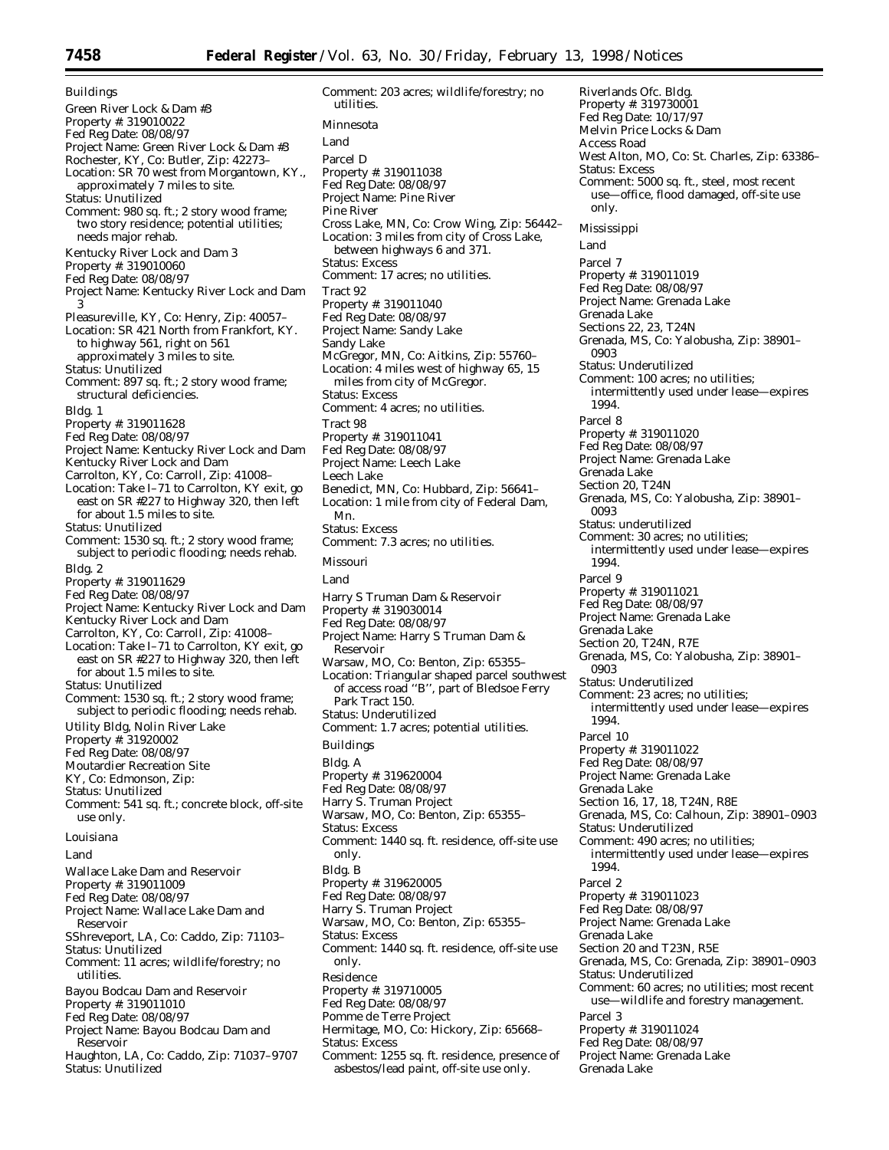Buildings Green River Lock & Dam #3 Property #: 319010022 Fed Reg Date: 08/08/97 Project Name: Green River Lock & Dam #3 Rochester, KY, Co: Butler, Zip: 42273– Location: SR 70 west from Morgantown, KY., approximately 7 miles to site. Status: Unutilized Comment: 980 sq. ft.; 2 story wood frame; two story residence; potential utilities; needs major rehab. Kentucky River Lock and Dam 3 Property #: 319010060 Fed Reg Date: 08/08/97 Project Name: Kentucky River Lock and Dam 3 Pleasureville, KY, Co: Henry, Zip: 40057– Location: SR 421 North from Frankfort, KY. to highway 561, right on 561 approximately 3 miles to site. Status: Unutilized Comment: 897 sq. ft.; 2 story wood frame; structural deficiencies. Bldg. 1 Property #: 319011628 Fed Reg Date: 08/08/97 Project Name: Kentucky River Lock and Dam Kentucky River Lock and Dam Carrolton, KY, Co: Carroll, Zip: 41008– Location: Take I–71 to Carrolton, KY exit, go east on SR #227 to Highway 320, then left for about 1.5 miles to site. Status: Unutilized Comment: 1530 sq. ft.; 2 story wood frame; subject to periodic flooding; needs rehab. Bldg. 2 Property #: 319011629 Fed Reg Date: 08/08/97 Project Name: Kentucky River Lock and Dam Kentucky River Lock and Dam Carrolton, KY, Co: Carroll, Zip: 41008– Location: Take I–71 to Carrolton, KY exit, go east on SR #227 to Highway 320, then left for about 1.5 miles to site. Status: Unutilized Comment: 1530 sq. ft.; 2 story wood frame; subject to periodic flooding; needs rehab. Utility Bldg, Nolin River Lake Property #: 31920002 Fed Reg Date: 08/08/97 Moutardier Recreation Site KY, Co: Edmonson, Zip: Status: Unutilized Comment: 541 sq. ft.; concrete block, off-site use only. *Louisiana* Land Wallace Lake Dam and Reservoir Property #: 319011009 Fed Reg Date: 08/08/97 Project Name: Wallace Lake Dam and Reservoir SShreveport, LA, Co: Caddo, Zip: 71103– Status: Unutilized Comment: 11 acres; wildlife/forestry; no utilities. Bayou Bodcau Dam and Reservoir Property #: 319011010 Fed Reg Date: 08/08/97

- Project Name: Bayou Bodcau Dam and Reservoir
- Haughton, LA, Co: Caddo, Zip: 71037–9707 Status: Unutilized

Comment: 203 acres; wildlife/forestry; no utilities. *Minnesota* Land Parcel D Property #: 319011038 Fed Reg Date: 08/08/97 Project Name: Pine River Pine River Cross Lake, MN, Co: Crow Wing, Zip: 56442– Location: 3 miles from city of Cross Lake, between highways 6 and 371. Status: Excess Comment: 17 acres; no utilities. Tract 92 Property #: 319011040 Fed Reg Date: 08/08/97 Project Name: Sandy Lake Sandy Lake McGregor, MN, Co: Aitkins, Zip: 55760– Location: 4 miles west of highway 65, 15 miles from city of McGregor. Status: Excess Comment: 4 acres; no utilities. Tract 98 Property #: 319011041 Fed Reg Date: 08/08/97 Project Name: Leech Lake Leech Lake Benedict, MN, Co: Hubbard, Zip: 56641– Location: 1 mile from city of Federal Dam, Mn. Status: Excess Comment: 7.3 acres; no utilities. *Missouri* Land Harry S Truman Dam & Reservoir Property #: 319030014 Fed Reg Date: 08/08/97 Project Name: Harry S Truman Dam & Reservoir Warsaw, MO, Co: Benton, Zip: 65355– Location: Triangular shaped parcel southwest of access road ''B'', part of Bledsoe Ferry Park Tract 150. Status: Underutilized Comment: 1.7 acres; potential utilities. Buildings Bldg. A Property #: 319620004 Fed Reg Date: 08/08/97 Harry S. Truman Project Warsaw, MO, Co: Benton, Zip: 65355– Status: Excess Comment: 1440 sq. ft. residence, off-site use only. Bldg. B Property #: 319620005 Fed Reg Date: 08/08/97 Harry S. Truman Project Warsaw, MO, Co: Benton, Zip: 65355– Status: Excess Comment: 1440 sq. ft. residence, off-site use only. Residence Property #: 319710005 Fed Reg Date: 08/08/97 Pomme de Terre Project Hermitage, MO, Co: Hickory, Zip: 65668– Status: Excess Comment: 1255 sq. ft. residence, presence of asbestos/lead paint, off-site use only.

Riverlands Ofc. Bldg. Property #: 319730001 Fed Reg Date: 10/17/97 Melvin Price Locks & Dam Access Road West Alton, MO, Co: St. Charles, Zip: 63386– Status: Excess Comment: 5000 sq. ft., steel, most recent use—office, flood damaged, off-site use only. *Mississippi* Land Parcel 7 Property #: 319011019 Fed Reg Date: 08/08/97 Project Name: Grenada Lake Grenada Lake Sections 22, 23, T24N Grenada, MS, Co: Yalobusha, Zip: 38901– 0903 Status: Underutilized Comment: 100 acres; no utilities; intermittently used under lease—expires 1994. Parcel 8 Property #: 319011020 Fed Reg Date: 08/08/97 Project Name: Grenada Lake Grenada Lake Section 20, T24N Grenada, MS, Co: Yalobusha, Zip: 38901– 0093 Status: underutilized Comment: 30 acres; no utilities; intermittently used under lease—expires 1994. Parcel 9 Property #: 319011021 Fed Reg Date: 08/08/97 Project Name: Grenada Lake Grenada Lake Section 20, T24N, R7E Grenada, MS, Co: Yalobusha, Zip: 38901– 0903 Status: Underutilized Comment: 23 acres; no utilities; intermittently used under lease—expires 1994. Parcel 10 Property #: 319011022 Fed Reg Date: 08/08/97 Project Name: Grenada Lake Grenada Lake Section 16, 17, 18, T24N, R8E Grenada, MS, Co: Calhoun, Zip: 38901–0903 Status: Underutilized Comment: 490 acres; no utilities; intermittently used under lease—expires 1994. Parcel 2 Property #: 319011023 Fed Reg Date: 08/08/97 Project Name: Grenada Lake Grenada Lake Section 20 and T23N, R5E Grenada, MS, Co: Grenada, Zip: 38901–0903 Status: Underutilized Comment: 60 acres; no utilities; most recent use—wildlife and forestry management. Parcel 3 Property #: 319011024 Fed Reg Date: 08/08/97 Project Name: Grenada Lake Grenada Lake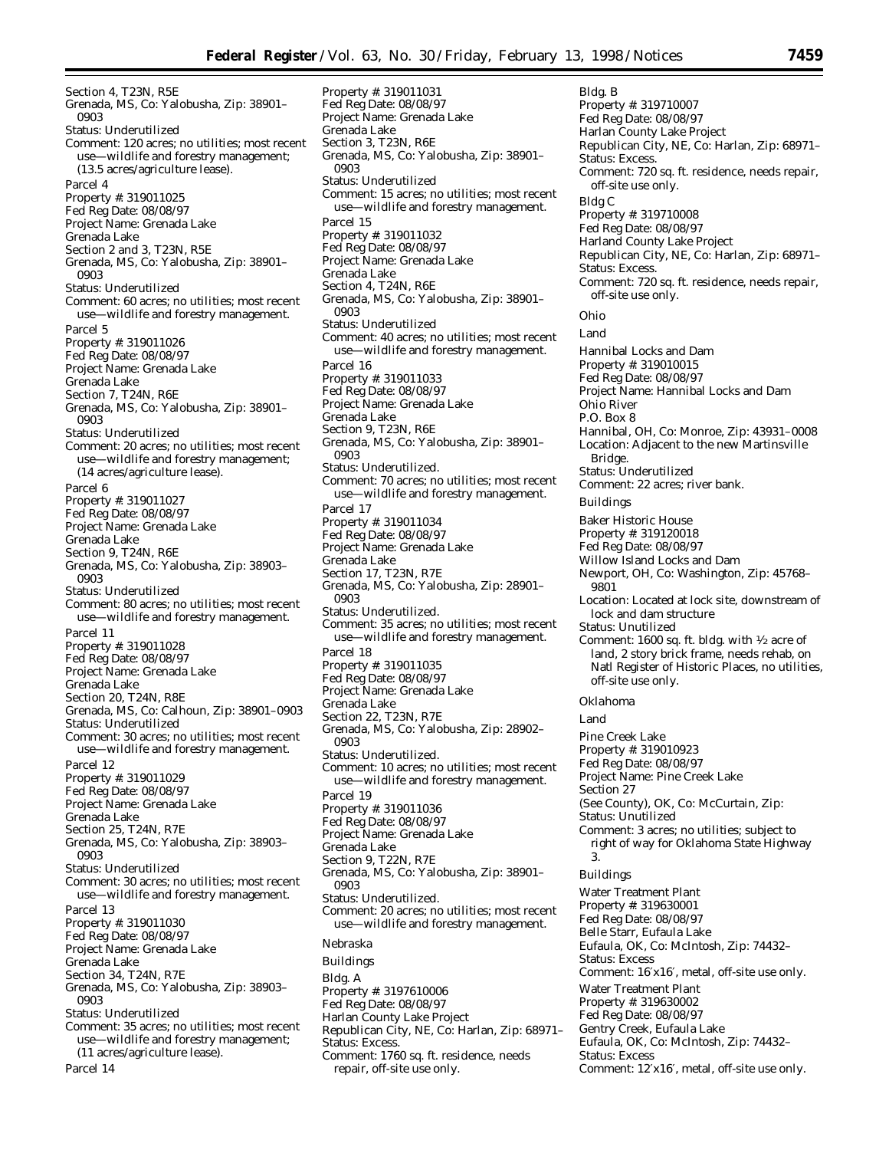Section 4, T23N, R5E Grenada, MS, Co: Yalobusha, Zip: 38901– 0903 Status: Underutilized Comment: 120 acres; no utilities; most recent use—wildlife and forestry management; (13.5 acres/agriculture lease). Parcel 4 Property #: 319011025 Fed Reg Date: 08/08/97 Project Name: Grenada Lake Grenada Lake Section 2 and 3, T23N, R5E Grenada, MS, Co: Yalobusha, Zip: 38901– 0903 Status: Underutilized Comment: 60 acres; no utilities; most recent use—wildlife and forestry management. Parcel 5 Property #: 319011026 Fed Reg Date: 08/08/97 Project Name: Grenada Lake Grenada Lake Section 7, T24N, R6E Grenada, MS, Co: Yalobusha, Zip: 38901– 0903 Status: Underutilized Comment: 20 acres; no utilities; most recent use—wildlife and forestry management; (14 acres/agriculture lease). Parcel 6 Property #: 319011027 Fed Reg Date: 08/08/97 Project Name: Grenada Lake Grenada Lake Section 9, T24N, R6E Grenada, MS, Co: Yalobusha, Zip: 38903– 0903 Status: Underutilized Comment: 80 acres; no utilities; most recent use—wildlife and forestry management. Parcel 11 Property #: 319011028 Fed Reg Date: 08/08/97 Project Name: Grenada Lake Grenada Lake Section 20, T24N, R8E Grenada, MS, Co: Calhoun, Zip: 38901–0903 Status: Underutilized Comment: 30 acres; no utilities; most recent use—wildlife and forestry management. Parcel 12 Property #: 319011029 Fed Reg Date: 08/08/97 Project Name: Grenada Lake Grenada Lake Section 25, T24N, R7E Grenada, MS, Co: Yalobusha, Zip: 38903– 0903 Status: Underutilized Comment: 30 acres; no utilities; most recent use—wildlife and forestry management. Parcel 13 Property #: 319011030 Fed Reg Date: 08/08/97 Project Name: Grenada Lake Grenada Lake Section 34, T24N, R7E Grenada, MS, Co: Yalobusha, Zip: 38903– 0903 Status: Underutilized Comment: 35 acres; no utilities; most recent use—wildlife and forestry management; (11 acres/agriculture lease). Parcel 14

Property #: 319011031 Fed Reg Date: 08/08/97 Project Name: Grenada Lake Grenada Lake Section 3, T23N, R6E Grenada, MS, Co: Yalobusha, Zip: 38901– 0903 Status: Underutilized Comment: 15 acres; no utilities; most recent use—wildlife and forestry management. Parcel 15 Property #: 319011032 Fed Reg Date: 08/08/97 Project Name: Grenada Lake Grenada Lake Section 4, T24N, R6E Grenada, MS, Co: Yalobusha, Zip: 38901– 0903 Status: Underutilized Comment: 40 acres; no utilities; most recent use—wildlife and forestry management. Parcel 16 Property #: 319011033 Fed Reg Date: 08/08/97 Project Name: Grenada Lake Grenada Lake Section 9, T23N, R6E Grenada, MS, Co: Yalobusha, Zip: 38901– 0903 Status: Underutilized. Comment: 70 acres; no utilities; most recent use—wildlife and forestry management. Parcel 17 Property #: 319011034 Fed Reg Date: 08/08/97 Project Name: Grenada Lake Grenada Lake Section 17, T23N, R7E Grenada, MS, Co: Yalobusha, Zip: 28901– 0903 Status: Underutilized. Comment: 35 acres; no utilities; most recent use—wildlife and forestry management. Parcel 18 Property #: 319011035 Fed Reg Date: 08/08/97 Project Name: Grenada Lake Grenada Lake Section 22, T23N, R7E Grenada, MS, Co: Yalobusha, Zip: 28902– 0903 Status: Underutilized. Comment: 10 acres; no utilities; most recent use—wildlife and forestry management. Parcel 19 Property #: 319011036 Fed Reg Date: 08/08/97 Project Name: Grenada Lake Grenada Lake Section 9, T22N, R7E Grenada, MS, Co: Yalobusha, Zip: 38901– 0903 Status: Underutilized. Comment: 20 acres; no utilities; most recent use—wildlife and forestry management. *Nebraska* Buildings Bldg. A Property #: 3197610006 Fed Reg Date: 08/08/97 Harlan County Lake Project Republican City, NE, Co: Harlan, Zip: 68971– Status: Excess. Comment: 1760 sq. ft. residence, needs repair, off-site use only.

Bldg. B Property #: 319710007 Fed Reg Date: 08/08/97 Harlan County Lake Project Republican City, NE, Co: Harlan, Zip: 68971– Status: Excess. Comment: 720 sq. ft. residence, needs repair, off-site use only. Bldg C Property #: 319710008 Fed Reg Date: 08/08/97 Harland County Lake Project Republican City, NE, Co: Harlan, Zip: 68971– Status: Excess. Comment: 720 sq. ft. residence, needs repair, off-site use only. *Ohio* Land Hannibal Locks and Dam Property #: 319010015 Fed Reg Date: 08/08/97 Project Name: Hannibal Locks and Dam Ohio River P.O. Box 8 Hannibal, OH, Co: Monroe, Zip: 43931–0008 Location: Adjacent to the new Martinsville Bridge. Status: Underutilized Comment: 22 acres; river bank. Buildings Baker Historic House Property #: 319120018 Fed Reg Date: 08/08/97 Willow Island Locks and Dam Newport, OH, Co: Washington, Zip: 45768– 9801 Location: Located at lock site, downstream of lock and dam structure Status: Unutilized Comment: 1600 sq. ft. bldg. with 1⁄2 acre of land, 2 story brick frame, needs rehab, on Natl Register of Historic Places, no utilities, off-site use only. *Oklahoma* Land Pine Creek Lake Property #: 319010923 Fed Reg Date: 08/08/97 Project Name: Pine Creek Lake Section 27 (See County), OK, Co: McCurtain, Zip: Status: Unutilized Comment: 3 acres; no utilities; subject to right of way for Oklahoma State Highway 3. Buildings Water Treatment Plant Property #: 319630001 Fed Reg Date: 08/08/97 Belle Starr, Eufaula Lake Eufaula, OK, Co: McIntosh, Zip: 74432– Status: Excess Comment: 16′x16′, metal, off-site use only. Water Treatment Plant Property #: 319630002 Fed Reg Date: 08/08/97 Gentry Creek, Eufaula Lake Eufaula, OK, Co: McIntosh, Zip: 74432– Status: Excess Comment: 12′x16′, metal, off-site use only.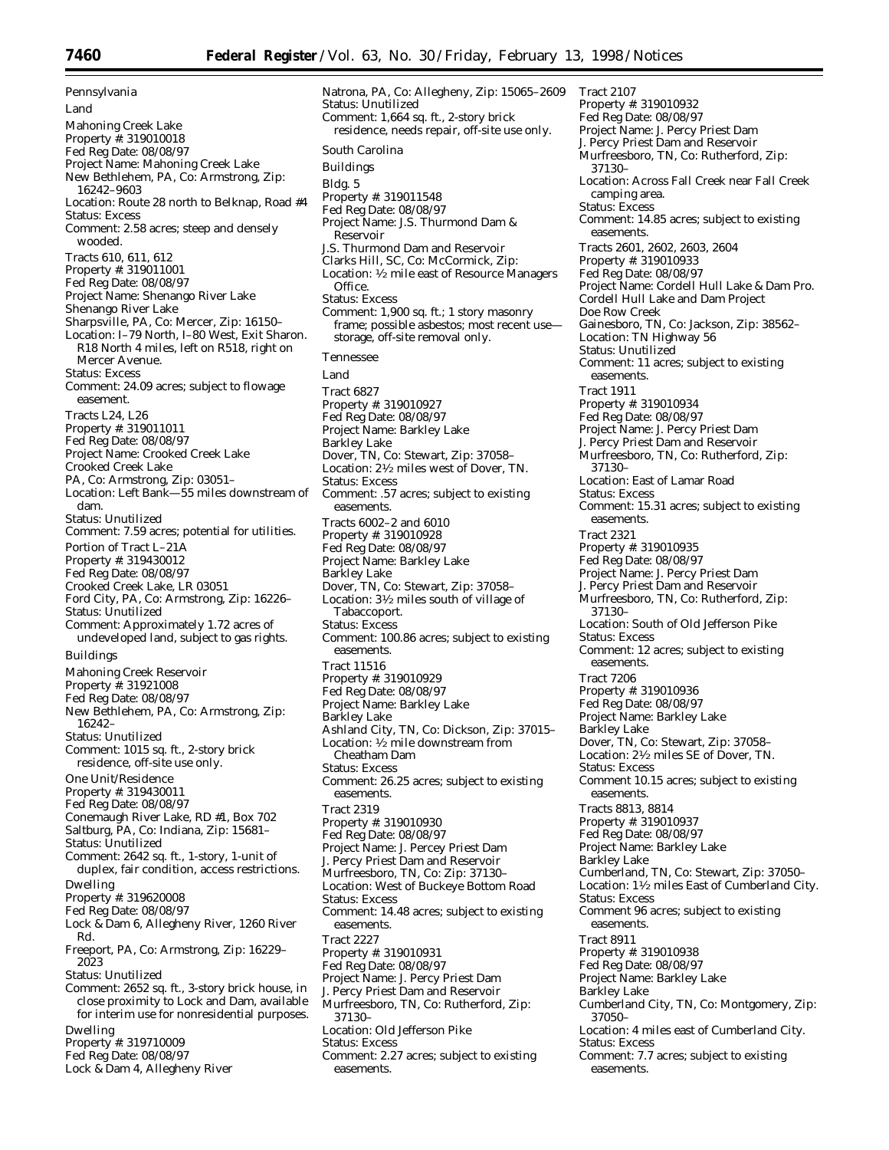*Pennsylvania* Land Mahoning Creek Lake Property #: 319010018 Fed Reg Date: 08/08/97 Project Name: Mahoning Creek Lake New Bethlehem, PA, Co: Armstrong, Zip: 16242–9603 Location: Route 28 north to Belknap, Road #4 Status: Excess Comment: 2.58 acres; steep and densely wooded. Tracts 610, 611, 612 Property #: 319011001 Fed Reg Date: 08/08/97 Project Name: Shenango River Lake Shenango River Lake Sharpsville, PA, Co: Mercer, Zip: 16150– Location: I–79 North, I–80 West, Exit Sharon. R18 North 4 miles, left on R518, right on Mercer Avenue. Status: Excess Comment: 24.09 acres; subject to flowage easement. Tracts L24, L26 Property #: 319011011 Fed Reg Date: 08/08/97 Project Name: Crooked Creek Lake Crooked Creek Lake PA, Co: Armstrong, Zip: 03051– Location: Left Bank—55 miles downstream of dam. Status: Unutilized Comment: 7.59 acres; potential for utilities. Portion of Tract L–21A Property #: 319430012 Fed Reg Date: 08/08/97 Crooked Creek Lake, LR 03051 Ford City, PA, Co: Armstrong, Zip: 16226– Status: Unutilized Comment: Approximately 1.72 acres of undeveloped land, subject to gas rights. Buildings Mahoning Creek Reservoir Property #: 31921008 Fed Reg Date: 08/08/97 New Bethlehem, PA, Co: Armstrong, Zip: 16242– Status: Unutilized Comment: 1015 sq. ft., 2-story brick residence, off-site use only. One Unit/Residence Property #: 319430011 Fed Reg Date: 08/08/97 Conemaugh River Lake, RD #1, Box 702 Saltburg, PA, Co: Indiana, Zip: 15681– Status: Unutilized Comment: 2642 sq. ft., 1-story, 1-unit of duplex, fair condition, access restrictions. Dwelling Property #: 319620008 Fed Reg Date: 08/08/97 Lock & Dam 6, Allegheny River, 1260 River Rd. Freeport, PA, Co: Armstrong, Zip: 16229– 2023 Status: Unutilized Comment: 2652 sq. ft., 3-story brick house, in close proximity to Lock and Dam, available for interim use for nonresidential purposes. Dwelling Property #: 319710009 Fed Reg Date: 08/08/97 Lock & Dam 4, Allegheny River

Natrona, PA, Co: Allegheny, Zip: 15065–2609 Status: Unutilized Comment: 1,664 sq. ft., 2-story brick residence, needs repair, off-site use only. *South Carolina* Buildings Bldg. 5 Property #: 319011548 Fed Reg Date: 08/08/97 Project Name: J.S. Thurmond Dam & Reservoir J.S. Thurmond Dam and Reservoir Clarks Hill, SC, Co: McCormick, Zip: Location: 1⁄2 mile east of Resource Managers Office. Status: Excess Comment: 1,900 sq. ft.; 1 story masonry frame; possible asbestos; most recent use storage, off-site removal only. *Tennessee* Land Tract 6827 Property #: 319010927 Fed Reg Date: 08/08/97 Project Name: Barkley Lake Barkley Lake Dover, TN, Co: Stewart, Zip: 37058– Location: 21⁄2 miles west of Dover, TN. Status: Excess Comment: .57 acres; subject to existing easements. Tracts 6002–2 and 6010 Property #: 319010928 Fed Reg Date: 08/08/97 Project Name: Barkley Lake Barkley Lake Dover, TN, Co: Stewart, Zip: 37058– Location: 31/2 miles south of village of Tabaccoport. Status: Excess Comment: 100.86 acres; subject to existing easements. Tract 11516 Property #: 319010929 Fed Reg Date: 08/08/97 Project Name: Barkley Lake Barkley Lake Ashland City, TN, Co: Dickson, Zip: 37015– Location: 1⁄2 mile downstream from Cheatham Dam Status: Excess Comment: 26.25 acres; subject to existing easements. Tract 2319 Property #: 319010930 Fed Reg Date: 08/08/97 Project Name: J. Percey Priest Dam J. Percy Priest Dam and Reservoir Murfreesboro, TN, Co: Zip: 37130– Location: West of Buckeye Bottom Road Status: Excess Comment: 14.48 acres; subject to existing easements. Tract 2227 Property #: 319010931 Fed Reg Date: 08/08/97 Project Name: J. Percy Priest Dam J. Percy Priest Dam and Reservoir Murfreesboro, TN, Co: Rutherford, Zip: 37130– Location: Old Jefferson Pike Status: Excess Comment: 2.27 acres; subject to existing easements.

Tract 2107 Property #: 319010932 Fed Reg Date: 08/08/97 Project Name: J. Percy Priest Dam J. Percy Priest Dam and Reservoir Murfreesboro, TN, Co: Rutherford, Zip: 37130– Location: Across Fall Creek near Fall Creek camping area. Status: Excess Comment: 14.85 acres; subject to existing easements. Tracts 2601, 2602, 2603, 2604 Property #: 319010933 Fed Reg Date: 08/08/97 Project Name: Cordell Hull Lake & Dam Pro. Cordell Hull Lake and Dam Project Doe Row Creek Gainesboro, TN, Co: Jackson, Zip: 38562– Location: TN Highway 56 Status: Unutilized Comment: 11 acres; subject to existing easements. Tract 1911 Property #: 319010934 Fed Reg Date: 08/08/97 Project Name: J. Percy Priest Dam J. Percy Priest Dam and Reservoir Murfreesboro, TN, Co: Rutherford, Zip: 37130– Location: East of Lamar Road Status: Excess Comment: 15.31 acres; subject to existing easements. Tract 2321 Property #: 319010935 Fed Reg Date: 08/08/97 Project Name: J. Percy Priest Dam J. Percy Priest Dam and Reservoir Murfreesboro, TN, Co: Rutherford, Zip: 37130– Location: South of Old Jefferson Pike Status: Excess Comment: 12 acres; subject to existing easements. Tract 7206 Property #: 319010936 Fed Reg Date: 08/08/97 Project Name: Barkley Lake Barkley Lake Dover, TN, Co: Stewart, Zip: 37058– Location:  $2\frac{1}{2}$  miles SE of Dover, TN. Status: Excess Comment 10.15 acres; subject to existing easements. Tracts 8813, 8814 Property #: 319010937 Fed Reg Date: 08/08/97 Project Name: Barkley Lake Barkley Lake Cumberland, TN, Co: Stewart, Zip: 37050– Location: 11⁄2 miles East of Cumberland City. Status: Excess Comment 96 acres; subject to existing easements. Tract 8911 Property #: 319010938 Fed Reg Date: 08/08/97 Project Name: Barkley Lake Barkley Lake Cumberland City, TN, Co: Montgomery, Zip: 37050– Location: 4 miles east of Cumberland City. Status: Excess Comment: 7.7 acres; subject to existing easements.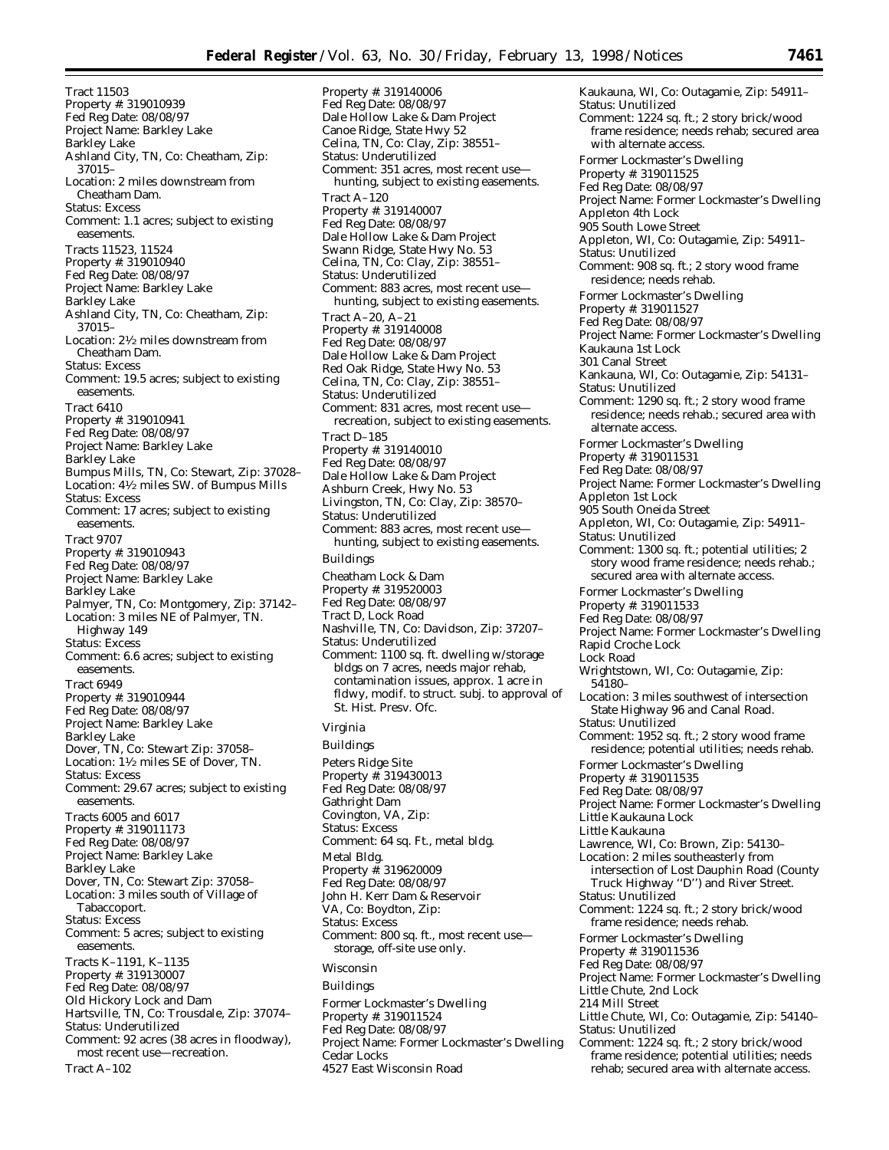Tract 11503 Property #: 319010939 Fed Reg Date: 08/08/97 Project Name: Barkley Lake Barkley Lake Ashland City, TN, Co: Cheatham, Zip: 37015– Location: 2 miles downstream from Cheatham Dam. Status: Excess Comment: 1.1 acres; subject to existing easements. Tracts 11523, 11524 Property #: 319010940 Fed Reg Date: 08/08/97 Project Name: Barkley Lake Barkley Lake Ashland City, TN, Co: Cheatham, Zip: 37015– Location: 21⁄2 miles downstream from Cheatham Dam. Status: Excess Comment: 19.5 acres; subject to existing easements. Tract 6410 Property #: 319010941 Fed Reg Date: 08/08/97 Project Name: Barkley Lake Barkley Lake Bumpus Mills, TN, Co: Stewart, Zip: 37028– Location: 41⁄2 miles SW. of Bumpus Mills Status: Excess Comment: 17 acres; subject to existing easements. Tract 9707 Property #: 319010943 Fed Reg Date: 08/08/97 Project Name: Barkley Lake Barkley Lake Palmyer, TN, Co: Montgomery, Zip: 37142– Location: 3 miles NE of Palmyer, TN. Highway 149 Status: Excess Comment: 6.6 acres; subject to existing easements. Tract 6949 Property #: 319010944 Fed Reg Date: 08/08/97 Project Name: Barkley Lake Barkley Lake Dover, TN, Co: Stewart Zip: 37058– Location: 11⁄2 miles SE of Dover, TN. Status: Excess Comment: 29.67 acres; subject to existing easements. Tracts 6005 and 6017 Property #: 319011173 Fed Reg Date: 08/08/97 Project Name: Barkley Lake Barkley Lake Dover, TN, Co: Stewart Zip: 37058– Location: 3 miles south of Village of Tabaccoport. Status: Excess Comment: 5 acres; subject to existing easements. Tracts K–1191, K–1135 Property #: 319130007 Fed Reg Date: 08/08/97 Old Hickory Lock and Dam Hartsville, TN, Co: Trousdale, Zip: 37074– Status: Underutilized Comment: 92 acres (38 acres in floodway), most recent use—recreation. Tract A–102

Property #: 319140006 Fed Reg Date: 08/08/97 Dale Hollow Lake & Dam Project Canoe Ridge, State Hwy 52 Celina, TN, Co: Clay, Zip: 38551– Status: Underutilized Comment: 351 acres, most recent use hunting, subject to existing easements. Tract A–120 Property #: 319140007 Fed Reg Date: 08/08/97 Dale Hollow Lake & Dam Project Swann Ridge, State Hwy No. 53 Celina, TN, Co: Clay, Zip: 38551– Status: Underutilized Comment: 883 acres, most recent use hunting, subject to existing easements. Tract A–20, A–21 Property #: 319140008 Fed Reg Date: 08/08/97 Dale Hollow Lake & Dam Project Red Oak Ridge, State Hwy No. 53 Celina, TN, Co: Clay, Zip: 38551– Status: Underutilized Comment: 831 acres, most recent use recreation, subject to existing easements. Tract D–185 Property #: 319140010 Fed Reg Date: 08/08/97 Dale Hollow Lake & Dam Project Ashburn Creek, Hwy No. 53 Livingston, TN, Co: Clay, Zip: 38570– Status: Underutilized Comment: 883 acres, most recent use hunting, subject to existing easements. Buildings Cheatham Lock & Dam Property #: 319520003 Fed Reg Date: 08/08/97 Tract D, Lock Road Nashville, TN, Co: Davidson, Zip: 37207– Status: Underutilized Comment: 1100 sq. ft. dwelling w/storage bldgs on 7 acres, needs major rehab, contamination issues, approx. 1 acre in fldwy, modif. to struct. subj. to approval of St. Hist. Presy. Ofc. *Virginia* Buildings Peters Ridge Site Property #: 319430013 Fed Reg Date: 08/08/97 Gathright Dam Covington, VA, Zip: Status: Excess Comment: 64 sq. Ft., metal bldg. Metal Bldg. Property #: 319620009 Fed Reg Date: 08/08/97 John H. Kerr Dam & Reservoir VA, Co: Boydton, Zip: Status: Excess Comment: 800 sq. ft., most recent use storage, off-site use only. *Wisconsin* Buildings Former Lockmaster's Dwelling Property #: 319011524 Fed Reg Date: 08/08/97 Project Name: Former Lockmaster's Dwelling Cedar Locks

4527 East Wisconsin Road

Kaukauna, WI, Co: Outagamie, Zip: 54911– Status: Unutilized Comment: 1224 sq. ft.; 2 story brick/wood frame residence; needs rehab; secured area with alternate access. Former Lockmaster's Dwelling Property #: 319011525 Fed Reg Date: 08/08/97 Project Name: Former Lockmaster's Dwelling Appleton 4th Lock 905 South Lowe Street Appleton, WI, Co: Outagamie, Zip: 54911– Status: Unutilized Comment: 908 sq. ft.; 2 story wood frame residence; needs rehab. Former Lockmaster's Dwelling Property #: 319011527 Fed Reg Date: 08/08/97 Project Name: Former Lockmaster's Dwelling Kaukauna 1st Lock 301 Canal Street Kankauna, WI, Co: Outagamie, Zip: 54131– Status: Unutilized Comment: 1290 sq. ft.; 2 story wood frame residence; needs rehab.; secured area with alternate access. Former Lockmaster's Dwelling Property #: 319011531 Fed Reg Date: 08/08/97 Project Name: Former Lockmaster's Dwelling Appleton 1st Lock 905 South Oneida Street Appleton, WI, Co: Outagamie, Zip: 54911– Status: Unutilized Comment: 1300 sq. ft.; potential utilities; 2 story wood frame residence; needs rehab.; secured area with alternate access. Former Lockmaster's Dwelling Property #: 319011533 Fed Reg Date: 08/08/97 Project Name: Former Lockmaster's Dwelling Rapid Croche Lock Lock Road Wrightstown, WI, Co: Outagamie, Zip: 54180– Location: 3 miles southwest of intersection State Highway 96 and Canal Road. Status: Unutilized Comment: 1952 sq. ft.; 2 story wood frame residence; potential utilities; needs rehab. Former Lockmaster's Dwelling Property #: 319011535 Fed Reg Date: 08/08/97 Project Name: Former Lockmaster's Dwelling Little Kaukauna Lock Little Kaukauna Lawrence, WI, Co: Brown, Zip: 54130– Location: 2 miles southeasterly from intersection of Lost Dauphin Road (County Truck Highway ''D'') and River Street. Status: Unutilized Comment: 1224 sq. ft.; 2 story brick/wood frame residence; needs rehab. Former Lockmaster's Dwelling Property #: 319011536 Fed Reg Date: 08/08/97 Project Name: Former Lockmaster's Dwelling Little Chute, 2nd Lock 214 Mill Street Little Chute, WI, Co: Outagamie, Zip: 54140– Status: Unutilized Comment: 1224 sq. ft.; 2 story brick/wood frame residence; potential utilities; needs rehab; secured area with alternate access.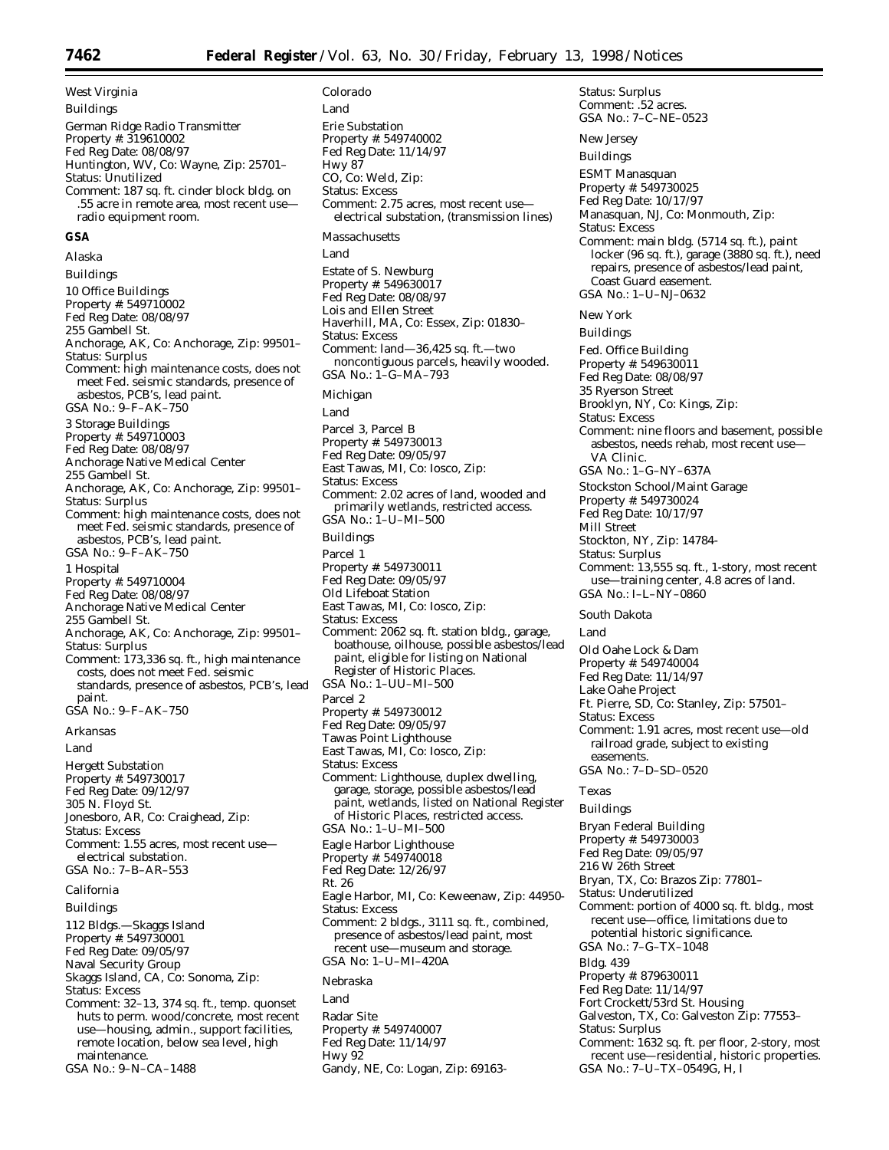*West Virginia* Buildings German Ridge Radio Transmitter Property #: 319610002 Fed Reg Date: 08/08/97 Huntington, WV, Co: Wayne, Zip: 25701– Status: Unutilized Comment: 187 sq. ft. cinder block bldg. on .55 acre in remote area, most recent use radio equipment room. **GSA** *Alaska* Buildings 10 Office Buildings Property #: 549710002 Fed Reg Date: 08/08/97 255 Gambell St. Anchorage, AK, Co: Anchorage, Zip: 99501– Status: Surplus Comment: high maintenance costs, does not meet Fed. seismic standards, presence of asbestos, PCB's, lead paint. GSA No.: 9–F–AK–750 3 Storage Buildings Property #: 549710003 Fed Reg Date: 08/08/97 Anchorage Native Medical Center 255 Gambell St. Anchorage, AK, Co: Anchorage, Zip: 99501– Status: Surplus Comment: high maintenance costs, does not meet Fed. seismic standards, presence of asbestos, PCB's, lead paint. GSA No.: 9–F–AK–750 1 Hospital Property #: 549710004 Fed Reg Date: 08/08/97 Anchorage Native Medical Center 255 Gambell St. Anchorage, AK, Co: Anchorage, Zip: 99501– Status: Surplus Comment: 173,336 sq. ft., high maintenance costs, does not meet Fed. seismic standards, presence of asbestos, PCB's, lead paint. GSA No.: 9–F–AK–750 *Arkansas* Land Hergett Substation Property #: 549730017 Fed Reg Date: 09/12/97 305 N. Floyd St. Jonesboro, AR, Co: Craighead, Zip: Status: Excess Comment: 1.55 acres, most recent use electrical substation. GSA No.: 7–B–AR–553 *California* Buildings 112 Bldgs.—Skaggs Island Property #: 549730001 Fed Reg Date: 09/05/97 Naval Security Group Skaggs Island, CA, Co: Sonoma, Zip: Status: Excess Comment: 32–13, 374 sq. ft., temp. quonset huts to perm. wood/concrete, most recent use—housing, admin., support facilities, remote location, below sea level, high maintenance. GSA No.: 9–N–CA–1488

*Colorado* Land Erie Substation Property #: 549740002 Fed Reg Date: 11/14/97 Hwy 87 CO, Co: Weld, Zip: Status: Excess Comment: 2.75 acres, most recent use electrical substation, (transmission lines) *Massachusetts* Land Estate of S. Newburg Property #: 549630017 Fed Reg Date: 08/08/97 Lois and Ellen Street Haverhill, MA, Co: Essex, Zip: 01830– Status: Excess Comment: land—36,425 sq. ft.—two noncontiguous parcels, heavily wooded. GSA No.: 1–G–MA–793 *Michigan* Land Parcel 3, Parcel B Property #: 549730013 Fed Reg Date: 09/05/97 East Tawas, MI, Co: Iosco, Zip: Status: Excess Comment: 2.02 acres of land, wooded and primarily wetlands, restricted access. GSA No.: 1–U–MI–500 Buildings Parcel 1 Property #: 549730011 Fed Reg Date: 09/05/97 Old Lifeboat Station East Tawas, MI, Co: Iosco, Zip: Status: Excess Comment: 2062 sq. ft. station bldg., garage, boathouse, oilhouse, possible asbestos/lead paint, eligible for listing on National Register of Historic Places. GSA No.: 1–UU–MI–500 Parcel 2 Property #: 549730012 Fed Reg Date: 09/05/97 Tawas Point Lighthouse East Tawas, MI, Co: Iosco, Zip: Status: Excess Comment: Lighthouse, duplex dwelling, garage, storage, possible asbestos/lead paint, wetlands, listed on National Register of Historic Places, restricted access. GSA No.: 1–U–MI–500 Eagle Harbor Lighthouse Property #: 549740018 Fed Reg Date: 12/26/97 Rt. 26 Eagle Harbor, MI, Co: Keweenaw, Zip: 44950- Status: Excess Comment: 2 bldgs., 3111 sq. ft., combined, presence of asbestos/lead paint, most recent use—museum and storage. GSA No: 1–U–MI–420A *Nebraska* Land Radar Site Property #: 549740007 Fed Reg Date: 11/14/97 Hwy 92 Gandy, NE, Co: Logan, Zip: 69163-

Status: Surplus Comment: .52 acres. GSA No.: 7–C–NE–0523 *New Jersey* Buildings ESMT Manasquan Property #: 549730025 Fed Reg Date: 10/17/97 Manasquan, NJ, Co: Monmouth, Zip: Status: Excess Comment: main bldg. (5714 sq. ft.), paint locker (96 sq. ft.), garage (3880 sq. ft.), need repairs, presence of asbestos/lead paint, Coast Guard easement. GSA No.: 1–U–NJ–0632 *New York* Buildings Fed. Office Building Property #: 549630011 Fed Reg Date: 08/08/97 35 Ryerson Street Brooklyn, NY, Co: Kings, Zip: Status: Excess Comment: nine floors and basement, possible asbestos, needs rehab, most recent use— VA Clinic. GSA No.: 1–G–NY–637A Stockston School/Maint Garage Property #: 549730024 Fed Reg Date: 10/17/97 Mill Street Stockton, NY, Zip: 14784- Status: Surplus Comment: 13,555 sq. ft., 1-story, most recent use—training center, 4.8 acres of land. GSA No.: I–L–NY–0860 *South Dakota* Land Old Oahe Lock & Dam Property #: 549740004 Fed Reg Date: 11/14/97 Lake Oahe Project Ft. Pierre, SD, Co: Stanley, Zip: 57501– Status: Excess Comment: 1.91 acres, most recent use—old railroad grade, subject to existing easements. GSA No.: 7–D–SD–0520 *Texas* Buildings Bryan Federal Building Property #: 549730003 Fed Reg Date: 09/05/97 216 W 26th Street Bryan, TX, Co: Brazos Zip: 77801– Status: Underutilized Comment: portion of 4000 sq. ft. bldg., most recent use—office, limitations due to potential historic significance. GSA No.: 7–G–TX–1048 Bldg. 439 Property #: 879630011 Fed Reg Date: 11/14/97 Fort Crockett/53rd St. Housing Galveston, TX, Co: Galveston Zip: 77553– Status: Surplus Comment: 1632 sq. ft. per floor, 2-story, most recent use—residential, historic properties. GSA No.: 7–U–TX–0549G, H, I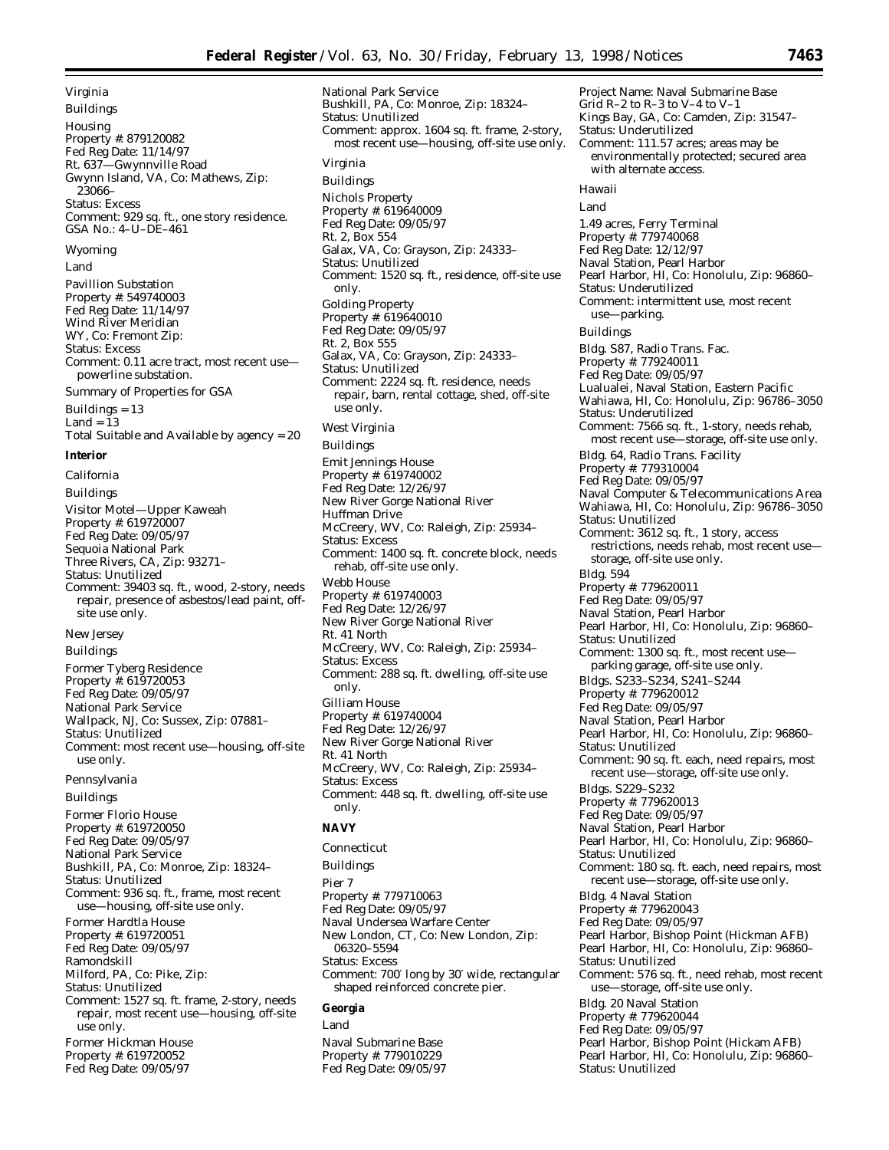*Virginia*

Buildings Housing Property #: 879120082 Fed Reg Date: 11/14/97 Rt. 637—Gwynnville Road Gwynn Island, VA, Co: Mathews, Zip: 23066– Status: Excess Comment: 929 sq. ft., one story residence. GSA No.: 4–U–DE–461 *Wyoming* Land

Pavillion Substation Property #: 549740003 Fed Reg Date: 11/14/97 Wind River Meridian WY, Co: Fremont Zip: Status: Excess Comment: 0.11 acre tract, most recent use powerline substation. Summary of Properties for GSA

Buildings = 13 Land = 13 Total Suitable and Available by agency = 20

## **Interior**

*California* Buildings Visitor Motel—Upper Kaweah Property #: 619720007 Fed Reg Date: 09/05/97 Sequoia National Park Three Rivers, CA, Zip: 93271– Status: Unutilized Comment: 39403 sq. ft., wood, 2-story, needs repair, presence of asbestos/lead paint, offsite use only. *New Jersey*

Buildings

Former Tyberg Residence Property #: 619720053 Fed Reg Date: 09/05/97 National Park Service Wallpack, NJ, Co: Sussex, Zip: 07881– Status: Unutilized Comment: most recent use—housing, off-site use only.

*Pennsylvania*

Buildings

Former Florio House Property #: 619720050 Fed Reg Date: 09/05/97 National Park Service Bushkill, PA, Co: Monroe, Zip: 18324– Status: Unutilized Comment: 936 sq. ft., frame, most recent use—housing, off-site use only. Former Hardtla House Property #: 619720051 Fed Reg Date: 09/05/97 Ramondskill Milford, PA, Co: Pike, Zip: Status: Unutilized Comment: 1527 sq. ft. frame, 2-story, needs repair, most recent use—housing, off-site use only. Former Hickman House Property #: 619720052

Fed Reg Date: 09/05/97

National Park Service Bushkill, PA, Co: Monroe, Zip: 18324– Status: Unutilized Comment: approx. 1604 sq. ft. frame, 2-story, most recent use—housing, off-site use only. *Virginia* Buildings Nichols Property Property #: 619640009 Fed Reg Date: 09/05/97 Rt. 2, Box 554 Galax, VA, Co: Grayson, Zip: 24333– Status: Unutilized Comment: 1520 sq. ft., residence, off-site use only. Golding Property Property #: 619640010 Fed Reg Date: 09/05/97 Rt. 2, Box 555 Galax, VA, Co: Grayson, Zip: 24333– Status: Unutilized Comment: 2224 sq. ft. residence, needs repair, barn, rental cottage, shed, off-site use only. *West Virginia* Buildings Emit Jennings House Property #: 619740002 Fed Reg Date: 12/26/97 New River Gorge National River Huffman Drive McCreery, WV, Co: Raleigh, Zip: 25934– Status: Excess Comment: 1400 sq. ft. concrete block, needs rehab, off-site use only. Webb House Property #: 619740003 Fed Reg Date: 12/26/97 New River Gorge National River Rt. 41 North McCreery, WV, Co: Raleigh, Zip: 25934– Status: Excess Comment: 288 sq. ft. dwelling, off-site use only. Gilliam House Property #: 619740004 Fed Reg Date: 12/26/97 New River Gorge National River Rt. 41 North McCreery, WV, Co: Raleigh, Zip: 25934– Status: Excess Comment: 448 sq. ft. dwelling, off-site use only. **NAVY** *Connecticut*

Buildings Pier 7 Property #: 779710063 Fed Reg Date: 09/05/97 Naval Undersea Warfare Center New London, CT, Co: New London, Zip: 06320–5594 Status: Excess Comment: 700′ long by 30′ wide, rectangular shaped reinforced concrete pier.

# **Georgia**

Land Naval Submarine Base Property #: 779010229 Fed Reg Date: 09/05/97

Project Name: Naval Submarine Base Grid R–2 to R–3 to V–4 to V–1 Kings Bay, GA, Co: Camden, Zip: 31547– Status: Underutilized Comment: 111.57 acres; areas may be environmentally protected; secured area with alternate access. *Hawaii* Land 1.49 acres, Ferry Terminal Property #: 779740068 Fed Reg Date: 12/12/97 Naval Station, Pearl Harbor Pearl Harbor, HI, Co: Honolulu, Zip: 96860– Status: Underutilized Comment: intermittent use, most recent use—parking. Buildings Bldg. S87, Radio Trans. Fac. Property #: 779240011 Fed Reg Date: 09/05/97 Lualualei, Naval Station, Eastern Pacific Wahiawa, HI, Co: Honolulu, Zip: 96786–3050 Status: Underutilized Comment: 7566 sq. ft., 1-story, needs rehab, most recent use—storage, off-site use only. Bldg. 64, Radio Trans. Facility Property #: 779310004 Fed Reg Date: 09/05/97 Naval Computer & Telecommunications Area Wahiawa, HI, Co: Honolulu, Zip: 96786–3050 Status: Unutilized Comment: 3612 sq. ft., 1 story, access restrictions, needs rehab, most recent use storage, off-site use only. Bldg. 594 Property #: 779620011 Fed Reg Date: 09/05/97 Naval Station, Pearl Harbor Pearl Harbor, HI, Co: Honolulu, Zip: 96860– Status: Unutilized Comment: 1300 sq. ft., most recent use parking garage, off-site use only. Bldgs. S233–S234, S241–S244 Property #: 779620012 Fed Reg Date: 09/05/97 Naval Station, Pearl Harbor Pearl Harbor, HI, Co: Honolulu, Zip: 96860– Status: Unutilized Comment: 90 sq. ft. each, need repairs, most recent use—storage, off-site use only. Bldgs. S229–S232 Property #: 779620013 Fed Reg Date: 09/05/97 Naval Station, Pearl Harbor Pearl Harbor, HI, Co: Honolulu, Zip: 96860– Status: Unutilized Comment: 180 sq. ft. each, need repairs, most recent use—storage, off-site use only. Bldg. 4 Naval Station Property #: 779620043 Fed Reg Date: 09/05/97 Pearl Harbor, Bishop Point (Hickman AFB) Pearl Harbor, HI, Co: Honolulu, Zip: 96860– Status: Unutilized Comment: 576 sq. ft., need rehab, most recent use—storage, off-site use only. Bldg. 20 Naval Station Property #: 779620044 Fed Reg Date: 09/05/97 Pearl Harbor, Bishop Point (Hickam AFB) Pearl Harbor, HI, Co: Honolulu, Zip: 96860–

Status: Unutilized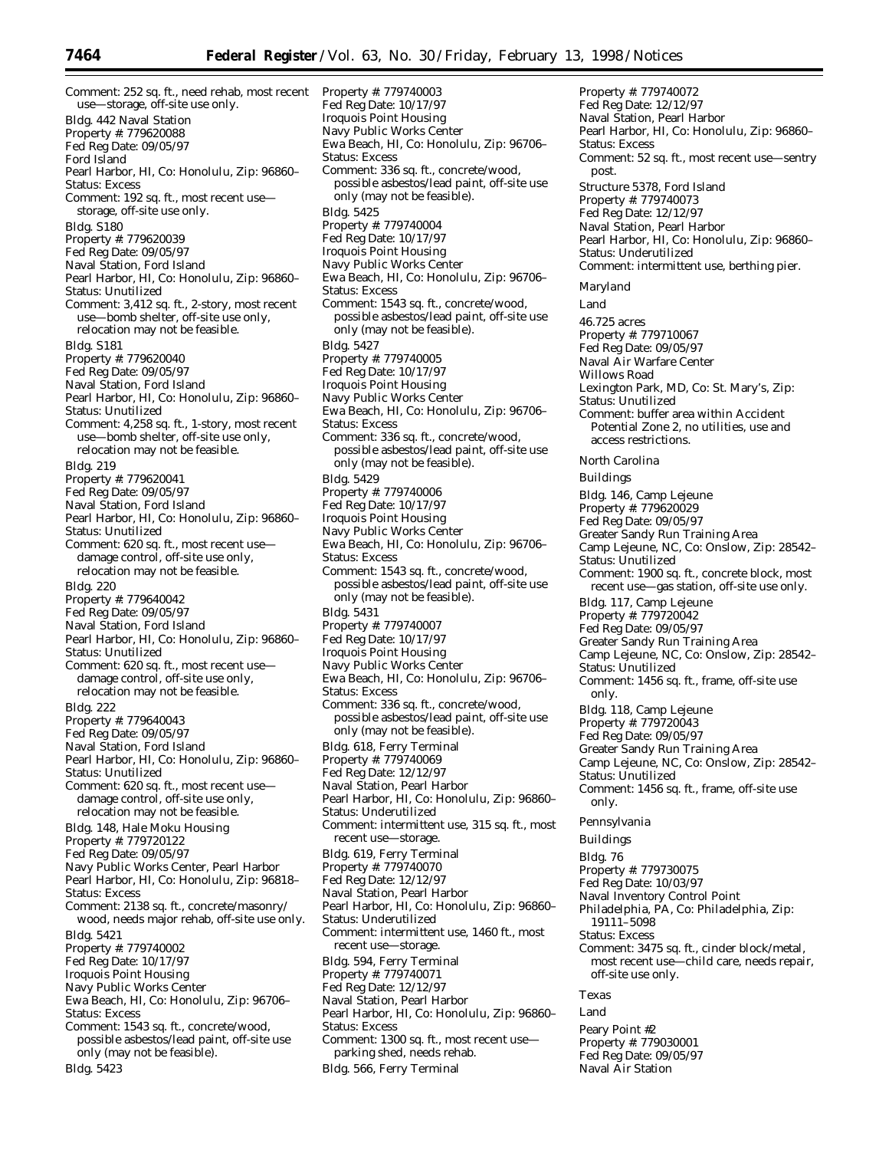Comment: 252 sq. ft., need rehab, most recent use—storage, off-site use only. Bldg. 442 Naval Station Property #: 779620088 Fed Reg Date: 09/05/97 Ford Island Pearl Harbor, HI, Co: Honolulu, Zip: 96860– Status: Excess Comment: 192 sq. ft., most recent use storage, off-site use only. Bldg. S180 Property #: 779620039 Fed Reg Date: 09/05/97 Naval Station, Ford Island Pearl Harbor, HI, Co: Honolulu, Zip: 96860– Status: Unutilized Comment: 3,412 sq. ft., 2-story, most recent use—bomb shelter, off-site use only, relocation may not be feasible. Bldg. S181 Property #: 779620040 Fed Reg Date: 09/05/97 Naval Station, Ford Island Pearl Harbor, HI, Co: Honolulu, Zip: 96860– Status: Unutilized Comment: 4,258 sq. ft., 1-story, most recent use—bomb shelter, off-site use only, relocation may not be feasible. Bldg. 219 Property #: 779620041 Fed Reg Date: 09/05/97 Naval Station, Ford Island Pearl Harbor, HI, Co: Honolulu, Zip: 96860– Status: Unutilized Comment: 620 sq. ft., most recent use damage control, off-site use only, relocation may not be feasible. Bldg. 220 Property #: 779640042 Fed Reg Date: 09/05/97 Naval Station, Ford Island Pearl Harbor, HI, Co: Honolulu, Zip: 96860– Status: Unutilized Comment: 620 sq. ft., most recent use damage control, off-site use only, relocation may not be feasible. Bldg. 222 Property #: 779640043 Fed Reg Date: 09/05/97 Naval Station, Ford Island Pearl Harbor, HI, Co: Honolulu, Zip: 96860– Status: Unutilized Comment: 620 sq. ft., most recent use damage control, off-site use only, relocation may not be feasible. Bldg. 148, Hale Moku Housing Property #: 779720122 Fed Reg Date: 09/05/97 Navy Public Works Center, Pearl Harbor Pearl Harbor, HI, Co: Honolulu, Zip: 96818– Status: Excess Comment: 2138 sq. ft., concrete/masonry/ wood, needs major rehab, off-site use only. Bldg. 5421 Property #: 779740002 Fed Reg Date: 10/17/97 Iroquois Point Housing Navy Public Works Center Ewa Beach, HI, Co: Honolulu, Zip: 96706– Status: Excess Comment: 1543 sq. ft., concrete/wood, possible asbestos/lead paint, off-site use only (may not be feasible). Bldg. 5423

Property #: 779740003 Fed Reg Date: 10/17/97 Iroquois Point Housing Navy Public Works Center Ewa Beach, HI, Co: Honolulu, Zip: 96706– Status: Excess Comment: 336 sq. ft., concrete/wood, possible asbestos/lead paint, off-site use only (may not be feasible). Bldg. 5425 Property #: 779740004 Fed Reg Date: 10/17/97 Iroquois Point Housing Navy Public Works Center Ewa Beach, HI, Co: Honolulu, Zip: 96706– Status: Excess Comment: 1543 sq. ft., concrete/wood, possible asbestos/lead paint, off-site use only (may not be feasible). Bldg. 5427 Property #: 779740005 Fed Reg Date: 10/17/97 Iroquois Point Housing Navy Public Works Center Ewa Beach, HI, Co: Honolulu, Zip: 96706– Status: Excess Comment: 336 sq. ft., concrete/wood, possible asbestos/lead paint, off-site use only (may not be feasible). Bldg. 5429 Property #: 779740006 Fed Reg Date: 10/17/97 Iroquois Point Housing Navy Public Works Center Ewa Beach, HI, Co: Honolulu, Zip: 96706– Status: Excess Comment: 1543 sq. ft., concrete/wood, possible asbestos/lead paint, off-site use only (may not be feasible). Bldg. 5431 Property #: 779740007 Fed Reg Date: 10/17/97 Iroquois Point Housing Navy Public Works Center Ewa Beach, HI, Co: Honolulu, Zip: 96706– Status: Excess Comment: 336 sq. ft., concrete/wood, possible asbestos/lead paint, off-site use only (may not be feasible). Bldg. 618, Ferry Terminal Property #: 779740069 Fed Reg Date: 12/12/97 Naval Station, Pearl Harbor Pearl Harbor, HI, Co: Honolulu, Zip: 96860– Status: Underutilized Comment: intermittent use, 315 sq. ft., most recent use—storage. Bldg. 619, Ferry Terminal Property #: 779740070 Fed Reg Date: 12/12/97 Naval Station, Pearl Harbor Pearl Harbor, HI, Co: Honolulu, Zip: 96860– Status: Underutilized Comment: intermittent use, 1460 ft., most recent use—storage. Bldg. 594, Ferry Terminal Property #: 779740071 Fed Reg Date: 12/12/97 Naval Station, Pearl Harbor Pearl Harbor, HI, Co: Honolulu, Zip: 96860– Status: Excess Comment: 1300 sq. ft., most recent use parking shed, needs rehab. Bldg. 566, Ferry Terminal

Fed Reg Date: 12/12/97 Naval Station, Pearl Harbor Pearl Harbor, HI, Co: Honolulu, Zip: 96860– Status: Excess Comment: 52 sq. ft., most recent use—sentry post. Structure 5378, Ford Island Property #: 779740073 Fed Reg Date: 12/12/97 Naval Station, Pearl Harbor Pearl Harbor, HI, Co: Honolulu, Zip: 96860– Status: Underutilized Comment: intermittent use, berthing pier. *Maryland* Land 46.725 acres Property #: 779710067 Fed Reg Date: 09/05/97 Naval Air Warfare Center Willows Road Lexington Park, MD, Co: St. Mary's, Zip: Status: Unutilized Comment: buffer area within Accident Potential Zone 2, no utilities, use and access restrictions. *North Carolina* Buildings Bldg. 146, Camp Lejeune Property #: 779620029 Fed Reg Date: 09/05/97 Greater Sandy Run Training Area Camp Lejeune, NC, Co: Onslow, Zip: 28542– Status: Unutilized Comment: 1900 sq. ft., concrete block, most recent use—gas station, off-site use only. Bldg. 117, Camp Lejeune Property #: 779720042 Fed Reg Date: 09/05/97 Greater Sandy Run Training Area Camp Lejeune, NC, Co: Onslow, Zip: 28542– Status: Unutilized Comment: 1456 sq. ft., frame, off-site use only. Bldg. 118, Camp Lejeune Property #: 779720043 Fed Reg Date: 09/05/97 Greater Sandy Run Training Area Camp Lejeune, NC, Co: Onslow, Zip: 28542– Status: Unutilized Comment: 1456 sq. ft., frame, off-site use only. *Pennsylvania* Buildings Bldg. 76 Property #: 779730075 Fed Reg Date: 10/03/97 Naval Inventory Control Point Philadelphia, PA, Co: Philadelphia, Zip: 19111–5098 Status: Excess Comment: 3475 sq. ft., cinder block/metal, most recent use—child care, needs repair, off-site use only. *Texas* Land Peary Point #2

Property #: 779030001 Fed Reg Date: 09/05/97 Naval Air Station

Property #: 779740072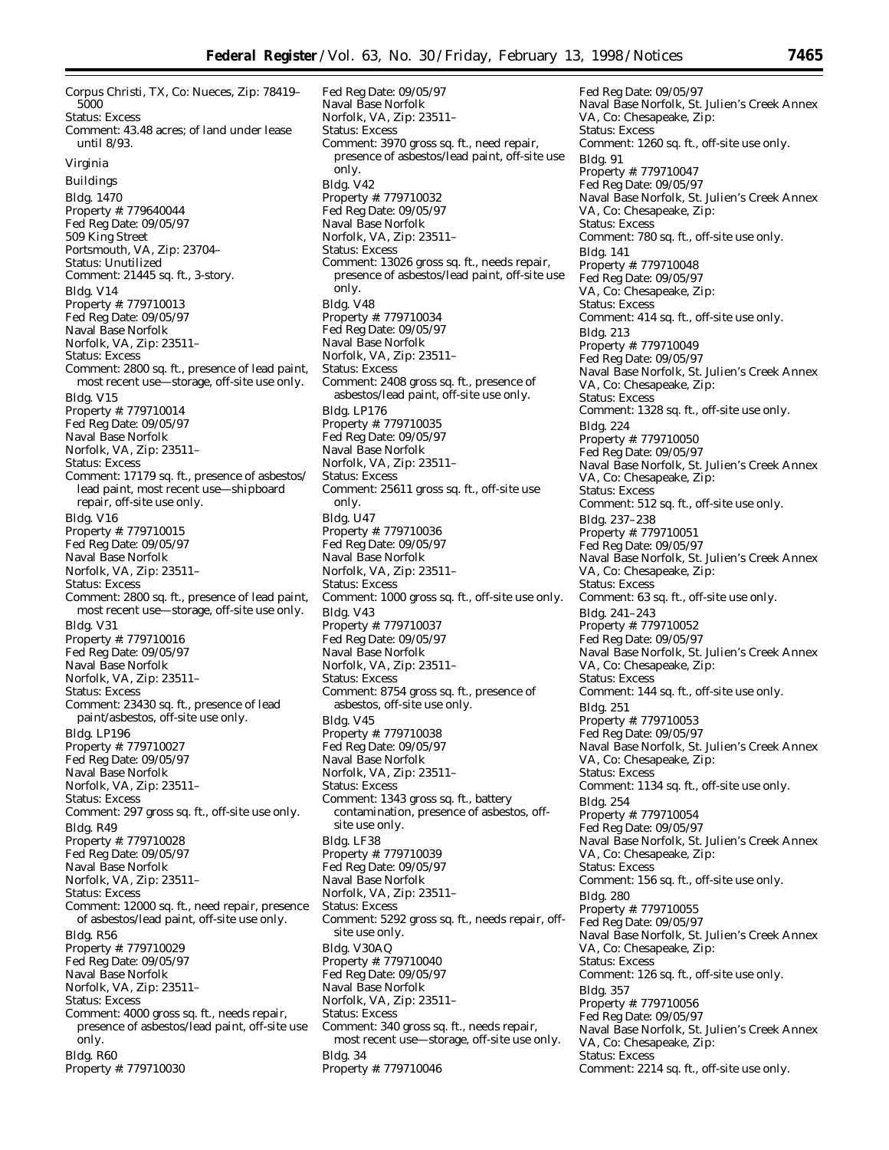Corpus Christi, TX, Co: Nueces, Zip: 78419– 5000 Status: Excess Comment: 43.48 acres; of land under lease until 8/93. *Virginia* Buildings Bldg. 1470 Property #: 779640044 Fed Reg Date: 09/05/97 509 King Street Portsmouth, VA, Zip: 23704– Status: Unutilized Comment: 21445 sq. ft., 3-story. Bldg. V14 Property #: 779710013 Fed Reg Date: 09/05/97 Naval Base Norfolk Norfolk, VA, Zip: 23511– Status: Excess Comment: 2800 sq. ft., presence of lead paint, most recent use—storage, off-site use only. Bldg. V15 Property #: 779710014 Fed Reg Date: 09/05/97 Naval Base Norfolk Norfolk, VA, Zip: 23511– Status: Excess Comment: 17179 sq. ft., presence of asbestos/ lead paint, most recent use—shipboard repair, off-site use only. Bldg. V16 Property #: 779710015 Fed Reg Date: 09/05/97 Naval Base Norfolk Norfolk, VA, Zip: 23511– Status: Excess Comment: 2800 sq. ft., presence of lead paint, most recent use—storage, off-site use only. Bldg. V31 Property #: 779710016 Fed Reg Date: 09/05/97 Naval Base Norfolk Norfolk, VA, Zip: 23511– Status: Excess Comment: 23430 sq. ft., presence of lead paint/asbestos, off-site use only. Bldg. LP196 Property #: 779710027 Fed Reg Date: 09/05/97 Naval Base Norfolk Norfolk, VA, Zip: 23511– Status: Excess Comment: 297 gross sq. ft., off-site use only. Bldg. R49 Property #: 779710028 Fed Reg Date: 09/05/97 Naval Base Norfolk Norfolk, VA, Zip: 23511– Status: Excess Comment: 12000 sq. ft., need repair, presence of asbestos/lead paint, off-site use only. Bldg. R56 Property #: 779710029 Fed Reg Date: 09/05/97 Naval Base Norfolk Norfolk, VA, Zip: 23511– Status: Excess Comment: 4000 gross sq. ft., needs repair, presence of asbestos/lead paint, off-site use only. Bldg. R60 Property #: 779710030

Fed Reg Date: 09/05/97 Naval Base Norfolk Norfolk, VA, Zip: 23511– Status: Excess Comment: 3970 gross sq. ft., need repair, presence of asbestos/lead paint, off-site use only. Bldg. V42 Property #: 779710032 Fed Reg Date: 09/05/97 Naval Base Norfolk Norfolk, VA, Zip: 23511– Status: Excess Comment: 13026 gross sq. ft., needs repair, presence of asbestos/lead paint, off-site use only. Bldg. V48 Property #: 779710034 Fed Reg Date: 09/05/97 Naval Base Norfolk Norfolk, VA, Zip: 23511– Status: Excess Comment: 2408 gross sq. ft., presence of asbestos/lead paint, off-site use only. Bldg. LP176 Property #: 779710035 Fed Reg Date: 09/05/97 Naval Base Norfolk Norfolk, VA, Zip: 23511– Status: Excess Comment: 25611 gross sq. ft., off-site use only. Bldg. U47 Property #: 779710036 Fed Reg Date: 09/05/97 Naval Base Norfolk Norfolk, VA, Zip: 23511– Status: Excess Comment: 1000 gross sq. ft., off-site use only. Bldg. V43 Property #: 779710037 Fed Reg Date: 09/05/97 Naval Base Norfolk Norfolk, VA, Zip: 23511– Status: Excess Comment: 8754 gross sq. ft., presence of asbestos, off-site use only. Bldg. V45 Property #: 779710038 Fed Reg Date: 09/05/97 Naval Base Norfolk Norfolk, VA, Zip: 23511– Status: Excess Comment: 1343 gross sq. ft., battery contamination, presence of asbestos, offsite use only. Bldg. LF38 Property #: 779710039 Fed Reg Date: 09/05/97 Naval Base Norfolk Norfolk, VA, Zip: 23511– Status: Excess Comment: 5292 gross sq. ft., needs repair, offsite use only. Bldg. V30AQ Property #: 779710040 Fed Reg Date: 09/05/97 Naval Base Norfolk Norfolk, VA, Zip: 23511– Status: Excess Comment: 340 gross sq. ft., needs repair, most recent use—storage, off-site use only. Bldg. 34 Property #: 779710046

Fed Reg Date: 09/05/97 Naval Base Norfolk, St. Julien's Creek Annex VA, Co: Chesapeake, Zip: Status: Excess Comment: 1260 sq. ft., off-site use only. Bldg. 91 Property #: 779710047 Fed Reg Date: 09/05/97 Naval Base Norfolk, St. Julien's Creek Annex VA, Co: Chesapeake, Zip: Status: Excess Comment: 780 sq. ft., off-site use only. Bldg. 141 Property #: 779710048 Fed Reg Date: 09/05/97 VA, Co: Chesapeake, Zip: Status: Excess Comment: 414 sq. ft., off-site use only. Bldg. 213 Property #: 779710049 Fed Reg Date: 09/05/97 Naval Base Norfolk, St. Julien's Creek Annex VA, Co: Chesapeake, Zip: Status: Excess Comment: 1328 sq. ft., off-site use only. Bldg. 224 Property #: 779710050 Fed Reg Date: 09/05/97 Naval Base Norfolk, St. Julien's Creek Annex VA, Co: Chesapeake, Zip: Status: Excess Comment: 512 sq. ft., off-site use only. Bldg. 237–238 Property #: 779710051 Fed Reg Date: 09/05/97 Naval Base Norfolk, St. Julien's Creek Annex VA, Co: Chesapeake, Zip: Status: Excess Comment: 63 sq. ft., off-site use only. Bldg. 241–243 Property #: 779710052 Fed Reg Date: 09/05/97 Naval Base Norfolk, St. Julien's Creek Annex VA, Co: Chesapeake, Zip: Status: Excess Comment: 144 sq. ft., off-site use only. Bldg. 251 Property #: 779710053 Fed Reg Date: 09/05/97 Naval Base Norfolk, St. Julien's Creek Annex VA, Co: Chesapeake, Zip: Status: Excess Comment: 1134 sq. ft., off-site use only. Bldg. 254 Property #: 779710054 Fed Reg Date: 09/05/97 Naval Base Norfolk, St. Julien's Creek Annex VA, Co: Chesapeake, Zip: Status: Excess Comment: 156 sq. ft., off-site use only. Bldg. 280 Property #: 779710055 Fed Reg Date: 09/05/97 Naval Base Norfolk, St. Julien's Creek Annex VA, Co: Chesapeake, Zip: Status: Excess Comment: 126 sq. ft., off-site use only. Bldg. 357 Property #: 779710056 Fed Reg Date: 09/05/97 Naval Base Norfolk, St. Julien's Creek Annex VA, Co: Chesapeake, Zip: Status: Excess Comment: 2214 sq. ft., off-site use only.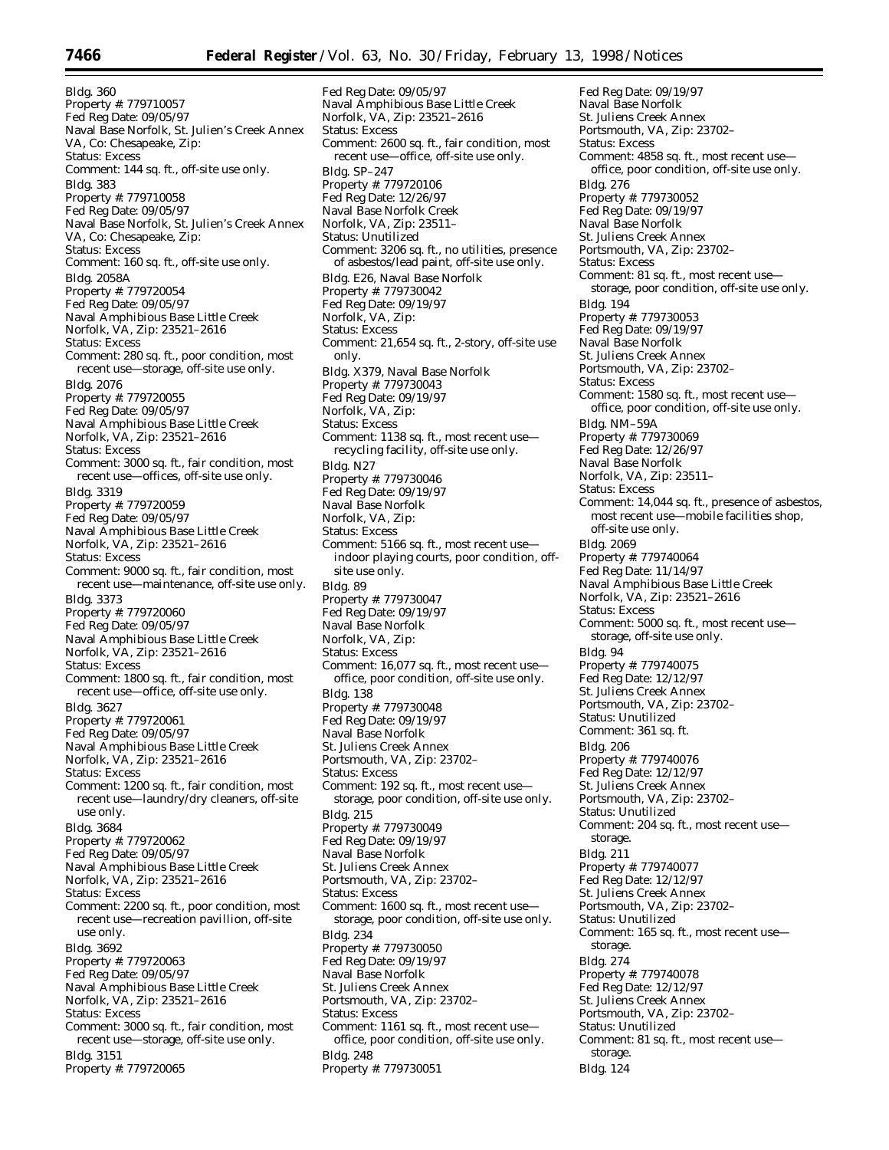Bldg. 360 Property #: 779710057 Fed Reg Date: 09/05/97 Naval Base Norfolk, St. Julien's Creek Annex VA, Co: Chesapeake, Zip: Status: Excess Comment: 144 sq. ft., off-site use only. Bldg. 383 Property #: 779710058 Fed Reg Date: 09/05/97 Naval Base Norfolk, St. Julien's Creek Annex VA, Co: Chesapeake, Zip: Status: Excess Comment: 160 sq. ft., off-site use only. Bldg. 2058A Property #: 779720054 Fed Reg Date: 09/05/97 Naval Amphibious Base Little Creek Norfolk, VA, Zip: 23521–2616 Status: Excess Comment: 280 sq. ft., poor condition, most recent use—storage, off-site use only. Bldg. 2076 Property #: 779720055 Fed Reg Date: 09/05/97 Naval Amphibious Base Little Creek Norfolk, VA, Zip: 23521–2616 Status: Excess Comment: 3000 sq. ft., fair condition, most recent use—offices, off-site use only. Bldg. 3319 Property #: 779720059 Fed Reg Date: 09/05/97 Naval Amphibious Base Little Creek Norfolk, VA, Zip: 23521–2616 Status: Excess Comment: 9000 sq. ft., fair condition, most recent use—maintenance, off-site use only. Bldg. 3373 Property #: 779720060 Fed Reg Date: 09/05/97 Naval Amphibious Base Little Creek Norfolk, VA, Zip: 23521–2616 Status: Excess Comment: 1800 sq. ft., fair condition, most recent use—office, off-site use only. Bldg. 3627 Property #: 779720061 Fed Reg Date: 09/05/97 Naval Amphibious Base Little Creek Norfolk, VA, Zip: 23521–2616 Status: Excess Comment: 1200 sq. ft., fair condition, most recent use—laundry/dry cleaners, off-site use only. Bldg. 3684 Property #: 779720062 Fed Reg Date: 09/05/97 Naval Amphibious Base Little Creek Norfolk, VA, Zip: 23521–2616 Status: Excess Comment: 2200 sq. ft., poor condition, most recent use—recreation pavillion, off-site use only. Bldg. 3692 Property #: 779720063 Fed Reg Date: 09/05/97 Naval Amphibious Base Little Creek Norfolk, VA, Zip: 23521–2616 Status: Excess Comment: 3000 sq. ft., fair condition, most recent use—storage, off-site use only. Bldg. 3151 Property #: 779720065

Fed Reg Date: 09/05/97 Naval Amphibious Base Little Creek Norfolk, VA, Zip: 23521–2616 Status: Excess Comment: 2600 sq. ft., fair condition, most recent use—office, off-site use only. Bldg. SP–247 Property #: 779720106 Fed Reg Date: 12/26/97 Naval Base Norfolk Creek Norfolk, VA, Zip: 23511– Status: Unutilized Comment: 3206 sq. ft., no utilities, presence of asbestos/lead paint, off-site use only. Bldg. E26, Naval Base Norfolk Property #: 779730042 Fed Reg Date: 09/19/97 Norfolk, VA, Zip: Status: Excess Comment: 21,654 sq. ft., 2-story, off-site use only. Bldg. X379, Naval Base Norfolk Property #: 779730043 Fed Reg Date: 09/19/97 Norfolk, VA, Zip: Status: Excess Comment: 1138 sq. ft., most recent use recycling facility, off-site use only. Bldg. N27 Property #: 779730046 Fed Reg Date: 09/19/97 Naval Base Norfolk Norfolk, VA, Zip: Status: Excess Comment: 5166 sq. ft., most recent use indoor playing courts, poor condition, offsite use only. Bldg. 89 Property #: 779730047 Fed Reg Date: 09/19/97 Naval Base Norfolk Norfolk, VA, Zip: Status: Excess Comment: 16,077 sq. ft., most recent use office, poor condition, off-site use only. Bldg. 138 Property #: 779730048 Fed Reg Date: 09/19/97 Naval Base Norfolk St. Juliens Creek Annex Portsmouth, VA, Zip: 23702– Status: Excess Comment: 192 sq. ft., most recent use storage, poor condition, off-site use only. Bldg. 215 Property #: 779730049 Fed Reg Date: 09/19/97 Naval Base Norfolk St. Juliens Creek Annex Portsmouth, VA, Zip: 23702– Status: Excess Comment: 1600 sq. ft., most recent use storage, poor condition, off-site use only. Bldg. 234 Property #: 779730050 Fed Reg Date: 09/19/97 Naval Base Norfolk St. Juliens Creek Annex Portsmouth, VA, Zip: 23702– Status: Excess Comment: 1161 sq. ft., most recent use office, poor condition, off-site use only. Bldg. 248 Property #: 779730051

Fed Reg Date: 09/19/97 Naval Base Norfolk St. Juliens Creek Annex Portsmouth, VA, Zip: 23702– Status: Excess Comment: 4858 sq. ft., most recent use office, poor condition, off-site use only. Bldg. 276 Property #: 779730052 Fed Reg Date: 09/19/97 Naval Base Norfolk St. Juliens Creek Annex Portsmouth, VA, Zip: 23702– Status: Excess Comment: 81 sq. ft., most recent use storage, poor condition, off-site use only. Bldg. 194 Property #: 779730053 Fed Reg Date: 09/19/97 Naval Base Norfolk St. Juliens Creek Annex Portsmouth, VA, Zip: 23702– Status: Excess Comment: 1580 sq. ft., most recent use office, poor condition, off-site use only. Bldg. NM–59A Property #: 779730069 Fed Reg Date: 12/26/97 Naval Base Norfolk Norfolk, VA, Zip: 23511– Status: Excess Comment: 14,044 sq. ft., presence of asbestos, most recent use—mobile facilities shop, off-site use only. Bldg. 2069 Property #: 779740064 Fed Reg Date: 11/14/97 Naval Amphibious Base Little Creek Norfolk, VA, Zip: 23521–2616 Status: Excess Comment: 5000 sq. ft., most recent use storage, off-site use only. Bldg. 94 Property #: 779740075 Fed Reg Date: 12/12/97 St. Juliens Creek Annex Portsmouth, VA, Zip: 23702– Status: Unutilized Comment: 361 sq. ft. Bldg. 206 Property #: 779740076 Fed Reg Date: 12/12/97 St. Juliens Creek Annex Portsmouth, VA, Zip: 23702– Status: Unutilized Comment: 204 sq. ft., most recent use storage. Bldg. 211 Property #: 779740077 Fed Reg Date: 12/12/97 St. Juliens Creek Annex Portsmouth, VA, Zip: 23702– Status: Unutilized Comment: 165 sq. ft., most recent use storage. Bldg. 274 Property #: 779740078 Fed Reg Date: 12/12/97 St. Juliens Creek Annex Portsmouth, VA, Zip: 23702– Status: Unutilized Comment: 81 sq. ft., most recent use storage. Bldg. 124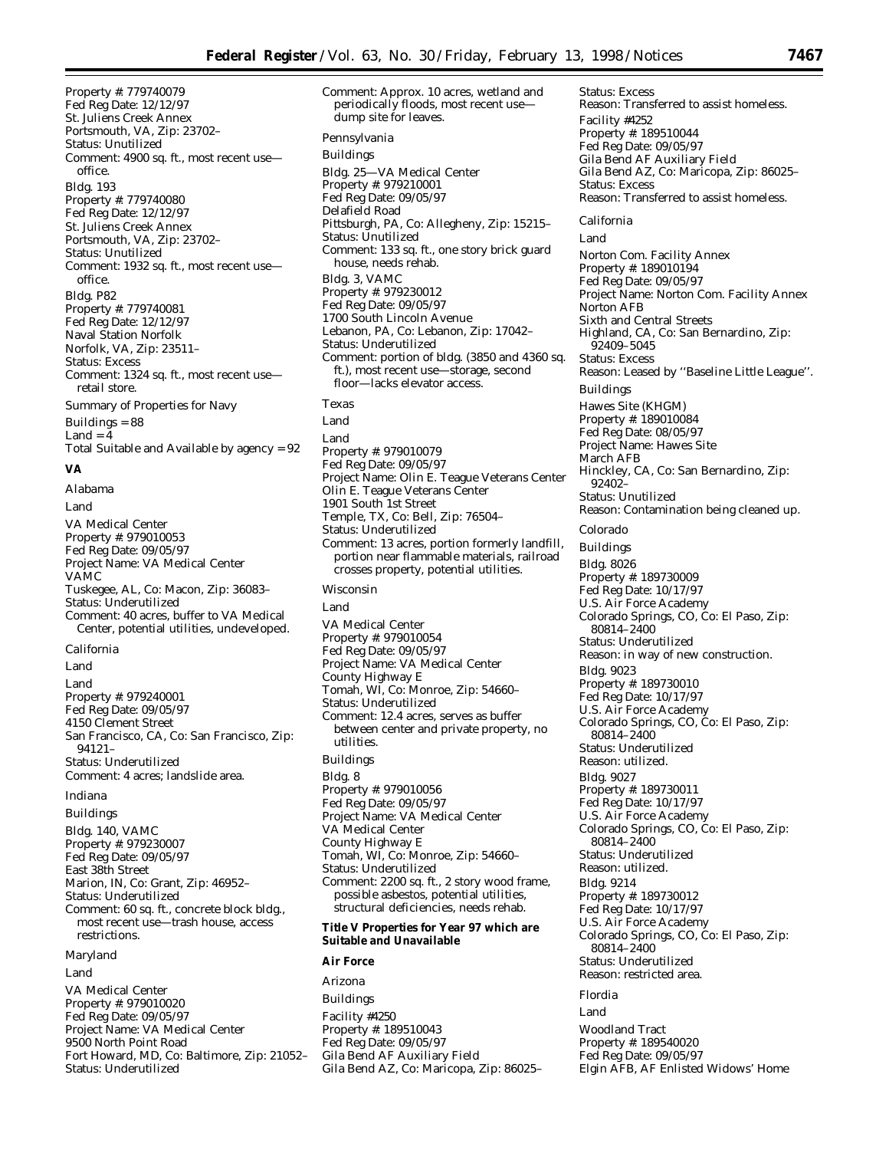Property #: 779740079 Fed Reg Date: 12/12/97 St. Juliens Creek Annex Portsmouth, VA, Zip: 23702– Status: Unutilized Comment: 4900 sq. ft., most recent use office. Bldg. 193 Property #: 779740080 Fed Reg Date: 12/12/97 St. Juliens Creek Annex Portsmouth, VA, Zip: 23702– Status: Unutilized Comment: 1932 sq. ft., most recent use office. Bldg. P82 Property #: 779740081 Fed Reg Date: 12/12/97 Naval Station Norfolk Norfolk, VA, Zip: 23511– Status: Excess Comment: 1324 sq. ft., most recent use retail store. Summary of Properties for Navy Buildings = 88  $Land = 4$ Total Suitable and Available by agency = 92 **VA**

*Alabama* Land VA Medical Center Property #: 979010053 Fed Reg Date: 09/05/97 Project Name: VA Medical Center VAMC Tuskegee, AL, Co: Macon, Zip: 36083– Status: Underutilized Comment: 40 acres, buffer to VA Medical Center, potential utilities, undeveloped. *California* Land

Land Property #: 979240001 Fed Reg Date: 09/05/97 4150 Clement Street San Francisco, CA, Co: San Francisco, Zip: 94121– Status: Underutilized Comment: 4 acres; landslide area.

#### *Indiana*

Buildings Bldg. 140, VAMC Property #: 979230007 Fed Reg Date: 09/05/97 East 38th Street Marion, IN, Co: Grant, Zip: 46952– Status: Underutilized Comment: 60 sq. ft., concrete block bldg., most recent use—trash house, access restrictions.

#### *Maryland*

Land

VA Medical Center Property #: 979010020 Fed Reg Date: 09/05/97 Project Name: VA Medical Center 9500 North Point Road Fort Howard, MD, Co: Baltimore, Zip: 21052– Status: Underutilized

Comment: Approx. 10 acres, wetland and periodically floods, most recent use dump site for leaves. *Pennsylvania* Buildings Bldg. 25—VA Medical Center Property #: 979210001 Fed Reg Date: 09/05/97 Delafield Road Pittsburgh, PA, Co: Allegheny, Zip: 15215– Status: Unutilized Comment: 133 sq. ft., one story brick guard house, needs rehab. Bldg. 3, VAMC Property #: 979230012 Fed Reg Date: 09/05/97 1700 South Lincoln Avenue Lebanon, PA, Co: Lebanon, Zip: 17042– Status: Underutilized Comment: portion of bldg. (3850 and 4360 sq. ft.), most recent use—storage, second floor—lacks elevator access. *Texas* Land Land Property #: 979010079 Fed Reg Date: 09/05/97 Project Name: Olin E. Teague Veterans Center Olin E. Teague Veterans Center 1901 South 1st Street Temple, TX, Co: Bell, Zip: 76504– Status: Underutilized Comment: 13 acres, portion formerly landfill, portion near flammable materials, railroad crosses property, potential utilities. *Wisconsin* Land VA Medical Center Property #: 979010054 Fed Reg Date: 09/05/97 Project Name: VA Medical Center County Highway E Tomah, WI, Co: Monroe, Zip: 54660–

Status: Underutilized Comment: 12.4 acres, serves as buffer between center and private property, no utilities. Buildings Bldg. 8 Property #: 979010056 Fed Reg Date: 09/05/97 Project Name: VA Medical Center VA Medical Center County Highway E

Tomah, WI, Co: Monroe, Zip: 54660– Status: Underutilized Comment: 2200 sq. ft., 2 story wood frame, possible asbestos, potential utilities, structural deficiencies, needs rehab.

#### **Title V Properties for Year 97 which are Suitable and Unavailable**

## **Air Force**

*Arizona* Buildings Facility #4250 Property #: 189510043 Fed Reg Date: 09/05/97 Gila Bend AF Auxiliary Field Gila Bend AZ, Co: Maricopa, Zip: 86025– Facility #4252 Property #: 189510044 Fed Reg Date: 09/05/97 Gila Bend AF Auxiliary Field Gila Bend AZ, Co: Maricopa, Zip: 86025– Status: Excess Reason: Transferred to assist homeless. *California* Land Norton Com. Facility Annex Property #: 189010194 Fed Reg Date: 09/05/97 Project Name: Norton Com. Facility Annex Norton AFB Sixth and Central Streets Highland, CA, Co: San Bernardino, Zip: 92409–5045 Status: Excess Reason: Leased by ''Baseline Little League''. Buildings Hawes Site (KHGM) Property #: 189010084 Fed Reg Date: 08/05/97 Project Name: Hawes Site March AFB Hinckley, CA, Co: San Bernardino, Zip: 92402– Status: Unutilized Reason: Contamination being cleaned up. *Colorado* Buildings Bldg. 8026 Property #: 189730009 Fed Reg Date: 10/17/97 U.S. Air Force Academy Colorado Springs, CO, Co: El Paso, Zip: 80814–2400 Status: Underutilized Reason: in way of new construction. Bldg. 9023 Property #: 189730010 Fed Reg Date: 10/17/97 U.S. Air Force Academy Colorado Springs, CO, Co: El Paso, Zip: 80814–2400 Status: Underutilized Reason: utilized. Bldg. 9027 Property #: 189730011 Fed Reg Date: 10/17/97 U.S. Air Force Academy Colorado Springs, CO, Co: El Paso, Zip: 80814–2400 Status: Underutilized Reason: utilized. Bldg. 9214 Property #: 189730012 Fed Reg Date: 10/17/97 U.S. Air Force Academy Colorado Springs, CO, Co: El Paso, Zip: 80814–2400 Status: Underutilized Reason: restricted area. *Flordia* Land Woodland Tract

Property #: 189540020 Fed Reg Date: 09/05/97

Elgin AFB, AF Enlisted Widows' Home

Status: Excess

Reason: Transferred to assist homeless.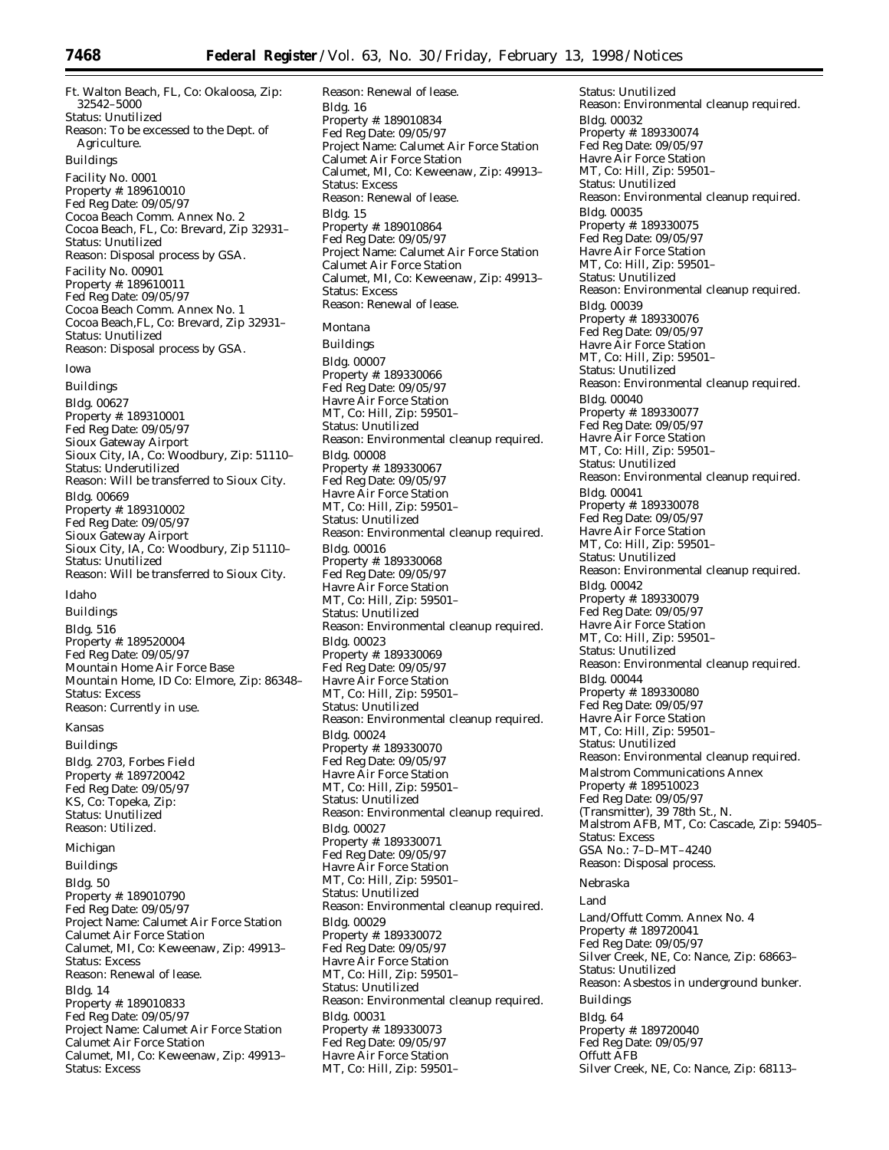Ft. Walton Beach, FL, Co: Okaloosa, Zip: 32542–5000 Status: Unutilized Reason: To be excessed to the Dept. of Agriculture. Buildings Facility No. 0001 Property #: 189610010 Fed Reg Date: 09/05/97 Cocoa Beach Comm. Annex No. 2 Cocoa Beach, FL, Co: Brevard, Zip 32931– Status: Unutilized Reason: Disposal process by GSA. Facility No. 00901 Property #: 189610011 Fed Reg Date: 09/05/97 Cocoa Beach Comm. Annex No. 1 Cocoa Beach,FL, Co: Brevard, Zip 32931– Status: Unutilized Reason: Disposal process by GSA. *Iowa*

Buildings Bldg. 00627 Property #: 189310001 Fed Reg Date: 09/05/97 Sioux Gateway Airport Sioux City, IA, Co: Woodbury, Zip: 51110– Status: Underutilized Reason: Will be transferred to Sioux City. Bldg. 00669 Property #: 189310002 Fed Reg Date: 09/05/97 Sioux Gateway Airport Sioux City, IA, Co: Woodbury, Zip 51110– Status: Unutilized Reason: Will be transferred to Sioux City.

#### *Idaho*

Buildings Bldg. 516 Property #: 189520004 Fed Reg Date: 09/05/97 Mountain Home Air Force Base Mountain Home, ID Co: Elmore, Zip: 86348– Status: Excess Reason: Currently in use.

#### *Kansas*

Buildings Bldg. 2703, Forbes Field Property #: 189720042 Fed Reg Date: 09/05/97 KS, Co: Topeka, Zip: Status: Unutilized Reason: Utilized.

*Michigan*

Buildings Bldg. 50 Property #: 189010790 Fed Reg Date: 09/05/97 Project Name: Calumet Air Force Station Calumet Air Force Station Calumet, MI, Co: Keweenaw, Zip: 49913– Status: Excess Reason: Renewal of lease. Bldg. 14 Property #: 189010833 Fed Reg Date: 09/05/97 Project Name: Calumet Air Force Station Calumet Air Force Station Calumet, MI, Co: Keweenaw, Zip: 49913– Status: Excess

Reason: Renewal of lease. Bldg. 16 Property #: 189010834 Fed Reg Date: 09/05/97 Project Name: Calumet Air Force Station Calumet Air Force Station Calumet, MI, Co: Keweenaw, Zip: 49913– Status: Excess Reason: Renewal of lease. Bldg. 15 Property #: 189010864 Fed Reg Date: 09/05/97 Project Name: Calumet Air Force Station Calumet Air Force Station Calumet, MI, Co: Keweenaw, Zip: 49913– Status: Excess Reason: Renewal of lease. *Montana* Buildings Bldg. 00007 Property #: 189330066 Fed Reg Date: 09/05/97 Havre Air Force Station MT, Co: Hill, Zip: 59501– Status: Unutilized Reason: Environmental cleanup required. Bldg. 00008 Property #: 189330067 Fed Reg Date: 09/05/97 Havre Air Force Station MT, Co: Hill, Zip: 59501– Status: Unutilized Reason: Environmental cleanup required. Bldg. 00016 Property #: 189330068 Fed Reg Date: 09/05/97 Havre Air Force Station MT, Co: Hill, Zip: 59501– Status: Unutilized Reason: Environmental cleanup required. Bldg. 00023 Property #: 189330069 Fed Reg Date: 09/05/97 Havre Air Force Station MT, Co: Hill, Zip: 59501– Status: Unutilized Reason: Environmental cleanup required. Bldg. 00024 Property #: 189330070 Fed Reg Date: 09/05/97 Havre Air Force Station MT, Co: Hill, Zip: 59501– Status: Unutilized Reason: Environmental cleanup required. Bldg. 00027 Property #: 189330071 Fed Reg Date: 09/05/97 Havre Air Force Station MT, Co: Hill, Zip: 59501– Status: Unutilized Reason: Environmental cleanup required. Bldg. 00029 Property #: 189330072 Fed Reg Date: 09/05/97 Havre Air Force Station MT, Co: Hill, Zip: 59501– Status: Unutilized Reason: Environmental cleanup required. Bldg. 00031 Property #: 189330073 Fed Reg Date: 09/05/97 Havre Air Force Station MT, Co: Hill, Zip: 59501–

Status: Unutilized Reason: Environmental cleanup required. Bldg. 00032 Property #: 189330074 Fed Reg Date: 09/05/97 Havre Air Force Station MT, Co: Hill, Zip: 59501– Status: Unutilized Reason: Environmental cleanup required. Bldg. 00035 Property #: 189330075 Fed Reg Date: 09/05/97 Havre Air Force Station MT, Co: Hill, Zip: 59501– Status: Unutilized Reason: Environmental cleanup required. Bldg. 00039 Property #: 189330076 Fed Reg Date: 09/05/97 Havre Air Force Station MT, Co: Hill, Zip: 59501– Status: Unutilized Reason: Environmental cleanup required. Bldg. 00040 Property #: 189330077 Fed Reg Date: 09/05/97 Havre Air Force Station MT, Co: Hill, Zip: 59501– Status: Unutilized Reason: Environmental cleanup required. Bldg. 00041 Property #: 189330078 Fed Reg Date: 09/05/97 Havre Air Force Station MT, Co: Hill, Zip: 59501– Status: Unutilized Reason: Environmental cleanup required. Bldg. 00042 Property #: 189330079 Fed Reg Date: 09/05/97 Havre Air Force Station MT, Co: Hill, Zip: 59501– Status: Unutilized Reason: Environmental cleanup required. Bldg. 00044 Property #: 189330080 Fed Reg Date: 09/05/97 Havre Air Force Station MT, Co: Hill, Zip: 59501– Status: Unutilized Reason: Environmental cleanup required. Malstrom Communications Annex Property #: 189510023 Fed Reg Date: 09/05/97 (Transmitter), 39 78th St., N. Malstrom AFB, MT, Co: Cascade, Zip: 59405– Status: Excess GSA No.: 7–D–MT–4240 Reason: Disposal process. *Nebraska* Land Land/Offutt Comm. Annex No. 4 Property #: 189720041 Fed Reg Date: 09/05/97 Silver Creek, NE, Co: Nance, Zip: 68663– Status: Unutilized Reason: Asbestos in underground bunker.

Buildings

Bldg. 64 Property #: 189720040 Fed Reg Date: 09/05/97 Offutt AFB Silver Creek, NE, Co: Nance, Zip: 68113–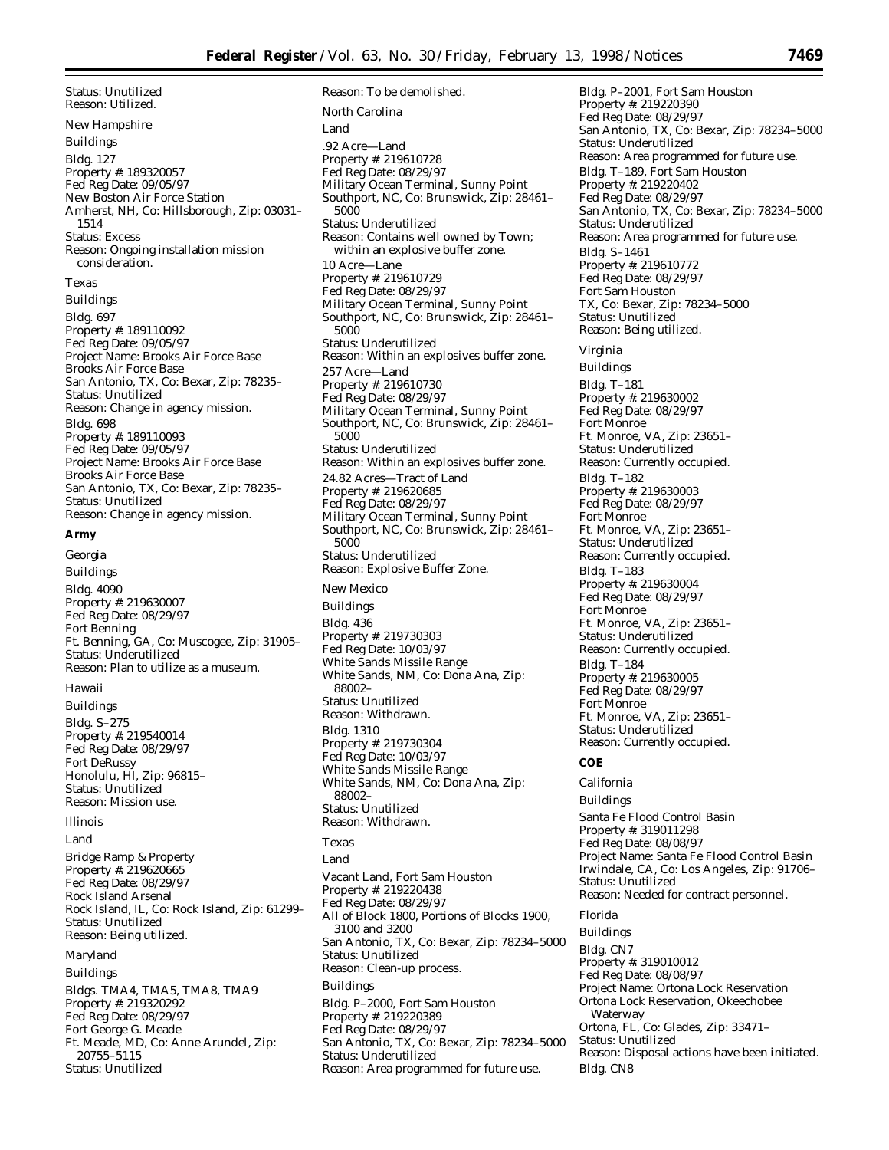Status: Unutilized Reason: Utilized. *New Hampshire* Buildings Bldg. 127 Property #: 189320057 Fed Reg Date: 09/05/97 New Boston Air Force Station Amherst, NH, Co: Hillsborough, Zip: 03031– 1514 Status: Excess Reason: Ongoing installation mission consideration. *Texas* Buildings Bldg. 697 Property #: 189110092 Fed Reg Date: 09/05/97 Project Name: Brooks Air Force Base Brooks Air Force Base San Antonio, TX, Co: Bexar, Zip: 78235– Status: Unutilized Reason: Change in agency mission. Bldg. 698 Property #: 189110093 Fed Reg Date: 09/05/97 Project Name: Brooks Air Force Base Brooks Air Force Base San Antonio, TX, Co: Bexar, Zip: 78235– Status: Unutilized Reason: Change in agency mission.

#### **Army**

*Georgia* Buildings Bldg. 4090 Property #: 219630007 Fed Reg Date: 08/29/97 Fort Benning Ft. Benning, GA, Co: Muscogee, Zip: 31905– Status: Underutilized Reason: Plan to utilize as a museum.

#### *Hawaii*

Buildings Bldg. S–275 Property #: 219540014 Fed Reg Date: 08/29/97 Fort DeRussy Honolulu, HI, Zip: 96815– Status: Unutilized Reason: Mission use.

#### *Illinois*

Land

Bridge Ramp & Property Property #: 219620665 Fed Reg Date: 08/29/97 Rock Island Arsenal Rock Island, IL, Co: Rock Island, Zip: 61299– Status: Unutilized Reason: Being utilized.

#### *Maryland*

Buildings

Bldgs. TMA4, TMA5, TMA8, TMA9 Property #: 219320292 Fed Reg Date: 08/29/97 Fort George G. Meade Ft. Meade, MD, Co: Anne Arundel, Zip: 20755–5115 Status: Unutilized

Reason: To be demolished. *North Carolina* Land .92 Acre—Land Property #: 219610728 Fed Reg Date: 08/29/97 Military Ocean Terminal, Sunny Point Southport, NC, Co: Brunswick, Zip: 28461– 5000 Status: Underutilized Reason: Contains well owned by Town; within an explosive buffer zone. 10 Acre—Lane Property #: 219610729 Fed Reg Date: 08/29/97 Military Ocean Terminal, Sunny Point Southport, NC, Co: Brunswick, Zip: 28461– 5000 Status: Underutilized Reason: Within an explosives buffer zone. 257 Acre—Land Property #: 219610730 Fed Reg Date: 08/29/97 Military Ocean Terminal, Sunny Point Southport, NC, Co: Brunswick, Zip: 28461– 5000 Status: Underutilized Reason: Within an explosives buffer zone. 24.82 Acres—Tract of Land Property #: 219620685 Fed Reg Date: 08/29/97 Military Ocean Terminal, Sunny Point Southport, NC, Co: Brunswick, Zip: 28461– 5000 Status: Underutilized Reason: Explosive Buffer Zone. *New Mexico* Buildings Bldg. 436 Property #: 219730303 Fed Reg Date: 10/03/97 White Sands Missile Range White Sands, NM, Co: Dona Ana, Zip: 88002– Status: Unutilized Reason: Withdrawn. Bldg. 1310 Property #: 219730304 Fed Reg Date: 10/03/97 White Sands Missile Range White Sands, NM, Co: Dona Ana, Zip: 88002– Status: Unutilized Reason: Withdrawn. *Texas* Land Vacant Land, Fort Sam Houston Property #: 219220438 Fed Reg Date: 08/29/97 All of Block 1800, Portions of Blocks 1900, 3100 and 3200 San Antonio, TX, Co: Bexar, Zip: 78234–5000 Status: Unutilized Reason: Clean-up process. Buildings Bldg. P–2000, Fort Sam Houston Property #: 219220389

Fed Reg Date: 08/29/97

Status: Underutilized

San Antonio, TX, Co: Bexar, Zip: 78234–5000

Waterway

Bldg. CN8

Status: Unutilized

Ortona, FL, Co: Glades, Zip: 33471–

Reason: Disposal actions have been initiated.

Reason: Area programmed for future use.

Bldg. P–2001, Fort Sam Houston Property #: 219220390 Fed Reg Date: 08/29/97 San Antonio, TX, Co: Bexar, Zip: 78234–5000 Status: Underutilized Reason: Area programmed for future use. Bldg. T–189, Fort Sam Houston Property #: 219220402 Fed Reg Date: 08/29/97 San Antonio, TX, Co: Bexar, Zip: 78234–5000 Status: Underutilized Reason: Area programmed for future use. Bldg. S–1461 Property #: 219610772 Fed Reg Date: 08/29/97 Fort Sam Houston TX, Co: Bexar, Zip: 78234–5000 Status: Unutilized Reason: Being utilized. *Virginia* Buildings Bldg. T–181 Property #: 219630002 Fed Reg Date: 08/29/97 Fort Monroe Ft. Monroe, VA, Zip: 23651– Status: Underutilized Reason: Currently occupied. Bldg. T–182 Property #: 219630003 Fed Reg Date: 08/29/97 Fort Monroe Ft. Monroe, VA, Zip: 23651– Status: Underutilized Reason: Currently occupied. Bldg. T–183 Property #: 219630004 Fed Reg Date: 08/29/97 Fort Monroe Ft. Monroe, VA, Zip: 23651– Status: Underutilized Reason: Currently occupied. Bldg. T–184 Property #: 219630005 Fed Reg Date: 08/29/97 Fort Monroe Ft. Monroe, VA, Zip: 23651– Status: Underutilized Reason: Currently occupied. **COE** *California* Buildings Santa Fe Flood Control Basin Property #: 319011298 Fed Reg Date: 08/08/97 Project Name: Santa Fe Flood Control Basin Irwindale, CA, Co: Los Angeles, Zip: 91706– Status: Unutilized Reason: Needed for contract personnel. *Florida* Buildings Bldg. CN7 Property #: 319010012 Fed Reg Date: 08/08/97 Project Name: Ortona Lock Reservation Ortona Lock Reservation, Okeechobee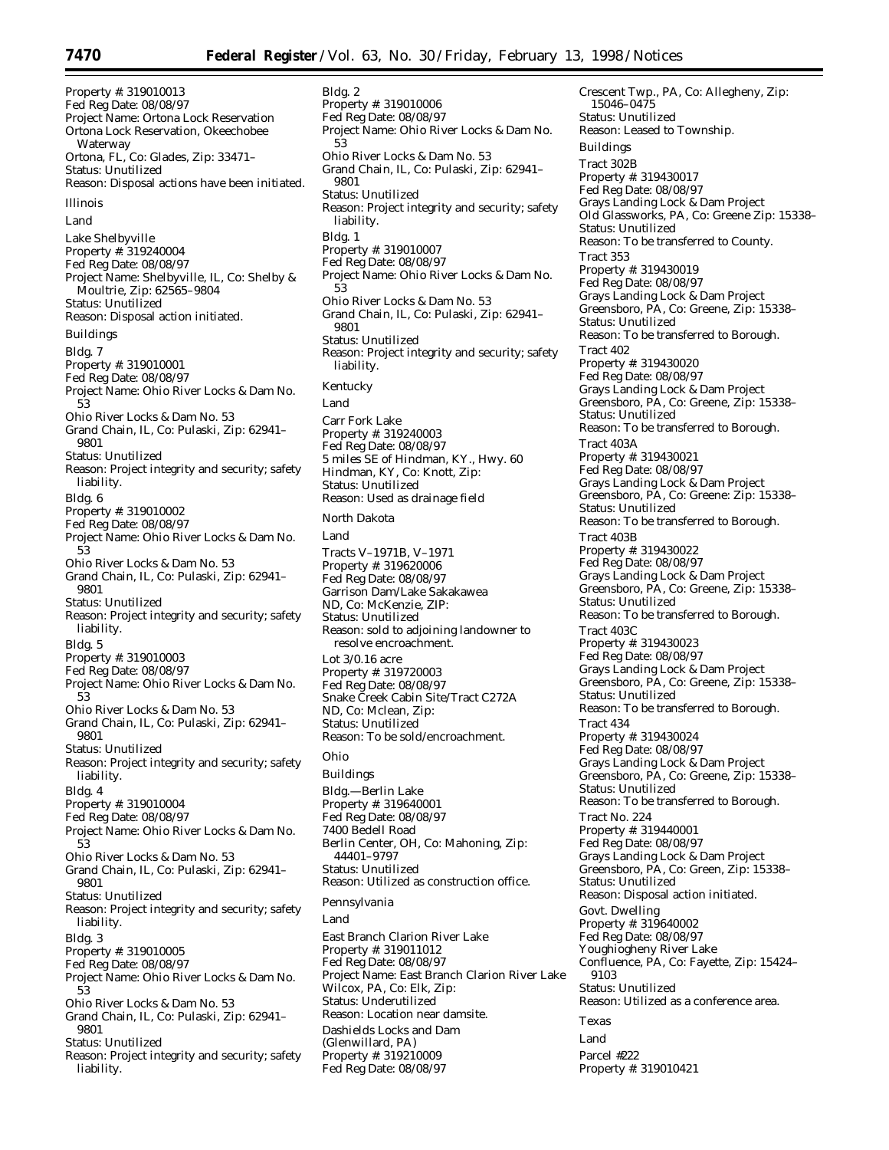Bldg. 2

Property #: 319010013 Fed Reg Date: 08/08/97 Project Name: Ortona Lock Reservation Ortona Lock Reservation, Okeechobee Waterway Ortona, FL, Co: Glades, Zip: 33471– Status: Unutilized Reason: Disposal actions have been initiated. *Illinois* Land Lake Shelbyville Property #: 319240004 Fed Reg Date: 08/08/97 Project Name: Shelbyville, IL, Co: Shelby & Moultrie, Zip: 62565–9804 Status: Unutilized Reason: Disposal action initiated. Buildings Bldg. 7 Property #: 319010001 Fed Reg Date: 08/08/97 Project Name: Ohio River Locks & Dam No. 53 Ohio River Locks & Dam No. 53 Grand Chain, IL, Co: Pulaski, Zip: 62941– 9801 Status: Unutilized Reason: Project integrity and security; safety liability. Bldg. 6 Property #: 319010002 Fed Reg Date: 08/08/97 Project Name: Ohio River Locks & Dam No. 53 Ohio River Locks & Dam No. 53 Grand Chain, IL, Co: Pulaski, Zip: 62941– 9801 Status: Unutilized Reason: Project integrity and security; safety liability. Bldg. 5 Property #: 319010003 Fed Reg Date: 08/08/97 Project Name: Ohio River Locks & Dam No. 53 Ohio River Locks & Dam No. 53 Grand Chain, IL, Co: Pulaski, Zip: 62941– 9801 Status: Unutilized Reason: Project integrity and security; safety liability. Bldg. 4 Property #: 319010004 Fed Reg Date: 08/08/97 Project Name: Ohio River Locks & Dam No. 53 Ohio River Locks & Dam No. 53 Grand Chain, IL, Co: Pulaski, Zip: 62941– 9801 Status: Unutilized Reason: Project integrity and security; safety liability. Bldg. 3 Property #: 319010005 Fed Reg Date: 08/08/97 Project Name: Ohio River Locks & Dam No. 53 Ohio River Locks & Dam No. 53 Grand Chain, IL, Co: Pulaski, Zip: 62941– 9801 Status: Unutilized

Reason: Project integrity and security; safety liability.

Property #: 319010006 Fed Reg Date: 08/08/97 Project Name: Ohio River Locks & Dam No. 53 Ohio River Locks & Dam No. 53 Grand Chain, IL, Co: Pulaski, Zip: 62941– 9801 Status: Unutilized Reason: Project integrity and security; safety liability. Bldg. 1 Property #: 319010007 Fed Reg Date: 08/08/97 Project Name: Ohio River Locks & Dam No. 53 Ohio River Locks & Dam No. 53 Grand Chain, IL, Co: Pulaski, Zip: 62941– 9801 Status: Unutilized Reason: Project integrity and security; safety liability. *Kentucky* Land Carr Fork Lake Property #: 319240003 Fed Reg Date: 08/08/97 5 miles SE of Hindman, KY., Hwy. 60 Hindman, KY, Co: Knott, Zip: Status: Unutilized Reason: Used as drainage field *North Dakota* Land Tracts V–1971B, V–1971 Property #: 319620006 Fed Reg Date: 08/08/97 Garrison Dam/Lake Sakakawea ND, Co: McKenzie, ZIP: Status: Unutilized Reason: sold to adjoining landowner to resolve encroachment. Lot 3/0.16 acre Property #: 319720003 Fed Reg Date: 08/08/97 Snake Creek Cabin Site/Tract C272A ND, Co: Mclean, Zip:

*Ohio*

Buildings

Status: Unutilized

Bldg.—Berlin Lake Property #: 319640001 Fed Reg Date: 08/08/97 7400 Bedell Road Berlin Center, OH, Co: Mahoning, Zip: 44401–9797 Status: Unutilized Reason: Utilized as construction office. *Pennsylvania*

Reason: To be sold/encroachment.

Land

East Branch Clarion River Lake Property #: 319011012 Fed Reg Date: 08/08/97 Project Name: East Branch Clarion River Lake Wilcox, PA, Co: Elk, Zip: Status: Underutilized Reason: Location near damsite. Dashields Locks and Dam (Glenwillard, PA) Property #: 319210009 Fed Reg Date: 08/08/97

15046–0475 Status: Unutilized Reason: Leased to Township. Buildings Tract 302B Property #: 319430017 Fed Reg Date: 08/08/97 Grays Landing Lock & Dam Project Old Glassworks, PA, Co: Greene Zip: 15338– Status: Unutilized Reason: To be transferred to County. Tract 353 Property #: 319430019 Fed Reg Date: 08/08/97 Grays Landing Lock & Dam Project Greensboro, PA, Co: Greene, Zip: 15338– Status: Unutilized Reason: To be transferred to Borough. Tract 402 Property #: 319430020 Fed Reg Date: 08/08/97 Grays Landing Lock & Dam Project Greensboro, PA, Co: Greene, Zip: 15338– Status: Unutilized Reason: To be transferred to Borough. Tract 403A Property #: 319430021 Fed Reg Date: 08/08/97 Grays Landing Lock & Dam Project Greensboro, PA, Co: Greene: Zip: 15338– Status: Unutilized Reason: To be transferred to Borough. Tract 403B Property #: 319430022 Fed Reg Date: 08/08/97 Grays Landing Lock & Dam Project Greensboro, PA, Co: Greene, Zip: 15338– Status: Unutilized Reason: To be transferred to Borough. Tract 403C Property #: 319430023 Fed Reg Date: 08/08/97 Grays Landing Lock & Dam Project Greensboro, PA, Co: Greene, Zip: 15338– Status: Unutilized Reason: To be transferred to Borough. Tract 434 Property #: 319430024 Fed Reg Date: 08/08/97 Grays Landing Lock & Dam Project Greensboro, PA, Co: Greene, Zip: 15338– Status: Unutilized Reason: To be transferred to Borough. Tract No. 224 Property #: 319440001 Fed Reg Date: 08/08/97 Grays Landing Lock & Dam Project Greensboro, PA, Co: Green, Zip: 15338– Status: Unutilized Reason: Disposal action initiated. Govt. Dwelling Property #: 319640002 Fed Reg Date: 08/08/97 Youghiogheny River Lake Confluence, PA, Co: Fayette, Zip: 15424– 9103 Status: Unutilized Reason: Utilized as a conference area. *Texas* Land Parcel #222 Property #: 319010421

Crescent Twp., PA, Co: Allegheny, Zip: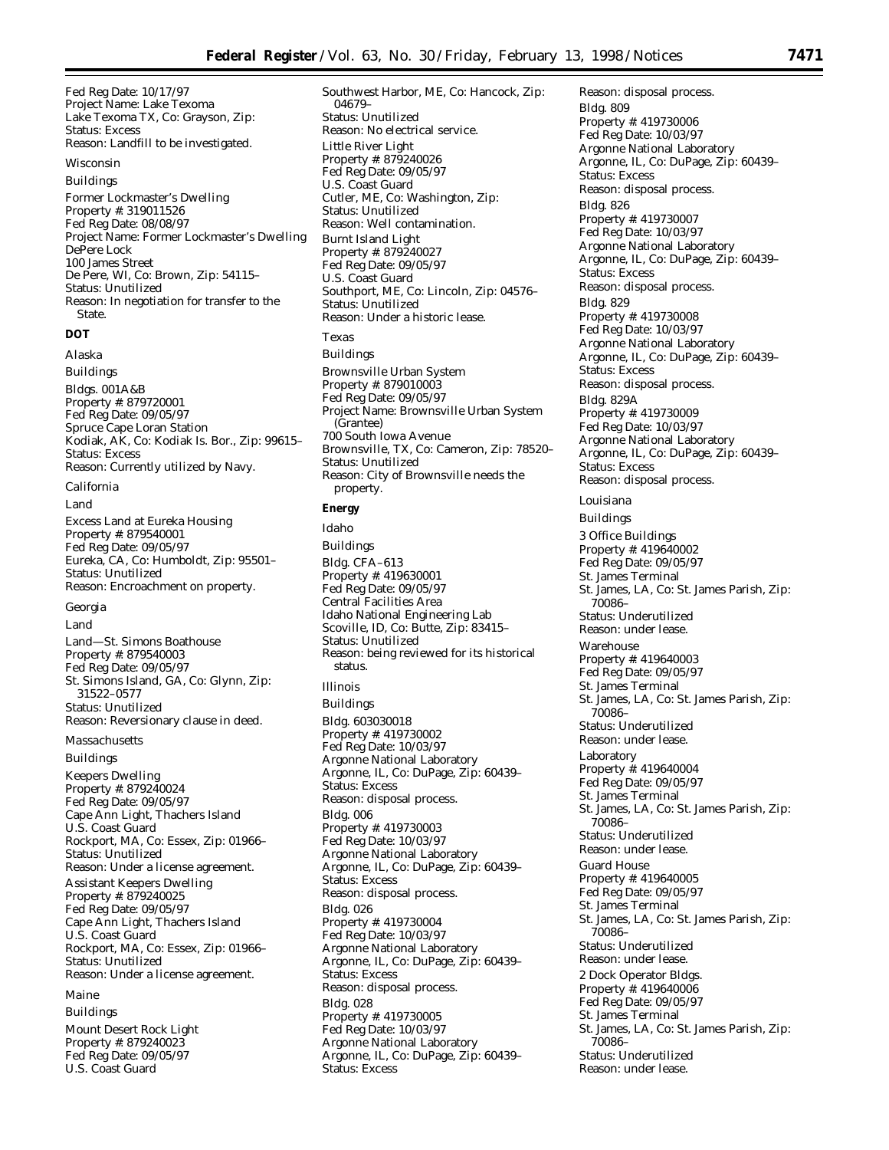Fed Reg Date: 10/17/97 Project Name: Lake Texoma Lake Texoma TX, Co: Grayson, Zip: Status: Excess Reason: Landfill to be investigated.

#### *Wisconsin*

Buildings Former Lockmaster's Dwelling Property #: 319011526 Fed Reg Date: 08/08/97 Project Name: Former Lockmaster's Dwelling DePere Lock 100 James Street De Pere, WI, Co: Brown, Zip: 54115– Status: Unutilized Reason: In negotiation for transfer to the State.

# **DOT**

*Alaska* Buildings Bldgs. 001A&B Property #: 879720001 Fed Reg Date: 09/05/97 Spruce Cape Loran Station Kodiak, AK, Co: Kodiak Is. Bor., Zip: 99615– Status: Excess Reason: Currently utilized by Navy.

## *California*

Land

Excess Land at Eureka Housing Property #: 879540001 Fed Reg Date: 09/05/97 Eureka, CA, Co: Humboldt, Zip: 95501– Status: Unutilized Reason: Encroachment on property.

#### *Georgia*

Land

Land—St. Simons Boathouse Property #: 879540003 Fed Reg Date: 09/05/97 St. Simons Island, GA, Co: Glynn, Zip: 31522–0577 Status: Unutilized Reason: Reversionary clause in deed.

*Massachusetts*

Buildings

Keepers Dwelling Property #: 879240024 Fed Reg Date: 09/05/97 Cape Ann Light, Thachers Island U.S. Coast Guard Rockport, MA, Co: Essex, Zip: 01966– Status: Unutilized Reason: Under a license agreement. Assistant Keepers Dwelling Property #: 879240025 Fed Reg Date: 09/05/97 Cape Ann Light, Thachers Island U.S. Coast Guard Rockport, MA, Co: Essex, Zip: 01966– Status: Unutilized Reason: Under a license agreement.

#### *Maine*

Buildings Mount Desert Rock Light Property #: 879240023 Fed Reg Date: 09/05/97 U.S. Coast Guard

Southwest Harbor, ME, Co: Hancock, Zip: 04679– Status: Unutilized Reason: No electrical service. Little River Light Property #: 879240026 Fed Reg Date: 09/05/97 U.S. Coast Guard Cutler, ME, Co: Washington, Zip: Status: Unutilized Reason: Well contamination. Burnt Island Light Property #: 879240027 Fed Reg Date: 09/05/97 U.S. Coast Guard Southport, ME, Co: Lincoln, Zip: 04576– Status: Unutilized Reason: Under a historic lease. *Texas* Buildings Brownsville Urban System Property #: 879010003 Fed Reg Date: 09/05/97 Project Name: Brownsville Urban System (Grantee) 700 South Iowa Avenue Brownsville, TX, Co: Cameron, Zip: 78520– Status: Unutilized Reason: City of Brownsville needs the

## **Energy**

property.

*Idaho* Buildings Bldg. CFA–613 Property #: 419630001 Fed Reg Date: 09/05/97 Central Facilities Area Idaho National Engineering Lab Scoville, ID, Co: Butte, Zip: 83415– Status: Unutilized Reason: being reviewed for its historical status. *Illinois* Buildings Bldg. 603030018 Property #: 419730002 Fed Reg Date: 10/03/97 Argonne National Laboratory Argonne, IL, Co: DuPage, Zip: 60439– Status: Excess Reason: disposal process. Bldg. 006 Property #: 419730003 Fed Reg Date: 10/03/97 Argonne National Laboratory Argonne, IL, Co: DuPage, Zip: 60439– Status: Excess Reason: disposal process. Bldg. 026 Property #: 419730004 Fed Reg Date: 10/03/97 Argonne National Laboratory Argonne, IL, Co: DuPage, Zip: 60439– Status: Excess Reason: disposal process. Bldg. 028 Property #: 419730005 Fed Reg Date: 10/03/97 Argonne National Laboratory Argonne, IL, Co: DuPage, Zip: 60439– Status: Excess

Reason: disposal process. Bldg. 809 Property #: 419730006 Fed Reg Date: 10/03/97 Argonne National Laboratory Argonne, IL, Co: DuPage, Zip: 60439– Status: Excess Reason: disposal process. Bldg. 826 Property #: 419730007 Fed Reg Date: 10/03/97 Argonne National Laboratory Argonne, IL, Co: DuPage, Zip: 60439– Status: Excess Reason: disposal process. Bldg. 829 Property #: 419730008 Fed Reg Date: 10/03/97 Argonne National Laboratory Argonne, IL, Co: DuPage, Zip: 60439– Status: Excess Reason: disposal process. Bldg. 829A Property #: 419730009 Fed Reg Date: 10/03/97 Argonne National Laboratory Argonne, IL, Co: DuPage, Zip: 60439– Status: Excess Reason: disposal process.

# *Louisiana*

Buildings 3 Office Buildings Property #: 419640002 Fed Reg Date: 09/05/97 St. James Terminal St. James, LA, Co: St. James Parish, Zip: 70086– Status: Underutilized Reason: under lease. Warehouse Property #: 419640003 Fed Reg Date: 09/05/97 St. James Terminal St. James, LA, Co: St. James Parish, Zip: 70086– Status: Underutilized Reason: under lease. Laboratory Property #: 419640004 Fed Reg Date: 09/05/97 St. James Terminal St. James, LA, Co: St. James Parish, Zip: 70086– Status: Underutilized Reason: under lease. Guard House Property #: 419640005 Fed Reg Date: 09/05/97 St. James Terminal St. James, LA, Co: St. James Parish, Zip: 70086– Status: Underutilized Reason: under lease. 2 Dock Operator Bldgs. Property #: 419640006 Fed Reg Date: 09/05/97 St. James Terminal St. James, LA, Co: St. James Parish, Zip: 70086– Status: Underutilized Reason: under lease.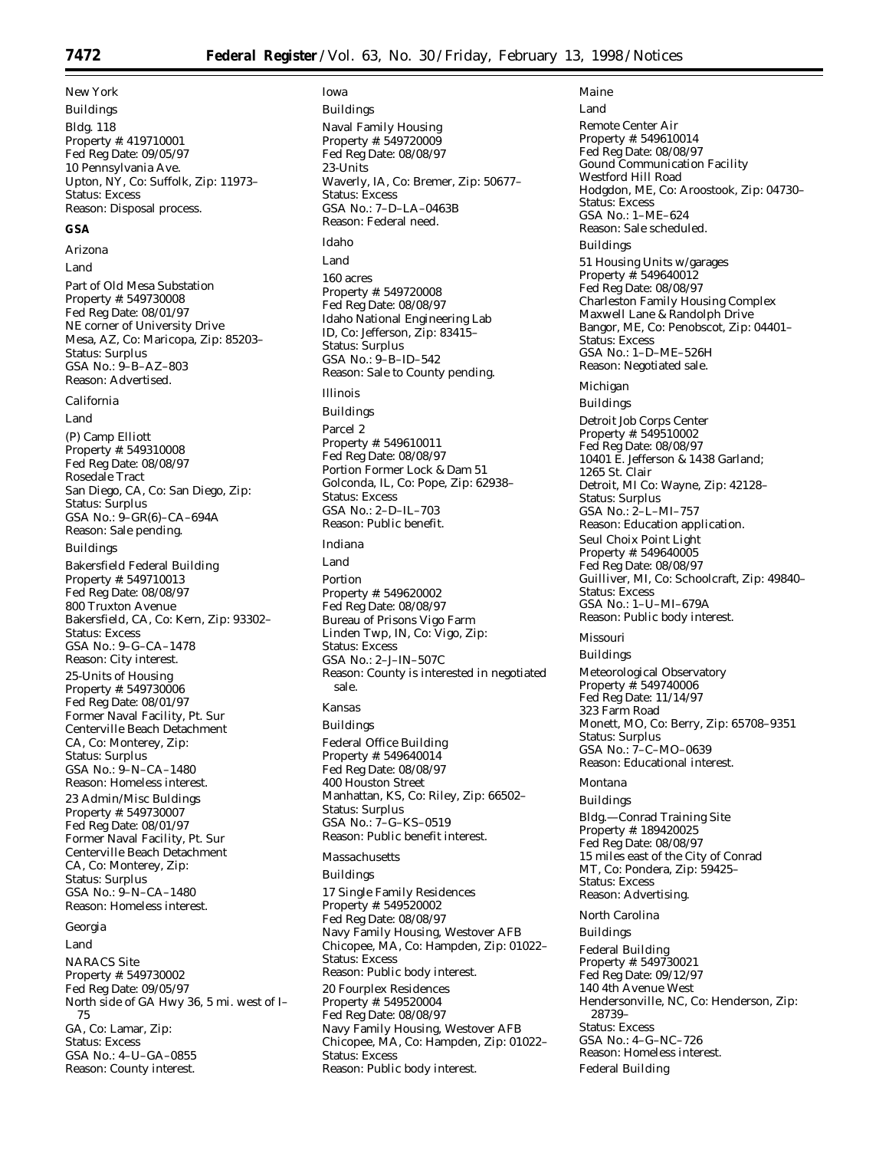# *New York*

Buildings Bldg. 118 Property #: 419710001 Fed Reg Date: 09/05/97 10 Pennsylvania Ave. Upton, NY, Co: Suffolk, Zip: 11973– Status: Excess Reason: Disposal process.

## **GSA**

*Arizona*

Land

Part of Old Mesa Substation Property #: 549730008 Fed Reg Date: 08/01/97 NE corner of University Drive Mesa, AZ, Co: Maricopa, Zip: 85203– Status: Surplus GSA No.: 9–B–AZ–803 Reason: Advertised.

## *California*

Land

(P) Camp Elliott Property #: 549310008 Fed Reg Date: 08/08/97 Rosedale Tract San Diego, CA, Co: San Diego, Zip: Status: Surplus GSA No.: 9–GR(6)–CA–694A Reason: Sale pending.

## Buildings

Bakersfield Federal Building Property #: 549710013 Fed Reg Date: 08/08/97 800 Truxton Avenue Bakersfield, CA, Co: Kern, Zip: 93302– Status: Excess GSA No.: 9–G–CA–1478 Reason: City interest. 25-Units of Housing Property #: 549730006 Fed Reg Date: 08/01/97 Former Naval Facility, Pt. Sur Centerville Beach Detachment CA, Co: Monterey, Zip: Status: Surplus GSA No.: 9–N–CA–1480 Reason: Homeless interest. 23 Admin/Misc Buldings Property #: 549730007 Fed Reg Date: 08/01/97 Former Naval Facility, Pt. Sur Centerville Beach Detachment CA, Co: Monterey, Zip: Status: Surplus GSA No.: 9–N–CA–1480 Reason: Homeless interest.

## *Georgia*

Land NARACS Site Property #: 549730002 Fed Reg Date: 09/05/97 North side of GA Hwy 36, 5 mi. west of I– 75 GA, Co: Lamar, Zip: Status: Excess GSA No.: 4–U–GA–0855 Reason: County interest.

## *Iowa* Buildings Naval Family Housing Property #: 549720009 Fed Reg Date: 08/08/97 23-Units Waverly, IA, Co: Bremer, Zip: 50677– Status: Excess GSA No.: 7–D–LA–0463B Reason: Federal need. *Idaho* Land 160 acres Property #: 549720008 Fed Reg Date: 08/08/97 Idaho National Engineering Lab ID, Co: Jefferson, Zip: 83415– Status: Surplus GSA No.: 9–B–ID–542 Reason: Sale to County pending. *Illinois* Buildings Parcel 2 Property #: 549610011 Fed Reg Date: 08/08/97 Portion Former Lock & Dam 51 Golconda, IL, Co: Pope, Zip: 62938– Status: Excess GSA No.: 2–D–IL–703 Reason: Public benefit. *Indiana* Land Portion Property #: 549620002 Fed Reg Date: 08/08/97 Bureau of Prisons Vigo Farm Linden Twp, IN, Co: Vigo, Zip:

Status: Excess GSA No.: 2–J–IN–507C Reason: County is interested in negotiated sale.

# *Kansas*

Buildings Federal Office Building Property #: 549640014 Fed Reg Date: 08/08/97 400 Houston Street Manhattan, KS, Co: Riley, Zip: 66502– Status: Surplus GSA No.: 7–G–KS–0519 Reason: Public benefit interest.

#### *Massachusetts*

Buildings

17 Single Family Residences Property #: 549520002 Fed Reg Date: 08/08/97 Navy Family Housing, Westover AFB Chicopee, MA, Co: Hampden, Zip: 01022– Status: Excess Reason: Public body interest. 20 Fourplex Residences Property #: 549520004 Fed Reg Date: 08/08/97 Navy Family Housing, Westover AFB Chicopee, MA, Co: Hampden, Zip: 01022– Status: Excess Reason: Public body interest.

Land Remote Center Air Property #: 549610014 Fed Reg Date: 08/08/97 Gound Communication Facility Westford Hill Road Hodgdon, ME, Co: Aroostook, Zip: 04730– Status: Excess GSA No.: 1–ME–624 Reason: Sale scheduled. Buildings 51 Housing Units w/garages Property #: 549640012 Fed Reg Date: 08/08/97 Charleston Family Housing Complex Maxwell Lane & Randolph Drive Bangor, ME, Co: Penobscot, Zip: 04401– Status: Excess GSA No.: 1–D–ME–526H Reason: Negotiated sale. *Michigan* Buildings Detroit Job Corps Center Property #: 549510002 Fed Reg Date: 08/08/97 10401 E. Jefferson & 1438 Garland; 1265 St. Clair Detroit, MI Co: Wayne, Zip: 42128– Status: Surplus GSA No.: 2–L–MI–757 Reason: Education application. Seul Choix Point Light Property #: 549640005 Fed Reg Date: 08/08/97 Guilliver, MI, Co: Schoolcraft, Zip: 49840– Status: Excess GSA No.: 1–U–MI–679A Reason: Public body interest. *Missouri* Buildings Meteorological Observatory

Property #: 549740006 Fed Reg Date: 11/14/97 323 Farm Road Monett, MO, Co: Berry, Zip: 65708–9351 Status: Surplus GSA No.: 7–C–MO–0639 Reason: Educational interest.

#### *Montana*

*Maine*

Buildings Bldg.—Conrad Training Site Property #: 189420025 Fed Reg Date: 08/08/97 15 miles east of the City of Conrad MT, Co: Pondera, Zip: 59425– Status: Excess Reason: Advertising.

*North Carolina* Buildings Federal Building Property #: 549730021 Fed Reg Date: 09/12/97 140 4th Avenue West Hendersonville, NC, Co: Henderson, Zip:

28739– Status: Excess GSA No.: 4–G–NC–726 Reason: Homeless interest. Federal Building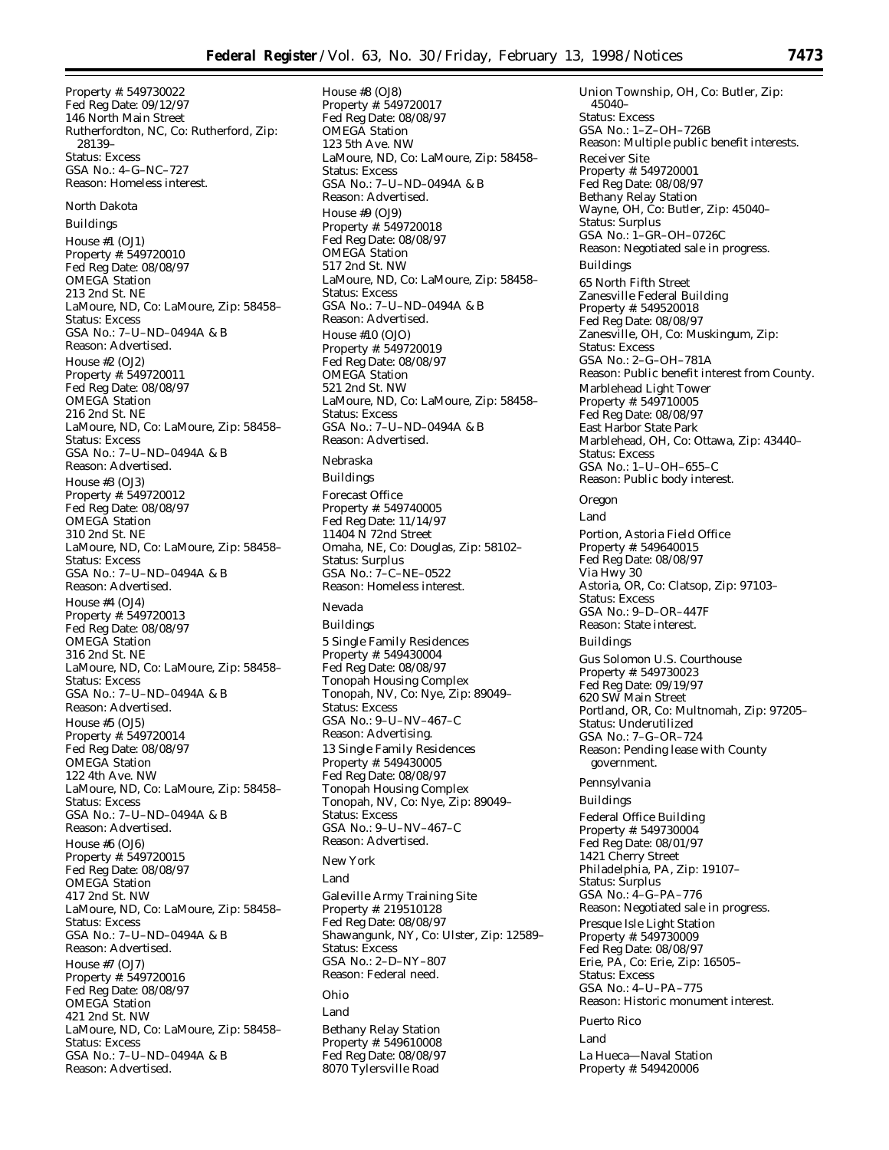Property #: 549730022 Fed Reg Date: 09/12/97 146 North Main Street Rutherfordton, NC, Co: Rutherford, Zip: 28139– Status: Excess GSA No.: 4–G–NC–727 Reason: Homeless interest.

#### *North Dakota*

Buildings

House #1 (OJ1) Property #: 549720010 Fed Reg Date: 08/08/97 OMEGA Station 213 2nd St. NE LaMoure, ND, Co: LaMoure, Zip: 58458– Status: Excess GSA No.: 7–U–ND–0494A & B Reason: Advertised. House #2 (OJ2) Property #: 549720011 Fed Reg Date: 08/08/97 OMEGA Station 216 2nd St. NE LaMoure, ND, Co: LaMoure, Zip: 58458– Status: Excess GSA No.: 7–U–ND–0494A & B Reason: Advertised. House #3 (OJ3) Property #: 549720012 Fed Reg Date: 08/08/97 OMEGA Station 310 2nd St. NE LaMoure, ND, Co: LaMoure, Zip: 58458– Status: Excess GSA No.: 7–U–ND–0494A & B Reason: Advertised. House #4 (OJ4) Property #: 549720013 Fed Reg Date: 08/08/97 OMEGA Station 316 2nd St. NE LaMoure, ND, Co: LaMoure, Zip: 58458– Status: Excess GSA No.: 7–U–ND–0494A & B Reason: Advertised. House #5 (OJ5) Property #: 549720014 Fed Reg Date: 08/08/97 OMEGA Station 122 4th Ave. NW LaMoure, ND, Co: LaMoure, Zip: 58458– Status: Excess GSA No.: 7–U–ND–0494A & B Reason: Advertised. House #6 (OJ6) Property #: 549720015 Fed Reg Date: 08/08/97 OMEGA Station 417 2nd St. NW LaMoure, ND, Co: LaMoure, Zip: 58458– Status: Excess GSA No.: 7–U–ND–0494A & B Reason: Advertised. House #7 (OJ7) Property #: 549720016 Fed Reg Date: 08/08/97 OMEGA Station 421 2nd St. NW LaMoure, ND, Co: LaMoure, Zip: 58458– Status: Excess GSA No.: 7–U–ND–0494A & B Reason: Advertised.

House #8 (OJ8) Property #: 549720017 Fed Reg Date: 08/08/97 OMEGA Station 123 5th Ave. NW LaMoure, ND, Co: LaMoure, Zip: 58458– Status: Excess GSA No.: 7–U–ND–0494A & B Reason: Advertised. House #9 (OJ9) Property #: 549720018 Fed Reg Date: 08/08/97 OMEGA Station 517 2nd St. NW LaMoure, ND, Co: LaMoure, Zip: 58458– Status: Excess GSA No.: 7–U–ND–0494A & B Reason: Advertised. House #10 (OJO) Property #: 549720019 Fed Reg Date: 08/08/97 OMEGA Station 521 2nd St. NW LaMoure, ND, Co: LaMoure, Zip: 58458– Status: Excess GSA No.: 7–U–ND–0494A & B Reason: Advertised.

#### *Nebraska*

Buildings Forecast Office Property #: 549740005 Fed Reg Date: 11/14/97 11404 N 72nd Street Omaha, NE, Co: Douglas, Zip: 58102– Status: Surplus GSA No.: 7–C–NE–0522 Reason: Homeless interest. *Nevada* Buildings 5 Single Family Residences Property #: 549430004 Fed Reg Date: 08/08/97 Tonopah Housing Complex Tonopah, NV, Co: Nye, Zip: 89049– Status: Excess GSA No.: 9–U–NV–467–C Reason: Advertising. 13 Single Family Residences Property #: 549430005 Fed Reg Date: 08/08/97 Tonopah Housing Complex Tonopah, NV, Co: Nye, Zip: 89049– Status: Excess GSA No.: 9–U–NV–467–C Reason: Advertised.

## *New York* Land Galeville Army Training Site Property #: 219510128 Fed Reg Date: 08/08/97 Shawangunk, NY, Co: Ulster, Zip: 12589– Status: Excess GSA No.: 2–D–NY–807 Reason: Federal need. *Ohio* Land Bethany Relay Station Property #: 549610008 Fed Reg Date: 08/08/97 8070 Tylersville Road

Union Township, OH, Co: Butler, Zip: 45040– Status: Excess GSA No.: 1–Z–OH–726B Reason: Multiple public benefit interests. Receiver Site Property #: 549720001 Fed Reg Date: 08/08/97 Bethany Relay Station Wayne, OH, Co: Butler, Zip: 45040– Status: Surplus GSA No.: 1–GR–OH–0726C Reason: Negotiated sale in progress. Buildings 65 North Fifth Street Zanesville Federal Building Property #: 549520018 Fed Reg Date: 08/08/97 Zanesville, OH, Co: Muskingum, Zip: Status: Excess GSA No.: 2–G–OH–781A Reason: Public benefit interest from County. Marblehead Light Tower Property #: 549710005 Fed Reg Date: 08/08/97 East Harbor State Park Marblehead, OH, Co: Ottawa, Zip: 43440– Status: Excess GSA No.: 1–U–OH–655–C Reason: Public body interest.

## *Oregon*

Land Portion, Astoria Field Office Property #: 549640015 Fed Reg Date: 08/08/97 Via Hwy 30 Astoria, OR, Co: Clatsop, Zip: 97103– Status: Excess GSA No.: 9–D–OR–447F Reason: State interest. Buildings Gus Solomon U.S. Courthouse Property #: 549730023 Fed Reg Date: 09/19/97 620 SW Main Street Portland, OR, Co: Multnomah, Zip: 97205– Status: Underutilized GSA No.: 7–G–OR–724 Reason: Pending lease with County government. *Pennsylvania* Buildings Federal Office Building Property #: 549730004 Fed Reg Date: 08/01/97 1421 Cherry Street Philadelphia, PA, Zip: 19107– Status: Surplus GSA No.: 4–G–PA–776 Reason: Negotiated sale in progress. Presque Isle Light Station Property #: 549730009 Fed Reg Date: 08/08/97 Erie, PA, Co: Erie, Zip: 16505– Status: Excess GSA No.: 4–U–PA–775 Reason: Historic monument interest.

#### *Puerto Rico*

Land La Hueca—Naval Station Property #: 549420006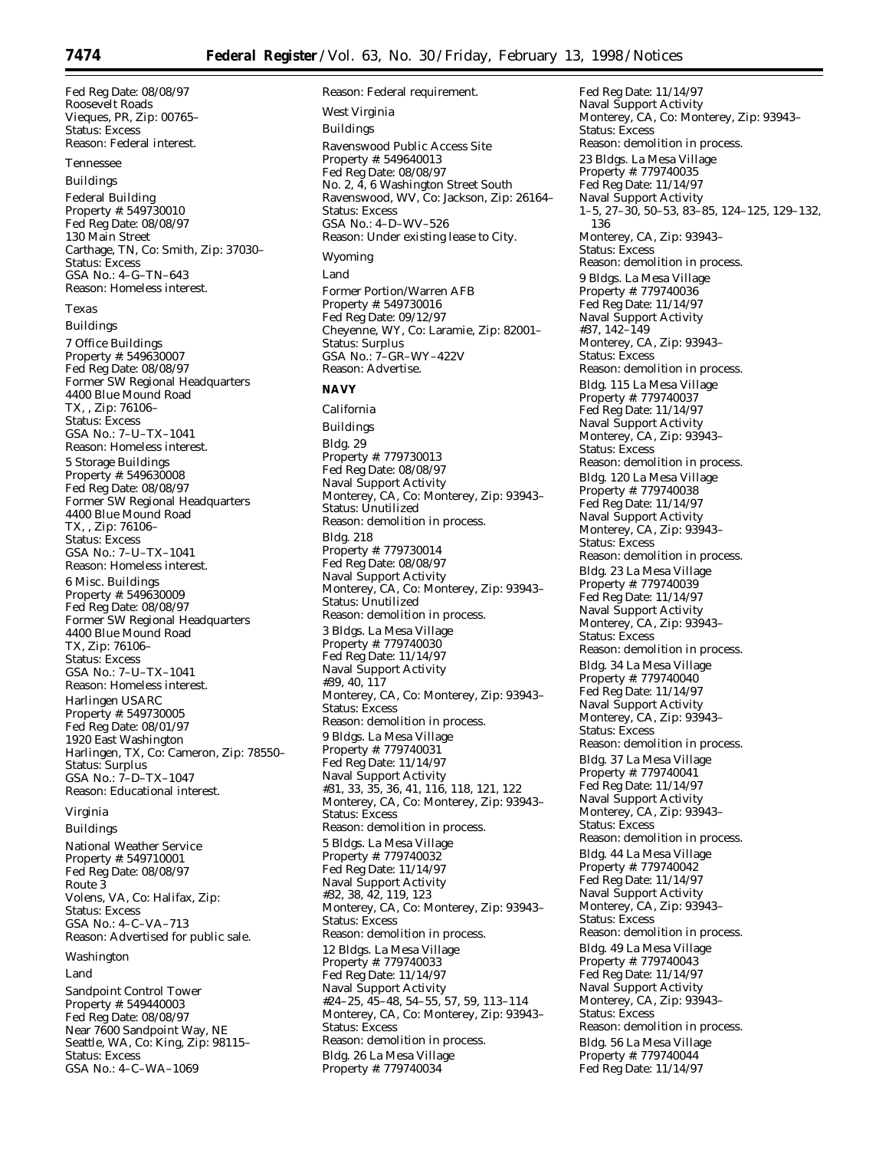Fed Reg Date: 08/08/97 Roosevelt Roads Vieques, PR, Zip: 00765– Status: Excess Reason: Federal interest. *Tennessee* Buildings Federal Building Property #: 549730010 Fed Reg Date: 08/08/97 130 Main Street Carthage, TN, Co: Smith, Zip: 37030– Status: Excess GSA No.: 4–G–TN–643 Reason: Homeless interest. *Texas* Buildings 7 Office Buildings Property #: 549630007 Fed Reg Date: 08/08/97 Former SW Regional Headquarters 4400 Blue Mound Road TX, , Zip: 76106– Status: Excess GSA No.: 7–U–TX–1041 Reason: Homeless interest. 5 Storage Buildings Property #: 549630008 Fed Reg Date: 08/08/97 Former SW Regional Headquarters 4400 Blue Mound Road TX, , Zip: 76106– Status: Excess GSA No.: 7–U–TX–1041 Reason: Homeless interest. 6 Misc. Buildings Property #: 549630009 Fed Reg Date: 08/08/97 Former SW Regional Headquarters 4400 Blue Mound Road TX, Zip: 76106– Status: Excess GSA No.: 7–U–TX–1041 Reason: Homeless interest. Harlingen USARC Property #: 549730005 Fed Reg Date: 08/01/97 1920 East Washington Harlingen, TX, Co: Cameron, Zip: 78550– Status: Surplus GSA No.: 7–D–TX–1047 Reason: Educational interest. *Virginia* Buildings

National Weather Service Property #: 549710001 Fed Reg Date: 08/08/97 Route 3 Volens, VA, Co: Halifax, Zip: Status: Excess GSA No.: 4–C–VA–713 Reason: Advertised for public sale.

*Washington*

Land

Sandpoint Control Tower Property #: 549440003 Fed Reg Date: 08/08/97 Near 7600 Sandpoint Way, NE Seattle, WA, Co: King, Zip: 98115– Status: Excess GSA No.: 4–C–WA–1069

Reason: Federal requirement. *West Virginia* Buildings Ravenswood Public Access Site Property #: 549640013 Fed Reg Date: 08/08/97 No. 2, 4, 6 Washington Street South Ravenswood, WV, Co: Jackson, Zip: 26164– Status: Excess GSA No.: 4–D–WV–526 Reason: Under existing lease to City. *Wyoming* Land Former Portion/Warren AFB Property #: 549730016 Fed Reg Date: 09/12/97 Cheyenne, WY, Co: Laramie, Zip: 82001– Status: Surplus GSA No.: 7–GR–WY–422V Reason: Advertise. **NAVY** *California* Buildings Bldg. 29 Property #: 779730013 Fed Reg Date: 08/08/97 Naval Support Activity Monterey, CA, Co: Monterey, Zip: 93943– Status: Unutilized Reason: demolition in process. Bldg. 218 Property #: 779730014 Fed Reg Date: 08/08/97 Naval Support Activity Monterey, CA, Co: Monterey, Zip: 93943– Status: Unutilized Reason: demolition in process. 3 Bldgs. La Mesa Village Property #: 779740030 Fed Reg Date: 11/14/97 Naval Support Activity #39, 40, 117 Monterey, CA, Co: Monterey, Zip: 93943– Status: Excess Reason: demolition in process. 9 Bldgs. La Mesa Village Property #: 779740031 Fed Reg Date: 11/14/97 Naval Support Activity #31, 33, 35, 36, 41, 116, 118, 121, 122 Monterey, CA, Co: Monterey, Zip: 93943– Status: Excess Reason: demolition in process. 5 Bldgs. La Mesa Village Property #: 779740032 Fed Reg Date: 11/14/97 Naval Support Activity #32, 38, 42, 119, 123 Monterey, CA, Co: Monterey, Zip: 93943– Status: Excess Reason: demolition in process. 12 Bldgs. La Mesa Village Property #: 779740033 Fed Reg Date: 11/14/97 Naval Support Activity #24–25, 45–48, 54–55, 57, 59, 113–114 Monterey, CA, Co: Monterey, Zip: 93943– Status: Excess Reason: demolition in process. Bldg. 26 La Mesa Village Property #: 779740034

Fed Reg Date: 11/14/97 Naval Support Activity Monterey, CA, Co: Monterey, Zip: 93943– Status: Excess Reason: demolition in process. 23 Bldgs. La Mesa Village Property #: 779740035 Fed Reg Date: 11/14/97 Naval Support Activity 1–5, 27–30, 50–53, 83–85, 124–125, 129–132, 136 Monterey, CA, Zip: 93943– Status: Excess Reason: demolition in process. 9 Bldgs. La Mesa Village Property #: 779740036 Fed Reg Date: 11/14/97 Naval Support Activity #37, 142–149 Monterey, CA, Zip: 93943– Status: Excess Reason: demolition in process. Bldg. 115 La Mesa Village Property #: 779740037 Fed Reg Date: 11/14/97 Naval Support Activity Monterey, CA, Zip: 93943– Status: Excess Reason: demolition in process. Bldg. 120 La Mesa Village Property #: 779740038 Fed Reg Date: 11/14/97 Naval Support Activity Monterey, CA, Zip: 93943– Status: Excess Reason: demolition in process. Bldg. 23 La Mesa Village Property #: 779740039 Fed Reg Date: 11/14/97 Naval Support Activity Monterey, CA, Zip: 93943– Status: Excess Reason: demolition in process. Bldg. 34 La Mesa Village Property #: 779740040 Fed Reg Date: 11/14/97 Naval Support Activity Monterey, CA, Zip: 93943– Status: Excess Reason: demolition in process. Bldg. 37 La Mesa Village Property #: 779740041 Fed Reg Date: 11/14/97 Naval Support Activity Monterey, CA, Zip: 93943– Status: Excess Reason: demolition in process. Bldg. 44 La Mesa Village Property #: 779740042 Fed Reg Date: 11/14/97 Naval Support Activity Monterey, CA, Zip: 93943– Status: Excess Reason: demolition in process. Bldg. 49 La Mesa Village Property #: 779740043 Fed Reg Date: 11/14/97 Naval Support Activity Monterey, CA, Zip: 93943– Status: Excess Reason: demolition in process. Bldg. 56 La Mesa Village Property #: 779740044 Fed Reg Date: 11/14/97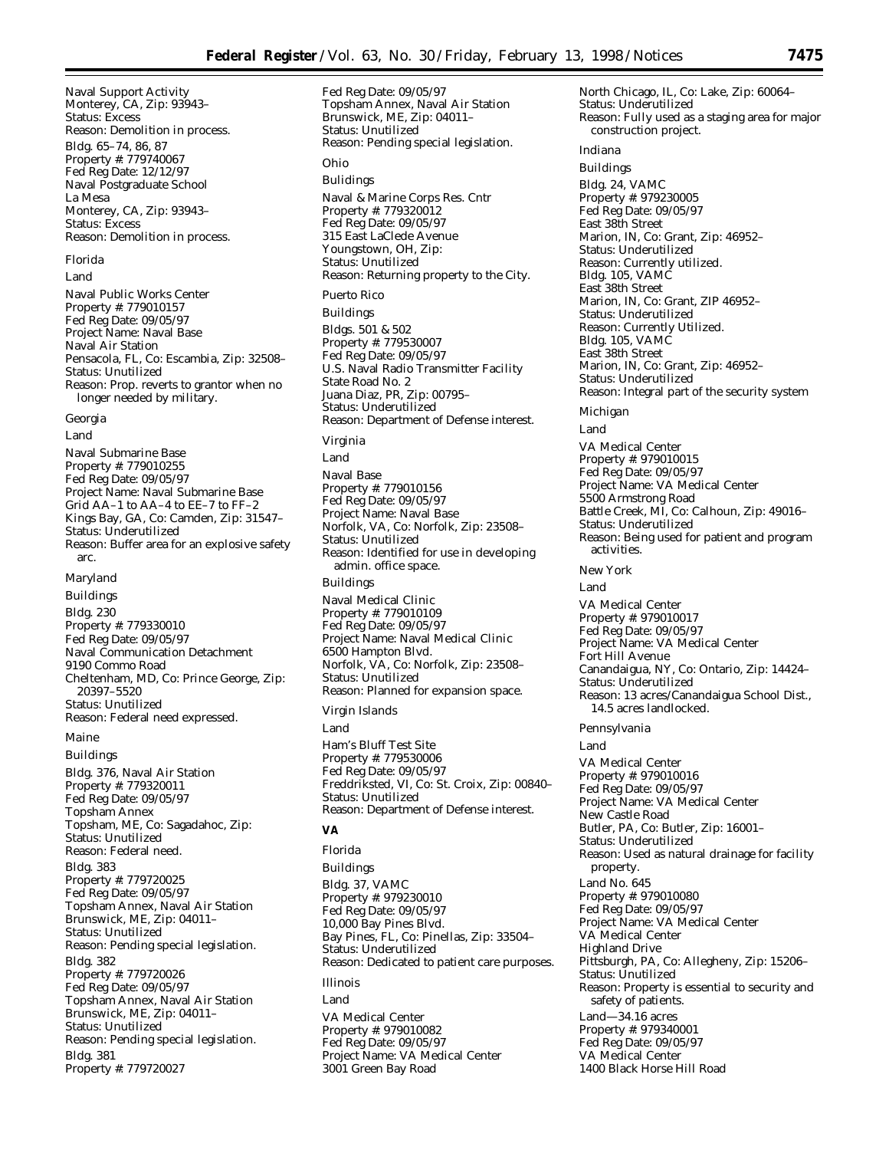Fed Reg Date: 09/05/97

Naval Support Activity Monterey, CA, Zip: 93943– Status: Excess Reason: Demolition in process. Bldg. 65–74, 86, 87 Property #: 779740067 Fed Reg Date: 12/12/97 Naval Postgraduate School La Mesa Monterey, CA, Zip: 93943– Status: Excess Reason: Demolition in process.

#### *Florida*

Land

Naval Public Works Center Property #: 779010157 Fed Reg Date: 09/05/97 Project Name: Naval Base Naval Air Station Pensacola, FL, Co: Escambia, Zip: 32508– Status: Unutilized Reason: Prop. reverts to grantor when no longer needed by military.

#### *Georgia*

Land

Naval Submarine Base Property #: 779010255 Fed Reg Date: 09/05/97 Project Name: Naval Submarine Base Grid AA–1 to AA–4 to EE–7 to FF–2 Kings Bay, GA, Co: Camden, Zip: 31547– Status: Underutilized Reason: Buffer area for an explosive safety arc.

#### *Maryland*

Buildings Bldg. 230 Property #: 779330010 Fed Reg Date: 09/05/97 Naval Communication Detachment 9190 Commo Road Cheltenham, MD, Co: Prince George, Zip: 20397–5520 Status: Unutilized Reason: Federal need expressed.

#### *Maine*

Buildings Bldg. 376, Naval Air Station Property #: 779320011 Fed Reg Date: 09/05/97 Topsham Annex Topsham, ME, Co: Sagadahoc, Zip: Status: Unutilized Reason: Federal need. Bldg. 383 Property #: 779720025 Fed Reg Date: 09/05/97 Topsham Annex, Naval Air Station Brunswick, ME, Zip: 04011– Status: Unutilized Reason: Pending special legislation. Bldg. 382 Property #: 779720026 Fed Reg Date: 09/05/97 Topsham Annex, Naval Air Station Brunswick, ME, Zip: 04011– Status: Unutilized Reason: Pending special legislation. Bldg. 381 Property #: 779720027

Topsham Annex, Naval Air Station Brunswick, ME, Zip: 04011– Status: Unutilized Reason: Pending special legislation. *Ohio* Bulidings Naval & Marine Corps Res. Cntr Property #: 779320012 Fed Reg Date: 09/05/97 315 East LaClede Avenue Youngstown, OH, Zip: Status: Unutilized Reason: Returning property to the City. *Puerto Rico* Buildings Bldgs. 501 & 502 Property #: 779530007 Fed Reg Date: 09/05/97 U.S. Naval Radio Transmitter Facility State Road No. 2 Juana Diaz, PR, Zip: 00795– Status: Underutilized Reason: Department of Defense interest. *Virginia* Land Naval Base Property #: 779010156 Fed Reg Date: 09/05/97 Project Name: Naval Base Norfolk, VA, Co: Norfolk, Zip: 23508– Status: Unutilized Reason: Identified for use in developing admin. office space. Buildings Naval Medical Clinic Property #: 779010109 Fed Reg Date: 09/05/97 Project Name: Naval Medical Clinic 6500 Hampton Blvd. Norfolk, VA, Co: Norfolk, Zip: 23508– Status: Unutilized Reason: Planned for expansion space. *Virgin Islands*

Land

Ham's Bluff Test Site Property #: 779530006 Fed Reg Date: 09/05/97 Freddriksted, VI, Co: St. Croix, Zip: 00840– Status: Unutilized Reason: Department of Defense interest.

#### **VA**

*Florida* Buildings Bldg. 37, VAMC Property #: 979230010 Fed Reg Date: 09/05/97 10,000 Bay Pines Blvd. Bay Pines, FL, Co: Pinellas, Zip: 33504– Status: Underutilized Reason: Dedicated to patient care purposes. *Illinois* Land VA Medical Center Property #: 979010082 Fed Reg Date: 09/05/97 Project Name: VA Medical Center 3001 Green Bay Road

North Chicago, IL, Co: Lake, Zip: 60064– Status: Underutilized Reason: Fully used as a staging area for major construction project. *Indiana* Buildings Bldg. 24, VAMC Property #: 979230005 Fed Reg Date: 09/05/97 East 38th Street Marion, IN, Co: Grant, Zip: 46952– Status: Underutilized Reason: Currently utilized. Bldg. 105, VAMC East 38th Street Marion, IN, Co: Grant, ZIP 46952– Status: Underutilized Reason: Currently Utilized. Bldg. 105, VAMC East 38th Street Marion, IN, Co: Grant, Zip: 46952– Status: Underutilized Reason: Integral part of the security system *Michigan* Land VA Medical Center Property #: 979010015 Fed Reg Date: 09/05/97 Project Name: VA Medical Center 5500 Armstrong Road Battle Creek, MI, Co: Calhoun, Zip: 49016– Status: Underutilized Reason: Being used for patient and program activities. *New York* Land VA Medical Center Property #: 979010017 Fed Reg Date: 09/05/97 Project Name: VA Medical Center Fort Hill Avenue Canandaigua, NY, Co: Ontario, Zip: 14424– Status: Underutilized Reason: 13 acres/Canandaigua School Dist., 14.5 acres landlocked. *Pennsylvania* Land VA Medical Center Property #: 979010016 Fed Reg Date: 09/05/97 Project Name: VA Medical Center New Castle Road Butler, PA, Co: Butler, Zip: 16001– Status: Underutilized Reason: Used as natural drainage for facility property. Land No. 645 Property #: 979010080 Fed Reg Date: 09/05/97 Project Name: VA Medical Center VA Medical Center Highland Drive Pittsburgh, PA, Co: Allegheny, Zip: 15206– Status: Unutilized Reason: Property is essential to security and safety of patients. Land—34.16 acres Property #: 979340001 Fed Reg Date: 09/05/97 VA Medical Center 1400 Black Horse Hill Road